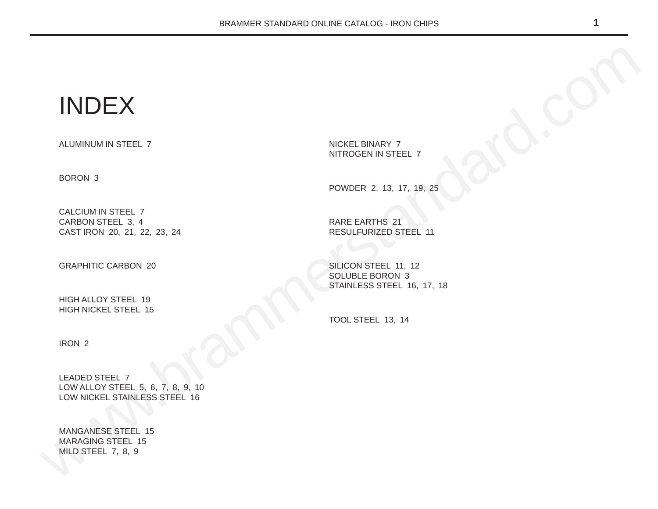# INDEX

ALUMINUM IN STEEL 7

BORON 3

CALCIUM IN STEEL 7 CARBON STEEL 3, 4 CAST IRON 20, 21, 22, 23, 24

GRAPHITIC CARBON 20

HIGH ALLOY STEEL 19 HIGH NICKEL STEEL 15 NICKEL BINARY 7 NITROGEN IN STEEL 7

POWDER 2, 13, 17, 19, 25

RARE EARTHS 21 RESULFURIZED STEEL 11

SILICON STEEL 11, 12 SOLUBLE BORON 3 STAINLESS STEEL 16, 17, 18

TOOL STEEL 13, 14

IRON 2

WEINDEX<br>
ALUMINUM IN STEEL 7<br>
BORON 3<br>
CALUMINUM INSTEEL 7<br>
CALUMINUM INSTEEL 7<br>
CALUMINUM INSTEEL 7<br>
CARPHITC CARBON 20<br>
CARPHITC CARBON 20<br>
HIGH NICKEL STEEL 19<br>
HIGH NICKEL STEEL 19<br>
HIGH NICKEL STEEL 16<br>
HIGH NICKEL ST LEADED STEEL 7 LOW ALLOY STEEL 5, 6, 7, 8, 9, 10 LOW NICKEL STAINLESS STEEL 16

MANGANESE STEEL 15 MARAGING STEEL 15 MILD STEEL 7, 8, 9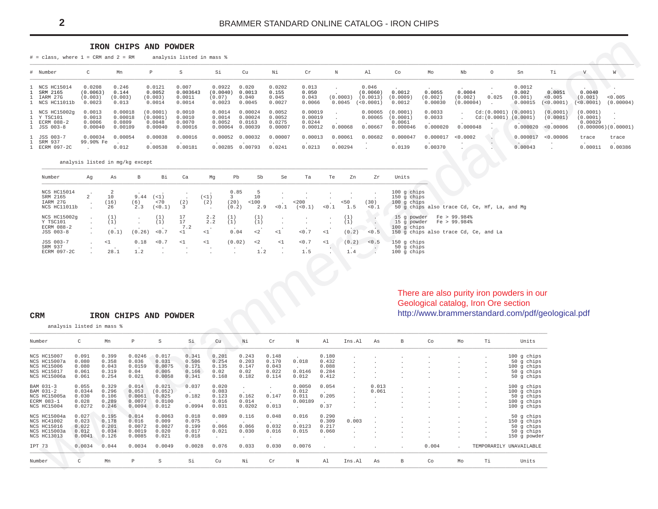#### IRON CHIPS AND POWDER

<span id="page-1-0"></span> $#$  = class, where 1 = CRM and 2 = RM analysis listed in mass %

| # Number                                                    |                                         | Mn                                      | P.                                        | S.                                    | Si                                     | Cu                                     | Νi                                    | Cr                                      | N                  | Al.                                                  | Co                                                               | Мo                           | Nb                             | $\circ$ | Sn                                                           | Тi                                                  |                                   | W                    |
|-------------------------------------------------------------|-----------------------------------------|-----------------------------------------|-------------------------------------------|---------------------------------------|----------------------------------------|----------------------------------------|---------------------------------------|-----------------------------------------|--------------------|------------------------------------------------------|------------------------------------------------------------------|------------------------------|--------------------------------|---------|--------------------------------------------------------------|-----------------------------------------------------|-----------------------------------|----------------------|
| 1 NCS HC15014<br>1 SRM 2165<br>1 IARM 27G<br>1 NCS HC11011b | 0.0208<br>(0.0063)<br>(0.003)<br>0.0023 | 0.246<br>0.144<br>(0.003)<br>0.013      | 0.0121<br>0.0052<br>(0.003)<br>0.0014     | 0.007<br>0.003643<br>0.0011<br>0.0014 | 0.0922<br>(0.0040)<br>(0.07)<br>0.0023 | 0.020<br>0.0013<br>0.040<br>0.0045     | 0.0202<br>0.155<br>0.045<br>0.0027    | 0.013<br>0.050<br>0.043<br>0.0066       | (0.0003)           | 0.046<br>(0.0060)<br>(0.0013)<br>$0.0045$ $(0.0001)$ | 0.0012<br>(0.0009)<br>0.0012                                     | 0.0055<br>(0.002)<br>0.00030 | 0.0004<br>(0.002)<br>(0.00004) | 0.025   | 0.0012<br>0.002<br>(0.001)<br>0.00015                        | And the Contract<br>0.0051<br>< 0.005<br>(< 0.0001) | 0.0040<br>(0.001)<br>( < 0.0001 ) | < 0.005<br>(0.00004) |
| 1 NCS HC15002q<br>1 Y TSC101<br>1 ECRM 088-2<br>1 JSS 003-8 | 0.0013<br>0.0013<br>0.0006<br>0.00040   | 0.00018<br>0.00018<br>0.0809<br>0.00109 | (0.0001)<br>(0.0001)<br>0.0048<br>0.00040 | 0.0010<br>0.0010<br>0.0070<br>0.00016 | 0.0014<br>0.0014<br>0.0052<br>0.00064  | ,00024<br>0.00024<br>0.0163<br>0.00039 | 0.0052<br>0.0052<br>0.0275<br>0.00007 | 0.00019<br>0.00019<br>0.0244<br>0.00012 | 0.00068            | 0.00667                                              | $0.00065$ $(0.0001)$<br>$0.00065$ (0.0001)<br>0.0061<br>0.000046 | 0.0033<br>0.0033<br>0.000020 | $\sim$<br>0.000048             | $\sim$  | Cd:(0.0001) (0.0001)<br>$Cd:(0.0001)$ $(0.0001)$<br>0.000020 | (0.0001)<br>(0.0001)<br>< 0.00006                   | (0.0001)<br>(0.0001)<br>0.00029   | (0.000006)(0.00001)  |
| 1 JSS 003-7<br>1 SRM 937<br>1 ECRM 097-2C                   | 0.00034<br>99.90% Fe                    | 0.00054<br>0.012                        | 0.00038<br>0.00538                        | 0.00016<br>0.00181                    | 0.00285                                | 0.00052 0.00032<br>0.00793             | 0.00007<br>0.0241                     | 0.00013<br>0.0213                       | 0.00061<br>0.00294 | 0.00682                                              | 0.000047<br>0.0139                                               | 0.000017<br>0.00370          | <0.0002                        | $\sim$  | 0.00043                                                      | 0.000017 < 0.00006                                  | trace<br>0.00011                  | trace<br>0.00386     |

#### analysis listed in mg/kg except

| Number                                              | Ag | As               | B                  | Bi                                | Ca                          | Mg               | Pb                    | Sb                  | Se              | Ta               | Te  | Zn                  | Zr            | Units                                                                                                                |
|-----------------------------------------------------|----|------------------|--------------------|-----------------------------------|-----------------------------|------------------|-----------------------|---------------------|-----------------|------------------|-----|---------------------|---------------|----------------------------------------------------------------------------------------------------------------------|
| NCS HC15014<br>SRM 2165<br>IARM 27G<br>NCS HC11011b |    | 10<br>(16)<br>26 | 9.44<br>(6)<br>2.3 | $($ < 1 $)$<br>< 70<br>(< 0.1)    | (2)                         | (<1)<br>(2)      | 0.85<br>(20)<br>(0.2) | 10<br><100<br>2.9   | $\sim$<br>< 0.1 | < 200<br>(< 0.1) | 0.1 | 50<br>1.5           | (30)<br>< 0.1 | $100$ g chips<br>$150$ q chips<br>$100$ q chips<br>50 g chips also trace Cd, Ce, Hf, La, and Mg                      |
| NCS HC15002q<br>Y TSC101<br>ECRM 088-2<br>JSS 003-8 |    | (1)<br>(0.1)     | (0.26)             | (1)<br>(1)<br>0.7                 | 17<br>17<br>7.2<br>$\leq 1$ | 2.2<br>2.2<br><1 | (1)<br>(1)<br>0.04    | (1)<br>(1)<br>$<$ 2 | <1              | < 0.7            | <1  | (1)<br>(1)<br>(0.2) | 0.5           | Fe > 99.984%<br>15 q powder<br>15 q powder<br>Fe > 99.984%<br>$100$ q chips<br>150 g chips also trace Cd, Ce, and La |
| JSS 003-7<br>SRM 937<br>ECRM 097-2C                 |    | $\leq 1$<br>28.1 | 0.18<br>1.2        | < 0.7<br>$\overline{\phantom{a}}$ | $\leq 1$<br>$\sim$          | <1               | (0.02)                | $\leq$ 2<br>1.2     | $\leq 1$        | < 0.7<br>1.5     | <1  | (0.2)<br>1.4        | < 0.5         | 150 g chips<br>50 q chips<br>$100$ q chips                                                                           |

#### CRM IRON CHIPS AND POWDER

# There are also purity iron powders in our<br>Geological catalog, Iron Ore section http://www.brammerstandard.com/pdf/geological.pdf

analysis listed in mass %

| Number             | C      | Mn    | P      | S       | Si     | Cu    | Νi     | Cr    | N       | A1        | Ins.Al       | As    | B | Co    | Mo             | Ti           | Units                   |
|--------------------|--------|-------|--------|---------|--------|-------|--------|-------|---------|-----------|--------------|-------|---|-------|----------------|--------------|-------------------------|
|                    |        |       |        |         |        |       |        |       |         |           |              |       |   |       |                |              |                         |
| <b>NCS HC15007</b> | 0.091  | 0.399 | 0.0246 | 0.017   | 0.341  | 0.201 | 0.243  | 0.148 |         | 0.180     |              |       |   |       |                |              | $100$ g chips           |
| NCS HC15007a       | 0.080  | 0.358 | 0.036  | 0.031   | 0.506  | 0.254 | 0.203  | 0.170 | 0.018   | 0.432     |              |       |   |       |                |              | 50 g chips              |
| NCS HC15006        | 0.080  | 0.043 | 0.0159 | 0.0075  | 0.171  | 0.135 | 0.147  | 0.043 |         | 0.088     |              |       |   |       |                |              | $100$ g chips           |
| NCS HC15017        | 0.061  | 0.319 | 0.04   | 0.005   | 0.166  | 0.02  | 0.02   | 0.022 | 0.0146  | 0.284     |              |       |   |       |                |              | 50 g chips              |
| NCS HC15006a       | 0.061  | 0.254 | 0.021  | 0.0058  | 0.341  | 0.168 | 0.182  | 0.114 | 0.012   | 0.412     |              |       |   |       |                |              | 50 g chips              |
| BAM 031-3          | 0.055  | 0.329 | 0.014  | 0.021   | 0.037  | 0.020 |        |       | 0.0050  | 0.054     | $\sim$       | 0.013 |   |       |                |              | $100$ g chips           |
| BAM 031-2          | 0.0344 | 0.296 | 0.053  | (0.052) |        | 0.083 |        |       | 0.012   |           | $\mathbf{r}$ | 0.061 |   |       |                |              | $100$ g chips           |
| NCS HC15005a       | 0.030  | 0.106 | 0.0061 | 0.025   | 0.182  | 0.123 | 0.162  | 0.147 | 0.011   | 0.205     |              |       |   |       | $\overline{a}$ |              | 50 g chips              |
| ECRM 083-1         | 0.028  | 0.289 | 0.0077 | 0.0100  |        | 0.016 | 0.014  |       | 0.00189 | $\bullet$ |              |       |   |       | $\mathbf{r}$   | $\mathbf{r}$ | $100$ g chips           |
| NCS HC15004        | 0.0272 | 0.246 | 0.0094 | 0.012   | 0.0994 | 0.031 | 0.0202 | 0.013 |         | 0.37      |              |       |   |       |                |              | $100$ g chips           |
|                    |        |       |        |         |        |       |        |       |         |           |              |       |   |       |                |              |                         |
| NCS HC15004a       | 0.027  | 0.195 | 0.014  | 0.0063  | 0.018  | 0.089 | 0.116  | 0.048 | 0.016   | 0.290     |              |       |   |       |                |              | 50 g chips              |
| NCS HC41002        | 0.023  | 0.178 | 0.016  | 0.009   | 0.075  |       |        |       |         | 0.309     | 0.003        |       |   |       |                |              | 150 g chips             |
| NCS HC15016        | 0.022  | 0.201 | 0.0072 | 0.0027  | 0.199  | 0.066 | 0.066  | 0.032 | 0.0123  | 0.217     |              |       |   |       |                |              | 50 g chips              |
| NCS HC15003a       | 0.012  | 0.034 | 0.0019 | 0.020   | 0.017  | 0.021 | 0.030  | 0.016 | 0.015   | 0.060     |              |       |   |       |                |              | 50 g chips              |
| <b>NCS HC13013</b> | 0.0041 | 0.126 | 0.0085 | 0.021   | 0.018  |       |        |       |         |           |              |       |   |       |                |              | 150 g powder            |
|                    |        |       |        |         |        |       |        |       |         |           |              |       |   |       |                |              |                         |
| IPT 73             | 0.0034 | 0.044 | 0.0034 | 0.0049  | 0.0028 | 0.076 | 0.033  | 0.030 | 0.0076  |           |              |       |   | 0.004 | $\mathbf{r}$   |              | TEMPORARILY UNAVAILABLE |
| Number             |        | Mn    | Р      | S       | Si     | Cu    | Νi     | Cr    | N       | A1        | Ins.Al       | As    | B | Co    | Mo             | Ti           | Units                   |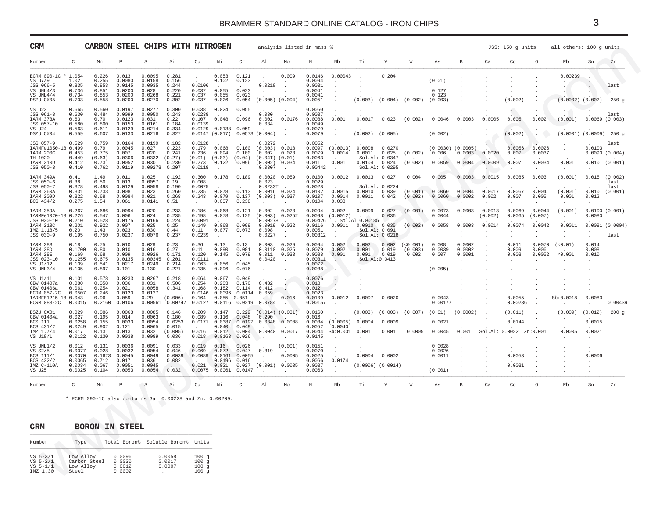<span id="page-2-0"></span>

| CRM                                                                                              |                                                         | CARBON STEEL CHIPS WITH NITROGEN                                                  |                                                          |                                                         |                                                       |                                                       |                                                                          |                                                            |                                                               | analysis listed in mass %                                             |                                                            |                                                |                                                |                                                              |                                |                                                  |                            |                             | JSS: 150 g units                             |                             | all others: 100 q units                           |                                    |                                               |
|--------------------------------------------------------------------------------------------------|---------------------------------------------------------|-----------------------------------------------------------------------------------|----------------------------------------------------------|---------------------------------------------------------|-------------------------------------------------------|-------------------------------------------------------|--------------------------------------------------------------------------|------------------------------------------------------------|---------------------------------------------------------------|-----------------------------------------------------------------------|------------------------------------------------------------|------------------------------------------------|------------------------------------------------|--------------------------------------------------------------|--------------------------------|--------------------------------------------------|----------------------------|-----------------------------|----------------------------------------------|-----------------------------|---------------------------------------------------|------------------------------------|-----------------------------------------------|
| Number                                                                                           | C                                                       | Mn                                                                                | $\, {\bf P}$                                             | S                                                       | Si                                                    | Cu                                                    | Νi                                                                       | Cr                                                         | Al                                                            | Mo                                                                    | Ν                                                          | Nb                                             | Τi                                             | V                                                            | W                              | As                                               | B                          | Ca                          | Co                                           | $\circ$                     | Pb                                                | Sn                                 | Zr                                            |
| ECRM 090-1C * 1.054<br>VS U7/9<br>JSS 066-5<br>VS UNL4/3<br>VS UNL4/4<br>DSZU CX05               | 1.02<br>0.835<br>0.736<br>0.734<br>0.703                | 0.226<br>0.255<br>0.853<br>0.851<br>0.853<br>0.558                                | 0.013<br>0.0080<br>0.0145<br>0.0200<br>0.0200<br>0.0200  | 0.0095<br>0.0158<br>0.0035<br>0.028<br>0.0268<br>0.0270 | 0.281<br>0.156<br>0.244<br>0.220<br>0.221<br>0.302    | 0.0106<br>0.037<br>0.037<br>0.037                     | 0.053<br>0.102<br>0.055<br>0.055<br>0.026                                | 0.121<br>0.123<br>0.023<br>0.023<br>0.054                  | 0.0218                                                        | 0.009<br>$(0.005)$ $(0.004)$                                          | 0.0146<br>0.0094<br>0.0031<br>0.0041<br>0.0041<br>0.0051   | 0.00043                                        | (0.003)                                        | 0.204<br>(0.004)                                             | (0.002)                        | (0.01)<br>0.127<br>0.123<br>(0.003)              |                            |                             | (0.002)                                      |                             | 0.00239<br>$(0.0002)$ $(0.002)$                   |                                    | last<br>٠.<br>250g                            |
| VS U23<br>JSS 061-8<br>IARM 373A<br>JSS 057-10<br>VS U24<br>DSZU CX04                            | 0.665<br>0.630<br>0.63<br>0.580<br>0.563<br>0.559       | 0.560<br>0.484<br>0.70<br>0.800<br>0.611<br>0.607                                 | 0.0197<br>0.0099<br>0.0123<br>0.0150<br>0.0129<br>0.0133 | 0.0277<br>0.0050<br>0.031<br>0.0161<br>0.0214<br>0.0216 | 0.300<br>0.243<br>0.22<br>0.184<br>0.334<br>0.327     | 0.038<br>0.0238<br>0.107<br>0.0139<br>0.0129          | 0.024<br>0.048<br>0.0138 0.059<br>$0.0147$ $(0.017)$ 0.0573 $(0.004)$    | 0.055<br>0.096                                             | 0.030<br>0.002<br>0.034                                       | 0.0176<br>$\sim$                                                      | 0.0050<br>0.0037<br>0.0088<br>0.0049<br>0.0079<br>0.0079   | $\blacksquare$<br>0.001<br>$\cdot$             | 0.0017<br>(0.002)                              | 0.023<br>(0.005)                                             | (0.002)                        | 0.0046<br>(0.002)                                | 0.0003                     | 0.0005                      | 0.005<br>(0.002)                             | 0.002                       | (0.001)<br>$(0.0001)$ $(0.0009)$ 250 g            | 0.0069                             | last<br>(0.003)                               |
| JSS 057-9<br>IARMFe1050-18 0.499<br>IARM 200C<br>TH 1020<br>IARM 210D<br>JSS 050-8               | 0.529<br>0.453<br>0.449<br>0.412<br>0.410               | 0.759<br>0.79<br>0.775<br>(0.63)<br>0.73<br>0.762                                 | 0.0164<br>0.0045<br>0.007<br>0.0306<br>0.0052<br>0.0119  | 0.0199<br>0.027<br>0.020<br>0.0332<br>0.030<br>0.00278  | 0.182<br>0.223<br>0.241<br>(0.27)<br>0.230<br>0.207   | 0.0128<br>0.179<br>0.236<br>(0.01)<br>0.273<br>0.0118 | 0.068<br>0.094<br>(0.03)<br>0.122                                        | 0.100<br>0.100<br>(0.04)<br>0.096                          | 0.0272<br>(0.003)<br>0.002<br>(0.04T)<br>(0.002)<br>0.0307    | 0.018<br>0.023<br>(0.01)<br>0.034                                     | 0.0052<br>0.0097<br>0.0079<br>0.0063<br>0.011<br>0.00442   | (0.0013)<br>0.0014<br>0.001                    | 0.0008<br>0.0011<br>0.0104                     | 0.0270<br>0.025<br>Sol.Al: 0.0347<br>0.024<br>Sol.Al: 0.0295 | (0.002)<br>(0.002)             | $(0.0030)$ $(0.0005)$<br>0.006<br>0.0059         | 0.0003<br>0.0004           | 0.0020<br>0.0009            | 0.0056<br>0.007<br>0.007                     | 0.0026<br>0.0037<br>0.0034  | 0.001                                             | 0.0103<br>0.010<br>$\cdot$         | last<br>0.0090(0.004)<br>(0.001)              |
| IARM 349A<br>JSS 050-6<br>JSS 050-7<br>IARM 360A<br>IARM 209D<br>BCS 434/2                       | 0.41<br>0.38<br>0.378<br>0.331<br>0.322<br>0.275        | 1.49<br>0.50<br>0.498<br>0.733<br>0.68<br>1.54                                    | 0.011<br>0.013<br>0.0129<br>0.008<br>0.0084<br>0.061     | 0.025<br>0.0057<br>0.0058<br>0.023<br>0.021<br>0.0141   | 0.192<br>0.19<br>0.190<br>0.260<br>0.268<br>0.51      | 0.300<br>0.008<br>0.0075<br>0.235<br>0.243            | 0.178<br>$\cdot$<br>0.078<br>0.079<br>0.037                              | 0.189<br>$\cdot$<br>0.113<br>0.137<br>0.238                | 0.0020<br>0.023<br>0.0233T<br>$0.0016$ 0.024<br>(0.003) 0.037 | 0.059<br>$\sim$                                                       | 0.0100<br>0.0029<br>0.0028<br>0.0102<br>0.0107<br>0.0104   | 0.0012<br>$\cdot$<br>0.0015<br>0.0014<br>0.038 | 0.0013<br>0.0010<br>0.0011                     | 0.027<br>Sol.Al: 0.0224<br>0.039<br>0.042                    | 0.004<br>(0.001)<br>(0.002)    | 0.005<br>$\sim$<br>0.0060<br>0.0060<br>$\bullet$ | 0.0003<br>0.0004<br>0.0002 | 0.0015<br>0.0017<br>0.002   | 0.0085<br>0.0067<br>0.007                    | 0.003<br>0.004<br>0.005     | (0.001)<br>$\cdot$<br>(0.001)<br>0.001<br>$\cdot$ | 0.015<br>0.010<br>0.012<br>$\cdot$ | (0.002)<br>last<br>last<br>(0.001)<br>$\cdot$ |
| IARM 359A<br>IARMFe1020-18 0.226<br>JSS 030-10<br>IARM 213C<br>IMZ 1.18/5<br>JSS 030-9           | 0.267<br>0.210<br>0.201<br>0.20<br>0.195                | 0.686<br>0.547<br>0.528<br>0.922<br>1.43<br>0.750                                 | 0.0094<br>0.006<br>0.0175<br>0.007<br>0.023<br>0.0237    | 0.020<br>0.024<br>0.0166<br>0.025<br>0.030<br>0.0076    | 0.233<br>0.235<br>0.224<br>0.25<br>0.44<br>0.237      | 0.186<br>0.198<br>0.0091<br>0.149<br>0.11<br>0.0239   | 0.068<br>0.078<br>0.068<br>0.077                                         | 0.121<br>0.125<br>0.099<br>0.073                           | 0.002<br>(0.003)<br>0.00278<br>0.098<br>0.0227                | 0.023<br>0.0252<br>$\sim$<br>$0.0019$ $0.022$<br>$\ddot{\phantom{a}}$ | 0.0094<br>0.0098<br>0.00426<br>0.0116<br>0.0051<br>0.00312 | 0.002<br>(0.0012)<br>0.0011                    | 0.0009<br>. Sol.Al:0.00185<br>$0.0010$ $0.035$ | 0.027<br>0.036<br>Sol.A1: 0.091<br>Sol.Al: 0.0218            | (0.001)<br>(0.002)             | 0.0073<br>0.0044<br>0.0058                       | 0.0003<br>0.0003           | 0.0013<br>(0.002)<br>0.0014 | 0.0069<br>0.0065<br>0.0074                   | 0.0044<br>(0.007)<br>0.0042 | (0.001)<br>0.0011                                 | 0.0080                             | 0.0100(0.001)<br>$0.0081$ (0.0004)<br>last    |
| IARM 28B<br>IARM 28D<br>IARM 28E<br>JSS 023-10<br>VS U1/12<br>VS UNL3/4                          | 0.18<br>0.1700<br>0.169<br>0.1255<br>0.109<br>0.105     | 0.75<br>0.80<br>0.68<br>0.675<br>0.541<br>0.897                                   | 0.010<br>0.010<br>0.009<br>0.0135<br>0.0217<br>0.101     | 0.029<br>0.016<br>0.0026<br>0.00345<br>0.0249<br>0.130  | 0.23<br>0.27<br>0.171<br>0.201<br>0.214<br>0.221      | 0.36<br>0.11<br>0.120<br>0.0111<br>0.063<br>0.135     | 0.13<br>0.090<br>0.145<br>0.056<br>0.096                                 | 0.13<br>0.081<br>0.079<br>0.045<br>0.076                   | 0.003<br>0.0110<br>0.011<br>0.0420<br>$\cdot$                 | 0.029<br>0.025<br>0.033<br>$\ddot{\phantom{a}}$                       | 0.0094<br>0.0079<br>0.0088<br>0.00311<br>0.0072<br>0.0038  | 0.002<br>0.002<br>0.001<br>$\sim$              | 0.002<br>0.001<br>0.001                        | 0.002<br>0.019<br>0.019<br>Sol.Al: 0.0413                    | ( < 0.001)<br>(0.003)<br>0.002 | 0.008<br>0.0039<br>0.007<br>$\cdot$<br>(0.005)   | 0.0002<br>0.0002<br>0.0001 |                             | 0.011<br>0.009<br>0.008                      | 0.0070<br>0.006<br>0.0052   | (< 0.01)<br>< 0.001                               | 0.014<br>0.008<br>0.010            |                                               |
| VS U1/11<br>GBW 01407a<br>GBW 01406a<br><b>ECRM 057-2C</b><br>IARMFE1215-18 0.043<br>ECRM 083-2C | 0.101<br>0.080<br>0.061<br>0.0507<br>0.0315             | 0.578<br>0.358<br>0.254<br>0.246<br>0.96<br>0.2160                                | 0.0233<br>0.036<br>0.021<br>0.0120<br>0.059<br>0.0106    | 0.0267<br>0.031<br>0.0058<br>0.0127<br>0.29<br>0.00561  | 0.218<br>0.506<br>0.341<br>(0.006)<br>0.00747         | 0.064<br>0.254<br>0.168<br>0.0146<br>0.164<br>0.0127  | 0.067<br>0.203<br>0.182<br>0.0096<br>$0.055$ 0.051<br>0.0116             | 0.049<br>0.170<br>0.114<br>0.0114<br>0.0219                | 0.432<br>0.412<br>0.059<br>0.0784                             | 0.016<br>$\sim$                                                       | 0.0076<br>0.018<br>0.012<br>0.0023<br>0.0109<br>0.00157    | 0.0012<br>$\overline{a}$                       | 0.0007                                         | 0.0020                                                       |                                | 0.0043<br>0.00177                                |                            |                             | 0.0055<br>0.00236                            |                             | Sb:0.0018                                         | 0.0083                             | 0.00439                                       |
| DSZU CX01<br>GBW 01404a<br>BCS 111<br>BCS 431/2<br>IMZ 1.7/4<br>VS U18/1                         | 0.029<br>0.027<br>0.0258<br>0.0249<br>0.017<br>0.0122   | 0.086<br>0.195<br>0.155<br>0.902<br>0.13<br>0.130                                 | 0.0063<br>0.014<br>0.0033<br>0.121<br>0.013<br>0.0038    | 0.0085<br>0.0063<br>0.0054<br>0.0065<br>0.032<br>0.0089 | 0.146<br>0.180<br>0.0253<br>0.015<br>(0.005)<br>0.036 | 0.209<br>0.089<br>0.0171<br>0.016<br>0.018            | 0.147<br>0.116<br>0.040<br>0.012<br>0.0163                               | 0.222<br>0.048<br>0.0387 0.0197<br>0.049<br>0.004<br>0.026 | (0.014)<br>0.290<br>0.0348<br>$\sim$                          | (0.031)<br>0.0008<br>0.0040 0.0017                                    | 0.0160<br>0.016<br>0.0034<br>0.0052<br>0.0044<br>0.0145    | (0.0005)<br>0.0040<br>Sb:0.001                 | (0.003)<br>0.0004<br>0.001                     | (0.003)<br>0.0009<br>0.001                                   | (0.007)<br>0.0005              | (0.01)<br>0.0021<br>0.0045                       | (0.0002)<br>0.001          |                             | (0.011)<br>0.0144<br>Sol.Al: 0.0022 Zn:0.001 |                             | (0.009)<br>0.0005                                 | (0.012)<br>0.0015<br>0.0021        | 200g                                          |
| VS UNL1/2<br>VS S2/5<br>BCS 111/1<br>BCS 432/2<br>IMZ C-110A<br>VS U25                           | 0.012<br>0.0077<br>0.0070<br>0.0065<br>0.0034<br>0.0025 | 0.131<br>0.028<br>0.1623<br>0.712<br>0.067<br>0.104                               | 0.0036<br>0.0032<br>0.0045<br>0.017<br>0.0051<br>0.0053  | 0.0091<br>0.0054<br>0.0049<br>0.036<br>0.0045<br>0.0054 | 0.033<br>0.046<br>0.0039<br>0.082<br>$\sim$<br>0.032  | 0.019<br>0.069<br>0.021<br>0.0075                     | 0.16<br>0.072<br>$0.0089$ $0.0161$ $0.0055$<br>0.0196<br>0.021<br>0.0061 | 0.026<br>0.047<br>0.016<br>0.027<br>0.0147                 | 0.319<br>(0.001)                                              | (0.001)<br>0.0005<br>0.0035                                           | 0.0151<br>0.0070<br>0.0025<br>0.0066<br>0.0037<br>0.0063   | 0.0174<br>$\cdot$                              | 0.0004                                         | 0.0002<br>$(0.0006)$ $(0.0014)$                              |                                | 0.0028<br>0.0026<br>0.0011<br>(0.001)            |                            |                             | 0.0053<br>0.0031                             |                             |                                                   | 0.0006                             |                                               |
| Number                                                                                           | C                                                       | Mn                                                                                | P                                                        | S                                                       | Si                                                    | Cu                                                    | Νi                                                                       | Cr                                                         | Al                                                            | Mo                                                                    | Ν                                                          | Nb                                             | Τi                                             | $\overline{V}$                                               | W                              | As                                               | B                          | Ca                          | Co                                           | $\circ$                     | Pb                                                | Sn                                 | Zr                                            |
| CRM                                                                                              |                                                         | * ECRM 090-1C also contains Ga: 0.00228 and Zn: 0.00209.<br><b>BORON IN STEEL</b> |                                                          |                                                         |                                                       |                                                       |                                                                          |                                                            |                                                               |                                                                       |                                                            |                                                |                                                |                                                              |                                |                                                  |                            |                             |                                              |                             |                                                   |                                    |                                               |
| Number                                                                                           | Type                                                    |                                                                                   |                                                          |                                                         | Total Boron% Soluble Boron% Units                     |                                                       |                                                                          |                                                            |                                                               |                                                                       |                                                            |                                                |                                                |                                                              |                                |                                                  |                            |                             |                                              |                             |                                                   |                                    |                                               |
| $VS = 5-3/1$<br>$VS 5-2/1$<br>$VS-1/1$<br>IMZ 1.30                                               | Low Alloy<br>Low Alloy<br>Steel                         | Carbon Steel                                                                      | 0.0096<br>0.0030<br>0.0012<br>0.0002                     |                                                         | 0.0058<br>0.0017<br>0.0007<br><b>Contract</b>         | 100g<br>100g<br>100g<br>100g                          |                                                                          |                                                            |                                                               |                                                                       |                                                            |                                                |                                                |                                                              |                                |                                                  |                            |                             |                                              |                             |                                                   |                                    |                                               |

| <b>CRM</b>                                                     |                                                 | <b>BORON IN STEEL</b>                |                             |                              |
|----------------------------------------------------------------|-------------------------------------------------|--------------------------------------|-----------------------------|------------------------------|
| Number                                                         | Type                                            |                                      | Total Boron% Soluble Boron% | Units                        |
| $VS = 5 - 3/1$<br>$VS = 5 - 2/1$<br>$VS = 5 - 1/1$<br>IMZ 1.30 | Low Alloy<br>Carbon Steel<br>Low Allov<br>Steel | 0.0096<br>0.0030<br>0.0012<br>0.0002 | 0.0058<br>0.0017<br>0.0007  | 100q<br>100a<br>100q<br>100a |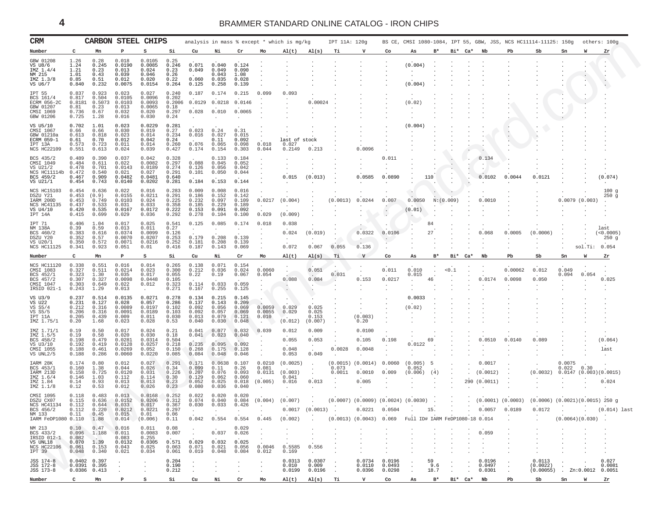<span id="page-3-0"></span>

| CRM                                                                                      |                                                    | CARBON                                                                                                                   |                                                                                 | <b>STEEL CHIPS</b>                                                 |                                                    |                                                                                                                                                        |                                                    |                                                    |                                                                                                                                            | analysis in mass % except * which is mg/kg    |                                      | IPT 11A: 120g               |                                                                                                                                                      |                            |                                    |                   |         |        |                                            |                   | BS CE, CMSI 1080-1084, IPT 55, GBW, JSS, NCS HC11114-11125: 150g                                                                                                             |                           | others: 100g            |                                    |
|------------------------------------------------------------------------------------------|----------------------------------------------------|--------------------------------------------------------------------------------------------------------------------------|---------------------------------------------------------------------------------|--------------------------------------------------------------------|----------------------------------------------------|--------------------------------------------------------------------------------------------------------------------------------------------------------|----------------------------------------------------|----------------------------------------------------|--------------------------------------------------------------------------------------------------------------------------------------------|-----------------------------------------------|--------------------------------------|-----------------------------|------------------------------------------------------------------------------------------------------------------------------------------------------|----------------------------|------------------------------------|-------------------|---------|--------|--------------------------------------------|-------------------|------------------------------------------------------------------------------------------------------------------------------------------------------------------------------|---------------------------|-------------------------|------------------------------------|
| Number                                                                                   | C                                                  | Mn                                                                                                                       | P                                                                               | S                                                                  | Si                                                 | Cu                                                                                                                                                     | Ni                                                 | Cr                                                 | Mo                                                                                                                                         | AI(t)                                         | AI(s)                                | Тi                          | v                                                                                                                                                    | Co                         | As                                 | $B*$              | Bi* Ca* |        | Nb                                         | Pb                | Sb                                                                                                                                                                           | Sn                        | w                       | Zr                                 |
| GBW 01208<br>VS U8/6<br>IMZ 1.4/4<br>NM 215<br>IMZ 1.3/8<br>VS U6/7                      | 1.26<br>1.24<br>1.21<br>1.01<br>0.85<br>0.840      | 0.28<br>0.245<br>0.23<br>0.43<br>0.51<br>0.232                                                                           | 0.018<br>0.0190<br>0.013<br>0.039<br>0.012<br>0.0075                            | 0.0105<br>0.0085<br>0.024<br>0.046<br>0.020<br>0.0154              | 0.25<br>0.246<br>0.23<br>0.26<br>0.22<br>0.264     | 0.071<br>0.049<br>0.060<br>0.125                                                                                                                       | 0.040<br>0.049<br>0.043<br>0.035<br>0.258          | 0.124<br>0.090<br>1.08<br>0.028<br>0.139           |                                                                                                                                            |                                               |                                      |                             |                                                                                                                                                      |                            | (0.004)<br>(0.004)                 |                   |         |        |                                            |                   |                                                                                                                                                                              |                           |                         |                                    |
| IPT 55<br>BCS 161/4<br><b>ECRM 056-2C</b><br>GBW 01207<br>CMSI 1069<br>GBW 01206         | 0.837<br>0.817<br>0.8181<br>0.81<br>0.736<br>0.725 | 0.923<br>0.504<br>0.5073<br>0.23<br>0.67<br>1.28                                                                         | 0.023<br>0.0105<br>0.0103<br>0.013<br>0.032<br>0.016                            | 0.027<br>0.0096<br>0.0093<br>0.0065<br>0.020<br>0.030              | 0.240<br>0.202<br>0.2006<br>0.18<br>0.297<br>0.24  | 0.187<br>0.0129<br>0.028                                                                                                                               | 0.174<br>0.0218<br>0.010                           | 0.215<br>0.0146<br>0.0065                          | 0.099                                                                                                                                      | 0.093                                         | 0.00024                              |                             |                                                                                                                                                      |                            | (0.02)                             |                   |         |        |                                            |                   |                                                                                                                                                                              |                           |                         |                                    |
| VS U5/10<br>CMSI 1067<br>GBW 01210a<br>ECRM 059-1<br>IPT 13A<br><b>NCS HC22109</b>       | 0.702<br>0.66<br>0.613<br>0.61<br>0.573<br>0.551   | 1.01<br>0.66<br>0.818<br>0.70<br>0.723<br>0.613                                                                          | 0.023<br>0.030<br>0.023<br>0.012<br>0.011<br>0.024                              | 0.0229<br>0.019<br>0.014<br>0.042<br>0.014<br>0.039                | 0.281<br>0.27<br>0.234<br>0.24<br>0.260<br>0.427   | 0.023<br>0.016<br>0.076<br>0.174                                                                                                                       | 0.24<br>0.027<br>0.11<br>0.065<br>0.154            | 0.31<br>0.015<br>0.092<br>0.098<br>0.303           | 0.018<br>0.044                                                                                                                             | last of stock<br>0.027<br>0.2149              | 0.213                                |                             | 0.0096                                                                                                                                               |                            | (0.004)                            |                   |         |        |                                            |                   |                                                                                                                                                                              |                           |                         |                                    |
| BCS 435/2<br>CMSI 1049<br>VS U21/2<br>NCS HC11114b<br>BCS 459/2<br>VS U21/1              | 0.489<br>0.484<br>0.478<br>0.472<br>0.467<br>0.454 | 0.390<br>0.611<br>0.701<br>0.540<br>0.909<br>0.743                                                                       | 0.037<br>0.022<br>0.0143<br>0.021<br>0.0482<br>0.0140                           | 0.042<br>0.0082<br>0.0189<br>0.027<br>0.0481<br>0.0202             | 0.328<br>0.297<br>0.274<br>0.291<br>0.640<br>0.281 | 0.088<br>0.126<br>0.101<br>0.184                                                                                                                       | 0.133<br>0.045<br>0.056<br>0.050<br>0.153          | 0.184<br>0.052<br>0.042<br>0.044<br>0.144          |                                                                                                                                            | 0.015                                         | (0.013)                              |                             | 0.0585                                                                                                                                               | 0.011<br>0.0890            |                                    | 110               |         |        | 0.134<br>0.0102                            | 0.0044            | 0.0121                                                                                                                                                                       |                           |                         | (0.074)                            |
| NCS HC15103<br>DSZU Y21<br>IARM 200D<br>NCS HC41135<br>VS U4/10<br>IPT 14A               | 0.454<br>0.453<br>0.453<br>0.437<br>0.420<br>0.415 | 0.636<br>(0.9)<br>0.749<br>0.533<br>0.535<br>0.699                                                                       | 0.022<br>0.0155<br>0.0103<br>0.031<br>0.0167<br>0.029                           | 0.016<br>0.0211<br>0.024<br>0.033<br>0.0172<br>0.036               | 0.283<br>0.291<br>0.225<br>0.358<br>0.222<br>0.292 | 0.009<br>0.186<br>0.232<br>0.185<br>0.153<br>0.278                                                                                                     | 0.008<br>0.152<br>0.097<br>0.229<br>0.091<br>0.104 | 0.016<br>0.142<br>0.109<br>0.189<br>0.092<br>0.100 | 0.0217<br>0.029                                                                                                                            | (0.004)<br>(0.009)                            |                                      | (0.0013)                    | 0.0244                                                                                                                                               | 0.007<br>$\blacksquare$    | 0.0050<br>(0.01)<br>$\blacksquare$ | N: (0.009)        |         |        | 0.0010                                     |                   |                                                                                                                                                                              | 0.0079(0.003)             |                         | 100g<br>250g                       |
| IPT 71<br>NM 138A<br>BCS 460/2<br>DSZU Y20<br>VS U20/1<br>NCS HC11125                    | 0.406<br>0.39<br>0.383<br>0.352<br>0.350<br>0.341  | 1.04<br>0.59<br>0.616<br>0.57<br>0.572<br>0.923                                                                          | 0.017<br>0.013<br>0.0374<br>0.0070<br>0.0071<br>0.051                           | 0.025<br>0.011<br>0.0099<br>0.0207<br>0.0216<br>0.01               | 0.541<br>0.27<br>0.126<br>0.253<br>0.252<br>0.416  | 0.125<br>0.179<br>0.181<br>0.187                                                                                                                       | 0.085<br>0.208<br>0.208<br>0.143                   | 0.174<br>0.139<br>0.139<br>0.069                   | 0.018                                                                                                                                      | 0.038<br>0.024<br>0.072                       | (0.019)<br>0.067                     | 0.055                       | 0.0322<br>0.136                                                                                                                                      | 0.0106                     |                                    | 84<br>27          |         |        | 0.068                                      | 0.0005            | (0.0006)                                                                                                                                                                     |                           | sol.Ti:                 | last<br>(<0.0005)<br>250g<br>0.054 |
| Number                                                                                   | c                                                  | Mn                                                                                                                       | $\, {\bf P}$                                                                    | s                                                                  | Si                                                 | Cu                                                                                                                                                     | Ni                                                 | Cr                                                 | Mo                                                                                                                                         | AI(t)                                         | AI(s)                                | Тi                          | v                                                                                                                                                    | Co                         | As                                 | $B*$              | Bi*     | $Ca*$  | Nb                                         | Pb                | Sb                                                                                                                                                                           | Sn                        | W                       | Zr                                 |
| NCS HC11120<br>CMSI 1083<br>BCS 452/1<br>BCS 457/2<br>CMSI 1047<br>IRSID 021-1           | 0.338<br>0.327<br>0.323<br>0.307<br>0.303<br>0.243 | 0.551<br>0.511<br>1.30<br>0.327<br>0.649<br>1.29                                                                         | 0.016<br>0.0214<br>0.035<br>0.0098<br>0.022<br>0.013                            | 0.014<br>0.023<br>0.017<br>0.0448<br>0.012<br>$\ddot{\phantom{0}}$ | 0.265<br>0.300<br>0.055<br>0.105<br>0.323<br>0.271 | 0.138<br>0.212<br>0.22<br>0.114<br>0.167                                                                                                               | 0.071<br>0.036<br>0.19<br>0.033<br>0.255           | 0.154<br>0.024<br>0.067<br>0.059<br>0.125          | 0.0060<br>0.054                                                                                                                            | 0.088                                         | 0.051<br>0.084                       | 0.031                       | 0.153                                                                                                                                                | 0.011<br>0.0217            | 0.010<br>0.015                     | 46                | < 0.1   |        | 0.0174                                     | 0.00062<br>0.0098 | 0.012<br>0.050                                                                                                                                                               | 0.049<br>0.094            | 0.054                   | 0.025                              |
| VS U3/9<br>VS U22<br>VS S5/4<br>VS S5/5<br>IPT 11A<br>IMZ 1.75/1                         | 0.237<br>0.231<br>0.212<br>0.206<br>0.205<br>0.20  | 0.514<br>0.127<br>0.316<br>0.316<br>0.439<br>1.68                                                                        | 0.0135<br>0.028<br>0.0089<br>0.0091<br>0.009<br>0.023                           | 0.0271<br>0.057<br>0.0197<br>0.0189<br>0.011<br>0.028              | 0.278<br>0.286<br>0.102<br>0.103<br>0.030<br>0.53  | 0.134<br>0.137<br>0.092<br>0.092<br>0.013<br>0.040                                                                                                     | 0.215<br>0.143<br>0.056<br>0.057<br>0.079<br>0.030 | 0.145<br>0.209<br>0.069<br>0.069<br>0.121<br>0.048 | 0.0059<br>0.0055<br>0.010                                                                                                                  | 0.029<br>0.029<br>(0.012)                     | 0.025<br>0.025<br>0.153<br>(0.007)   |                             | (0.003)<br>0.20                                                                                                                                      |                            | 0.0033<br>(0.02)                   |                   |         |        |                                            |                   |                                                                                                                                                                              |                           |                         |                                    |
| IMZ 1.71/1<br>IMZ 1.5/5<br>BCS 458/2<br>VS U3/10<br>CMSI 1055<br>VS UNL2/5               | 0.19<br>0.19<br>0.198<br>0.192<br>0.188<br>0.188   | 0.50<br>0.58<br>0.479<br>0.419<br>0.461<br>0.286                                                                         | 0.017<br>0.020<br>0.0281<br>0.0128<br>0.0269<br>0.0060                          | 0.024<br>0.030<br>0.0314<br>0.0257<br>0.052<br>0.0220              | 0.21<br>0.18<br>0.504<br>0.218<br>0.150<br>0.085   | 0.041<br>0.041<br>0.235<br>0.268<br>0.084                                                                                                              | 0.077<br>0.023<br>0.095<br>0.175<br>0.048          | 0.032<br>0.040<br>0.092<br>0.128<br>0.046          | 0.039                                                                                                                                      | 0.012<br>0.055<br>0.048<br>0.053              | 0.009<br>0.053<br>0.049              | 0.0028                      | 0.0100<br>0.105<br>0.0048                                                                                                                            | 0.198                      | 0.0122                             | 69                |         |        | 0.0510                                     | 0.0140            | 0.089                                                                                                                                                                        |                           |                         | (0.064)<br>last                    |
| IARM 28K<br>BCS 453/1<br>IARM 213D<br>IMZ 1.6/4<br>IMZ 1.84<br>IMZ 1.1/8                 | 0.174<br>0.160<br>0.158<br>0.146<br>0.14<br>0.12   | 0.80<br>1.38<br>0.725<br>1.03<br>0.93<br>0.53                                                                            | 0.012<br>0.044<br>0.0120<br>0.112<br>0.013<br>0.012                             | 0.027<br>0.026<br>0.031<br>0.114<br>0.013<br>0.026                 | 0.291<br>0.34<br>0.226<br>0.30<br>0.23<br>0.23     | 0.171<br>0.099<br>0.207<br>0.129<br>0.052<br>0.080                                                                                                     | 0.0638<br>0.11<br>0.076<br>0.062<br>0.025<br>0.036 | 0.107<br>0.26<br>0.093<br>0.060<br>0.018<br>0.040  | 0.0210<br>0.081<br>0.0131<br>(0.005)                                                                                                       | (0.0025)<br>(0.003)<br>0.041<br>0.016         | 0.013                                | (0.0015)<br>0.073<br>0.0011 | (0.0014)<br>0.0010<br>0.005                                                                                                                          | 0.0060<br>0.009            | (0.005)<br>0.052<br>(0.006)        | 5<br>(4)          |         | 290    | 0.0017<br>(0.0012)<br>(0.0011)             |                   | (0.0032)                                                                                                                                                                     | 0.0075<br>0.022<br>0.0147 | 0.30<br>(0.003)(0.0015) | 0.024                              |
| CMSI 1095<br>DSZU CX07<br>NCS HC41134<br>BCS 456/2<br>NM 133<br>IARM FeDP1080 0.110 1.88 | 0.118<br>0.115<br>0.112                            | 0.483<br>0.636<br>0.644<br>$0.112$ $0.220$<br>$0.11$ $0.45$                                                              | 0.013<br>0.0152<br>0.033<br>$0.0212$ $0.0221$<br>0.015<br>$0.014 \cdot (0.006)$ | 0.0168<br>0.0206<br>0.017<br>0.01                                  | 0.252<br>0.312<br>0.367<br>0.297<br>0.06           | 0.022<br>0.074<br>0.030                                                                                                                                | 0.020<br>0.040<br>0.033                            | 0.020<br>0.084<br>0.426                            | $(0.004)$ $(0.007)$<br>$\mathcal{O}(4\pi)$ and $\mathcal{O}(4\pi)$ and $\mathcal{O}(4\pi)$ and $\mathcal{O}(4\pi)$ and $\mathcal{O}(4\pi)$ |                                               |                                      |                             | $(0.0007)$ $(0.0009)$ $(0.0024)$ $(0.0030)$<br>$0.10$ . $0.42$ 0.554 0.554 0.445 (0.002) . (0.0013) (0.0043) 0.069 Full ID# IARM FeDP1080-18 0.014 . |                            |                                    |                   |         |        |                                            |                   | $(0.0001)$ $(0.0003)$ $(0.0006)$ $(0.0021)$ $(0.0015)$ 250 g<br>$0.0017$ $(0.0013)$ $(0.0221$ $0.0504$ $(15)$ $(15)$ $(0.0057$ $0.0189$ $0.0172$ $(0.014)$ $1$ ast<br>$\sim$ | $(0.0064)(0.030)$ .       |                         |                                    |
| NM 213<br>BCS 433/2<br>IRSID 012-1<br>VS UNL18<br><b>NCS HC22106</b><br>IPT 39           | 0.082                                              | $0.10 \t 0.47 \t 0.016$<br>$0.096$ $1.188$ $0.011$<br>$0.070$ 1.39<br>$0.061$ $0.153$ $0.043$<br>$0.048$ $0.340$ $0.021$ | 0.083<br>0.0132                                                                 | 0.011<br>0.0083<br>0.255<br>0.0305<br>0.025<br>0.034               |                                                    | $\begin{array}{cccc} 0.08 & . & . & . & 0.029 \\ 0.007 & . & 0.037 & 0.026 \end{array}$<br>$0.571$ 0.029<br>$0.063$ $0.071$ $0.021$<br>$0.061$ $0.019$ | 0.032<br>0.048                                     | 0.025<br>0.056<br>0.084                            | 0.0046<br>0.012                                                                                                                            | $\sim$<br>$\sim$<br>0.5585 0.556<br>$0.169$ . | $\sim$<br><b>Contract Contract</b>   | $\sim$                      | $\sim$                                                                                                                                               | $\ddot{\phantom{a}}$       |                                    |                   |         |        | . 0.059                                    |                   |                                                                                                                                                                              |                           |                         |                                    |
| JSS 174-8<br>JSS 172-8<br>JSS 173-8                                                      |                                                    | $0.0402$ 0.397<br>$0.0391$ 0.395<br>$0.0386$ $0.413$                                                                     | $\sim$<br>$\sim 10^{-11}$                                                       | $\sim$ $-$<br>$\sim 10^{-1}$                                       | 0.204<br>0.190<br>0.212                            | $\sim$<br>$\sim 100$                                                                                                                                   | $\sim$                                             | $\sim$<br>$\sim$                                   | $\sim$<br>$\sim$ $\sim$                                                                                                                    | 0.010 0.009                                   | 0.0313 0.0307<br>$0.0199$ $0.0196$ . | $\sim$<br>$\sim$ $\sim$     | 0.0734<br>0.0110<br>0.0396                                                                                                                           | 0.0196<br>0.0493<br>0.0298 | $\sim$<br><b>Contract</b>          | 59<br>9.6<br>18.7 | $\sim$  | $\sim$ | 0.0196<br>0.0497<br>$\cdot$ $\cdot$ 0.0301 | $\sim$            | 0.0113<br>(0.0022)<br>$(0.00055)$ . $\text{Zn}:0.0012$ 0.0051                                                                                                                | $\sim 10^{-11}$           |                         | 0.027<br>0.0081                    |
| Number                                                                                   | $\mathbf{C}$                                       | Mn                                                                                                                       | P                                                                               | S.                                                                 | Si Cu                                              |                                                                                                                                                        | Ni                                                 | Cr                                                 | Mo                                                                                                                                         |                                               | $\text{Al}(t)$ $\text{Al}(s)$ Ti     |                             | $\mathbf v$                                                                                                                                          | Co                         | As B* Bi* Ca* Nb                   |                   |         |        |                                            | Pb                | Sb Sn W Zr                                                                                                                                                                   |                           |                         |                                    |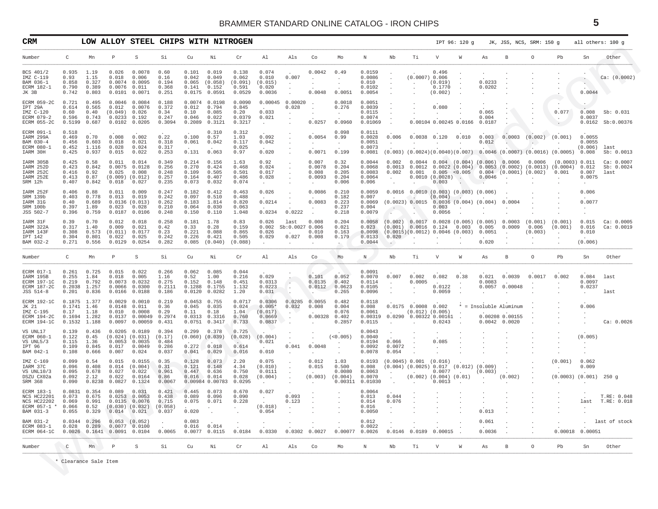<span id="page-4-0"></span>

| CRM                                                                           |                                            |                                                  |                                                          |                                                                                                             | LOW ALLOY STEEL CHIPS WITH NITROGEN                                                                                                                                                                                   |                                                |                                                       |                                                            |                                                          |                                            |                                                            |                                                   |                                                 |                                                                                          |                                              |                                                                                                      | IPT 96: 120 g   |                                                       |                                                   | JK, JSS, NCS, SRM: 150 g    |                                                                                                          |                                      | all others: 100 g                |
|-------------------------------------------------------------------------------|--------------------------------------------|--------------------------------------------------|----------------------------------------------------------|-------------------------------------------------------------------------------------------------------------|-----------------------------------------------------------------------------------------------------------------------------------------------------------------------------------------------------------------------|------------------------------------------------|-------------------------------------------------------|------------------------------------------------------------|----------------------------------------------------------|--------------------------------------------|------------------------------------------------------------|---------------------------------------------------|-------------------------------------------------|------------------------------------------------------------------------------------------|----------------------------------------------|------------------------------------------------------------------------------------------------------|-----------------|-------------------------------------------------------|---------------------------------------------------|-----------------------------|----------------------------------------------------------------------------------------------------------|--------------------------------------|----------------------------------|
| Number                                                                        | C                                          | Mn                                               | P                                                        | S                                                                                                           | Si                                                                                                                                                                                                                    | Cu                                             | Νi                                                    | Cr                                                         | Al                                                       | Als                                        | Co                                                         | Mo                                                | N                                               | Nb                                                                                       | Τi                                           | V                                                                                                    | W               | As                                                    | B                                                 | $\circ$                     | Pb                                                                                                       | Sn                                   | Other                            |
| BCS 401/2<br>IMZ C-119<br>BAM 036-1<br>ECRM 182-1<br>JK 3B                    | 0.935<br>0.93<br>0.858<br>0.790<br>0.742   | 1.19<br>1.15<br>0.327<br>0.389<br>0.803          | 0.026<br>0.018<br>0.0074<br>0.0076<br>0.0101             | 0.0078<br>0.006<br>0.0095<br>0.011<br>0.0071                                                                | 0.60<br>0.16<br>0.194<br>0.368<br>0.251                                                                                                                                                                               | 0.101<br>0.042<br>0.065<br>0.141<br>0.0175     | 0.019<br>0.049<br>(0.058)<br>0.152<br>0.0591          | 0.138<br>0.062<br>(0.091)<br>0.591<br>0.0529               | 0.074<br>0.010<br>(0.015)<br>0.020<br>0.0036             | 0.007<br>$\sim$                            | 0.0042<br>0.0048                                           | 0.49<br>0.0051                                    | 0.0159<br>0.0086<br>0.010<br>0.0102<br>0.0054   | $\cdot$<br>$\cdot$                                                                       | $(0.0007)$ 0.006                             | 0.496<br>(0.019)<br>0.1770<br>(0.002)                                                                |                 | 0.0233<br>0.0202<br>$\cdot$                           |                                                   |                             |                                                                                                          | $\bullet$<br>$\sim$<br>0.0044        | Ca: (0.0002)                     |
| ECRM 059-2C<br>IPT 29A<br>IMZ C-120<br>ECRM 079-2<br><b>ECRM 055-2C</b>       | 0.721<br>0.614<br>0.60<br>0.596<br>0.5199  | 0.495<br>0.565<br>0.40<br>0.743<br>0.687         | 0.0046<br>0.012<br>(0.049)<br>0.0233<br>0.0102           | 0.0084<br>0.0076<br>0.026<br>0.192<br>0.0205                                                                | 0.188<br>0.372<br>0.34<br>0.247<br>0.3094                                                                                                                                                                             | 0.0074<br>0.012<br>0.10<br>0.046<br>0.2089     | 0.0198<br>0.794<br>0.085<br>0.022<br>0.3121           | 0.0090<br>0.845<br>0.20<br>0.0379<br>0.3217                | 0.00045<br>0.033<br>0.021<br>$\cdot$                     | 0.00020<br>0.028<br>$\cdot$                | 0.0257                                                     | 0.0018<br>0.276<br>$\ddot{\phantom{a}}$<br>0.0960 | 0.0051<br>0.0039<br>0.0115<br>0.0074<br>0.01069 |                                                                                          |                                              | 0.080<br>$\cdot$<br>0.00104 0.00245 0.0166                                                           |                 | 0.065<br>0.004<br>0.0187                              |                                                   |                             | $\ddot{\phantom{1}}$<br>0.077                                                                            | 0.008<br>0.0037                      | Sb: 0.031<br>0.0162 Sb:0.00376   |
| ECRM 091-1<br>IARM 299A<br>BAM 030-4<br>ECRM 080-1<br>IARM 30H                | 0.518<br>0.469<br>0.456<br>0.452<br>0.425  | 0.70<br>0.603<br>1.116<br>0.937                  | 0.008<br>0.018<br>0.028<br>0.015                         | 0.002<br>0.021<br>0.024<br>0.022                                                                            | 0.22<br>0.318<br>0.317<br>0.253                                                                                                                                                                                       | 0.100<br>0.061<br>0.131                        | 0.310<br>0.57<br>0.042<br>0.063                       | 0.312<br>1.03<br>0.117<br>0.025<br>0.97                    | 0.092<br>0.042<br>0.020                                  |                                            | 0.0054<br>$\ddot{\phantom{1}}$<br>0.0071                   | 0.098<br>0.99<br>$\cdot$<br>0.199                 | 0.0111<br>0.0028<br>0.0051<br>0.0073<br>0.0081  | 0.006<br>(0.003)                                                                         | $0.0038$ $0.120$                             |                                                                                                      | 0.010           | 0.003<br>0.012                                        | 0.0003                                            | (0.002)<br>$\sim$           | (0.001)<br>$(0.0024)(0.0040)(0.007)$ 0.0046 $(0.0007)$ $(0.0016)$ $(0.0005)$                             | 0.0055<br>0.0055<br>(0.006)<br>0.008 | last<br>Sb: 0.0013               |
| IARM 305B<br>IARM 252D<br>IARM 252C<br>IARM 252E<br>SRM 12h                   | 0.425<br>0.423<br>0.416<br>0.413<br>0.407  | 0.58<br>0.842<br>0.92<br>0.87<br>0.842           | 0.011<br>0.0075<br>0.025<br>$(0.009)$ $(0.012)$<br>0.018 | 0.014<br>0.0128<br>0.008<br>0.027                                                                           | 0.349<br>0.256<br>0.248<br>0.257<br>0.235                                                                                                                                                                             | 0.214<br>0.270<br>0.109<br>0.164<br>0.073      | 0.156<br>0.424<br>0.505<br>0.407<br>0.032             | 1.63<br>0.468<br>0.501<br>0.486<br>0.074                   | 0.92<br>0.024<br>0.017<br>0.028<br>$\ddot{\phantom{a}}$  | $\cdot$<br>$\cdot$                         | 0.007<br>0.0078<br>0.008<br>0.0093<br>$\ddot{\phantom{a}}$ | 0.32<br>0.204<br>0.205<br>0.204<br>0.006          | 0.0044<br>0.0068<br>0.0083<br>0.0064<br>0.006   | 0.002<br>0.0013<br>0.002<br>$\cdot$                                                      |                                              | 0.0010(0.0028)<br>0.003                                                                              | $\sim$ .        | $0.0044$ $0.004$ $(0.004)$ $(0.006)$ 0.0006<br>0.0046 | $0.001$ $0.005$ <0.005 $(0.004)$ (0.0001) (0.002) | 0.0006                      | (0.0003) 0.011<br>$0.0012$ $0.0022$ $(0.004)$ $0.0053$ $(0.0002)$ $(0.0013)$ $(0.0004)$ $0.012$<br>0.001 | 0.007<br>0.0075<br>$\cdot$           | Ca: 0.0007<br>Sb: 0.0024<br>last |
| IARM 252F<br>SRM 139b<br>IARM 31G<br>SRM 100b<br>JSS 502-7                    | 0.406<br>0.403<br>0.40<br>0.397<br>0.396   | 0.88<br>0.778<br>0.689<br>1.89<br>0.759          | 0.011<br>0.013<br>0.023<br>0.0187                        | 0.009<br>0.019<br>0.0136(0.013)<br>0.028<br>0.0106                                                          | 0.247<br>0.242<br>0.262<br>0.210<br>0.248                                                                                                                                                                             | 0.182<br>0.097<br>0.183<br>0.064<br>0.150      | 0.412<br>0.510<br>1.814<br>0.030<br>0.110             | 0.463<br>0.488<br>0.820<br>0.063<br>1.048                  | 0.026<br>0.0214<br>0.0234                                | 0.0222                                     | 0.0086<br>0.0083                                           | 0.210<br>0.182<br>0.223<br>0.237<br>0.218         | 0.0059<br>0.007<br>0.0069<br>0.004<br>0.0079    | 0.0016<br>(0.0023) 0.0015                                                                |                                              | $0.0010$ $(0.003)$ $(0.003)$ $(0.006)$<br>(0.004)<br>0.003<br>0.0056                                 |                 | 0.0036(0.004)(0.004)                                  | 0.0004                                            |                             |                                                                                                          | 0.006<br>0.0077<br>$\cdot$           |                                  |
| IARM 31F<br>IARM 322A<br>IARM 143F<br>IPT 142<br>BAM 032-2                    | 0.39<br>0.317<br>0.308<br>0.304<br>0.271   | 0.70<br>1.40<br>0.573<br>0.801<br>0.556          | 0.012<br>0.009<br>(0.011)<br>0.022<br>0.0129             | 0.018<br>0.021<br>0.0177<br>0.025<br>0.0254                                                                 | 0.258<br>0.42<br>0.23<br>0.242<br>0.282                                                                                                                                                                               | 0.181<br>0.33<br>0.221<br>0.226<br>0.085       | 1.78<br>0.28<br>0.088<br>0.421<br>(0.040)             | 0.83<br>0.159<br>0.865<br>0.505<br>(0.088)                 | 0.026<br>0.002<br>0.026<br>0.029<br>$\ddot{\phantom{a}}$ | last<br>Sb:0.0027 0.006<br>0.027<br>$\sim$ | 0.008<br>0.010<br>0.008                                    | 0.204<br>0.021<br>0.163<br>0.179<br>$\sim$        | 0.0058<br>0.023<br>0.0098<br>0.0133<br>0.0044   | (0.002)<br>(0.001)<br>$(0.0015)(0.0012)$ 0.0046 (0.003)<br>0.020<br>$\ddot{\phantom{0}}$ |                                              | $0.0017$ 0.0028 (0.005) (0.005)<br>$0.0016$ $0.124$ 0.003                                            |                 | 0.005<br>0.0051<br>0.020                              | 0.0003<br>0.0009<br>$\cdot$                       | (0.001)<br>0.006<br>(0.003) | (0.001)<br>(0.001)                                                                                       | 0.015<br>0.016<br>0.010<br>(0.006)   | Ca: 0.0005<br>Ca: 0.0019         |
| Number                                                                        | C                                          | Mn                                               | P                                                        | S                                                                                                           | Si                                                                                                                                                                                                                    | Cu                                             | Νi                                                    | Cr                                                         | Al                                                       | Als                                        | Co                                                         | Mo                                                | N                                               | Nb                                                                                       | Тi                                           | V                                                                                                    | W               | As                                                    | В                                                 | $\circ$                     | Pb                                                                                                       | Sn                                   | Other                            |
| ECRM 017-1<br>IARM 195B<br>ECRM 197-1C<br>ECRM 187-2C<br>JSS 514-8            | 0.261<br>0.255<br>0.219<br>0.2038<br>0.201 | 0.725<br>1.84<br>0.792<br>1.257<br>0.836         | 0.015<br>0.018<br>0.0073<br>0.0066<br>0.0166             | 0.022<br>0.005<br>0.0232<br>0.0300<br>0.0188                                                                | 0.266<br>1.16<br>0.275<br>0.2111<br>0.186                                                                                                                                                                             | 0.062<br>0.52<br>0.152<br>0.1288<br>0.0120     | 0.085<br>1.00<br>0.148<br>0.1755<br>0.0282            | 0.044<br>0.216<br>0.451<br>1.132<br>1.20                   | 0.029<br>0.0313<br>0.0223<br>0.031                       | $\sim$<br>$\sim$                           | 0.101<br>0.0135<br>0.0112                                  | 0.052<br>0.402<br>0.0623<br>0.265                 | 0.0091<br>0.0070<br>0.0114<br>0.0105<br>0.0096  | 0.007<br>$\sim$                                                                          | 0.002<br>0.0005                              | 0.082<br>0.0122<br>0.0059                                                                            | 0.38<br>$\cdot$ | 0.021<br>0.0083<br>0.0057                             | 0.0039<br>0.00048                                 | 0.0017                      | 0.002                                                                                                    | 0.084<br>0.0097<br>0.0237<br>$\cdot$ | last<br>last                     |
| <b>ECRM 192-1C</b><br>JK 21<br>IMZ C-195<br>ECRM 194-2C<br><b>ECRM 194-1C</b> | 0.1875<br>0.17<br>0.1694<br>0.1532         | 1.377<br>$0.1741$ 1.46<br>1.18<br>1.282<br>1.188 | 0.0029<br>0.0148<br>0.010<br>0.0137<br>0.0097            | 0.0010<br>0.011<br>0.0008<br>0.00049<br>0.00059                                                             | 0.219<br>0.36<br>0.29<br>0.2974<br>0.431                                                                                                                                                                              | 0.0453<br>0.045<br>0.11<br>0.0751              | 0.755<br>0.035<br>0.18<br>$0.0313$ $0.3316$<br>0.3417 | 0.0717<br>0.024<br>1.04<br>0.760<br>0.733                  | 0.0306<br>$0.005*$<br>(0.017)<br>0.0669<br>0.0837        | 0.0285<br>0.032<br>$\sim$                  | 0.0055<br>0.008<br>0.00328                                 | 0.482<br>0.004<br>0.076<br>0.402<br>0.2857        | 0.0118<br>0.008<br>0.0061<br>0.00319<br>0.0115  |                                                                                          | $0.0175$ 0.0008 0.002<br>$(0.012)$ $(0.005)$ | 0.0290 0.00322 0.00161<br>0.0243                                                                     |                 | $0.0042$ 0.0020                                       | * = Insoluble Aluminum<br>0.00208 0.00155         |                             |                                                                                                          | 0.006<br>$\sim$<br>$\cdot$           | Ca: 0.0026                       |
| VS UNL17<br>ECRM 060-1<br>VS UNL5/3<br>IPT 96<br>BAM 042-1                    | 0.139<br>0.122<br>0.115<br>0.109<br>0.108  | 0.436<br>0.45<br>1.36<br>0.845<br>0.666          | 0.0205<br>0.0053<br>0.017<br>0.007                       | 0.0189<br>$(0.024)$ $(0.031)$<br>0.0035<br>0.0049<br>0.024                                                  | 0.394<br>(0.17)<br>0.484<br>0.286<br>0.037                                                                                                                                                                            | 0.299<br>$(0.060)$ $(0.039)$<br>0.272<br>0.041 | 0.378<br>0.018<br>0.029                               | 0.725<br>(0.028)<br>$\ddot{\phantom{0}}$<br>0.614<br>0.016 | (0.004)<br>0.021<br>0.010                                | 0.041                                      | 0.0048                                                     | (<0.005)<br>$\cdot$                               | 0.0043<br>0.0040<br>0.0194<br>0.0092<br>0.0078  | 0.066<br>0.0072<br>0.054                                                                 |                                              | 0.085                                                                                                |                 |                                                       |                                                   |                             |                                                                                                          | (0.005)<br>$\cdot$                   |                                  |
| IMZ C-169<br>IARM 37C<br>VS UNL10/3<br>DSZU CX02a<br>SRM 368                  | 0.099<br>0.096<br>0.095<br>0.092<br>0.090  | 0.54<br>0.408<br>0.678<br>2.12<br>0.8238         | 0.015<br>0.014<br>0.027<br>0.022<br>0.0827               | 0.0155<br>(0.004)<br>0.022<br>0.0164<br>0.1324                                                              | 0.35<br>0.31<br>0.961<br>0.86<br>0.0067                                                                                                                                                                               | 0.128<br>0.121<br>0.447<br>0.016               | 0.073<br>0.148<br>0.636<br>0.014<br>0.00984 0.00783   | 2.20<br>4.34<br>0.750<br>0.028<br>0.0295                   | 0.075<br>(0.010)<br>0.0111<br>(0.004)<br>$\cdot$         | $\cdot$<br>$\sim$<br>$\ddot{\phantom{a}}$  | 0.012<br>0.015<br>(0.003)                                  | 1.03<br>0.500<br>0.0080<br>(0.004)<br>0.00311     | 0.0193<br>0.008<br>0.0063<br>0.0070<br>0.01030  | (0.0045) 0.001 (0.016)<br>$\cdot$                                                        |                                              | $(0.004)$ $(0.0025)$ $0.017$ $(0.012)$ $(0.009)$<br>0.0077<br>$(0.002)$ $(0.004)$ $(0.01)$<br>0.0013 |                 | (0.003)<br>$\ddot{\phantom{a}}$                       | (0.002)                                           |                             | (0.001)<br>$(0.0003)$ $(0.001)$                                                                          | 0.062<br>0.009                       | 250g                             |
| ECRM 183-1<br>NCS HC22201<br>NCS HC22202<br>ECRM 057-1 *<br>BAM 031-3         | 0.0831<br>0.073<br>0.069<br>0.066          | 0.354<br>0.675<br>0.991<br>0.52                  | 0.089                                                    | 0.031<br>$0.0253$ 0.0053<br>0.0135 0.0076<br>$(0.030)$ $(0.032)$<br>$0.055$ $0.329$ $0.014$ $0.021$ $0.037$ | 0.421<br>0.438<br>0.715<br>(0.058)                                                                                                                                                                                    | 0.445<br>0.089<br>0.075<br>0.020               | 0.073<br>0.096<br>0.071<br>$\sim 100$ km s $^{-1}$    | 0.670<br>0.090<br>0.228<br>$\sim$ 100 $\mu$                | 0.027<br>$\cdot$<br>(0.018)<br>0.054                     | 0.093<br>0.123                             |                                                            |                                                   | 0.0064<br>0.013<br>0.014<br>0.016<br>0.0050     | 0.044<br>0.076<br>$\sim$                                                                 |                                              | $\sim$ $\sim$                                                                                        |                 | 0.013                                                 | $\sim$                                            |                             |                                                                                                          | last                                 | T.RE: 0.048<br>T.RE: 0.018       |
| BAM 031-2<br>ECRM 083-1<br>ECRM 064-1C                                        |                                            | $0.0344$ 0.296                                   | $0.053$ $(0.052)$<br>$0.028$ $0.289$ 0.0077 0.0100       |                                                                                                             | $0.0026 \quad 0.1641 \quad 0.0091 \quad 0.0104 \quad 0.0065 \quad 0.0077 \quad 0.0115 \quad 0.0184 \quad 0.0330 \quad 0.0302 \quad 0.0027 \quad 0.00077 \quad 0.0026 \quad 0.0146 \quad 0.0189 \quad 0.00015 \quad .$ | 0.083<br>$0.016$ $0.014$                       |                                                       |                                                            |                                                          |                                            |                                                            |                                                   | 0.012<br>0.0022                                 |                                                                                          |                                              |                                                                                                      |                 | 0.061<br>$0.0036$ .                                   |                                                   |                             | 0.00018 0.00051                                                                                          |                                      | . last of stock                  |
| Number                                                                        | $\mathsf{C}$                               |                                                  | $Mn$ $P$                                                 | $S$ and $S$                                                                                                 | Si                                                                                                                                                                                                                    | Cu                                             | Νi                                                    | Cr                                                         | Al                                                       | Als Co                                     |                                                            | Mo                                                | $\,$ N $\,$                                     | Nb                                                                                       | Ti                                           | V                                                                                                    | W               | As                                                    | $\mathbf{B}$                                      | $\circ$                     | Pb                                                                                                       | Sn                                   | Other                            |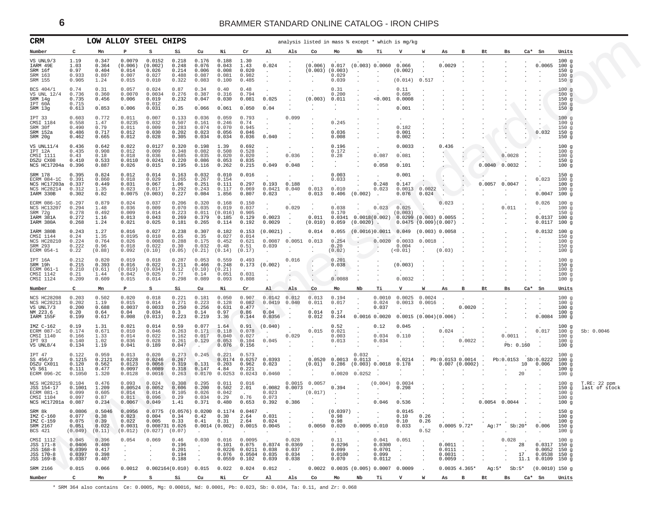<span id="page-5-0"></span>

| CRM                                                                               |                                                         | LOW ALLOY STEEL CHIPS                      |                                                                  |                                                                  |                                               |                                                       |                                                           |                                                                       |                                                            |                                               | analysis listed in mass % except * which is mg/kg   |                                                                                    |                                                                     |                                                        |                                                                                |                                         |                                                      |                   |                                                   |                                                                            |                              |                                                                         |                                                              |                               |
|-----------------------------------------------------------------------------------|---------------------------------------------------------|--------------------------------------------|------------------------------------------------------------------|------------------------------------------------------------------|-----------------------------------------------|-------------------------------------------------------|-----------------------------------------------------------|-----------------------------------------------------------------------|------------------------------------------------------------|-----------------------------------------------|-----------------------------------------------------|------------------------------------------------------------------------------------|---------------------------------------------------------------------|--------------------------------------------------------|--------------------------------------------------------------------------------|-----------------------------------------|------------------------------------------------------|-------------------|---------------------------------------------------|----------------------------------------------------------------------------|------------------------------|-------------------------------------------------------------------------|--------------------------------------------------------------|-------------------------------|
| Number                                                                            | C                                                       | Mn                                         |                                                                  |                                                                  | Si                                            | Cu                                                    | Ni                                                        | Cr                                                                    | Al                                                         | Als                                           | Co                                                  | Mo                                                                                 | Nb                                                                  | тi                                                     |                                                                                | W                                       | As                                                   | в                 | Bt                                                | Bs                                                                         |                              | $Ca^*$ Sn                                                               | Units                                                        |                               |
| VS UNL9/3<br>IARM 49E<br>SRM 16f<br>SRM 163<br>SRM 155                            | 1.19<br>1.03<br>0.97<br>0.933<br>0.905                  | 0.347<br>0.364<br>0.404<br>0.897<br>1.24   | 0.0079<br>(0.006)<br>0.014<br>0.007<br>0.015                     | 0.0152<br>(0.002)<br>0.026<br>0.027<br>0.010                     | 0.218<br>0.248<br>0.214<br>0.488<br>0.322     | 0.176<br>0.076<br>0.006<br>0.087<br>0.083             | 0.188<br>0.043<br>0.008<br>0.081<br>0.100                 | 1.30<br>1.43<br>0.020<br>0.982<br>0.485                               | 0.024<br>$\cdot$                                           |                                               | (0.006)<br>(0.003)<br>$\sim$                        | 0.017<br>(0.003)<br>0.029<br>0.039                                                 | $\cdot$                                                             | (0.003) 0.0060                                         | 0.066<br>(0.002)<br>(0.014)                                                    | 0.517                                   | 0.0029                                               |                   |                                                   |                                                                            |                              | 0.0065                                                                  | 100g<br>100g<br>150 <sub>g</sub><br>100g<br>150 <sub>g</sub> |                               |
| BCS 404/1<br>VS UNL 12/4<br>SRM 14g<br>IPT 60A<br>SRM 13g                         | 0.74<br>0.736<br>0.735<br>0.715<br>0.613                | 0.31<br>0.360<br>0.456<br>0.853            | 0.057<br>0.0070<br>0.006<br>0.006                                | 0.024<br>0.0034<br>0.019<br>0.012<br>0.031                       | 0.87<br>0.276<br>0.232<br>0.35                | 0.34<br>0.387<br>0.047<br>0.066                       | 0.40<br>0.316<br>0.030<br>0.061                           | 0.48<br>0.794<br>0.081<br>0.050                                       | 0.025<br>0.04                                              |                                               | (0.003)                                             | 0.31<br>0.200<br>0.011<br>$\cdot$                                                  | $\cdot$<br>$\cdot$                                                  | < 0.001                                                | 0.11<br>0.685<br>0.0008<br>0.001                                               |                                         |                                                      |                   |                                                   |                                                                            |                              |                                                                         | 100g<br>100g<br>150g<br>100g<br>150g                         |                               |
| IPT 33<br>CMSI 1184<br>SRM 30f<br>SRM 152a<br>SRM 20g                             | 0.603<br>0.558<br>0.490<br>0.486<br>0.462               | 0.772<br>1.47<br>0.79<br>0.717<br>0.665    | 0.011<br>0.0235<br>0.011<br>0.012<br>0.012                       | 0.007<br>0.032<br>0.009<br>0.030<br>0.028                        | 0.133<br>0.507<br>0.283<br>0.202<br>0.305     | 0.036<br>0.161<br>0.074<br>0.023<br>0.034             | 0.059<br>0.246<br>0.070<br>0.056<br>0.034                 | 0.793<br>0.74<br>0.945<br>0.046<br>0.036                              | $\cdot$<br>$\ddot{\phantom{a}}$<br>0.040                   | 0.099                                         |                                                     | 0.245<br>0.036<br>0.008                                                            |                                                                     |                                                        | 0.182<br>0.001<br>0.002                                                        |                                         |                                                      |                   |                                                   |                                                                            |                              | $\cdot$<br>0.032                                                        | 100g<br>100g<br>150g<br>150 <sub>g</sub><br>150 <sub>g</sub> |                               |
| VS UNL11/4<br>IPT 12A<br>CMSI 1111<br>DSZU CX08<br>NCS HC17204a 0.396             | 0.436<br>0.435<br>0.43<br>0.410                         | 0.642<br>0.908<br>0.18<br>0.533<br>0.887   | 0.022<br>0.012<br>0.018<br>0.0110<br>0.026                       | 0.0127<br>0.009<br>0.036<br>0.0241<br>0.015                      | 0.320<br>0.348<br>0.685<br>0.220<br>0.195     | 0.198<br>0.082<br>0.035<br>0.086<br>0.116             | 1.39<br>0.508<br>0.020<br>0.053<br>0.262                  | 0.692<br>0.528<br>0.020<br>0.835<br>0.215                             | $\cdot$<br>$\sim$<br>$\ddot{\phantom{a}}$<br>0.049         | 0.036<br>0.048                                |                                                     | 0.196<br>0.172<br>0.28                                                             | $\cdot$<br>$\cdot$                                                  | 0.087<br>0.058                                         | 0.0033<br>0.081<br>0.101                                                       |                                         | 0.436                                                |                   | $\cdot$<br>$\sim$<br>0.0040                       | 0.0028<br>0.0032                                                           |                              | $\cdot$                                                                 | 100g<br>100g<br>100g<br>150g<br>100g                         |                               |
| SRM 178<br>ECRM 084-1C<br>NCS HC17203a<br>NCS HC28214<br>IARM 330B                | 0.395<br>0.391<br>0.337<br>0.312<br>0.302               | 0.824<br>0.860<br>0.449<br>1.35<br>0.82    | 0.012<br>0.018<br>0.031<br>0.023<br>0.0075                       | 0.014<br>0.029<br>0.067<br>0.017<br>(0.003)                      | 0.163<br>0.265<br>1.06<br>0.292<br>0.227      | 0.032<br>0.267<br>0.251<br>0.243<br>0.084             | 0.010<br>0.154<br>0.111<br>0.117<br>1.856                 | 0.016<br>0.297<br>0.069<br>0.807                                      | $\ddot{\phantom{1}}$<br>0.193<br>$0.0421$ $0.040$<br>0.023 | 0.188<br>$\sim$                               | 0.013<br>0.013                                      | 0.003<br>0.033<br>0.010<br>0.406                                                   | $\cdot$<br>$\cdot$<br>$\cdot$<br>(0.002)                            | $\cdot$<br>0.248<br>0.023<br>$\sim$                    | 0.001<br>0.147<br>0.0013<br>0.076                                              | 0.0022<br>0.024                         | $\cdot$<br>$\epsilon$<br>$\cdot$                     | $\lambda$         | 0.0057 0.0047<br>$\sim$                           |                                                                            |                              | 0.023<br>$\cdot$<br>0.0047                                              | 150g<br>100g<br>100g<br>100g<br>100g                         |                               |
| ECRM 086-1C<br>NCS HC13207<br>SRM 72g<br>IARM 381A<br>IARM 380A                   | 0.297<br>0.294<br>0.278<br>0.272<br>0.268               | 0.879<br>1.48<br>0.492<br>1.16<br>1.24     | 0.024<br>0.036<br>0.009<br>0.013<br>0.021                        | 0.037<br>0.009<br>0.014<br>0.043<br>0.025                        | 0.206<br>0.070<br>0.223<br>0.269<br>0.181     | 0.320<br>0.035<br>0.011<br>0.379<br>0.265             | 0.168<br>0.019<br>(0.016)<br>0.185<br>0.114               | 0.150<br>0.037<br>0.905<br>0.129<br>0.192                             | $\sim$<br>0.0023<br>0.0029                                 | 0.029<br>$\overline{a}$                       | 0.011<br>(0.010)                                    | 0.038<br>0.170<br>0.059                                                            | $(0.0020)$ .                                                        | 0.023                                                  | 0.025<br>(0.003)<br>$0.0341$ $0.0018(0.002)$ $0.0299(0.003)$ $0.0055$ .        | $\rightarrow$                           | 0.023<br><b>Contract</b><br>$0.0475(0.009)(0.007)$ . |                   | $\cdot$                                           | 0.011                                                                      |                              | 0.026<br>$\sim$<br>0.0137<br>0.0117                                     | 100g<br>100g<br>150 <sub>g</sub><br>100g<br>100g             |                               |
| IARM 380B<br>CMSI 1144<br>NCS HC28210<br>SRM 293<br>ECRM 054-1                    | 0.243<br>0.24<br>0.224<br>0.222<br>0.22                 | 1.27<br>1.35<br>0.764<br>0.96<br>(0.88)    | 0.016<br>0.0195<br>0.026<br>0.018<br>0.092                       | 0.027<br>0.010<br>0.0083<br>0.022<br>(0.10)                      | 0.238<br>0.65<br>0.288<br>0.30<br>(0.05)      | 0.307<br>0.35<br>0.175<br>0.032<br>(0.21)             | 0.182<br>0.027<br>0.452<br>0.48<br>(0.14)                 | 0.153<br>0.014<br>0.621<br>0.51<br>(0.17)                             | (0.0021)<br>0.039<br>$\cdot$                               | $0.0087$ 0.0051 0.013<br>$\ddot{\phantom{1}}$ | 0.014                                               | 0.055<br>0.254<br>0.20<br>(0.02)                                                   | $\ddot{\phantom{0}}$<br>$\sim$                                      | 0.0020<br>$\sim$                                       | $(0.0016)0.0011$ 0.049 (0.003) 0.0058<br>$0.0033$ $0.0018$<br>0.004<br>(<0.01) |                                         | (0.03)                                               |                   |                                                   |                                                                            |                              | 0.0132<br>$\cdot$                                                       | 100g<br>150 <sub>g</sub><br>100g<br>150g<br>100g             |                               |
| IPT 16A<br>SRM 19h<br>ECRM 061-1<br>CMSI 1142<br>CMSI 1124                        | 0.212<br>0.215<br>0.210<br>0.21<br>0.209                | 0.820<br>0.393<br>(0.61)<br>1.44<br>0.609  | 0.019<br>0.016<br>(0.019)<br>0.042<br>0.015                      | 0.018<br>0.022<br>(0.034)<br>0.025<br>0.014                      | 0.287<br>0.211<br>0.12<br>0.77<br>0.298       | 0.053<br>0.466<br>(0.10)<br>0.14<br>0.089             | 0.559<br>0.248<br>(0.21)<br>0.051<br>0.093                | 0.493<br>0.173<br>0.031<br>0.808                                      | (0.002)<br>$\ddot{\phantom{a}}$<br>$\cdot$                 | 0.016<br>$\ddot{\phantom{0}}$                 | $\cdot$                                             | 0.201<br>0.038<br>$\ddot{\phantom{1}}$<br>0.0088                                   |                                                                     |                                                        | (0.003)<br>$\cdot$<br>0.0032                                                   |                                         |                                                      |                   |                                                   |                                                                            |                              | $\cdot$<br>$\cdot$                                                      | 100g<br>150 <sub>g</sub><br>100g<br>100g<br>100g             |                               |
| Number                                                                            | c                                                       | Mn                                         | P                                                                | s                                                                | Si                                            | Cu                                                    | Ni                                                        | Cr                                                                    | Al                                                         | Als                                           | Co                                                  | Mo                                                                                 | Nb                                                                  | Тi                                                     | $\mathbf v$                                                                    | W                                       | As                                                   | в                 | Bt                                                | Bs                                                                         |                              | $Ca*$ Sn                                                                | Units                                                        |                               |
| <b>NCS HC28208</b><br>NCS HC28213<br>VS UNL7/3<br>NM 223.6<br>IARM 155F           | 0.203<br>0.202<br>0.200<br>0.20<br>0.199                | 0.502<br>1.19<br>0.688<br>0.64<br>0.617    | 0.020<br>0.015<br>0.0037<br>0.04<br>0.008                        | 0.018<br>0.014<br>0.0033<br>0.034<br>(0.013)                     | 0.221<br>0.271<br>0.250<br>0.3<br>0.223       | 0.181<br>0.223<br>0.256<br>0.14<br>0.219              | 0.050<br>0.128<br>0.631<br>0.97<br>3.36                   | 0.907<br>0.082<br>0.477<br>0.86<br>0.144                              | 0.0142 0.012<br>$0.0419$ $0.040$<br>0.04<br>0.0356         | $\Delta$<br>$\ddot{\phantom{a}}$              | 0.013<br>0.011<br>0.014<br>0.012                    | 0.194<br>0.017<br>0.17<br>0.244                                                    | $\sim$                                                              | 0.0010<br>0.024<br>0.037<br>$0.0016$ $0.0020$          | 0.0025 0.0024<br>$0.0013$ $0.0016$<br>$0.0015(0.004)(0.006)$ .                 |                                         |                                                      | 0.0020            |                                                   |                                                                            |                              | 0.0084                                                                  | 100g<br>100g<br>100g<br>100g<br>100g                         |                               |
| IMZ C-162<br>ECRM 087-1C<br>CMSI 1140<br>IPT 93<br>VS UNL8/4                      | 0.19<br>0.174<br>0.166<br>0.140<br>0.134                | 1.31<br>0.671<br>1.33<br>1.02<br>1.19      | 0.021<br>0.010<br>0.014<br>0.036<br>0.041                        | 0.014<br>0.046<br>0.022<br>0.028<br>0.189                        | 0.59<br>0.263<br>0.162<br>0.261<br>0.047      | 0.077<br>0.171<br>0.017<br>0.129                      | 1.64<br>0.118<br>0.040<br>0.053<br>0.076                  | 0.91<br>0.078<br>0.027<br>0.104<br>0.156                              | (0.040)<br>0.045<br>$\ddot{\phantom{a}}$                   | 0.029<br>$\sim$                               | 0.015<br>$\sim$                                     | 0.52<br>0.021<br>0.003<br>0.013<br>$\cdot$                                         | $\bullet$<br>$\sim$<br>$\sim$<br>$\cdot$                            | 0.12<br>0.034<br>0.034                                 | 0.045<br>0.110<br>$\sim$ $\sim$                                                | $\sim$<br>$\sim$<br>$\blacksquare$      | 0.024<br>$\sim$<br>$\blacksquare$                    | $\sim$<br>0.0022  | $\cdot$<br>$\cdot$<br>$\cdot$<br>$\blacksquare$ . | 0.0011<br>Pb: 0.160                                                        | $\cdot$<br>$\cdot$<br>$\sim$ | 0.017<br>$\sim$ 100 $\mu$                                               | 100g<br>100g<br>100g<br>100g<br>100g                         | Sb: 0.0046                    |
| IPT 47<br>SS 456/3<br>DSZU CX011<br>VS S61<br>ECRM 096-2C                         | 0.122<br>0.1215<br>0.120<br>0.111<br>0.1050             | 0.959<br>0.2121<br>0.562<br>0.477<br>1.320 | 0.013<br>0.0228<br>0.0123<br>0.0097<br>0.0128                    | 0.020<br>0.0246<br>0.0058<br>0.0089<br>0.0016                    | 0.273<br>0.267<br>0.319<br>0.318<br>0.263     | 0.245<br>0.131<br>0.147<br>0.0170                     | 0.221<br>0.0174<br>0.203<br>4.84<br>0.0253                | 0.573<br>0.0257<br>0.962<br>0.221<br>0.0243                           | 0.0393<br>0.023<br>0.0460                                  |                                               | 0.0520<br>(0.01)                                    | 0.0013<br>0.286<br>0.0020                                                          | 0.032<br>0.0113<br>0.0252                                           | (0.003) 0.0018                                         | 0.0214<br>0.178                                                                | $\sim$ $-$                              | . Pb:0.0153 0.0014                                   | 0.007(0.0002)     | $\ddot{\phantom{a}}$                              | Pb:0.0153<br>$\sim$                                                        | 10<br>20                     | Sb:0.0222<br>0.006                                                      | 100g<br>100g<br>100g<br>100g<br>100 <sub>g</sub>             |                               |
| <b>NCS HC28215</b><br>JSS 154-17<br>ECRM 081-1<br>CMSI 1104<br>NCS HC17201a 0.087 | 0.104<br>0.1001<br>0.099<br>0.097                       | 0.476<br>1.209<br>0.605<br>0.87<br>0.234   | 0.093<br>$0.00524$ 0.0052<br>0.014<br>0.011<br>0.0067            | 0.024<br>0.014<br>0.096<br>0.049                                 | 0.308<br>0.606<br>0.105<br>0.29<br>1.41       | 0.295<br>0.200<br>0.026<br>0.034<br>0.371             | 0.011<br>0.502<br>0.042<br>0.29<br>0.480                  | 0.016<br>2.01<br>0.76<br>0.653                                        | $0.0082$ $0.0073$<br>0.023<br>0.073<br>0.392               | $\sim$<br>0.386                               | $0.0015$ 0.0057<br>$\sim$<br>(0.017)                | 0.394<br>$\sim$ 100 $\mu$                                                          | $\sim$                                                              | (0.004)<br>$\cdot$<br>0.046                            | 0.0034<br>0.298<br>$\sim$<br>0.536                                             | $\blacksquare$                          |                                                      |                   | 0.0054 0.0044                                     |                                                                            |                              |                                                                         | 100q<br>150g<br>100g<br>100g<br>100g                         | T.RE: 22 ppm<br>last of stock |
| SRM 8k<br>IMZ C-160<br>IMZ C-159<br>SRM 2167<br>BCS 421                           | 0.0806<br>0.077<br>0.075<br>0.051<br>$(0.049)$ $(0.11)$ | 0.5046<br>0.38<br>0.39<br>0.022            | 0.0956<br>0.023<br>0.022<br>0.0031<br>(0.012)                    | 0.0775<br>0.004<br>0.005<br>0.008731 0.026<br>$(0.027)$ $(0.07)$ | (0.0576) 0.0200 0.1174 0.0467<br>0.34<br>0.33 | 0.42<br>0.41<br>$\sim$                                | 0.30<br>0.31<br>$0.0014$ (0.002) 0.0015 0.0045<br>$\cdot$ | 2.64<br>2.64<br>$\sim$                                                | 0.031<br>0.024<br>$\sim$                                   | $\sim$ $\sim$<br>$\sim 10^{-11}$<br>$\sim$    | $\ddot{\phantom{a}}$<br>$\sim$<br><b>Contract</b>   | (0.0397)<br>0.98<br>0.98<br>$0.0050$ $0.020$ $0.0095$ $0.010$<br><b>Contractor</b> | $\sim 100$<br>$\sim$<br>the company of the com-                     | $\ddot{\phantom{0}}$<br>$\sim$                         | 0.0145<br>0.10<br>0.10<br>0.033<br><b>Contract Contract</b>                    | 0.26<br>0.26<br><b>Contract</b><br>0.52 | $\sim$<br>$0.0005$ 9.72*<br>and the state of the     | $\sim$<br>$\sim$  | $\cdot$<br>$\cdot$<br><b>Contract Contract</b>    | $\frac{1}{2}$ , $\frac{1}{2}$<br>$Ag:7*$ Sb:20*<br>the company's company's | $\sim 10^{-11}$<br>$\sim$    | $\blacksquare$ .<br>0.006                                               | 150g<br>100g<br>100g<br>150 <sub>g</sub><br>100g             |                               |
| CMSI 1112<br>JSS 171-8<br>JSS 168-8<br>JSS 170-8<br>JSS 169-8                     | 0.045<br>0.0406<br>0.0399<br>0.0397<br>0.0387           | 0.396<br>0.400<br>0.417<br>0.398<br>0.407  | 0.054<br>$\ddot{\phantom{a}}$<br>$\cdot$<br>$\ddot{\phantom{0}}$ | 0.069<br>$\cdot$                                                 | 0.46<br>0.196<br>0.201<br>0.194<br>0.188      | 0.030<br>$\sim$ $\sim$<br>$\sim$<br>$\sim$<br>$\cdot$ | $0.016$ 0.0095                                            | $0.0226$ $0.0211$ $0.038$<br>$0.076$ 0.0504 0.035<br>$0.0559$ $0.102$ | 0.101  0.075  0.0374  0.0369<br>0.039                      | 0.028<br>0.037<br>0.034<br>0.038              | $\blacksquare$ .<br>$\ddot{\phantom{0}}$<br>$\cdot$ | 0.11<br>0.0296<br>0.099<br>0.0100<br>0.070                                         | $\sim$ $\sim$<br>$\sim$<br>$\sim$ 100 $\mu$<br>$\ddot{\phantom{1}}$ | $0.041$ $0.051$<br>0.0300<br>0.0701<br>0.099<br>0.0112 | $\sim$ $\sim$<br>$\blacksquare$<br>$\cdot$<br>$\sim$                           | $\sim$<br>$\cdot$<br>$\cdot$            | $0.0011$ .<br>$0.0111$ .<br>$0.0031$ .<br>0.0059     | $\cdot$<br>$\sim$ | $\bullet$<br>$\cdot$<br>$\cdot$                   | 0.028<br>$\cdot$<br>$\cdot$<br>$\ddot{\phantom{a}}$                        | 28<br>17                     | $0.0317$ 150 g<br>$0.0052$ 150 g<br>$0.0538$ 150 g<br>11.1 0.0109 150 q | $100$ a                                                      |                               |
| SRM 2166                                                                          | 0.015                                                   | 0.066                                      |                                                                  | $0.0012$ $0.002164(0.010)$ $0.015$                               |                                               |                                                       | 0.022                                                     | 0.024                                                                 | 0.012                                                      | $\sim$                                        |                                                     |                                                                                    |                                                                     |                                                        | $0.0022$ 0.0035 (0.005) 0.0007 0.0009 .                                        |                                         |                                                      | $0.0035$ 4.365*   |                                                   |                                                                            |                              | Ag:5* Sb:5* (0.0010) 150 g                                              |                                                              |                               |
| Number                                                                            | C                                                       | Mn                                         | $\mathbf{P}$                                                     | S                                                                | Si                                            | Cu                                                    | Ni                                                        | Cr                                                                    | Al                                                         | Als                                           | Co                                                  | Mo                                                                                 | Nb                                                                  | Ti                                                     | $\mathbf v$                                                                    | <b>W</b>                                | As B                                                 |                   | Bt                                                | Bs                                                                         |                              | Ca* Sn                                                                  | Units                                                        |                               |

\* SRM 364 also contains Ce: 0.0005, Mg: 0.00016, Nd: 0.0001, Pb: 0.023, Sb: 0.034, Ta: 0.11, and Zr: 0.068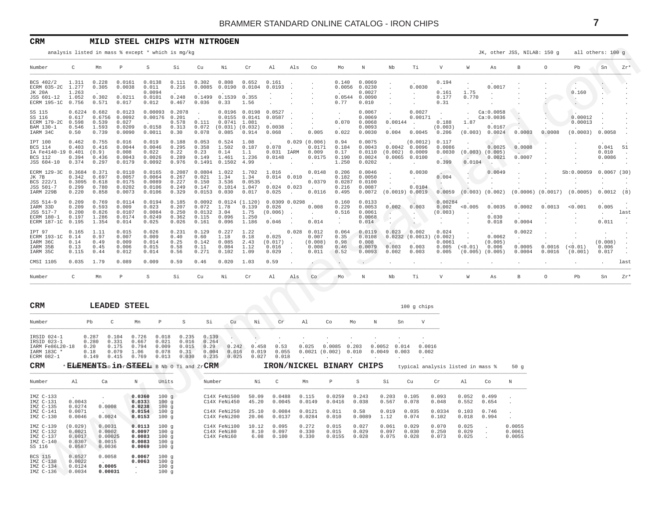#### <span id="page-6-0"></span>**CRM MILD STEEL CHIPS WITH NITROGEN**

|                                                                            |                                                 |                                                     |                                                                     | analysis listed in mass % except * which is mg/kg                                      |                                            |                                                            |                                                                                   |                                                              |                                                            |                         |                                                           |                                         |                                                                       |                                                                         |                                                             |                                     |                                                      |                                                                              | JK, other JSS, NILAB: 150 g                                    |                                        | all others: 100 g                     |                                             |                      |
|----------------------------------------------------------------------------|-------------------------------------------------|-----------------------------------------------------|---------------------------------------------------------------------|----------------------------------------------------------------------------------------|--------------------------------------------|------------------------------------------------------------|-----------------------------------------------------------------------------------|--------------------------------------------------------------|------------------------------------------------------------|-------------------------|-----------------------------------------------------------|-----------------------------------------|-----------------------------------------------------------------------|-------------------------------------------------------------------------|-------------------------------------------------------------|-------------------------------------|------------------------------------------------------|------------------------------------------------------------------------------|----------------------------------------------------------------|----------------------------------------|---------------------------------------|---------------------------------------------|----------------------|
| Number                                                                     | C                                               | Mn                                                  | $\mathbb{P}$                                                        | S                                                                                      | Si                                         | Cu                                                         | Νi                                                                                | Cr                                                           | Al                                                         | Als                     | Co                                                        | Mo                                      | $\,$ N                                                                | Nb                                                                      | Ti                                                          | V                                   | W                                                    | As                                                                           | $_{\rm B}$                                                     | $\circ$                                | Pb                                    | Sn                                          | $zr*$                |
| BCS 402/2<br>ECRM 035-2C<br>JK 20A<br>JSS 601-12<br>ECRM 195-1C 0.756      | 1.311<br>1.277<br>1.263<br>1.052                | 0.228<br>0.305<br>0.302<br>0.571                    | 0.0161<br>0.0038<br>0.0211<br>0.017                                 | 0.0138<br>0.011<br>0.0094<br>0.0101<br>0.012                                           | 0.111<br>0.216<br>0.248<br>0.467           | 0.302<br>0.0085<br>0.1499<br>0.036                         | 0.808<br>0.1539 0.355<br>0.33                                                     | 0.652<br>0.0190 0.0104 0.0193<br>1.56                        | 0.161<br><b>Service</b>                                    | $\ddot{\phantom{0}}$    | $\sim$                                                    | 0.77                                    | 0.140 0.0069<br>$0.0056$ 0.0230<br>0.0027<br>$0.0544$ 0.0090<br>0.010 | $\sim$<br>$\sim$                                                        | 0.0030<br><b>Contract</b><br>$\sim$                         | 0.194<br>0.161<br>0.177<br>0.31     | $\cdot$<br>1.75<br>0.770<br>$\sim$ $-$               | 0.0017<br><b>Contract Contract</b>                                           |                                                                |                                        | 0.160                                 | $\sim$<br>$\sim$<br>$\cdot$ $\triangledown$ |                      |
| SS 115<br>SS 116<br>ECRM 179-2C 0.598<br>BAM 130-1<br>IARM 34C             | 0.617<br>0.546<br>0.50                          | $0.6224$ $0.682$<br>0.539<br>1.593<br>0.739         | 0.0123<br>0.6756 0.0092<br>0.027<br>0.0209<br>0.0090                | 0.00093 0.2078<br>$0.00176$ 0.201<br>0.0158<br>0.0011                                  | 0.578<br>0.313<br>0.30                     | $\ddot{\phantom{1}}$<br>0.111<br>0.078                     | $0.0741$ 1.081<br>$0.072$ $(0.031)$ $(0.032)$ $0.0038$<br>$0.085$ 0.914           | $0.0196$ $0.0198$ $0.0527$ .<br>$0.0155$ $0.0141$ $0.0587$ . | $0.068$ .                                                  | $\sim$ $\sim$           | $\ddot{\phantom{0}}$<br>$\sim$<br>$\sim 10^{-1}$<br>0.005 | $\ddot{\phantom{a}}$<br>0.070<br>0.022  | 0.0067<br>0.0069<br>0.0068<br>0.0093<br>0.0030                        | $\sim$<br>$0.00144$ .<br>0.004                                          | 0.0027<br>0.00171<br>0.0045                                 | $\sim$<br>0.188<br>(0.003)<br>0.206 | <b>Contract</b><br>$\sim$<br>$1\,.87$<br>$\sim$      | Ca:0.0058<br>Ca:0.0036<br>0.0167                                             | $\sim$<br>$\sim$<br>$(0.003)$ $0.0024$ 0.0003 0.0008           |                                        | 0.00012<br>0.00013<br>(0.0003) 0.0058 |                                             |                      |
| IPT 100<br>BCS 114<br>IA Fe4140-19 0.401 (0.9)<br>BCS 112<br>JSS 604-10    | 0.462<br>0.403<br>0.394<br>0.374                | 0.755<br>0.416<br>0.436<br>0.297                    | 0.016<br>0.0044<br>0.008<br>0.0043<br>0.0179                        | 0.019<br>0.0046<br>0.022<br>0.0026<br>0.0092                                           | 0.188<br>0.295<br>0.22<br>0.289<br>0.976   | 0.053<br>0.358<br>0.23<br>0.149                            | 0.524<br>0.14<br>1.461 1.236<br>0.1491  0.1502  4.99                              | 1.08<br>$1.502$ 0.187 0.078 .<br>1.1                         | 0.031 IARM 0.009<br>$0.0148$ .<br><b>Contract Contract</b> | $\cdot$                 | 0.029(0.006)<br>0.0171<br>0.0175<br>$\sim$                | 0.94<br>0.184<br>0.17<br>0.190<br>1.250 | 0.0075<br>0.0043<br>0.0024<br>0.0202                                  | $0.0042$ 0.0096<br>$0.0110$ $(0.002)$ 0.0009<br>$\sim 10^{-11}$         | (0.0012) 0.117<br>0.0065 0.0100<br><b>Contract Contract</b> | 0.0086<br>0.0030<br>0.399           | 0.0104                                               | 0.0025<br>$(0.003)$ $(0.005)$<br>0.0021<br><b>Contract Contract Contract</b> | 0.0008<br>0.0007<br>$\sim$                                     |                                        |                                       | $0.041$ 51<br>0.010<br>0.0086<br>$\sim$     | $\ddot{\phantom{1}}$ |
| ECRM 129-3C 0.3684 0.371<br>JK 7B<br>BCS 222/1<br>JSS 501-7<br>IARM 229B   | 0.299<br>0.220                                  | $0.342$ 0.697<br>$0.3095$ $0.618$<br>0.780<br>0.858 | 0.0110<br>0.0057<br>0.0175<br>0.0202<br>0.0073                      | 0.0165<br>0.0064<br>0.0089<br>0.0106<br>0.0106                                         | 0.2087<br>0.267<br>0.227<br>0.249<br>0.329 | $0.0804$ 1.022<br>$0.021$ 1.34<br>0.150<br>0.147<br>0.0153 | 3.536 0.0535<br>$0.1014$ 1.047<br>0.030                                           | 1.702<br>1.34<br>0.017                                       | 1.016<br>$0.014$ $0.010$ .<br>$0.024$ 0.023 .<br>$0.025$ . |                         | 0.0148<br>0.0379<br>0.0116                                | 0.206<br>0.182<br>0.216<br>0.495        | 0.0046<br>0.0050<br>$0.0287$ $0.0100$<br>0.0087                       | $\sim$<br>$\sim$<br>$\sim$ $-$<br>$0.0072$ (0.0019) 0.0019              | 0.0030<br><b>Contract</b><br>0.0104                         | 0.004<br>$\sim$                     | $\sim$                                               | 0.0049<br>A.<br>$\sim$                                                       | $0.0059$ (0.003) (0.002) (0.0006) (0.0017) (0.0005) 0.0012 (8) |                                        | Sb:0.00059 0.0067 (30)<br>$\sim$      | $\sim$                                      |                      |
| JSS 514-9<br>IARM 33D<br>JSS 517-7<br>ECRM 180-1<br>ECRM 187-1C 0.195      | 0.209<br>0.209<br>0.200<br>0.197                | 0.769<br>0.593<br>0.826<br>1.286<br>1.354           | 0.0114<br>0.009<br>0.0107<br>0.0174<br>0.014                        | 0.0194<br>0.023<br>0.0084<br>0.0249<br>0.025                                           | 0.185<br>0.207<br>0.250<br>0.362<br>0.026  | 0.072<br>0.0132 3.04<br>0.115<br>0.161                     | $0.0092$ $0.0124$ $(1.120)$ $0.0309$ $0.0298$ .<br>1.78<br>$0.096$ 1.250<br>0.096 | 0.139<br>1.75<br>1.186                                       | $0.026$ . $0.008$<br>(0.006)<br>0.046                      |                         | $\sim 10^{-11}$<br>0.014                                  | 0.160<br>0.229<br>0.516<br>$\sim$ $-$   | 0.0133<br>0.0053<br>0.0061<br>0.0068<br>0.014                         | 0.002 0.003<br>$\sim$ $\sim$<br>$\sim$<br>المرباة                       | <b>Carl Co</b><br>$\sim$<br>$\sim$                          | 0.00284<br>(0.003)<br>$\sim 100$    | $0.002 \t < 0.005$<br>$\sim$<br>$\ddot{\phantom{a}}$ | 0.0035<br>0.030<br>0.018                                                     | 0.0002<br>$\sim$<br>0.0004                                     | 0.0013<br>$\cdot$                      | < 0.001<br>$\sim$                     | 0.005<br>$\sim 10^{-10}$<br>0.011           | last                 |
| IPT 97<br>ECRM 193-1C 0.14<br>IARM 36C<br>TARM 35B<br>IARM 35C             | 0.165<br>0.14<br>0.13<br>0.115                  | 1.11<br>0.97<br>0.49<br>0.45<br>0.44                | 0.015<br>0.007<br>0.009<br>0.006<br>0.012                           | 0.026<br>0.009<br>0.014<br>0.015<br>0.014                                              | 0.231<br>0.40<br>0.25<br>0.58<br>0.56      | 0.129<br>0.60<br>0.142<br>0.11<br>0.271                    | 0.227<br>1.18<br>0.085<br>0.084<br>0.102                                          | 1.22<br>0.18<br>2.43<br>1.12<br>1.09                         | $0.025$ .<br>$(0.017)$ .<br>0.016<br>0.029                 | $0.028$ 0.012<br>$\sim$ | 0.007<br>(0.008)<br>0.008<br>0.011                        | 0.064<br>0.35<br>0.98<br>0.46<br>0.52   | 0.0108<br>0.008<br>0.0079<br>0.0093                                   | $0.0119$ $0.023$ $0.002$<br>0.003<br>0.002                              | 0.0232(0.0013)(0.002)<br>0.003<br>0.003                     | 0.024<br>0.0061<br>0.005            | $\sim$<br>$\sim$<br>$0.005$ (<0.01) 0.006            | 0.0062<br>(0.005)<br>$(0.005)$ $(0.005)$                                     | 0.0022<br>0.0004                                               | $0.0005$ $0.0016$ $(<0.01$ )<br>0.0016 | $\sim$<br>$\cdot$<br>(0.001)          | $\cdot$<br>(0.008)<br>0.006<br>0.017        |                      |
| CMSI 1105                                                                  | 0.035                                           | 1.79                                                | 0.089                                                               | 0.009                                                                                  | 0.59                                       | 0.46                                                       | 0.020                                                                             | 1.03                                                         | 0.59                                                       | $\ddot{\phantom{0}}$    | $\epsilon$ and $\epsilon$                                 | $\mathcal{L}^{\mathcal{A}}$ .           | $\sim$ .                                                              | $\sim$                                                                  | $\sim$                                                      | $\ddot{\phantom{1}}$                | $\sim$                                               | $\sim$                                                                       | $\sim$                                                         | $\sim$                                 | $\cdot$                               | $\sim$                                      | last                 |
| Number                                                                     | $\mathsf{C}$                                    | Mn                                                  | $\, {\bf P}$                                                        | S                                                                                      | Si                                         | Cu                                                         | Ni                                                                                | Cr                                                           | Al                                                         | Als                     | Co                                                        | Mo                                      | $\, {\rm N}$                                                          | Nb                                                                      | Ti                                                          | V                                   | W                                                    | As                                                                           | B                                                              | $\circ$                                | $_{\rm Pb}$                           | Sn                                          | Zr*                  |
| CRM<br>Number                                                              |                                                 | Pb                                                  | LEADED STEEL<br>$\mathsf{C}$<br>Mn                                  | $\, {\bf p}$                                                                           | S                                          | Si                                                         | Cu                                                                                | Νi                                                           | $\operatorname{Cr}$                                        | Al                      |                                                           | Mo<br>Co                                | N                                                                     | Sn                                                                      | 100 g chips<br>$\mathbf V$                                  |                                     |                                                      |                                                                              |                                                                |                                        |                                       |                                             |                      |
| IRSID 024-1<br>IRSID 023-1<br>IARM Fe86L20-18<br>IARM 183C *<br>ECRM 082-1 |                                                 | 0.287<br>0.280<br>0.20<br>0.18<br>0.149             | 0.104<br>0.331<br>0.667<br>0.175<br>0.079<br>1.06<br>0.415<br>0.769 | 0.726<br>0.018<br>0.021<br>0.794<br>0.009<br>0.078<br>0.013                            | 0.235<br>0.016<br>0.015<br>0.31<br>0.030   | 0.139<br>0.264<br>0.29<br>0.004<br>0.235                   | A.<br>0.242<br>0.016<br>0.025                                                     | $\sim$<br>0.458<br>0.019                                     | $\cdot$<br>0.53<br>0.055<br>$0.027$ $0.018$                | $\cdot$                 |                                                           | $0.025$ 0.0085 0.203                    |                                                                       | $0.0052$ $0.014$<br>$0.0021$ $(0.002)$ $0.010$ $0.0049$ $0.003$ $0.002$ | 0.0016                                                      |                                     |                                                      |                                                                              |                                                                |                                        |                                       |                                             |                      |
| CRM                                                                        |                                                 |                                                     |                                                                     | * ELEMENTS. <i>in</i> rfSTEELs B Nb 0 Ti and ZrCRM                                     |                                            |                                                            |                                                                                   |                                                              |                                                            |                         |                                                           | IRON/NICKEL BINARY CHIPS                |                                                                       |                                                                         | typical analysis listed in mass %                           |                                     |                                                      |                                                                              | 50g                                                            |                                        |                                       |                                             |                      |
| Number                                                                     | A <sub>1</sub>                                  | Ca                                                  | $\mathbb N$                                                         | Units                                                                                  |                                            | Number                                                     |                                                                                   | Νi                                                           | $\mathbb{C}$                                               |                         | Mn                                                        | $\mathbb{P}$                            | S                                                                     | Si                                                                      | Cu                                                          | Cr                                  | Al                                                   | Co                                                                           | $\, {\mathbb N}$                                               |                                        |                                       |                                             |                      |
| IMZ C-133<br>IMZ C-131<br>IMZ C-135<br>IMZ C-141<br>IMZ C-130              | 0.0043<br>0.0274<br>0.0071<br>0.0046            | 0.0008<br>0.0024                                    |                                                                     | 0.0360<br>100g<br>0.0333<br>100g<br>0.0238<br>100q<br>$0.0154$ 100 g<br>0.0153<br>100g |                                            |                                                            | C14X FeNi500<br>C14X FeNi450<br>C14X FeNi250<br>C14X FeNi200                      | 50.09<br>45.20<br>25.10<br>20.06                             | 0.0488<br>0.0045<br>0.0084<br>0.0137                       |                         | 0.115<br>0.0149<br>0.0121<br>0.0284                       | 0.0259<br>0.0416<br>0.011<br>0.010      | 0.243<br>0.038<br>0.58<br>0.0089                                      | 0.203<br>0.567<br>0.019<br>1.12                                         | 0.105<br>0.078<br>0.035<br>0.074                            | 0.093<br>0.048<br>0.0334<br>0.102   | 0.052<br>0.552<br>0.103<br>0.018                     | 0.499<br>0.654<br>0.746<br>0.994                                             |                                                                |                                        |                                       |                                             |                      |
| IMZ C-139<br>IMZ C-132<br>IMZ C-137<br>IMZ C-140<br>SS 116                 | (0.029)<br>0.0021<br>0.0017<br>0.0307<br>0.0587 | 0.0031<br>0.0002<br>0.00025<br>0.0015<br>0.0036     |                                                                     | 0.0113<br>100q<br>0.0097<br>100g<br>0.0083<br>100g<br>0.0083<br>100g<br>0.0069<br>100g |                                            |                                                            | C14X FeNi100<br>C14X FeNi80<br>C14X FeNi60                                        | 10.12                                                        | 0.095<br>8.10 0.097<br>$6.08$ $0.100$                      |                         | 0.272<br>0.330<br>0.330                                   | 0.015<br>0.015<br>0.0155                | 0.027<br>0.029<br>0.028                                               | 0.061<br>0.097<br>0.075                                                 | 0.029<br>0.030<br>0.028                                     | 0.070<br>0.250<br>0.073             | 0.025<br>0.029<br>0.025                              | $\sim$<br>$\sim 10^{-11}$<br>$\sim$                                          | 0.0055<br>0.0061<br>0.0055                                     |                                        |                                       |                                             |                      |
| BCS 115<br>IMZ C-138<br>$IMZ C-134$<br>IMZ C-136                           | 0.0527<br>0.0022<br>0.0124<br>0.0034            | 0.0058<br>0.0005<br>0.00031                         | $\sim 10^{-1}$                                                      | 0.0067<br>100g<br>0.0063<br>100g<br>100g<br>100q                                       |                                            |                                                            |                                                                                   |                                                              |                                                            |                         |                                                           |                                         |                                                                       |                                                                         |                                                             |                                     |                                                      |                                                                              |                                                                |                                        |                                       |                                             |                      |

| CRM                                                                        |                                                 |                                                 |                                           | LEADED STEEL                                                      |                                           |                                          |                                          |                                                              |                                  |                                      |                                     |                                    |                                  |                                 |                                  | $100$ g chips                     |                                  |                                  |                            |
|----------------------------------------------------------------------------|-------------------------------------------------|-------------------------------------------------|-------------------------------------------|-------------------------------------------------------------------|-------------------------------------------|------------------------------------------|------------------------------------------|--------------------------------------------------------------|----------------------------------|--------------------------------------|-------------------------------------|------------------------------------|----------------------------------|---------------------------------|----------------------------------|-----------------------------------|----------------------------------|----------------------------------|----------------------------|
| Number                                                                     |                                                 | Pb                                              | C                                         | Mn                                                                | $\, {\mathbb P}$                          | S                                        | Si                                       | Cu                                                           | Νi                               | Cr                                   | Al                                  | Co                                 | Mo                               | N                               | Sn                               | V                                 |                                  |                                  |                            |
| IRSID 024-1<br>IRSID 023-1<br>IARM Fe86L20-18<br>IARM 183C *<br>ECRM 082-1 |                                                 | 0.287<br>0.280<br>0.20<br>0.18<br>0.149         | 0.104<br>0.331<br>0.175<br>0.079<br>0.415 | 0.726<br>0.667<br>0.794<br>1.06<br>0.769                          | 0.018<br>0.021<br>0.009<br>0.078<br>0.013 | 0.235<br>0.016<br>0.015<br>0.31<br>0.030 | 0.139<br>0.264<br>0.29<br>0.004<br>0.235 | 0.242<br>0.016<br>0.025                                      | 0.458<br>0.019<br>0.027          | 0.53<br>0.055<br>0.018               | 0.025<br>0.0021                     | 0.0085<br>(0.002)                  | 0.203<br>0.010                   | 0.0052<br>0.0049                | 0.014<br>0.003                   | 0.0016<br>0.002                   |                                  |                                  |                            |
| CRM                                                                        |                                                 |                                                 |                                           | * ELEMENTS. <i>in</i> ristle EL <sub>s</sub> B Nb 0 Ti and Zr CRM |                                           |                                          |                                          |                                                              |                                  |                                      |                                     | IRON/NICKEL BINARY CHIPS           |                                  |                                 |                                  | typical analysis listed in mass % |                                  |                                  | 50 <sub>q</sub>            |
| Number                                                                     | Al                                              | Ca                                              |                                           | N                                                                 | Units                                     |                                          | Number                                   |                                                              | Νi                               | C                                    | Mn                                  | P                                  | S                                | Si                              | Cu                               | $\operatorname{Cr}$               | Al                               | Co                               | $\mathbb N$                |
| IMZ C-133<br>IMZ C-131<br>IMZ C-135<br>IMZ C-141<br>IMZ C-130              | $\sim$<br>0.0043<br>0.0274<br>0.0071<br>0.0046  | 0.0008<br>0.0024                                |                                           | 0.0360<br>0.0333<br>0.0238<br>0.0154<br>0.0153                    | 100q<br>100q<br>100q<br>100q<br>100q      |                                          |                                          | C14X FeNi500<br>C14X FeNi450<br>C14X FeNi250<br>C14X FeNi200 | 50.09<br>45.20<br>25.10<br>20.06 | 0.0488<br>0.0045<br>0.0084<br>0.0137 | 0.115<br>0.0149<br>0.0121<br>0.0284 | 0.0259<br>0.0416<br>0.011<br>0.010 | 0.243<br>0.038<br>0.58<br>0.0089 | 0.203<br>0.567<br>0.019<br>1.12 | 0.105<br>0.078<br>0.035<br>0.074 | 0.093<br>0.048<br>0.0334<br>0.102 | 0.052<br>0.552<br>0.103<br>0.018 | 0.499<br>0.654<br>0.746<br>0.994 | $\mathbf{r}$<br>$\cdot$    |
| IMZ C-139<br>IMZ C-132<br>IMZ C-137<br>$IMZ C-140$<br>SS 116               | (0.029)<br>0.0021<br>0.0017<br>0.0307<br>0.0587 | 0.0031<br>0.0002<br>0.00025<br>0.0015<br>0.0036 |                                           | 0.0113<br>0.0097<br>0.0083<br>0.0083<br>0.0069                    | 100q<br>100q<br>100q<br>100q<br>100q      |                                          | C14X FeNi80<br>C14X FeNi60               | C14X FeNi100                                                 | 10.12<br>8.10<br>6.08            | 0.095<br>0.097<br>0.100              | 0.272<br>0.330<br>0.330             | 0.015<br>0.015<br>0.0155           | 0.027<br>0.029<br>0.028          | 0.061<br>0.097<br>0.075         | 0.029<br>0.030<br>0.028          | 0.070<br>0.250<br>0.073           | 0.025<br>0.029<br>0.025          |                                  | 0.0055<br>0.0061<br>0.0055 |
| <b>BCS 115</b><br>IMZ C-138<br>$IMZ C-134$<br>IMZ C-136                    | 0.0527<br>0.0022<br>0.0124<br>0.0034            | 0.0058<br>0.0005<br>0.00031                     |                                           | 0.0067<br>0.0063<br>$\sim$ 100 $\pm$<br>$\sim$                    | 100q<br>100q<br>100q<br>100q              |                                          |                                          |                                                              |                                  |                                      |                                     |                                    |                                  |                                 |                                  |                                   |                                  |                                  |                            |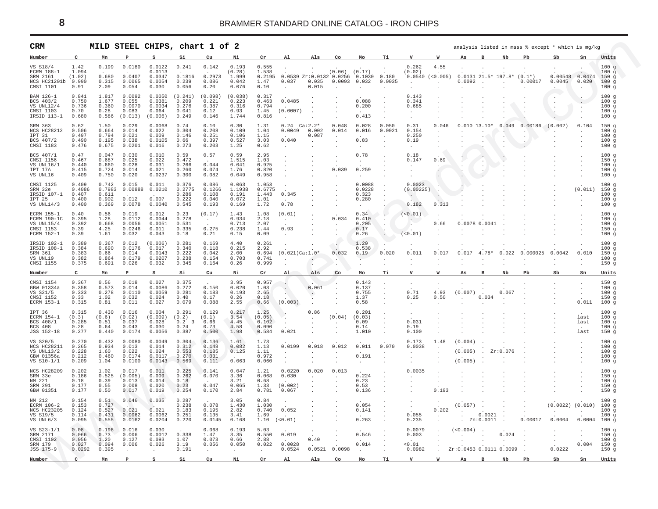<span id="page-7-0"></span>

| CRM                                                                   |                                            |                                            |                                               |                                                |                                                  | MILD STEEL CHIPS, chart 1 of 2             |                                            |                                                  |                                                        |                           |                                                       |                                              |                           |                                                        |                                   |                                                                            |                                 |                              | analysis listed in mass % except * which is mg/kg |                                              |                                            |                                              |
|-----------------------------------------------------------------------|--------------------------------------------|--------------------------------------------|-----------------------------------------------|------------------------------------------------|--------------------------------------------------|--------------------------------------------|--------------------------------------------|--------------------------------------------------|--------------------------------------------------------|---------------------------|-------------------------------------------------------|----------------------------------------------|---------------------------|--------------------------------------------------------|-----------------------------------|----------------------------------------------------------------------------|---------------------------------|------------------------------|---------------------------------------------------|----------------------------------------------|--------------------------------------------|----------------------------------------------|
| Number                                                                | $\mathbf{C}$                               | Mn                                         |                                               | s                                              | Si                                               | Cu                                         | Ni                                         | Cr                                               | Al                                                     | Als                       | Co                                                    | Mo                                           | тi                        | $\mathbf{v}$                                           | w                                 | As                                                                         | в                               | Nb                           | Pb                                                | S <sub>b</sub>                               | Sn                                         | Units                                        |
| VS S18/4<br>ECRM 188-1<br>SRM 2161<br>NCS HC21201b 0.990<br>CMSI 1101 | 1.42<br>1.094<br>(1.02)<br>0.91            | 0.199<br>0.680<br>0.315<br>2.09            | 0.0180<br>0.0407<br>0.0065<br>0.054           | 0.0122<br>0.0113<br>0.0347<br>0.0054<br>0.030  | 0.241<br>0.1816<br>0.239<br>0.056                | 0.142<br>0.2973<br>0.086<br>0.20           | 0.193<br>(0.28)<br>1.999<br>0.042<br>0.076 | 0.555<br>1.538<br>0.2195<br>1.47<br>0.10         | 0.0539 Zr:0.0132 0.0256 0.1030<br>0.037<br>$\sim$      | 0.035<br>0.015            | $(0.06)$ $(0.17)$<br>$0.0093$ 0.032<br>$\overline{a}$ | $\sim$                                       | 0.180<br>0.0035<br>$\sim$ | 0.262<br>(0.02)<br>$0.0540$ (<0.005)<br>$\sim$         | 4.55                              | 0.0092<br>$\sim$                                                           | $\sim$                          | $0.0131 21.5* 197.8* (0.1*)$ | 0.00017                                           | 0.00548 0.0474<br>0.0045<br>$\cdot$          | 0.020                                      | 100g<br>100g<br>150q<br>100g<br>100g         |
| BAM 126-1<br>BCS 403/2<br>VS UNL12/4<br>CMSI 1103<br>IRSID 113-1      | 0.841<br>0.750<br>0.736<br>0.70<br>0.680   | 1.817<br>1.677<br>0.360<br>0.28<br>0.586   | 0.0092<br>0.055<br>0.0070<br>0.083<br>(0.013) | 0.0050<br>0.0381<br>0.0034<br>0.064<br>(0.006) | (0.241)<br>0.209<br>0.276<br>0.041<br>0.249      | (0.098)<br>0.221<br>0.387<br>0.12<br>0.146 | (0.038)<br>0.223<br>0.316<br>0.93<br>1.744 | 0.317<br>0.463<br>0.794<br>1.45<br>0.816         | 0.0485<br>(0.0007)<br>$\sim$                           |                           | $\cdot$                                               | 0.088<br>0.200<br>0.413                      |                           | 0.143<br>0.341<br>0.685<br>$\sim$                      |                                   |                                                                            |                                 |                              |                                                   | $\cdot$<br>$\cdot$<br>٠.                     | $\ddot{\phantom{a}}$<br>$\cdot$<br>$\cdot$ | 100g<br>100g<br>100g<br>100q<br>100g         |
| SRM 363<br>NCS HC28212<br>TPT 31<br>BCS 407/2<br>CMSI 1183            | 0.62<br>0.506<br>0.497<br>0.490<br>0.476   | 1.50<br>0.664<br>0.794<br>0.195<br>0.675   | 0.029<br>0.014<br>0.021<br>0.038<br>0.0201    | 0.0068<br>0.022<br>0.009<br>0.0105<br>0.016    | 0.74<br>0.304<br>0.146<br>0.66<br>0.273          | 0.10<br>0.208<br>0.251<br>0.397<br>0.203   | 0.30<br>0.109<br>0.106<br>0.527<br>1.25    | 1.31<br>1.04<br>1.15<br>3.03<br>0.62             | $0.24$ Ca: $2.2*$<br>0.0049<br>0.040<br>$\sim$         | 0.002<br>0.087            | 0.048<br>0.014                                        | 0.028<br>0.016<br>0.83<br>$\Delta$           | 0.050<br>0.0021           | 0.31<br>0.154<br>0.250<br>0.19<br>$\ddot{\phantom{a}}$ | 0.046<br>$\cdot$                  | $0.010$ 13.10*                                                             |                                 | 0.049                        | 0.00186                                           | (0.002)                                      | 0.104                                      | 150g<br>100g<br>100g<br>100g<br>100q         |
| BCS 407/1<br>CMSI 1156<br>VS $UNL16/1$<br>IPT 17A<br>VS UNL16         | 0.47<br>0.467<br>0.440<br>0.415<br>0.409   | 0.047<br>0.687<br>0.660<br>0.724<br>0.750  | 0.030<br>0.025<br>0.028<br>0.014<br>0.020     | 0.010<br>0.022<br>0.031<br>0.021<br>0.0237     | 0.59<br>0.472<br>0.266<br>0.260<br>0.300         | 0.57<br>0.044<br>0.074<br>0.082            | 0.59<br>1.515<br>0.041<br>1.76<br>0.049    | 2.95<br>1.03<br>0.925<br>0.820<br>0.958          | $\ddot{\phantom{a}}$                                   |                           | 0.039                                                 | 0.78<br>$\sim$<br>0.259                      |                           | 0.18<br>0.147<br>$\sim$                                | 0.69<br>$\sim$ $-$                |                                                                            | $\ddot{\phantom{0}}$            |                              |                                                   |                                              | $\cdot$<br>$\cdot$                         | 100g<br>150g<br>100q<br>100q<br>100g         |
| CMST 1125<br>SRM 32e<br>IRSID 107-1<br>TPT 25<br>VS $UNL14/3$         | 0.409<br>0.4086<br>0.407<br>0.400<br>0.400 | 0.742<br>0.7983<br>0.611<br>0.902<br>0.369 | 0.015<br>0.00888<br>0.012<br>0.0078           | 0.011<br>0.0210<br>0.007<br>0.0040             | 0.376<br>0.2775<br>0.286<br>0.222<br>0.545       | 0.086<br>0.1266<br>0.108<br>0.040<br>0.193 | 0.063<br>1.1938<br>0.191<br>0.072<br>0.169 | 1.053<br>0.6775<br>1.443<br>1.01<br>1.72         | 0.345<br>0.78                                          |                           |                                                       | 0.0088<br>0.0228<br>0.323<br>0.280<br>$\sim$ |                           | 0.0023<br>(0.00225)<br>$\sim$ $-$<br>0.182             | 0.313                             |                                                                            |                                 |                              |                                                   |                                              | (0.011)<br>$\cdot$                         | 100g<br>150g<br>100q<br>100g<br>100g         |
| ECRM 155-1<br>ECRM 190-1C<br>VS UNL15/4<br>CMSI 1153<br>ECRM 152-1    | 0.40<br>0.395<br>0.392<br>0.39<br>0.39     | 0.56<br>1.28<br>0.668<br>4.25<br>1.61      | 0.019<br>0.0112<br>0.0056<br>0.0246<br>0.032  | 0.012<br>0.0044<br>0.0051<br>0.011<br>0.043    | 0.23<br>0.278<br>0.531<br>0.335<br>0.18          | (0.17)<br><b>Contract</b><br>0.275<br>0.21 | 1.43<br>0.934<br>0.713<br>0.238<br>0.15    | 1.08<br>2.18<br>2.07<br>1.44<br>0.09             | (0.01)<br>$\ddot{\phantom{a}}$<br>0.93<br>$\sim$       |                           | 0.034<br>$\cdot$                                      | 0.34<br>0.410<br>0.205<br>0.17<br>0.26       |                           | (<0.01)<br>$\sim$<br>(<0.01)                           | 0.66                              | $0.0078$ 0.0041                                                            |                                 |                              |                                                   |                                              |                                            | $100 \alpha$<br>100g<br>100g<br>150g<br>100q |
| IRSID 102-1<br>IRSID 108-1<br>SRM 361<br>VS UNL19<br>CMSI 1155        | 0.389<br>0.384<br>0.383<br>0.382<br>0.375  | 0.367<br>0.690<br>0.66<br>0.864<br>0.691   | 0.012<br>0.0176<br>0.014<br>0.0179<br>0.026   | (0.006)<br>0.017<br>0.0143<br>0.0207<br>0.032  | 0.281<br>0.340<br>0.222<br>0.238<br>0.345        | 0.169<br>0.118<br>0.042<br>0.154<br>0.164  | 4.40<br>0.215<br>2.00<br>0.703<br>0.26     | 0.261<br>2.92<br>0.694<br>0.741<br>0.999         | $\ddot{\phantom{a}}$<br>$(0.021)$ Ca: $1.0*$<br>$\sim$ | $\ddot{\phantom{a}}$      | 0.032<br>$\cdot$                                      | 1.20<br>0.538<br>0.19<br>$\sim$              | 0.020                     | 0.011<br>$\sim$                                        | 0.017                             | 0.017                                                                      | $4.78*$                         | 0.022                        | 0.000025                                          | 0.0042<br>$\cdot$                            | 0.010<br>$\sim$                            | 100q<br>100q<br>150g<br>100g<br>150g         |
| Number                                                                | $\mathbf{C}$                               | Mn                                         | $\mathbf{P}$                                  | s                                              | Si                                               | Cu                                         | Ni                                         | Cr                                               | A1                                                     | Als                       | Co                                                    | Mo                                           | Тi                        | $\mathbf v$                                            | W                                 | As                                                                         | $\overline{B}$                  | $_{\rm Nb}$                  | $_{\rm Pb}$                                       | $_{\rm Sb}$                                  | ${\tt Sn}$                                 | Units                                        |
| CMSI 1154<br>GBW 01334a<br>VS S21/5<br>CMSI 1152<br>ECRM 153-1        | 0.367<br>0.358<br>0.333<br>0.33<br>0.315   | 0.56<br>0.573<br>0.278<br>1.02<br>0.81     | 0.018<br>0.014<br>0.0110<br>0.032<br>0.011    | 0.027<br>0.0086<br>0.0059<br>0.024<br>0.027    | 0.375<br>0.272<br>0.281<br>0.40<br>0.079         | 0.150<br>0.183<br>0.17<br>0.088            | 3.95<br>0.020<br>0.193<br>0.26<br>2.55     | 0.957<br>1.03<br>2.65<br>0.18<br>0.66            | $\sim$<br>$\sim$<br>(0.003)                            | 0.061<br>$\sim$           |                                                       | 0.143<br>0.137<br>0.755<br>1.37<br>0.58      | $\cdot$<br>$\sim$         | 0.71<br>0.25<br>$\ddot{\phantom{a}}$                   | 4.93<br>0.50<br>$\sim$            | (0.007)                                                                    | 0.034                           | 0.067<br>$\sim$              |                                                   |                                              | $\cdot$<br>$\cdot$<br>0.011                | 150g<br>100q<br>100g<br>150g<br>100g         |
| IPT 36<br>ECRM 154-1<br>BCS 408/1<br>BCS 408<br>JSS 152-18            | 0.315<br>(0.3)<br>0.285<br>0.28<br>0.277   | 0.430<br>(0.6)<br>0.51<br>0.64<br>0.440    | 0.016<br>(0.02)<br>0.037<br>0.043<br>0.0174   | 0.004<br>(0.009)<br>0.028<br>0.030<br>0.0056   | 0.291<br>(0.2)<br>$0.2 \quad 3$<br>0.24<br>0.387 | 0.129<br>(0.1)<br>0.66<br>0.73<br>0.500    | 0.217<br>3.54<br>4.45<br>4.58<br>1.98      | 1.25<br>(0.05)<br>0.102<br>0.090<br>0.584        | 4<br>$\sim$<br>0.021                                   | 0.86                      | (0.04)<br>$\sim$                                      | 0.201<br>(0.03)<br>0.09<br>0.14<br>1,010     |                           | 0.031<br>0.19<br>0.100                                 |                                   |                                                                            |                                 |                              |                                                   |                                              | last<br>last<br>last                       | 100q<br>100g<br>100g<br>100g<br>150g         |
| VS S20/5<br>NCS HC28211<br>$VS$ UNL13/2<br>GBW 01356a<br>VS S10-1/1   | 0.270<br>0.265<br>0.228<br>0.212<br>0.209  | 0.432<br>0.934<br>1.60<br>0.460<br>1.04    | 0.0080<br>0.013<br>0.022<br>0.0174<br>0.0100  | 0.0049<br>0.014<br>0.024<br>0.0117<br>0.0143   | 0.304<br>0.312<br>0.553<br>0.270<br>0.569        | 0.136<br>0.148<br>0.185<br>0.031<br>0.111  | 1.61<br>0.082<br>0.125<br>0.063            | 1.73<br>1.13<br>1.11<br>0.972<br>0.060           | 0.0199<br>$\ddot{\phantom{a}}$                         | 0.018                     | 0.012                                                 | 0.011<br>0.191<br>$\sim$                     | 0.070<br>$\sim$           | 0.173<br>0.0038<br>$\sim$                              | 1.48                              | (0.004)<br>(0.005)<br>(0.005)                                              | $\sim$                          | Zr:0.076                     |                                                   |                                              | $\cdot$<br>$\cdot$                         | 100g<br>100g<br>100q<br>100g<br>100g         |
| <b>NCS HC28209</b><br>SRM 33e<br>NM 221<br>SRM 291<br>GBW 01351       | 0.202<br>0.186<br>0.18<br>0.177<br>0.177   | 1.02<br>0.525<br>0.39<br>0.55<br>0.50      | 0.017<br>(0.005)<br>0.013<br>0.008<br>0.017   | 0.011<br>0.009<br>0.014<br>0.020<br>0.019      | 0.225<br>0.262<br>0.18<br>0.23<br>0.254          | 0.141<br>0.070<br>0.047<br>0.170           | 0.047<br>3.36<br>3.21<br>0.065<br>2.84     | 1.21<br>0.068<br>0.68<br>1.33<br>0.781           | 0.0220<br>0.030<br>(0.002)<br>0.067                    | 0.020                     | 0.013                                                 | 0.224<br>0.23<br>0.53<br>0.136               |                           | 0.0035<br>$\overline{a}$                               | 0.193                             |                                                                            |                                 |                              |                                                   |                                              | $\cdot$<br>$\cdot$                         | 100g<br>150g<br>100g<br>150g<br>150q         |
| NM 212<br>ECRM 106-2<br>NCS HC23205<br>VS S19/5<br>VS $UNL6/3$        | 0.154<br>0.153<br>0.124<br>0.114<br>0.095  | 0.51<br>0.727<br>0.527<br>0.431<br>0.555   | 0.046<br>0.021<br>0.0062<br>0.0162            | 0.035<br>0.021<br>0.0062<br>0.0204             | 0.287<br>0.238<br>0.183<br>0.251<br>0.220        | 0.078<br>0.195<br>0.135<br>0.0145          | 3.05<br>1.430<br>2.82<br>3.41<br>0.168     | 0.84<br>1.030<br>0.740<br>1.69<br>1.10           | 0.052<br>$(<0.01$ )                                    |                           |                                                       | 0.054<br>0.141<br>0.263                      |                           | $\ddot{\phantom{a}}$<br>0.055<br>0.235                 | 0.202<br><b>Contract Contract</b> | $(0.057)$ .<br>$\mathcal{A}^{\mathcal{A}}$ and $\mathcal{A}^{\mathcal{A}}$ | $0.0021$ .<br>$. \t Zn: 0.0011$ | $\cdot$                      | $\blacksquare$<br>0.00017                         | $(0.0022)$ $(0.010)$<br>$\sim 100$<br>0.0004 | $\sim$<br>$0.0004$ 100 g                   | 100q<br>100g<br>100g<br>100q                 |
| VS S23-1/1<br>SRM 2171<br>CMSI 1102<br>SRM 179<br>JSS 175-9           | 0.08<br>0.066<br>0.056<br>0.027<br>0.0292  | 0.196<br>0.73<br>1.20<br>0.094<br>0.395    | 0.016<br>0.006<br>0.127<br>0.006<br>$\cdot$   | 0.030<br>0.0012<br>0.093<br>0.026<br>$\cdot$   | 0.338<br>1.07<br>3.19<br>0.191                   | 0.068<br>1.47<br>0.073<br>0.056<br>$\cdot$ | 0.193<br>3.35<br>0.66<br>0.050<br>$\sim$   | 5.03<br>0.550<br>2.88<br>0.022<br>$\blacksquare$ | 0.019<br>0.0028<br>0.0524                              | 0.40<br>$0.0521$ $0.0098$ |                                                       | 0.546<br>0.014                               |                           | 0.0079<br>0.003<br>0.01<br>0.0982                      |                                   | (< 0.004)<br>Zr:0.0453 0.0111 0.0099                                       |                                 | 0.024<br>$\sim$              |                                                   | 0.0222                                       | $\cdot$<br>$\cdot$<br>0.004                | 100g<br>150g<br>100g<br>150g<br>150g         |
| Number                                                                | $\mathsf{C}$                               | Mn                                         | P                                             | S                                              | Si                                               | Cu                                         | Ni                                         | Cr                                               | A1                                                     | A1s                       | Co                                                    | Mo                                           | тi                        | $\mathbf{v}$                                           | w                                 | As                                                                         | B                               | Nb                           | P <sub>b</sub>                                    | Sb                                           | Sn                                         | Units                                        |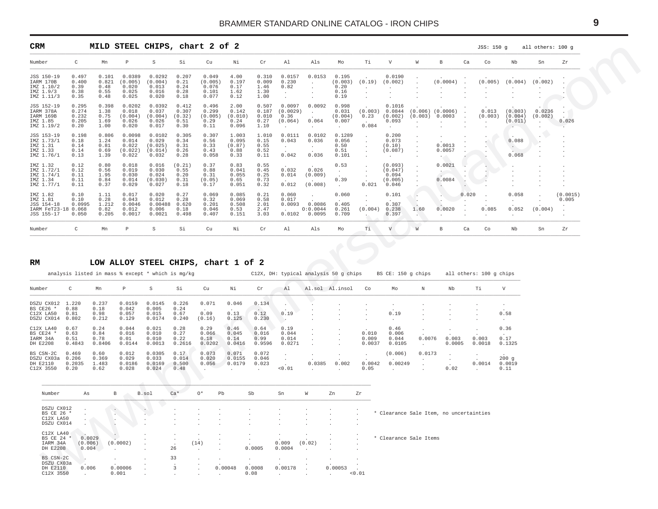<span id="page-8-0"></span>

| <b>CRM</b>                                                              |                                          | MILD STEEL CHIPS, chart 2 of 2                          |                                              |                                                |                                                |                                             |                                           |                                         |                                                               |                                                            |                                              |                                                    |                                                        |                             |                                                        |                                      | JSS: 150 g                    |                                         | all others: 100 g           |                   |
|-------------------------------------------------------------------------|------------------------------------------|---------------------------------------------------------|----------------------------------------------|------------------------------------------------|------------------------------------------------|---------------------------------------------|-------------------------------------------|-----------------------------------------|---------------------------------------------------------------|------------------------------------------------------------|----------------------------------------------|----------------------------------------------------|--------------------------------------------------------|-----------------------------|--------------------------------------------------------|--------------------------------------|-------------------------------|-----------------------------------------|-----------------------------|-------------------|
| Number                                                                  | $\mathsf{C}$                             | Mn                                                      | $\mathbb P$                                  | S                                              | Si                                             | Cu                                          | Νi                                        | Cr                                      | Al                                                            | Als                                                        | Mo                                           | Тi                                                 | $\mathbf V$                                            | W                           | $\mathbf{B}$                                           | Ca                                   | Co                            | Nb                                      | Sn                          | Zr                |
| JSS 150-19<br>IARM 170B<br>IMZ 1.10/2<br>IMZ 1.9/3<br>IMZ 1.11/3        | 0.497<br>0.400<br>0.39<br>0.38<br>0.35   | 0.101<br>0.821<br>0.48<br>0.55<br>0.48                  | 0.0389<br>(0.005)<br>0.020<br>0.025<br>0.025 | 0.0292<br>(0.004)<br>0.013<br>0.016<br>0.020   | 0.207<br>0.21<br>0.24<br>0.28<br>0.18          | 0.049<br>(0.005)<br>0.076<br>0.101<br>0.077 | 4.00<br>0.197<br>0.17<br>1.62<br>0.12     | 0.310<br>0.009<br>1.46<br>1.30<br>1.00  | 0.0157<br>0.230<br>0.82<br>$\ddot{\phantom{a}}$<br>$\cdot$    | 0.0153<br>$\cdot$<br>$\cdot$<br>$\cdot$<br>$\cdot$         | 0.195<br>(0.003)<br>0.20<br>0.16<br>0.19     | (0.19)<br>$\sim$<br>$\cdot$<br>$\cdot$             | 0.0190<br>(0.002)<br>$\cdot$                           |                             | (0.0004)                                               |                                      | (0.005)                       | (0.004)                                 | (0.002)                     |                   |
| JSS 152-19<br>IARM 378A<br>IARM 169B<br>IMZ 1.85<br>IMZ 1.19/2          | 0.295<br>0.274<br>0.232<br>0.205<br>0.20 | 0.398<br>1.38<br>0.75<br>1.69<br>1.00                   | 0.0202<br>0.018<br>(0.004)<br>0.026<br>0.020 | 0.0392<br>0.037<br>(0.004)<br>0.026<br>0.017   | 0.412<br>0.307<br>(0.32)<br>0.51<br>0.30       | 0.496<br>0.299<br>(0.005)<br>0.29<br>0.11   | 2.00<br>0.142<br>(0.010)<br>0.24<br>0.096 | 0.507<br>0.187<br>0.010<br>0.27<br>1.10 | 0.0097<br>(0.0029)<br>0.36<br>(0.064)<br>$\ddot{\phantom{a}}$ | 0.0092<br>$\ddot{\phantom{a}}$<br>0.064<br>$\cdot$         | 0.998<br>0.031<br>(0.004)<br>0.007<br>$\sim$ | (0.003)<br>0.23<br>0.084                           | 0.1016<br>0.0844<br>(0.002)<br>0.093<br>$\sim$ $-$     | (0.003)                     | $(0.006)$ $(0.0006)$<br>0.0003                         | $\cdot$<br>$\cdot$                   | 0.013<br>(0.003)              | (0.003)<br>(0.004)<br>(0.011)<br>$\sim$ | 0.0236<br>(0.002)<br>$\sim$ | 0.026             |
| JSS 153-19<br>IMZ 1.73/1<br>IMZ 1.31<br>IMZ 1.33<br>IMZ 1.76/1          | 0.198<br>0.18<br>0.14<br>0.14<br>0.13    | 0.806<br>1.24<br>0.81<br>0.69<br>1.39                   | 0.0098<br>0.014<br>0.022<br>(0.022)<br>0.022 | 0.0102<br>0.029<br>(0.025)<br>(0.014)<br>0.032 | 0.305<br>0.34<br>0.31<br>0.26<br>0.28          | 0.307<br>0.56<br>0.33<br>0.43<br>0.058      | 1.003<br>0.095<br>(0.87)<br>0.88<br>0.33  | 1.010<br>0.15<br>0.55<br>0.52<br>0.11   | 0.0111<br>0.043<br>$\ddot{\phantom{a}}$<br>0.042              | 0.0102<br>0.036<br>$\sim$<br>$\ddot{\phantom{a}}$<br>0.036 | 0.1289<br>0.056<br>0.50<br>0.51<br>0.101     | $\cdot$<br>$\cdot$<br>$\cdot$<br>$\sim$<br>$\cdot$ | 0.200<br>0.073<br>(0.10)<br>(0.087)<br><b>Contract</b> | $\cdot$<br>$\cdot$          | 0.0013<br>0.0057<br>$\sim$                             |                                      |                               | 0.088<br>$\sim$ .<br>V.<br>0.068        | $\cdot$                     |                   |
| IMZ 1.32<br>IMZ 1.72/1<br>IMZ 1.74/1<br>IMZ 1.34<br>IMZ 1.77/1          | 0.12<br>0.12<br>0.11<br>0.11<br>0.11     | 0.80<br>0.56<br>1.95<br>0.84<br>0.37                    | 0.018<br>0.019<br>0.030<br>0.014<br>0.029    | 0.016<br>0.030<br>0.024<br>(0.030)<br>0.027    | (0.21)<br>0.55<br>0.20<br>0.31<br>0.18         | 0.37<br>0.88<br>0.31<br>(0.05)<br>0.17      | 0.83<br>0.041<br>0.055<br>0.65<br>0.051   | 0.55<br>0.45<br>0.25<br>0.73<br>0.32    | 0.032<br>0.014<br>0.012                                       | 0.026<br>(0.009)<br>$\sim$<br>(0.008)                      | 0.53<br>$\sim$<br>0.39<br>$\sim$             | $\cdot$<br>$\cdot$<br>$\cdot$<br>0.021             | (0.093)<br>(0.047)<br>0.094<br>(0.005)<br>0.046        | $\cdot$<br>$\cdot$          | 0.0021<br>$\sim$<br>0.0084<br>$\overline{\phantom{a}}$ | $\cdot$<br>$\cdot$<br>. .<br>$\cdot$ | $\ddot{\phantom{1}}$          |                                         |                             |                   |
| IMZ 1.82<br>IMZ 1.81<br>JSS 154-18<br>IARM FeT23-18 0.068<br>JSS 155-17 | 0.10<br>0.10<br>0.0995<br>0.050          | 1.11<br>0.28<br>1.212<br>0.82<br>0.205                  | 0.017<br>0.043<br>0.0046<br>0.012<br>0.0017  | 0.020<br>0.012<br>0.006<br>0.0021              | 0.27<br>0.28<br>0.00488 0.620<br>0.18<br>0.498 | 0.069<br>0.32<br>0.201<br>0.046<br>0.407    | 0.085<br>0.069<br>0.508<br>0.53<br>0.151  | 0.21<br>0.58<br>2.01<br>2.47<br>3.03    | 0.060<br>0.017<br>0.0093                                      | 0.0086<br>0:0.0044<br>0.0102 0.0095                        | 0.060<br>0.405<br>0.261<br>0.709             | (0.004)                                            | 0.101<br>0.307<br>0.238<br>0.397                       | 1.60                        | $\mathcal{X}_{\mathcal{P}}$<br>0.0020                  | 0.020                                | 0.085                         | 0.058<br>$\cdot$<br>0.052               | (0.004)                     | (0.0015)<br>0.005 |
|                                                                         | $\mathsf{C}$                             | Mn                                                      | $\, {\bf P} \,$                              | S                                              | Si                                             | Cu                                          | Νi                                        | Cr                                      | Al                                                            | Als                                                        | Mo                                           | Τi                                                 | V                                                      | W                           | В                                                      | Ca                                   | Co                            | Nb                                      | Sn                          | Zr                |
| Number                                                                  |                                          | LOW ALLOY STEEL CHIPS, chart 1 of 2                     |                                              |                                                |                                                |                                             |                                           |                                         |                                                               |                                                            |                                              |                                                    |                                                        |                             |                                                        |                                      |                               |                                         |                             |                   |
| RM<br>Number                                                            | C                                        | analysis listed in mass % except * which is mg/kg<br>Mn | $\, {\mathbb P}$                             | S                                              | Si                                             | Cu                                          | Νi                                        | Cr                                      | Al                                                            | C12X, DH: typical analysis 50 g chips                      | Al.sol Al.insol                              | Co                                                 | BS CE: 150 q chips<br>Mo                               | $\rm N$                     | Nb                                                     |                                      | all others: 100 g chips<br>Τi | $\mathbf {V}$                           |                             |                   |
| DSZU CX012 1.220<br>BS CE26 *<br>C12X LA50 0.81<br>DSZU CX014 0.802     | 0.88                                     | 0.237<br>0.18<br>0.98<br>0.212                          | 0.0159<br>0.042<br>0.057<br>0.129            | 0.0145<br>0.005<br>0.015<br>0.0174             | 0.226<br>0.24<br>0.67<br>0.240                 | 0.071<br>0.09<br>(0.16)                     | 0.046<br>0.13<br>0.125                    | 0.134<br>0.12<br>0.230                  | 0.19<br>$\mathcal{A}$                                         |                                                            |                                              |                                                    | 0.19<br>$\cdot$                                        |                             |                                                        |                                      |                               | 0.58<br>$\sim$                          |                             |                   |
| C12X LA40<br>BS CE24 *<br>IARM 34A<br>DH E2208                          | 0.67<br>0.63<br>0.51<br>0.4843           | 0.24<br>0.84<br>0.78<br>0.8406                          | 0.044<br>0.016<br>0.01<br>0.0144             | 0.021<br>0.010<br>0.010<br>0.0013              | 0.28<br>0.27<br>0.22<br>0.2616                 | 0.29<br>0.066<br>0.18<br>0.0202             | 0.46<br>0.045<br>0.14<br>0.0416           | 0.64<br>0.016<br>0.99<br>0.9596         | 0.19<br>0.044<br>0.014<br>0.0271                              | $\cdot$<br>$\cdot$<br>$\cdot$                              |                                              | 0.010<br>0.009<br>0.0037                           | 0.46<br>0.006<br>0.044<br>0.0105                       | 0.0076<br>$\sim$            | 0.003<br>0.0005                                        |                                      | 0.003<br>0.0018               | 0.36<br>0.17<br>0.1325                  |                             |                   |
| BS CSN-2C<br>DSZU CX03a 0.206<br>DH E2110<br>C12X 3550                  | 0.469<br>0.2035<br>0.20                  | 0.60<br>0.369<br>1.483<br>0.62                          | 0.012<br>0.029<br>0.0186<br>0.028            | 0.0305<br>0.033<br>0.0169<br>0.024             | 0.17<br>0.014<br>0.500<br>0.48                 | 0.073<br>0.020<br>0.056<br>$\sim$           | 0.071<br>0.0155<br>0.0179<br>$\sim$       | 0.072<br>0.046<br>0.023<br>$\sim$       | $\cdot$<br>$\sim$<br>< 0.01                                   | 0.0385<br>$\ddot{\phantom{a}}$                             | 0.002<br>$\sim$                              | 0.0042<br>0.05                                     | (0.006)<br>0.00249<br>$\ddot{\phantom{a}}$             | 0.0173<br>$\sim$<br>$\cdot$ | 0.02                                                   |                                      | 0.0014<br>$\cdot$             | 200g<br>0.0019<br>0.11                  |                             |                   |
| Number                                                                  | As                                       | В                                                       |                                              | B.sol                                          | $Ca*$                                          | $0*$<br>Pb                                  |                                           | Sb                                      | Sn                                                            | W                                                          | Zn                                           | Zr                                                 |                                                        |                             |                                                        |                                      |                               |                                         |                             |                   |
| DSZU CX012<br>BS CE 26 '<br>C12X LA50<br>DSZU CX014                     |                                          |                                                         |                                              |                                                |                                                |                                             |                                           |                                         |                                                               |                                                            |                                              |                                                    | * Clearance Sale Item, no uncertainties                |                             |                                                        |                                      |                               |                                         |                             |                   |
| C12X LA40<br>BS CE 24 *<br>IARM 34A<br>DH E2208                         | (0.006)<br>0.004                         | 0.0029                                                  | (0.0002)                                     |                                                | 26                                             | (14)                                        |                                           | 0.0005                                  | 0.009<br>0.0004                                               | (0.02)                                                     |                                              |                                                    | * Clearance Sale Items                                 |                             |                                                        |                                      |                               |                                         |                             |                   |

#### **RM LOW ALLOY STEEL CHIPS, chart 1 of 2**

|            |        | analysis listed in mass % except * which is mq/kq |             |        |        |        |        |        |        | C12X, DH: typical analysis 50 q chips |       |        | BS CE: 150 q chips |        |        | all others: 100 q chips |        |
|------------|--------|---------------------------------------------------|-------------|--------|--------|--------|--------|--------|--------|---------------------------------------|-------|--------|--------------------|--------|--------|-------------------------|--------|
| Number     | C      | Mn                                                | $\mathbb P$ | S      | Si     | Cu     | Νi     | Cr     | A1     | Al.sol Al.insol                       |       | Co     | Mo                 | N      | Nb     | Τi                      | V      |
| DSZU CX012 | 1.220  | 0.237                                             | 0.0159      | 0.0145 | 0.226  | 0.071  | 0.046  | 0.134  |        |                                       |       |        |                    |        |        |                         |        |
| BS CE26 *  | 0.88   | 0.18                                              | 0.042       | 0.005  | 0.24   |        |        |        |        |                                       |       |        |                    |        |        |                         |        |
| C12X LA50  | 0.81   | 0.98                                              | 0.057       | 0.015  | 0.67   | 0.09   | 0.13   | 0.12   | 0.19   |                                       |       |        | 0.19               |        |        |                         | 0.58   |
| DSZU CX014 | 0.802  | 0.212                                             | 0.129       | 0.0174 | 0.240  | (0.16) | 0.125  | 0.230  |        |                                       |       |        |                    |        |        |                         |        |
| C12X LA40  | 0.67   | 0.24                                              | 0.044       | 0.021  | 0.28   | 0.29   | 0.46   | 0.64   | 0.19   |                                       |       |        | 0.46               |        |        |                         | 0.36   |
| BS CE24 *  | 0.63   | 0.84                                              | 0.016       | 0.010  | 0.27   | 0.066  | 0.045  | 0.016  | 0.044  |                                       |       | 0.010  | 0.006              |        |        |                         |        |
| IARM 34A   | 0.51   | 0.78                                              | 0.01        | 0.010  | 0.22   | 0.18   | 0.14   | 0.99   | 0.014  |                                       |       | 0.009  | 0.044              | 0.0076 | 0.003  | 0.003                   | 0.17   |
| DH E2208   | 0.4843 | 0.8406                                            | 0.0144      | 0.0013 | 0.2616 | 0.0202 | 0.0416 | 0.9596 | 0.0271 |                                       |       | 0.0037 | 0.0105             |        | 0.0005 | 0.0018                  | 0.1325 |
| BS CSN-2C  | 0.469  | 0.60                                              | 0.012       | 0.0305 | 0.17   | 0.073  | 0.071  | 0.072  |        |                                       |       |        | (0.006)            | 0.0173 |        |                         |        |
| DSZU CX03a | 0.206  | 0.369                                             | 0.029       | 0.033  | 0.014  | 0.020  | 0.0155 | 0.046  |        |                                       |       |        |                    |        |        |                         | 200q   |
| DH E2110   | 0.2035 | 1.483                                             | 0.0186      | 0.0169 | 0.500  | 0.056  | 0.0179 | 0.023  |        | 0.0385                                | 0.002 | 0.0042 | 0.00249            |        |        | 0.0014                  | 0.0019 |
| C12X 3550  | 0.20   | 0.62                                              | 0.028       | 0.024  | 0.48   |        |        |        | 0.01   |                                       |       | 0.05   |                    |        | 0.02   |                         | 0.11   |

| Number                                              | As                         | B                | B.sol             | $Ca*$                              | $O^*$                                        | Pb                           | Sb                            | Sn                                                                                | W                            | Zn                                                     | Zr                               |                                         |
|-----------------------------------------------------|----------------------------|------------------|-------------------|------------------------------------|----------------------------------------------|------------------------------|-------------------------------|-----------------------------------------------------------------------------------|------------------------------|--------------------------------------------------------|----------------------------------|-----------------------------------------|
| DSZU CX012<br>BS CE 26 *<br>C12X LA50<br>DSZU CX014 | $\sim$                     | $\cdot$          | $\cdot$           | $\bullet$<br>$\bullet$<br>$\cdot$  | $\cdot$<br>$\cdot$<br>$\sim$                 | $\cdot$<br>$\cdot$<br>$\sim$ | $\sim$<br>$\bullet$<br>$\sim$ | $\bullet$<br>$\ddot{\phantom{1}}$<br>$\ddot{\phantom{1}}$<br>$\ddot{\phantom{1}}$ | $\cdot$<br>$\cdot$<br>$\sim$ | $\ddot{\phantom{1}}$<br>$\ddot{\phantom{0}}$<br>$\sim$ | . .<br>$\sim$<br>$\sim$<br>. .   | * Clearance Sale Item, no uncertainties |
| C12X LA40<br>BS CE 24 *<br>IARM 34A<br>DH E2208     | 0.0029<br>(0.006)<br>0.004 | (0.0002)         | $\sim$            | $\cdot$<br>$\cdot$<br>$\sim$<br>26 | $\sim$<br>(14)<br>$\sim$                     |                              | $\sim$<br>$\sim$<br>0.0005    | $\sim$<br>$\sim$<br>0.009<br>0.0004                                               | $\sim$<br>(0.02)<br>$\sim$   |                                                        | $\overline{\phantom{a}}$<br>. .  | * Clearance Sale Items                  |
| BS CSN-2C<br>DSZU CX03a<br>DH E2110<br>C12X 3550    | 0.006<br>$\sim$            | 0.00006<br>0.001 | $\sim$<br>$\cdot$ | 33<br>$\cdot$                      | $\sim$<br>$\sim$<br>$\overline{a}$<br>$\sim$ | 0.00048<br>$\sim$            | $\cdot$<br>0.0008<br>0.08     | $\bullet$<br>$\cdot$<br>0.00178<br>$\ddot{\phantom{0}}$                           |                              | 0.00053<br>$\sim$                                      | $\overline{\phantom{a}}$<br>0.01 |                                         |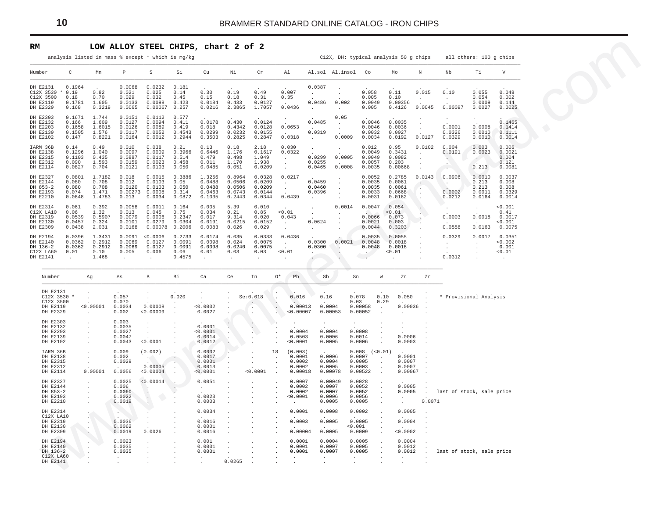#### **RM LOW ALLOY STEEL CHIPS, chart 2 of 2**

<span id="page-9-0"></span>

| RM                                                        |                                                         |                                             |                                                    |                                                                    |                                              | LOW ALLOY STEEL CHIPS, chart 2 of 2              |                                                |                                                |                                           |                                                  |                                              |                                                 |                                                            |                                      |                                                    |                                                          |                                               |                                                      |                                                       |
|-----------------------------------------------------------|---------------------------------------------------------|---------------------------------------------|----------------------------------------------------|--------------------------------------------------------------------|----------------------------------------------|--------------------------------------------------|------------------------------------------------|------------------------------------------------|-------------------------------------------|--------------------------------------------------|----------------------------------------------|-------------------------------------------------|------------------------------------------------------------|--------------------------------------|----------------------------------------------------|----------------------------------------------------------|-----------------------------------------------|------------------------------------------------------|-------------------------------------------------------|
|                                                           |                                                         |                                             |                                                    | analysis listed in mass % except * which is mg/kg                  |                                              |                                                  |                                                |                                                |                                           |                                                  |                                              | C12X, DH: typical analysis 50 g chips           |                                                            |                                      |                                                    |                                                          |                                               | all others: 100 g chips                              |                                                       |
| Number                                                    | C                                                       | Mn                                          | $\mathbb P$                                        | S                                                                  | Si                                           | Cu                                               | Νi                                             | $\operatorname{\sf Cr}$                        |                                           | A <sub>1</sub>                                   |                                              | Al.sol Al.insol Co                              |                                                            |                                      | Mo                                                 | $\, {\mathbb N}$                                         | Nb                                            | Тi                                                   | $\mathbf V$                                           |
| DH E2131<br>C12X 3500<br>DH E2119<br>DH E2329             | 0.1964<br>$C12X$ 3530 * 0.19<br>0.18<br>0.1781<br>0.168 | 0.82<br>0.70<br>1.605<br>0.3219             | 0.0068<br>0.021<br>0.029<br>0.0133<br>0.0065       | 0.0232<br>0.025<br>0.032<br>0.0098<br>$0.00067$ 0.257              | 0.181<br>0.14<br>0.45<br>0.423               | 0.30<br>0.15<br>0.0184<br>0.0216                 | 0.19<br>0.18<br>0.433<br>2.3865                | 0.49<br>0.31<br>0.0127<br>1.7057               |                                           | 0.007<br>0.35<br>0.0436                          | 0.0387<br>$\sim$<br>0.0486<br>$\sim 10^{-1}$ | $\sim$<br>0.002<br>$\sim 10^{-11}$              | 0.058<br>0.005<br>0.0049<br>0.005                          |                                      | 0.11<br>0.10<br>0.00356<br>0.4126                  | 0.015<br>$\sim$<br>0.0045                                | 0.10<br>$\sim$<br>0.00097                     | 0.055<br>0.054<br>0.0009<br>0.0027                   | 0.048<br>0.002<br>0.144<br>0.0025                     |
| DH E2303<br>DH E2132<br>DH E2203<br>DH E2139<br>DH E2102  | 0.1671<br>0.166<br>0.1658<br>0.1505<br>0.147            | 1.744<br>1.609<br>1.6015<br>1.576<br>0.8221 | 0.0151<br>0.0127<br>0.0126<br>0.0117<br>0.0164     | 0.0112<br>0.0094<br>0.0089<br>0.0052<br>0.0012                     | 0.577<br>0.411<br>0.419<br>0.4543<br>0.2944  | 0.0178<br>0.018<br>0.0299<br>0.3503              | 0.430<br>0.4342<br>0.0232<br>0.2825            | 0.0124<br>0.0128<br>0.0155<br>0.2847           |                                           | 0.0653<br>0.0318                                 | 0.0485<br>0.0319<br>$\sim 10^{-1}$           | 0.05<br>$\sim$<br>$\sim$<br>0.0009              | 0.0046<br>0.0046<br>0.0032<br>0.0034                       |                                      | 0.0035<br>0.0036<br>0.0027<br>0.0192               | $\ddot{\phantom{a}}$<br>$\sim 10^{-11}$<br>0.0127        | 0.0001<br>0.0326<br>0.0329                    | 0.0008<br>0.0010<br>0.0010                           | 0.1465<br>0.1414<br>0.1111<br>0.0014                  |
| IARM 36B<br>DH E2138<br>DH E2315<br>DH E2312<br>DH E2114  | 0.14<br>0.1296<br>0.1103<br>0.090<br>0.0827             | 0.49<br>1.040<br>0.435<br>1.593<br>0.704    | 0.010<br>0.0097<br>0.0887<br>0.0159<br>0.0121      | 0.038<br>0.0009<br>0.0117<br>0.0023<br>0.0103                      | 0.21<br>0.3966<br>0.514<br>0.458<br>0.050    | 0.13<br>0.6446<br>0.479<br>0.011<br>0.0485       | 0.18<br>1.176<br>0.498<br>1.170<br>0.051       | 2.18<br>0.1617<br>1.049<br>1.938<br>0.0209     |                                           | 0.030<br>0.0322<br>$\sim$<br>$\sim$              | $\cdot$<br>0.0299<br>0.0255<br>0.0465        | 0.0005<br>0.0008                                | 0.012<br>0.0049<br>0.0049<br>0.0057<br>0.0035              |                                      | 0.95<br>0.3431<br>0.0082<br>0.203<br>0.00668       | 0.0102<br>$\sim$                                         | 0.004<br>0.0191<br>A.<br>$\cdot$<br>$\sim$    | 0.003<br>0.0023<br>$\sim$<br>0.213                   | 0.006<br>0.0021<br>0.004<br>0.121<br>0.0081           |
| DH E2327<br>DH E2144<br>DH 853-2<br>DH E2193<br>DH E2210  | 0.0801<br>0.080<br>0.080<br>0.074<br>0.0648             | 1.7182<br>0.708<br>0.708<br>1.471<br>1.4783 | 0.018<br>0.012<br>0.0120<br>0.00273<br>0.013       | 0.0015<br>0.0103<br>0.0103<br>0.0008<br>0.0034                     | 0.3886<br>0.05<br>0.050<br>0.314<br>0.0872   | 1.3256<br>0.0488<br>0.0488<br>0.0463<br>0.1035   | 0.8964<br>0.0506<br>0.0506<br>0.0743<br>0.2443 | 0.0328<br>0.0209<br>0.0209<br>0.0144<br>0.0344 |                                           | 0.0217<br>$\sim$<br>$\sim$<br>0.0439             | 0.0459<br>0.0460<br>0.0396<br>$\sim$         | $\sim$<br>$\sim$<br>$\sim$                      | 0.0052<br>0.0035<br>0.0035<br>0.0033<br>0.0031             |                                      | 0.2785<br>0.0061<br>0.0061<br>0.0668<br>0.0162     | 0.0143<br>$\sim$<br>a.<br>$\sim$<br>$\ddot{\phantom{1}}$ | 0.0906<br><b>Security</b><br>0.0002<br>0.0212 | 0.0010<br>0.213<br>0.213<br>0.0011<br>0.0164         | 0.0037<br>0.008<br>0.008<br>0.0329<br>0.0014          |
| DH E2314<br>C12X LA10<br>DH E2319<br>DH E2130<br>DH E2309 | 0.061<br>0.06<br>0.0539<br>0.0457<br>0.0438             | 0.392<br>1.32<br>0.5907<br>0.324<br>2.031   | 0.0058<br>0.013<br>0.0079<br>0.0101<br>0.0168      | 0.0011<br>0.045<br>0.0006<br>0.0279<br>0.00078                     | 0.164<br>0.75<br>0.2347<br>0.0304<br>0.2006  | 0.005<br>0.034<br>0.017<br>0.0191<br>0.0083      | 5.39<br>0.21<br>9.314<br>0.0215<br>0.026       | 0.010<br>0.85<br>0.020<br>0.0152<br>0.029      |                                           | < 0.01<br>0.043<br>$\sim$<br>$\blacksquare$      | $\cdot$<br>$\sim$<br>0.0624<br>$\sim$        | 0.0014<br>$\sim$<br>$\sim$                      | 0.0047<br>0.0066<br>0.0021<br>0.0044                       |                                      | 0.054<br>< 0.01<br>0.073<br>0.003<br>0.3203        | $\cdot$<br>A.<br>۰.                                      | $\cdot$<br>0.0003<br>0.0558                   | $\sim$<br>0.0018                                     | < 0.001<br>0.41<br>0.0017<br>0.001<br>$0.0163$ 0.0075 |
| DH E2194<br>DH E2140<br>DH 136-2<br>C12X LA60<br>DH E2141 | 0.0396<br>0.0362<br>0.0362<br>0.01<br>$\sim$            | 1.3431<br>0.2912<br>0.2912<br>0.10<br>1.468 | 0.0069<br>0.0069<br>0.005<br>$\sim$                | 0.0091 < 0.0006<br>0.0127<br>0.0127<br>0.006<br>$\cdot$            | 0.2733<br>0.0091<br>0.0091<br>0.06<br>0.4575 | 0.0174<br>0.0098<br>0.0098<br>0.01<br>$\sim$     | 0.035<br>0.024<br>0.0240<br>0.03               | 0.0333<br>0.0075<br>0.0075<br>0.03             |                                           | 0.0436<br>$\sim 10^{-11}$<br>< 0.01              | 0.0300<br>0.0300<br>$\cdot$                  | 0.0021<br>$\sim$ 4.                             | 0.0035<br>0.0048<br>0.0048                                 |                                      | 0.0055<br>0.0018<br>0.0018<br>< 0.01               | $\cdot$<br>$\cdot$                                       | 0.0329<br>$\sim$<br>$\sim$<br>0.0312          | 0.0017<br>$\sim$<br>$\blacksquare$<br>$\blacksquare$ | 0.0351<br>0.002<br>0.001<br>< 0.01<br>$\sim$          |
| Number                                                    |                                                         | Αg                                          | As                                                 | $_{\rm B}$                                                         | Bi                                           | Ca                                               | Ce                                             | In                                             | $O*$                                      | Pb                                               | Sb                                           |                                                 | Sn                                                         | W                                    | Zn                                                 | Zr                                                       |                                               |                                                      |                                                       |
| DH E2131<br>DH E2119<br>DH E2329                          | C12X 3530 *<br>C12X 3500                                | $\sim$<br>< 0.00001<br>$\ddot{\phantom{a}}$ | 0.057<br>0.070<br>0.0034<br>0.002                  | $\sim$<br>0.00008<br>< 0.00009                                     | 0.020                                        | $\sim$<br>< 0.0002<br>0.0027                     |                                                | Se: 0.018<br>$\sim$<br>$\cdot$<br>$\cdot$      | $\sim$                                    | 0.016<br>0.00013<br>< 0.00007                    | 0.16                                         | 0.0004<br>0.00053                               | 0.078<br>0.03<br>0.00058<br>0.00052                        | 0.10<br>0.29<br>$\ddot{\phantom{a}}$ | 0.050<br>0.00036<br>$\sim$                         |                                                          | * Provisional Analysis                        |                                                      |                                                       |
| DH E2303<br>DH E2132<br>DH E2203<br>DH E2139<br>DH E2102  |                                                         | $\ddot{\phantom{a}}$<br>$\cdot$<br>$\cdot$  | 0.003<br>0.0035<br>0.0027<br>0.0047<br>0.0043      | $\cdot$<br>$\sim$<br>< 0.0001                                      |                                              | 0.0001<br>< 0.0001<br>0.0014<br>0.0012           | $\cdot$<br>$\cdot$<br>$\cdot$                  | $\mathbf{A}$<br>$\cdot$                        |                                           | 0.0004<br>0.0503<br>0.0001                       |                                              | 0.0004<br>0.0006<br>0.0005                      | 0.0008<br>0.0014<br>0.0006                                 |                                      | $\sim$<br>0.0006<br>0.0003                         |                                                          |                                               |                                                      |                                                       |
| IARM 36B<br>DH E2138<br>DH E2315<br>DH E2312<br>DH E2114  |                                                         | $\cdot$<br>$\sim$<br>0.00001                | 0.009<br>0.002<br>0.0029<br>0.0056                 | (0.002)<br><b>TOM</b><br>0.00005<br>< 0.00004                      |                                              | 0.0002<br>0.0017<br>0.0001<br>0.0013<br>< 0.0001 | $\cdot$<br>٠.<br>$\cdot$<br>$\cdot$<br>$\cdot$ | $\cdot$<br>$\cdot$<br>< 0.0001                 | 18<br>$\blacksquare$<br>$\cdot$<br>$\sim$ | (0.003)<br>0.0001<br>0.0002<br>0.0002<br>0.00018 |                                              | 0.0006<br>0.0004<br>0.0005<br>0.00078           | $0.008$ $(<0.01)$<br>0.0007<br>0.0005<br>0.0003<br>0.00522 | $\sim$                               | 0.0001<br>0.0007<br>0.0007<br>0.00067              |                                                          |                                               |                                                      |                                                       |
| DH E2327<br>DH E2144<br>DH 853-2<br>DH E2193<br>DH E2210  |                                                         | $\cdot$<br>$\cdot$                          | 0.0025<br>0.006<br>0.0060<br>0.0022<br>0.0019      | < 0.00014<br>$\mathcal{A}$ .<br>$\mathcal{A}$<br>$\cdot$<br>$\sim$ |                                              | 0.0051<br>$\sim$ $-$<br>0.0023<br>0.0003         | $\ddot{\phantom{a}}$                           |                                                | $\ddot{\phantom{a}}$                      | 0.0007<br>0.0002<br>0.0002<br>< 0.0001<br>$\sim$ |                                              | 0.00049<br>0.0007<br>0.0007<br>0.0006<br>0.0005 | 0.0028<br>0.0052<br>0.0052<br>0.0056<br>0.0005             |                                      | 0.0005<br>0.0005<br>$\sim$                         | $\sim$ $\sim$<br>0.0071                                  | last of stock, sale price                     |                                                      |                                                       |
| DH E2314<br>DH E2319<br>DH E2130<br>DH E2309              | C12X LA10                                               | $\sim$<br>$\cdot$<br>ч÷.                    | 0.0036<br>0.0062<br>0.0019                         | $\cdot$<br>0.0026                                                  |                                              | 0.0034<br>0.0016<br>0.0001<br>0.0016             | $\cdot$                                        |                                                |                                           | 0.0001<br>0.0003<br>0.00004                      |                                              | 0.0008<br>0.0005<br>0.0005                      | 0.0002<br>0.0005<br>< 0.001<br>0.0009                      |                                      | 0.0005<br>0.0004<br>< 0.0002                       |                                                          |                                               |                                                      |                                                       |
| DH E2194<br>DH E2140<br>DH 136-2                          | C12X LA60<br>DH E2141                                   | $\cdot$                                     | 0.0023<br>0.0035<br>0.0035<br>$\ddot{\phantom{a}}$ | $\cdot$                                                            |                                              | 0.001<br>0.0001<br>0.0001                        | $\cdot$<br>$\cdot$<br>0.0265                   |                                                |                                           | 0.0001<br>0.0001<br>0.0001<br>$\cdot$            | $\sim$<br>$\sim$                             | 0.0004<br>0.0007<br>0.0007                      | 0.0005<br>0.0005<br>0.0005<br>$\sim$                       |                                      | 0.0004<br>0.0012<br>0.0012<br>$\ddot{\phantom{0}}$ | $\sim$                                                   | last of stock, sale price                     |                                                      |                                                       |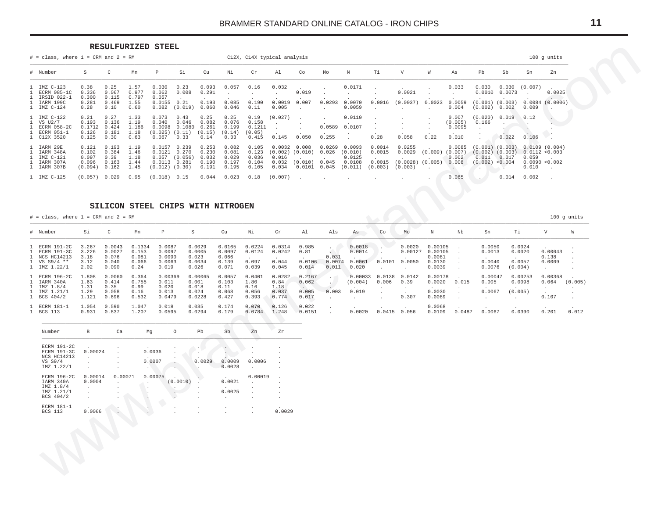#### RESULFURIZED STEEL

<span id="page-10-0"></span>

| $#$ = class, where $1$ = CRM and $2$ = RM                              |                                             |                                          |                                        |                                                           |                                           |                                           |                                           |                                            | C12X, C14X typical analysis                |                                                   |                            |                                                             |                                       |                                                     |                                        |                                     |                                                                |                                        |                                                                     | $100$ g units                      |
|------------------------------------------------------------------------|---------------------------------------------|------------------------------------------|----------------------------------------|-----------------------------------------------------------|-------------------------------------------|-------------------------------------------|-------------------------------------------|--------------------------------------------|--------------------------------------------|---------------------------------------------------|----------------------------|-------------------------------------------------------------|---------------------------------------|-----------------------------------------------------|----------------------------------------|-------------------------------------|----------------------------------------------------------------|----------------------------------------|---------------------------------------------------------------------|------------------------------------|
| # Number                                                               | S                                           | C                                        | Mn                                     | P                                                         | Si                                        | Cu                                        | Νi                                        | Cr                                         | Al                                         | Co                                                | Mo                         | N                                                           | Тi                                    | V                                                   | W                                      | As                                  | Pb                                                             | Sb                                     | Sn                                                                  | Zn                                 |
| 1 IMZ C-123<br>ECRM 085-1C<br>IRSID 022-1<br>IARM 199C<br>1 IMZ C-124  | 0.38<br>0.336<br>0.300<br>0.281<br>0.28     | 0.25<br>0.067<br>0.115<br>0.469<br>0.10  | 1.57<br>0.977<br>0.797<br>1.55<br>0.60 | 0.030<br>0.062<br>0.057<br>0.0155<br>0.082                | 0.23<br>0.008<br>0.21<br>(0.019)          | 0.093<br>0.291<br>0.193<br>0.060          | 0.057<br>0.085<br>0.046                   | 0.16<br>0.190<br>0.11                      | 0.032<br>$\overline{a}$<br>0.0019<br>0.005 | $\sim$<br>0.019<br>0.007                          | $\sim$<br>0.0293<br>$\sim$ | 0.0171<br>0.0070<br>0.0059                                  | $\sim$ $\sim$<br>0.0016               | $\sim$<br>0.0021<br>(0.0037)                        | $\ddot{\phantom{0}}$<br>0.0023         | 0.033<br>0.0059<br>0.004            | 0.030<br>0.0010<br>(0.002)                                     | 0.0073<br>$(0.001)$ $(0.003)$<br>0.002 | $0.030$ $(0.007)$<br>0.009                                          | $\sim$<br>0.0025<br>0.0084(0.0006) |
| IMZ C-122<br>$1$ VS $U2/7$<br>ECRM 058-2C<br>1 ECRM 051-1<br>C12X 3520 | 0.21<br>0.193<br>0.1712<br>0.126<br>0.125   | 0.27<br>0.136<br>0.424<br>0.181<br>0.30  | 1.33<br>1.19<br>1.186<br>1.18<br>0.63  | 0.073<br>0.040<br>0.0098<br>(0.025)<br>0.067              | 0.43<br>0.046<br>0.1080<br>(0.11)<br>0.33 | 0.25<br>0.082<br>0.261<br>(0.15)<br>0.14  | 0.25<br>0.076<br>0.199<br>(0.14)<br>0.33  | 0.19<br>0.158<br>0.1211<br>(0.05)<br>0.415 | (0.027)<br>0.145                           | $\overline{\phantom{a}}$<br>0.050                 | $\sim$<br>0.0589<br>0.255  | 0.0110<br>0.0107                                            | 0.28                                  | 0.058                                               | $\ddot{\phantom{0}}$<br>$\sim$<br>0.22 | 0.007<br>(0.005)<br>0.0095<br>0.010 | (0.020)<br>0.166<br>$\sim$                                     | 0.019<br>0.022                         | 0.12<br>0.106                                                       | $\cdot$                            |
| 1 IARM 29E<br>IARM 348A<br>1 IMZ C-121<br>IARM 307A<br>1 IARM 307B     | 0.121<br>0.102<br>0.097<br>0.096<br>(0.094) | 0.193<br>0.384<br>0.39<br>0.163<br>0.162 | 1.19<br>1.46<br>1.18<br>1.44<br>1.45   | 0.0157<br>0.0121<br>0.057<br>0.0113<br>$(0.012)$ $(0.30)$ | 0.239<br>0.270<br>(0.056)<br>0.281        | 0.253<br>0.230<br>0.032<br>0.190<br>0.191 | 0.082<br>0.081<br>0.029<br>0.197<br>0.195 | 0.105<br>0.123<br>0.036<br>0.104<br>0.105  | 0.0032<br>0.016<br>0.032<br>0.034          | 0.008<br>$(0.002)$ $(0.010)$<br>(0.010)<br>0.0101 | 0.026<br>0.045<br>0.045    | $0.0269$ $0.0093$<br>(0.010)<br>0.0125<br>0.0108<br>(0.011) | 0.0014<br>0.0015<br>0.0015<br>(0.003) | 0.0255<br>0.0029<br>$(0.0028)$ $(0.005)$<br>(0.003) | (0.009)<br>$\sim$                      | 0.0085<br>(0.007)<br>0.002<br>0.008 | $(0.001)$ $(0.003)$<br>$(0.002)$ $(0.003)$<br>0.011<br>(0.002) | 0.017<br>< 0.004                       | 0.0109(0.004)<br>0.0112 < 0.003<br>0.059<br>0.0090 < 0.002<br>0.010 |                                    |
| 1 IMZ C-125                                                            | (0.057)                                     | 0.029                                    | 0.95                                   | (0.018)                                                   | 0.15                                      | 0.044                                     | 0.023                                     | 0.18                                       | (0.007)                                    | $\sim$                                            |                            |                                                             |                                       |                                                     |                                        | 0.065                               | $\sim$                                                         | 0.014                                  | 0.002                                                               | $\cdot$                            |

#### SILICON STEEL CHIPS WITH NITROGEN

 $#$  = class, where 1 = CRM and 2 = RM

# Number  $Si$  $\,$  C Mn  $\, {\bf p}$  $\mathtt S$  ${\rm cu}$ Νi  ${\rm Cr}$  $\mathtt{Al}$ Als As  $Co$  $_{\mathrm{Mo}}$  $\mathbbm{N}$  ${\tt Nb}$  ${\rm Sn}$  $\rm Ti$  $\mathbf{V}$  $\it W$  $\mathcal{L}$  $0.0029$  $0.0165$  $0.0224$  $0.0018$  $0.00105$ 1 ECRM 191-2C 3.267  $0.0043$ 0.1334  $0.0087$  $0.0314$  $0.985$  $\mathcal{N}$  .  $0.0020$  $\mathcal{L}_{\bullet}$  $0.0050$  $0.0024$  $0.00043$  $\overline{1}$ ECRM 191-3C 3.226  $0.0027$  $0.153$ 0.0097  $0.0005$  $0.0097$  $0.0124$  $0.0242$  $0.81$  $0.0014$  $0.00127$  $0.00105$  $0.0013$  $0.0020$  $\mathcal{L}_{\bullet}$  $\ddot{\phantom{0}}$  $\overline{1}$ NCS HC14213  $3.18$ 0.076  $0.081$  $0.0090$  $0.023$  $0.066$  $0.031$ 0 0081 0.138  $\cdot$  $0.044$  $0.0106$  $0.0074$   $0.0061$  $0.0057$  $0.097$  $0.0101$   $0.0050$  $0.0040$  $0.0009$  $\overline{1}$  $VS$   $S9/4$  \*\* 3.12  $0.040$ 0.066 0 0063 0 0034  $0.139$ 0 0130  $\cdot$  $1$  IMZ  $1.22/1$ 2.02 0.090  $0.24$  $0.019$  $0.026$  $0.071$ 0.039  $0.045$  $0.014$  $0.011$  $0.020$  $0.0039$  $0.0076$  $(0.004)$  $\cdot$  $\sim$  $\cdot$ **ECRM 196-2C** 0.0060  $0.00369$  $0.00065$  $0.0057$  $0.0401$  $0.0282$  $0.2167$  $0.00033$   $0.0138$   $0.0142$ 0.00178  $0.00047$  $0.00253$ 0.00368  $\mathbf{1}$ 1 808 0.364  $\cdot$  [  $0.005$ IARM 340A 1.63  $0.414$ 0.755  $0.011$  $0.001$  $0.103$ 1.80  $0.84$  $0.062$  $(0.004)$  $0.006$   $0.39$  $0.0020 0.015$ 0.0098  $0.064$   $(0.005)$  $\overline{1}$  $\Delta$  $1.18$ IMZ 1.8/4  $1.31$  $0.35$  $0.99$  $0.020$  $0.018$  $0.11$  $0.16$  $\mathbf{1}$  $\sim$  $\cdot$ IMZ 1.21/1  $1.29$  $0.058$  $0.16$  $0.013$  $0.024$ 0.068  $0.056$  $0.037$  $0.005$  $-0.003$  $0.019$  $0.0030$  $0.0067$  $(0.005)$ 1  $\mathcal{L}_{\bullet}$  $\overline{a}$ 1 BCS 404/2  $0.427$  $0.774$  $0.307$  $0.0089$  $0.107$ 1.121 0.696 0.532 0.0479  $0.0228$ 0.393  $0.017$  $\sim$  $\sim$  $\mathbf{r}$  $\sim$  $\sim$  $\sim$  $\sim$ 1 ECRM 181-1 1.054 0.590 1.047  $0.018$  $0.035$  $0.174$  $0.070$  $0.126$  $0.022$  $0.0068$  $\cdot$ 1 BCS 113  $0.931$ 0.837 1.207 0.0595  $0.0294$  $0.179$  $0.0784$ 1.248  $0.0151$  $0.0020$   $0.0415$   $0.056$  $0.0109$  $0.0487$  $0.0067$ 0.0390  $0.201$  $0.012$  $\sim$ 

| Number                                                                           | B                                                                                                          | Ca      | Mq               | $\circ$  | Pb                               | Sb                                                 | Zn                                        | z <sub>r</sub> |
|----------------------------------------------------------------------------------|------------------------------------------------------------------------------------------------------------|---------|------------------|----------|----------------------------------|----------------------------------------------------|-------------------------------------------|----------------|
| <b>ECRM 191-2C</b><br><b>ECRM 191-3C</b><br>NCS HC14213<br>VS S9/4<br>IMZ 1.22/1 | <b>Contract Contract Contract Contract</b><br>0.00024<br>$\lambda$<br>$\mathbf{r}$<br>$\ddot{\phantom{0}}$ | ٠       | 0.0036<br>0.0007 |          | 0.0029                           | 0.0009<br>0.0028                                   | 0.0006<br>$\ddot{\phantom{a}}$            | ×              |
| ECRM 196-2C<br>IARM 340A<br>IMZ 1.8/4<br>IMZ 1.21/1<br>BCS 404/2                 | 0.00014<br>0.0004<br>$\ddot{\phantom{a}}$                                                                  | 0.00071 | 0.00075          | (0.0010) | $\mathbf{r}$<br>$\blacksquare$   | $\sim$<br>0.0021<br>$\ddot{\phantom{a}}$<br>0.0025 | 0.00019<br>$\mathbf{r}$<br>$\blacksquare$ | ×<br>×         |
| ECRM 181-1<br><b>BCS 113</b>                                                     | 0.0066                                                                                                     |         |                  |          | $\blacksquare$<br>$\blacksquare$ |                                                    | ¥.                                        | 0.0029         |
|                                                                                  |                                                                                                            |         |                  |          |                                  |                                                    |                                           |                |

 $11$ 

 $100$  g units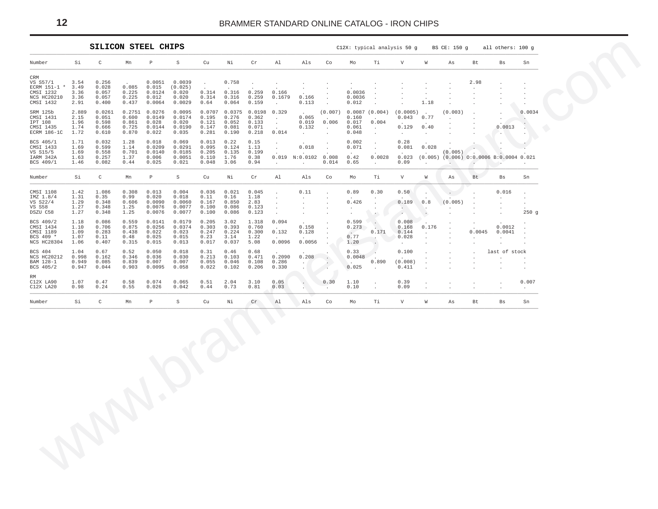<span id="page-11-0"></span>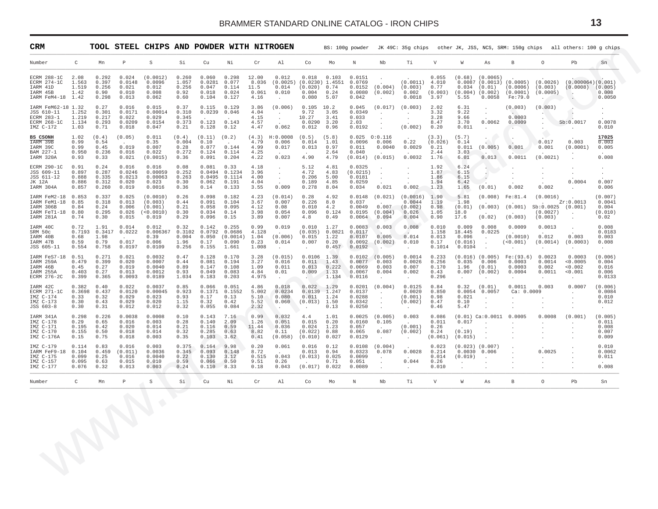<span id="page-12-0"></span>

|                                                                                        |                                                                                      | <b>TOOL STEEL CHIPS AND POWDER WITH NITROGEN</b> |                                                      |                                          |                                            |                                               |                                         |                                                           |                                                                       |                                         |                                                 |                                                          |                                                               |                                           |                                               |                                                                |                                                               |                                                        | BS: 100g powder JK 49C: 35g chips other JK, JSS, NCS, SRM: 150g chips all others: 100 g chips |                                               |
|----------------------------------------------------------------------------------------|--------------------------------------------------------------------------------------|--------------------------------------------------|------------------------------------------------------|------------------------------------------|--------------------------------------------|-----------------------------------------------|-----------------------------------------|-----------------------------------------------------------|-----------------------------------------------------------------------|-----------------------------------------|-------------------------------------------------|----------------------------------------------------------|---------------------------------------------------------------|-------------------------------------------|-----------------------------------------------|----------------------------------------------------------------|---------------------------------------------------------------|--------------------------------------------------------|-----------------------------------------------------------------------------------------------|-----------------------------------------------|
| Number<br>C                                                                            | Mn                                                                                   | P                                                | S                                                    | Si                                       | Cu                                         | Νi                                            | Cr                                      | Al                                                        | Co                                                                    | Mo                                      | N                                               | Nb                                                       | Тi                                                            | V                                         | W                                             | As                                                             | B                                                             | $\circ$                                                | Pb                                                                                            | Sn                                            |
| ECRM 288-1C<br>2.08<br>ECRM 274-1C<br>IARM 41D<br>IARM 45B<br>IARM FeM4-18 1.42        | 0.292<br>1.563<br>0.397<br>1.519<br>0.256<br>1.42<br>0.90<br>0.298                   | 0.024<br>0.0148<br>0.021<br>0.010<br>0.013       | (0.0012)<br>0.0096<br>0.012<br>0.008<br>0.062        | 0.260<br>1.057<br>0.256<br>0.92<br>0.60  | 0.060<br>0.0281<br>0.047<br>0.018<br>0.104 | 0.298<br>0.077<br>0.114<br>0.024<br>0.127     | 12.00<br>8.036<br>11.5<br>0.061<br>4.16 | 0.012<br>(0.0025)<br>0.014<br>0.010<br>$\cdot$            | 0.018<br>$(0.0230)$ 1.4551<br>$(0.020)$ 0.74<br>0.004<br>0.080        | 0.103<br>0.24<br>5.07                   | 0.0151<br>0.0769<br>0.0152<br>0.0080<br>0.042   | (0.004)<br>(0.002)                                       | $(0.0011)$ 4.010<br>(0.003)<br>0.002<br>0.0018                | 0.055<br>0.77<br>(0.003)<br>3.97          | 0.034<br>5.55                                 | $(0.68)$ $(0.0065)$<br>(0.01)<br>$(0.004)$ $(0.002)$<br>0.0058 | $0.0087$ (0.0013) (0.0005)<br>(0.0006)<br>(0.0001)<br>Fe:79.0 | (0.0026)<br>(0.003)<br>(0.0005)                        | (0.000064)(0.001)<br>(0.0008)<br>$\sim$                                                       | (0.005)<br>0.008<br>0.0050                    |
| IARM FeM62-18 1.32<br>JSS 610-11<br>ECRM 283-1<br>ECRM 268-1C<br>$IMZ C-172$           | 0.27<br>1.252<br>0.301<br>1.219<br>0.217<br>1.134<br>0.293<br>1.03<br>0.71           | 0.016<br>0.0171<br>0.022<br>0.0209<br>0.018      | 0.015<br>0.00014<br>0.029<br>0.0154<br>0.047         | 0.37<br>0.310<br>0.345<br>0.373<br>0.21  | 0.115<br>0.0239<br>0.123<br>0.128          | 0.129<br>0.046<br>0.143<br>0.12               | 3.86<br>4.04<br>4.15<br>4.57<br>4.47    | (0.006)<br>$\sim$<br>$\cdot$<br>0.062                     | 0.105<br>9.72<br>10.27<br>$0.0290$ 3.20<br>0.012                      | 10.2<br>3.05<br>3.41<br>0.96            | 0.045<br>0.0349<br>0.033<br>2.03<br>0.0192      | (0.017)<br>$\cdot$<br>$\cdot$<br>$\cdot$                 | (0.003)<br>$\sim$<br>$\cdot$<br>(0.002)                       | 2.02<br>3.32<br>3.28<br>8.47<br>0.20      | 6.31<br>9.22<br>9.66<br>3.70<br>0.011         | $\cdot$<br>$\sim 100$<br>$\sim$<br>0.0062<br>$\sim$            | (0.003)<br>$\sim$<br>0.0003<br>0.0009<br>$\sim$               | (0.003)                                                | $\sim$<br>Sb:0.0017<br>$\cdot$                                                                | 0.0078<br>0.010                               |
| BS CSONH<br>IARM 39B<br>IARM 39C<br>BAM 227-1<br>IARM 320A                             | 1.02<br>(0.4)<br>0.99<br>0.54<br>0.45<br>0.99<br>0.236<br>0.950<br>0.93<br>0.33      | (0.05)<br>$\sim$<br>0.019<br>0.016<br>0.021      | 0.011<br>0.35<br>0.007<br>0.022<br>(0.0015)          | (0.4)<br>0.004<br>0.28<br>0.272<br>0.36  | (0.11)<br>0.10<br>0.077<br>0.124<br>0.091  | (0.2)<br>$\sim$<br>0.144<br>0.114<br>0.204    | (4.3)<br>4.79<br>4.99<br>4.25<br>4.22   | H:0.0008<br>0.006<br>0.017<br>0.023                       | (0.5)<br>0.014<br>0.013<br>4.90                                       | (5.8)<br>1.01<br>0.97<br>2.64<br>4.79   | 0.0096<br>0.011<br>0.040<br>(0.014)             | 0.025 0:0.116<br>0.006<br>0.0040<br>(0.015)              | 0.22<br>0.0029<br>0.0032                                      | (3.3)<br>(0.026)<br>0.21<br>2.44<br>1.76  | (5.7)<br>0.14<br>0.011<br>3.03<br>6.01        | $\mathcal{L}^{\mathcal{A}}$<br>(0.005)<br>0.013                | $\cdot$<br>0.001<br>0.0011                                    | 0.017<br>0.001<br>(0.0021)                             | 0.003<br>(0.0001)                                                                             | 17025<br>0.003<br>0.005<br>0.008              |
| ECRM 290-1C<br>JSS 609-11<br>JSS 611-12<br>JK 12A<br>IARM 304A                         | 0.24<br>0.91<br>0.287<br>0.897<br>0.335<br>0.888<br>0.886<br>0.312<br>0.857<br>0.260 | 0.016<br>0.0246<br>0.0213<br>0.020<br>0.019      | 0.016<br>0.00059<br>0.00063<br>0.023<br>0.0016       | 0.08<br>0.252<br>0.263<br>0.30<br>0.36   | 0.081<br>0.0494<br>0.0495<br>0.062<br>0.14 | 0.33<br>0.1234<br>0.1114<br>0.191<br>0.133    | 4.18<br>3.96<br>4.00<br>4.04<br>3.55    | $\cdot$<br>$\cdot$<br>$\sim$<br>0.009                     | 5.12<br>4.72<br>0.206<br>0.189<br>0.278                               | 4.81<br>4.83<br>5.00<br>4.85<br>8.04    | 0.0325<br>(0.0215)<br>0.0181<br>0.0259<br>0.034 | $\cdot$<br>$\cdot$<br>0.021                              | $\cdot$<br>$\sim$<br>0.002                                    | 1.92<br>1.87<br>1.86<br>1.94<br>1.23      | 6.24<br>6.15<br>6.15<br>6.42<br>1.65          | $\sim$<br>$\sim$<br>$\langle \cdot \rangle$<br>(0.01)          | 0.002                                                         | $\cdot$<br>0.002                                       | $\sim$<br>0.0004                                                                              | $\cdot$<br>0.007<br>0.006                     |
| IARM FeM2-18<br>IARM FeM1-18<br>0.85<br>IARM 306B<br>IARM FeT1-18<br>0.80<br>IARM 281A | 0.853<br>0.337<br>0.318<br>0.84<br>0.24<br>0.295<br>0.74<br>0.30                     | 0.025<br>0.013<br>0.006<br>0.026<br>0.015        | (0.0010)<br>(0.003)<br>(0.001)<br>(<0.0010)<br>0.019 | 0.26<br>0.44<br>0.21<br>0.30<br>0.29     | 0.098<br>0.091<br>0.058<br>0.034<br>0.096  | 0.182<br>0.104<br>0.095<br>0.14<br>0.15       | 4.23<br>3.67<br>4.12<br>3.98<br>3.89    | (0.014)<br>0.007<br>0.08<br>0.054<br>0.007                | 0.28<br>0.226<br>0.010<br>0.096<br>4.8                                | 4.92<br>8.0<br>4.2<br>0.124<br>0.49     | 0.0148<br>0.037<br>0.0049<br>0.0195<br>0.0064   | (0.021)<br>0.007<br>(0.004)<br>0.094                     | (0.0016)<br>0.0044<br>(0.002)<br>0.026<br>0.004               | 1.90<br>1.19<br>0.98<br>1.05<br>0.90      | 5.81<br>1.98<br>(0.01)<br>18.0<br>17.6        | (0.008)<br>(0.003)<br>(0.02)                                   | Fe:81.4<br>(0.001)<br>(0.003)                                 | (0.0016)<br>$Sb:0.0025$ (0.001)<br>(0.0027)<br>(0.003) | Zr:0.0013<br>$\sim$<br>$\cdot$                                                                | (0.007)<br>0.0041<br>0.004<br>(0.010)<br>0.02 |
| IARM 40C<br>SRM 50c<br>IARM 40B<br>IARM 47B<br>JSS 605-11                              | 0.72<br>1.91<br>0.7193 0.3417<br>0.68<br>1.98<br>0.59<br>0.79<br>0.758<br>0.554      | 0.014<br>0.0222<br>0.017<br>0.0197               | 0.012<br>0.006367<br>0.39<br>0.006<br>0.0109         | 0.32<br>0.3102<br>0.004<br>1.96<br>0.256 | 0.142<br>0.0792<br>0.050<br>0.17<br>0.155  | 0.255<br>0.0686<br>(0.0014)<br>0.090<br>1.661 | 0.99<br>4.128<br>1.04<br>0.23<br>1.008  | 0.019<br>(0.006)<br>0.014<br>$\ddot{\phantom{a}}$         | 0.010<br>(0.035)<br>0.015<br>0.007<br>$\cdot$                         | 1.27<br>0.0821<br>1.22<br>0.20<br>0.457 | 0.0083<br>0.0117<br>0.0107<br>0.0092<br>0.0192  | 0.003<br>$\sim$<br>0.005<br>(0.002)<br>$\cdot$           | 0.008<br>$\sim$<br>0.014<br>0.010<br>$\ddot{\phantom{0}}$     | 0.010<br>1.158<br>0.013<br>0.17<br>0.1014 | 0.009<br>18.445<br>0.096<br>(0.016)<br>0.0104 | 0.008<br>0.0225<br>$\sim$<br>$\cdot$<br>$\overline{a}$         | 0.0009<br>(0.0010)<br>(< 0.001)                               | 0.0013<br>$\sim$<br>0.012<br>(0.0014)                  | $\cdot$<br>0.003<br>(0.0003)<br>$\cdot$                                                       | 0.008<br>0.0183<br>0.003<br>0.008<br>$\sim$   |
| IARM FeS7-18<br>0.51<br>IARM 259A<br>IARM 46B<br>IARM 255A<br>ECRM 276-2C              | 0.271<br>0.479<br>0.399<br>0.45<br>0.27<br>0.403<br>0.27<br>0.365<br>0.399           | 0.021<br>0.020<br>0.019<br>0.013<br>0.0093       | 0.0032<br>0.0007<br>0.0040<br>0.0012<br>0.0189       | 0.47<br>0.44<br>0.89<br>0.93<br>1.034    | 0.128<br>0.081<br>0.147<br>0.049<br>0.183  | 0.170<br>0.194<br>0.108<br>0.083<br>0.203     | 3.28<br>3.27<br>1.09<br>4.84<br>4.975   | (0.015)<br>0.016<br>0.011<br>0.01<br>$\ddot{\phantom{0}}$ | $0.0106$ 1.39<br>0.011<br>0.013<br>0.009<br><b>Service</b>            | 1.43<br>0.222<br>1.33<br>1.134          | 0.0077<br>0.0069<br>0.0067<br>0.0116            | $0.0102$ $(0.005)$<br>0.003<br>0.003<br>0.004<br>$\cdot$ | 0.0014<br>0.0026<br>0.007<br>0.002<br>$\sim$                  | 0.233<br>0.256<br>0.170<br>0.43<br>0.296  | 0.035<br>1.96<br>0.007<br>$\cdot$             | $(0.016)$ $(0.005)$<br>0.006<br>(0.01)<br>(0.002)<br>$\cdot$   | $Fe:(93.6)$ 0.0023<br>0.0003<br>0.0003<br>0.0004<br>$\cdot$   | 0.0014<br>0.002<br>0.0011<br>$\cdot$                   | 0.0003<br>< 0.0005<br>< 0.002<br>0.001<br>$\cdot$                                             | (0.006)<br>0.004<br>0.016<br>0.006<br>0.0133  |
| IARM 42C<br>ECRM 271-1C<br>$IMZ C-174$<br>IMZ C-173<br>JSS 603-8                       | 0.382<br>0.40<br>0.3698<br>0.437<br>0.33<br>0.32<br>0.30<br>0.43<br>0.30<br>0.31     | 0.022<br>0.0120<br>0.029<br>0.029<br>0.012       | 0.0037<br>0.00045<br>0.023<br>0.020<br>0.012         | 0.85<br>0.923<br>0.93<br>1.15<br>0.32    | 0.066<br>0.1371<br>0.17<br>0.32<br>0.055   | 0.051<br>0.1552<br>0.13<br>0.42<br>0.084      | 4.86<br>5.002<br>5.10<br>5.52<br>2.32   | 0.018<br>0.0234<br>0.080<br>0.060<br>$\sim$               | $0.022$ 1.29<br>$0.0139 - 1.247$<br>0.011<br>$(0.013)$ 1.50<br>$\sim$ | 1.24<br>0.13                            | 0.0201<br>0.0137<br>0.0288<br>0.0342<br>0.0250  | (0.004)<br>$\cdot$<br>$\cdot$<br>$\cdot$                 | 0.0125<br>0.0020<br>(0.001)<br>(0.002)<br>$\cdot$             | 0.84<br>0.850<br>0.98<br>0.47<br>0.46     | 0.32<br>0.021<br>0.10<br>5.47                 | (0.01)<br>$0.0054$ 0.0057<br>$\sim$<br>$\cdot$                 | 0.0011<br>Ca: 0.0009<br>$\cdot$<br>$\cdot$                    | 0.003                                                  | 0.0007<br>$\ddot{\phantom{0}}$<br>$\cdot$<br>$\cdot$                                          | (0.006)<br>0.0084<br>0.010<br>0.012<br>$\sim$ |
| IARM 341A<br>IMZ C-178<br>IMZ C-171<br>IMZ C-170<br>IMZ C-176A                         | 0.298<br>0.226<br>0.29<br>0.65<br>0.42<br>0.195<br>0.155<br>0.50<br>0.15<br>0.75     | 0.0038<br>0.016<br>0.020<br>0.018<br>0.018       | 0.0008<br>0.003<br>0.014<br>0.014<br>0.003           | 0.10<br>0.28<br>0.21<br>0.32<br>0.35     | 0.143<br>0.140<br>0.116<br>0.285<br>0.103  | 7.16<br>2.09<br>0.59<br>0.63<br>3.62          | 0.99<br>1.26<br>11.44<br>8.82<br>0.41   | 0.032<br>0.051<br>0.036<br>0.11<br>(0.058)                | 4.4<br>0.015<br>0.024<br>$(0.022)$ 0.88<br>(0.010)                    | 1.01<br>0.20<br>1.23<br>0.027           | 0.0025<br>0.0160<br>0.057<br>0.065<br>0.0129    | (0.005)<br>0.105<br>0.087<br>$\cdot$                     | 0.003<br>$\sim$<br>(0.001)<br>(0.002)<br>$\ddot{\phantom{a}}$ | 0.086<br>0.011<br>0.26<br>0.24<br>(0.061) | 0.017<br>(0.19)<br>(0.015)                    | $(0.01)$ Ca: $0.0011$ 0.0005<br>$\sim$<br>$\sim$               | $\cdot$                                                       | 0.0008<br>$\cdot$                                      | (0.001)                                                                                       | (0.005)<br>0.011<br>0.008<br>0.007<br>0.009   |
| IMZ C-179<br>IARM FeF9-18<br>IMZ C-175<br>IMZ C-157<br>IMZ C-177                       | 0.114<br>0.83<br>0.459<br>0.104<br>0.099<br>0.25<br>0.095<br>0.63<br>0.076<br>0.32   | 0.016<br>(0.011)<br>0.016<br>0.015<br>0.013      | 0.003<br>0.0036<br>0.0040<br>0.010<br>0.003          | 0.375<br>0.345<br>0.22<br>0.59<br>0.24   | 0.164<br>0.093<br>0.130<br>0.066<br>0.110  | 9.98<br>0.148<br>3.12<br>0.50<br>8.33         | 0.20<br>8.72<br>0.515<br>9.51<br>0.18   | 0.061<br>0.043<br>0.26<br>0.043                           | 0.016<br>0.013<br>(0.013) 0.025<br>(0.017) 0.022                      | 0.12<br>0.94<br>0.71                    | 0.0108<br>0.0323<br>0.0099<br>0.051<br>0.0089   | (0.004)<br>0.078<br>$\cdot$<br>$\bullet$<br>$\cdot$      | 0.0028<br>0.044<br>$\cdot$                                    | 0.023<br>0.214<br>0.014<br>0.26<br>0.010  | 0.0030<br>(0.019)<br>$\cdot$                  | $(0.023)$ $(0.007)$<br>0.006<br>$\cdot$                        | $\ddot{\phantom{a}}$                                          | 0.0025                                                 | $\cdot$<br>$\cdot$                                                                            | 0.010<br>0.0062<br>0.011<br>0.008             |
| Number                                                                                 | $\mathbb C$<br>Mn                                                                    | P                                                | S                                                    | Si                                       | Cu                                         | Νi                                            | Cr                                      | Al                                                        | Co                                                                    | Mo                                      | N                                               | Nb                                                       | Тi                                                            | V                                         | W                                             | As                                                             | B                                                             | $\circ$                                                | Pb                                                                                            | Sn                                            |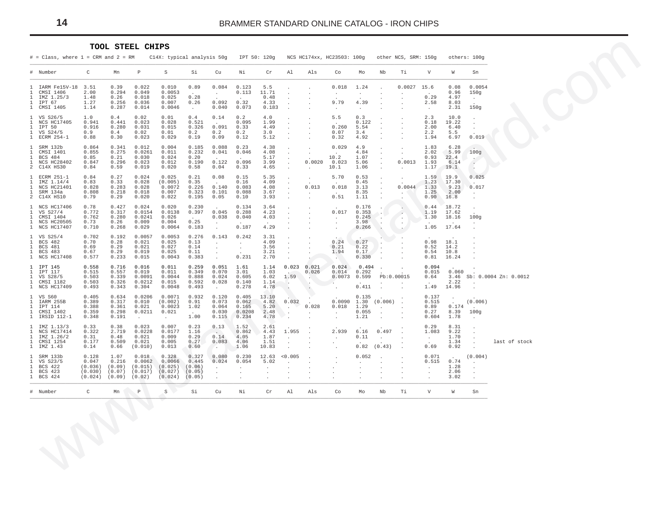#### TOOL STEEL CHIPS

<span id="page-13-0"></span>

|                                               | $#$ = Class, where $1$ = CRM and $2$ = RM                                   |                                                 |                                             |                                                 | C14X: typical analysis 50g                       |                                              |                                                  |                                             | IPT 50: 120q                                          |                                                                               |                                                            | NCS HC174xx, HC23503: 100g                                 |                                          |                                                    | other NCS, SRM: 150q                                |                                                      |                                       | others: 100q                                          |                       |
|-----------------------------------------------|-----------------------------------------------------------------------------|-------------------------------------------------|---------------------------------------------|-------------------------------------------------|--------------------------------------------------|----------------------------------------------|--------------------------------------------------|---------------------------------------------|-------------------------------------------------------|-------------------------------------------------------------------------------|------------------------------------------------------------|------------------------------------------------------------|------------------------------------------|----------------------------------------------------|-----------------------------------------------------|------------------------------------------------------|---------------------------------------|-------------------------------------------------------|-----------------------|
|                                               | # Number                                                                    | C                                               | Mn                                          | $\mathbb{P}$                                    | S                                                | Si                                           | Cu                                               | Νi                                          | Cr                                                    | Al                                                                            | Als                                                        | Co                                                         | Mo                                       | Nb                                                 | Тi                                                  | V                                                    | W                                     | Sn                                                    |                       |
| 1<br>1<br>1<br>1<br>1                         | IARM Fe15V-18 3.51<br>CMSI 1406<br>IMZ 1.25/3<br>IPT 67<br>CMSI 1405        | 2.00<br>1.48<br>1.27<br>1.14                    | 0.39<br>0.294<br>0.26<br>0.256<br>0.287     | 0.022<br>0.049<br>0.018<br>0.036<br>0.014       | 0.010<br>0.0053<br>0.025<br>0.007<br>0.0046      | 0.89<br>0.28<br>0.26<br>$\sim 10^{-11}$      | 0.084<br>$\ddot{\phantom{a}}$<br>0.092<br>0.040  | 0.123<br>0.113<br>0.32<br>0.073             | 5.5<br>11.71<br>0.48<br>4.33<br>0.183                 | $\lambda$<br>$\ddot{\phantom{a}}$                                             |                                                            | 0.018<br>$\cdot$<br>9.79<br>$\cdot$                        | 1.24<br>$\cdot$<br>4.39<br>$\cdot$       |                                                    | 0.0027                                              | 15.6<br>0.29<br>2.58<br>$\sim$                       | 0.08<br>0.96<br>4.97<br>8.03<br>2.31  | 0.0054<br>150g<br>150g                                |                       |
| 1<br>1<br>1<br>1                              | VS S26/5<br>NCS HC17405<br>IPT 50<br>VS S24/5<br>1 ECRM 254-1               | 1.0<br>0.941<br>0.916<br>0.9<br>0.88            | 0.4<br>0.441<br>0.280<br>0.4<br>0.30        | 0.02<br>0.023<br>0.031<br>0.02<br>0.023         | 0.01<br>0.028<br>0.015<br>0.01<br>0.029          | 0.4<br>0.521<br>0.326<br>0.2<br>0.19         | 0.14<br>0.091<br>0.2<br>0.09                     | 0.2<br>0.095<br>0.33<br>0.2<br>0.12         | 4.0<br>1.99<br>4.49<br>3.0<br>5.12                    | $\cdot$                                                                       | $\cdot$                                                    | 5.5<br>0.260<br>0.07<br>0.32                               | 0.3<br>0.122<br>5.54<br>3.4<br>4.92      | $\cdot$<br>$\cdot$                                 |                                                     | 2.3<br>0.18<br>2.00<br>2.2<br>1.94                   | 10.0<br>19.22<br>6.40<br>5.5<br>6.97  | 0.019                                                 |                       |
| 1<br>1<br>1<br>$\mathbf{1}$<br>$\overline{a}$ | SRM 132b<br>CMSI 1401<br>BCS 484<br>NCS HC28402<br>C14X HS30                | 0.864<br>0.855<br>0.85<br>0.847<br>0.84         | 0.341<br>0.275<br>0.21<br>0.296<br>0.59     | 0.012<br>0.0261<br>0.030<br>0.023<br>0.019      | 0.004<br>0.011<br>0.024<br>0.012<br>0.020        | 0.185<br>0.232<br>0.20<br>0.190<br>0.58      | 0.088<br>0.041<br>0.122<br>0.04                  | 0.23<br>0.046<br>0.096<br>0.33              | 4.38<br>4.08<br>5.17<br>3.99<br>4.65                  | $\ddot{\phantom{a}}$<br>$\cdot$<br>$\ddot{\phantom{0}}$<br>$\cdot$<br>$\cdot$ | $\mathbf{r}$<br>$\ddot{\phantom{a}}$<br>0.0020<br>$\Delta$ | 0.029<br>10.2<br>0.023<br>10.1                             | 4.9<br>4.84<br>1.07<br>5.06<br>1.06      | $\sim$<br>$\cdot$<br>$\cdot$<br>$\cdot$<br>$\cdot$ | $\ddot{\phantom{a}}$<br>$\sim$<br>0.0013<br>$\cdot$ | 1.83<br>2.02<br>0.93<br>1.93<br>1.17                 | 6.28<br>5.99<br>22.4<br>6.14<br>19.1  | 100g<br>$\sim$<br>$\ddot{\phantom{0}}$<br>$\sim$      |                       |
| 1<br>1<br>1<br>$\mathbf{1}$                   | ECRM 251-1<br>IMZ 1.14/4<br>NCS HC21401<br>SRM 134a<br>2 C14X HS10          | 0.84<br>0.83<br>0.828<br>0.808<br>0.79          | 0.27<br>0.33<br>0.283<br>0.218<br>0.29      | 0.024<br>0.028<br>0.028<br>0.018<br>0.020       | 0.025<br>(0.005)<br>0.0072<br>0.007<br>0.022     | 0.21<br>0.35<br>0.226<br>0.323<br>0.195      | 0.08<br>$\sim$<br>0.140<br>0.101<br>0.05         | 0.15<br>0.16<br>0.083<br>0.088<br>0.10      | 5.35<br>4.09<br>4.08<br>3.67<br>3.93                  | $\overline{a}$                                                                | $\cdot$<br>0.013<br>$\sim$                                 | 5.70<br>0.018<br>0.51                                      | 0.53<br>0.45<br>3.13<br>8.35<br>1.11     | $\cdot$<br>$\cdot$<br>$\cdot$<br>$\sim$            | $\cdot$<br>0.0044<br>$\mathbf{r}$                   | 1.59<br>1.23<br>1.33<br>1.25<br>0.90                 | 19.9<br>17.30<br>9.23<br>2.00<br>16.8 | 0.025<br>0.017                                        |                       |
| 1<br>1<br>$\mathbf{1}$<br>$\mathbf{1}$        | NCS HC17406<br>VS S27/4<br>CMSI 1404<br><b>NCS HC20505</b><br>1 NCS HC17407 | 0.78<br>0.772<br>0.762<br>0.73<br>0.710         | 0.427<br>0.317<br>0.280<br>0.26<br>0.268    | 0.024<br>0.0154<br>0.0241<br>0.009<br>0.029     | 0.020<br>0.0138<br>0.026<br>0.004<br>0.0064      | 0.230<br>0.397<br>$\sim$<br>0.25<br>0.183    | 0.045<br>0.038<br>$\ddot{\phantom{a}}$           | 0.134<br>0.288<br>0.040<br>0.187            | 3.64<br>4.23<br>4.03<br>4.29                          | $\cdot$                                                                       | $\overline{\phantom{a}}$                                   | 0.017<br>$\ddot{\phantom{a}}$<br>$\blacksquare$<br>$\cdot$ | 0.176<br>0.353<br>0.245<br>3.98<br>0.266 | $\cdot$<br>$\ddot{\phantom{1}}$                    | $\cdot$<br>÷<br>$\cdot$<br>$\sim$                   | 0.44<br>1.19<br>1.30<br>1.05                         | 18.72<br>17.62<br>18.16<br>17.64      | 100g                                                  |                       |
| 1<br>1<br>1<br>$\mathbf 1$                    | VS S25/4<br>BCS 482<br><b>BCS 481</b><br><b>BCS 483</b><br>1 NCS HC17408    | 0.702<br>0.70<br>0.69<br>0.67<br>0.577          | 0.192<br>0.28<br>0.29<br>0.29<br>0.233      | 0.0057<br>0.021<br>0.021<br>0.019<br>0.015      | 0.0053<br>0.025<br>0.027<br>0.025<br>0.0043      | 0.276<br>0.13<br>0.14<br>0.11<br>0.383       | 0.143<br>$\ddot{\phantom{a}}$<br>$\cdot$         | 0.242<br>$\cdot$<br>0.231                   | 3.31<br>4.09<br>3.56<br>3.21<br>2.70                  | $\cdot$<br>$\ddot{\phantom{a}}$                                               |                                                            | 0.24<br>0.21<br>1.94<br>a.                                 | 0.27<br>0.22<br>0.17<br>0.330            |                                                    |                                                     | 0.98<br>0.52<br>0.54<br>0.81                         | 18.1<br>14.2<br>10.8<br>16.24         |                                                       |                       |
| 1<br>1<br>1<br>$\mathbf{1}$                   | IPT 145<br>IPT 117<br>VS S28/5<br>CMSI 1182<br>1 NCS HC17409                | 0.558<br>0.515<br>0.503<br>0.503<br>0.493       | 0.716<br>0.557<br>0.339<br>0.326<br>0.343   | 0.016<br>0.019<br>0.0091<br>0.0212<br>0.304     | 0.011<br>0.011<br>0.0044<br>0.015<br>0.0048      | 0.259<br>0.349<br>0.888<br>0.592<br>0.493    | 0.051<br>0.070<br>0.024<br>0.028<br>$\cdot$      | 1.61<br>3.01<br>0.605<br>0.140<br>0.278     | 1.14<br>1.03<br>6.02<br>1.14<br>4.78                  | 0.023<br>1.59<br>$\sim$<br>$\sim$                                             | 0.021<br>0.026<br>$\Delta \tau$<br>$\cdot$<br>$\cdot$      | 0.024<br>0.014<br>0.0073<br>$\cdot$                        | 0.494<br>0.292<br>0.599<br>0.411         | Pb:0.00015                                         | $\cdot$                                             | 0.094<br>0.015<br>0.64<br>1.49                       | 0.060<br>3.46<br>2.22<br>14.96        |                                                       | Sb: 0.0004 Zn: 0.0012 |
| 1<br>1<br>$\mathbf{1}$<br>$\mathbf{1}$        | VS S60<br>IARM 255B<br>IPT 114<br>CMSI 1402<br>1 IRSID 112-1                | 0.405<br>0.389<br>0.388<br>0.359<br>0.348       | 0.634<br>0.317<br>0.361<br>0.298<br>0.191   | 0.0206<br>0.010<br>0.021<br>0.0211<br>$\sim$    | 0.0071<br>(0.002)<br>0.0023<br>0.021<br>$\sim$   | 0.932<br>0.91<br>1.02<br>$\sim$<br>1.00      | 0.120<br>0.073<br>0.064<br>0.030<br>0.115        | 0.405<br>0.062<br>0.165<br>0.0208<br>0.234  | 13.10<br>4.82<br>5.20<br>2.48<br>4.78                 | 0.032<br>$\sim$<br>$\cdot$<br>$\ddot{\phantom{a}}$                            | 0.028<br>$\mathbf{r}$                                      | 0.0090<br>0.018<br>$\cdot$<br>$\mathbf{r}$                 | 0.135<br>1.30<br>1.29<br>0.055<br>1.21   | (0.006)<br>$\sim$<br>$\sim$                        |                                                     | 0.137<br>0.515<br>0.89<br>0.27<br>0.604              | 0.174<br>8.39<br>1.78                 | (0.006)<br>100q<br>$\sim$                             |                       |
| 1<br>1<br>1<br>$\mathbf{1}$<br>$\mathbf{1}$   | IMZ 1.13/3<br>NCS HC17414<br>IMZ 1.26/2<br>CMSI 1254<br>IMZ 1.43            | 0.33<br>0.322<br>0.31<br>0.177<br>0.14          | 0.38<br>2.719<br>0.48<br>0.509<br>0.66      | 0.023<br>0.0228<br>0.021<br>0.021<br>(0.010)    | 0.007<br>0.0177<br>0.009<br>0.005<br>0.013       | 0.23<br>1.16<br>0.29<br>0.27<br>0.60         | 0.13<br>$\sim$<br>0.14<br>0.083<br>$\sim$        | 1.52<br>0.862<br>4.05<br>4.06<br>1.06       | 2.61<br>4.43<br>1.87<br>1.51<br>10.83                 | 1.955<br>$\cdot$<br>$\cdot$<br>$\ddot{\phantom{a}}$                           |                                                            | 2.939<br>$\cdot$<br>$\ddot{\phantom{a}}$                   | 6.16<br>0.11<br>0.82                     | 0.497<br>$\sim$<br>(0.43)                          |                                                     | 0.29<br>1.083<br>$\sim$<br>0.69                      | 8.31<br>9.22<br>1.70<br>1.34<br>0.92  | $\ddot{\phantom{a}}$<br>$\ddot{\phantom{a}}$          | last of stock         |
| 1<br>1<br>1<br>$\mathbf{1}$<br>1              | SRM 133b<br>VS S23/5<br>BCS 422<br><b>BCS 423</b><br><b>BCS 424</b>         | 0.128<br>0.047<br>(0.036)<br>(0.030)<br>(0.024) | 1.07<br>0.216<br>(0.09)<br>(0.07)<br>(0.09) | 0.018<br>0.0062<br>(0.015)<br>(0.017)<br>(0.02) | 0.328<br>0.0066<br>(0.025)<br>(0.027)<br>(0.024) | 0.327<br>0.445<br>(0.06)<br>(0.05)<br>(0.05) | 0.080<br>0.024<br>$\ddot{\phantom{a}}$<br>$\sim$ | 0.230<br>0.054<br>$\lambda$<br>$\mathbf{r}$ | 12.63<br>5.02<br>$\ddot{\phantom{a}}$<br>$\mathbf{r}$ | < 0.005                                                                       | $\mathbf{r}$                                               |                                                            | 0.052<br>$\mathbf{r}$                    |                                                    |                                                     | 0.071<br>0.515<br>$\cdot$<br>$\cdot$<br>$\mathbf{r}$ | 0.74<br>1.28<br>2.06<br>3.02          | (0.004)<br>$\overline{\phantom{a}}$<br>$\overline{a}$ |                       |
| #                                             | Number                                                                      | $\mathtt{C}$                                    | Mn                                          | $\mathbb P$                                     | $\mathbf S$                                      | Si                                           | Cu                                               | Νi                                          | Cr                                                    | Al                                                                            | Als                                                        | Co                                                         | Mo                                       | Nb                                                 | Тi                                                  | V                                                    | W                                     | Sn                                                    |                       |
|                                               |                                                                             |                                                 |                                             |                                                 |                                                  |                                              |                                                  |                                             |                                                       |                                                                               |                                                            |                                                            |                                          |                                                    |                                                     |                                                      |                                       |                                                       |                       |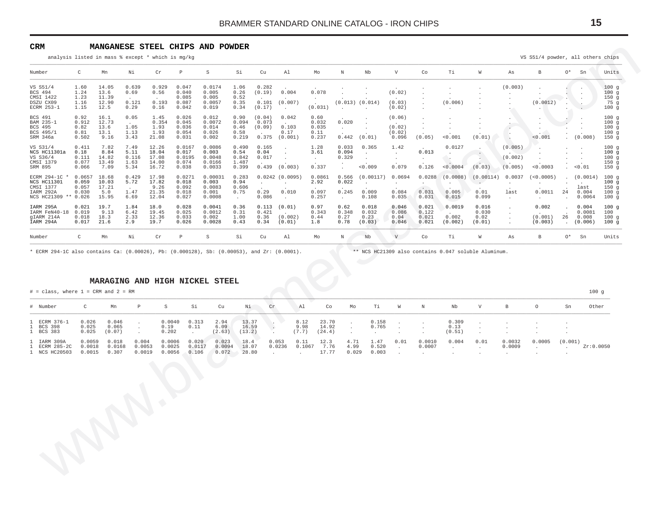#### <span id="page-14-0"></span>**CRM MANGANESE STEEL CHIPS AND POWDER**

| Number                                                                                                                                                                                                                                       | $\mathtt{C}$                             | Mn                                      | Νi                                    | ${\rm Cr}$                                | $\, {\bf p}$                                | $\, \mathbb{S} \,$                            | Si                                       | Cu                                 | Al                                                        | Mo                                      | $\mathbb N$                                          | $_{\rm Nb}$                                       | $\mathbf V$                                | Co                                                        | Τi                                                               | $\mathbb W$                                          | As                                                | $\, {\bf B}$                                     | O*                                    | Sn                                        | Units                                            |
|----------------------------------------------------------------------------------------------------------------------------------------------------------------------------------------------------------------------------------------------|------------------------------------------|-----------------------------------------|---------------------------------------|-------------------------------------------|---------------------------------------------|-----------------------------------------------|------------------------------------------|------------------------------------|-----------------------------------------------------------|-----------------------------------------|------------------------------------------------------|---------------------------------------------------|--------------------------------------------|-----------------------------------------------------------|------------------------------------------------------------------|------------------------------------------------------|---------------------------------------------------|--------------------------------------------------|---------------------------------------|-------------------------------------------|--------------------------------------------------|
| VS S51/4<br>BCS 494<br>CMSI 1422<br>DSZU CX09<br>ECRM 253-1                                                                                                                                                                                  | 1.60<br>1.24<br>1.23<br>1.16<br>1.15     | 14.05<br>13.6<br>11.39<br>12.90<br>12.5 | 0.639<br>0.69<br>0.121<br>0.29        | 0.929<br>0.56<br>0.193<br>0.16            | 0.047<br>0.040<br>0.085<br>0.087<br>0.042   | 0.0174<br>0.005<br>0.005<br>0.0057<br>0.019   | 1.06<br>0.26<br>0.52<br>0.35<br>0.34     | 0.282<br>(0.19)<br>0.101<br>(0.17) | 0.004<br>(0.007)                                          | 0.078<br>(0.031)                        | $(0.013)$ $(0.014)$                                  |                                                   | (0.02)<br>(0.03)<br>(0.02)                 | $\cdot$                                                   | $\cdot$<br>$\mathbf{r}$<br>(0.006)                               |                                                      | (0.003)                                           | (0.0012)                                         | $\cdot$                               | $\ddot{\phantom{a}}$                      | 100g<br>100g<br>150g<br>75g<br>100g              |
| <b>BCS 491</b><br>BAM 235-1<br>BCS 495<br>BCS 495/1<br>SRM 346a                                                                                                                                                                              | 0.92<br>0.912<br>0.82<br>0.81<br>0.502   | 16.1<br>12.73<br>13.6<br>13.1<br>9.16   | 0.05<br>1.05<br>1.13<br>3.43          | 1.45<br>0.354<br>1.93<br>1.93<br>21.08    | 0.026<br>0.045<br>0.036<br>0.054<br>0.031   | 0.012<br>0.0072<br>0.014<br>0.026<br>0.002    | 0.90<br>0.094<br>0.46<br>0.58<br>0.219   | (0.04)<br>0.073<br>(0.09)<br>0.375 | $\ddot{\phantom{a}}$<br>0.042<br>0.103<br>0.17<br>(0.001) | 0.60<br>0.032<br>0.035<br>0.11<br>0.237 | $\ddot{\phantom{0}}$<br>0.020<br>$\sim$ $-$<br>0.442 | $\cdot$<br>$\cdot$<br>(0.01)                      | (0.06)<br>(0.02)<br>(0.02)<br>0.096        | $\cdot$<br>$\overline{a}$<br>$\cdot$<br>$\cdot$<br>(0.05) | $\cdot$<br>$\cdot$<br>0.001                                      | (0.01)                                               | ٠.                                                | $\cdot$<br>$\cdot$<br>< 0.001                    |                                       | (0.008)                                   | 100q<br>100g<br>100q<br>100g<br>150g             |
| VS S31/4<br>NCS HC11301a<br>VS S36/4<br>CMSI 1379<br>SRM 895                                                                                                                                                                                 | 0.411<br>0.18<br>0.111<br>0.077<br>0.066 | 7.82<br>8.84<br>14.82<br>13.49<br>7.09  | 7.49<br>5.11<br>0.116<br>1.63<br>5.34 | 12.26<br>18.04<br>17.08<br>14.00<br>16.72 | 0.0167<br>0.017<br>0.0195<br>0.074<br>0.038 | 0.0086<br>0.003<br>0.0048<br>0.0166<br>0.0033 | 0.490<br>0.54<br>0.842<br>1.487<br>0.399 | 0.165<br>0.04<br>0.017             | $0.439$ $(0.003)$                                         | 1.28<br>3.61<br>$\sim$<br>0.337         | 0.033<br>0.094<br>0.329<br>$\sim$                    | 0.365<br>$\ddot{\phantom{a}}$<br>$\cdot$<br>0.009 | 1.42<br>$\cdot$<br>$\cdot$<br>0.079        | 0.013<br>$\cdot$<br>0.126                                 | 0.0127<br>$\mathbf{r}$<br>$\mathcal{L}_{\mathbf{z}}$<br>< 0.0004 | $\cdot$<br>(0.03)                                    | (0.005)<br>(0.002)<br>(0.005)                     | < 0.0003                                         |                                       | $\cdot$<br>$\ddot{\phantom{a}}$<br>< 0.01 | 100g<br>100q<br>100g<br>150g<br>150g             |
| ECRM 294-1C *<br>NCS HC11301<br>CMSI 1377<br>IARM 292A<br>NCS HC21309 ** 0.026                                                                                                                                                               | 0.0657<br>0.059<br>0.057<br>0.030        | 18.68<br>10.03<br>17.21<br>5.0<br>15.95 | 0.429<br>5.72<br>1.47<br>6.69         | 17.98<br>17.82<br>9.26<br>21.35<br>12.04  | 0.0271<br>0.018<br>0.092<br>0.018<br>0.027  | 0.00031<br>0.003<br>0.0083<br>0.001<br>0.0008 | 0.283<br>0.94<br>0.606<br>0.75<br>$\sim$ | $\sim$<br>0.29<br>0.086            | $0.0242$ (0.0095)<br>$\sim$<br>0.010<br>$\sim$            | 0.0861<br>2.92<br>0.097<br>0.257        | 0.566<br>0.022<br>0.245<br>$\sim$ $-$                | (0.00117)<br>$\cdot$<br>0.009<br>0.108            | 0.0694<br>$\blacksquare$<br>0.084<br>0.035 | 0.0288<br>$\cdot$<br>0.031<br>0.031                       | (0.0008)<br>$\cdot$<br>0.005<br>0.015                            | (0.00114)<br>$\cdot$<br>0.01<br>0.099                | 0.0037<br>$\cdot$<br>last<br>$\ddot{\phantom{a}}$ | (<0.0005)<br>$\sim$<br>0.0011<br>$\sim 10^{-11}$ | $\cdot$<br>24<br>$\ddot{\phantom{a}}$ | (0.0014)<br>last<br>0.004<br>0.0064       | 100q<br>100g<br>150q<br>100g<br>100 <sub>g</sub> |
| IARM 295A<br>IARM FeN40-18<br>gIARM 214A<br>IARM 294A                                                                                                                                                                                        | 0.021<br>0.019<br>0.018<br>0.017         | 19.7<br>9.13<br>18.3<br>21.6            | 1.84<br>6.42<br>2.33<br>2.9           | 18.0<br>19.45<br>12.36<br>19.7            | 0.028<br>0.025<br>0.033<br>0.026            | 0.0041<br>0.0012<br>0.002<br>0.0028           | 0.36<br>0.31<br>1.00<br>0.43             | 0.113<br>0.421<br>0.36<br>0.34     | (0.01)<br>(0.002)<br>(0.01)                               | 0.97<br>0.343<br>0.44<br>1.8            | 0.62<br>0.348<br>0.27<br>0.78                        | 0.018<br>0.032<br>0.23<br>(0.03)                  | 0.046<br>0.086<br>0.04<br>0.046            | 0.021<br>0.122<br>0.021<br>0.021                          | 0.0019<br>0.002<br>(0.002)                                       | 0.016<br>0.030<br>0.02<br>(0.01)                     | $\cdot$<br>$\cdot$<br>$\cdot$<br>$\cdot$          | 0.002<br>(0.001)<br>(0.003)                      | $\ddot{\phantom{a}}$<br>26            | 0.004<br>0.0081<br>0.008<br>(0.006)       | 100g<br>100<br>100g<br>100g                      |
| Number                                                                                                                                                                                                                                       | $\mathtt{C}$                             | Mn                                      | Νi                                    | Cr                                        | $\mathbb{D}$                                | S                                             | Si                                       | Cu                                 | Al                                                        | Mo                                      | $\mathbb N$                                          | $_{\rm Nb}$                                       | V                                          | Co                                                        | Τi                                                               | $\mathbb W$                                          | As                                                | $\mathbf{B}$                                     | $0*$                                  | Sn                                        | Units                                            |
|                                                                                                                                                                                                                                              |                                          |                                         |                                       |                                           |                                             | MARAGING AND HIGH NICKEL STEEL                |                                          |                                    |                                                           |                                         |                                                      |                                                   |                                            |                                                           |                                                                  | ** NCS HC21309 also contains 0.047 soluble Aluminum. |                                                   |                                                  |                                       | 100g                                      |                                                  |
|                                                                                                                                                                                                                                              | $\mathsf{C}$                             | Mn                                      | P                                     | $\rm S$                                   | Si                                          | Cu                                            | Νi                                       | ${\rm Cr}$                         | A <sub>1</sub>                                            | C <sub>O</sub>                          | Mo                                                   | Тi                                                | W                                          | $\mathbb N$                                               | $_{\rm Nb}$                                                      | $\mathbf{V}$                                         | $\mathbf{B}$                                      | $\circ$                                          | Sn                                    | Other                                     |                                                  |
|                                                                                                                                                                                                                                              | 0.026<br>0.025<br>0.025                  | 0.046<br>0.065<br>(0.07)                | $\cdot$<br>$\cdot$<br>$\Delta$        | 0.0040<br>0.19<br>0.202                   | 0.313<br>0.11<br>$\cdot$                    | 2.94<br>6.09<br>(2.63)                        | 13.37<br>16.59<br>(13.2)                 | $\Delta$                           | 8.12<br>9.98<br>(7.7)<br>$\cdot$                          | 23.70<br>14.92<br>(24.4)                | $\cdot$<br>$\cdot$<br>$\cdot$                        | 0.158<br>0.765<br>$\sim$                          | $\ddot{\phantom{a}}$<br>$\cdot$            | $\ddot{\phantom{a}}$                                      | 0.309<br>0.13<br>(0.51)                                          | $\cdot$<br>$\cdot$                                   |                                                   |                                                  |                                       |                                           |                                                  |
|                                                                                                                                                                                                                                              | 0.0059<br>0.0018<br>0.0015               | 0.018<br>0.0168<br>0.307                | 0.004<br>0.0053<br>0.0019             | 0.0006<br>0.0025<br>0.0056                | 0.020<br>0.0117<br>0.106                    | 0.023<br>0.0094<br>0.072                      | 18.4<br>18.07<br>28.80                   |                                    | 0.053<br>0.11<br>0.0236<br>$\sim$<br>$\mathbf{r}$         | 12.3<br>7.76<br>0.1067<br>17.77         | 4.71<br>4.99<br>0.029                                | 1.47<br>0.520<br>0.003                            | 0.01<br>$\cdot$<br>$\ddot{\phantom{a}}$    | 0.0010<br>0.0007<br>$\sim$                                | 0.004<br>$\ddot{\phantom{a}}$                                    | 0.01<br>$\ddot{\phantom{a}}$                         | 0.0032<br>0.0009<br>$\sim$                        | 0.0005<br>$\ddot{\phantom{a}}$                   | (0.001)<br>in 19                      | Zr:0.0050                                 |                                                  |
| * ECRM 294-1C also contains Ca: (0.00026), Pb: (0.000128), Sb: (0.00053), and Zr: (0.0001).<br>$#$ = class, where $1$ = CRM and $2$ = RM<br># Number<br>ECRM 376-1<br><b>BCS 398</b><br>BCS 383<br>IARM 309A<br>ECRM 285-2C<br>1 NCS HC20503 |                                          |                                         |                                       |                                           |                                             |                                               |                                          |                                    |                                                           |                                         |                                                      |                                                   |                                            |                                                           |                                                                  |                                                      |                                                   |                                                  |                                       |                                           |                                                  |
|                                                                                                                                                                                                                                              |                                          |                                         |                                       |                                           |                                             |                                               |                                          |                                    |                                                           |                                         |                                                      |                                                   |                                            |                                                           |                                                                  |                                                      |                                                   |                                                  |                                       |                                           |                                                  |

#### **MARAGING AND HIGH NICKEL STEEL**

| # Number                                      | $\mathbb{C}$               | Mn                       | $\mathbb P$                  | S                          | Si                       | Cu                       | Ni                       | Cr                                         | Al                       | Co                       | Mo                                        | Ti                                     | W                                                | $\,$ N                        | Nb                         | $\mathbf V$                | $\mathbf{B}$                  | $\circ$           | Sn                       | Other     |
|-----------------------------------------------|----------------------------|--------------------------|------------------------------|----------------------------|--------------------------|--------------------------|--------------------------|--------------------------------------------|--------------------------|--------------------------|-------------------------------------------|----------------------------------------|--------------------------------------------------|-------------------------------|----------------------------|----------------------------|-------------------------------|-------------------|--------------------------|-----------|
| 1 ECRM 376-1<br>1 BCS 398<br>1 BCS 383        | 0.026<br>0.025<br>0.025    | 0.046<br>0.065<br>(0.07) | $\cdot$<br>$\cdot$<br>$\sim$ | 0.0040<br>0.19<br>0.202    | 0.313<br>0.11<br>$\sim$  | 2.94<br>6.09<br>(2.63)   | 13.37<br>16.59<br>(13.2) | - 50<br>O)<br>$\sim$                       | 8.12<br>9.98<br>(7.7)    | 23.70<br>14.92<br>(24.4) | $\sim$<br>$\cdot$<br>$\ddot{\phantom{a}}$ | 0.158<br>0.765<br>$\ddot{\phantom{0}}$ | $\sim 100$<br>$\sim 100$<br>$\ddot{\phantom{0}}$ | $\cdot$<br>$\cdot$<br>$\cdot$ | 0.309<br>0.13<br>(0.51)    | $\sim$<br>$\sim$<br>$\sim$ | $\cdot$<br>$\cdot$<br>$\cdot$ | $\cdot$           | $\cdot$<br>$\cdot$       |           |
| 1 IARM 309A<br>1 ECRM 285-2C<br>1 NCS HC20503 | 0.0059<br>0.0018<br>0.0015 | 0.018<br>0.0168<br>0.307 | 0.004<br>0.0053<br>0.0019    | 0.0006<br>0.0025<br>0.0056 | 0.020<br>0.0117<br>0.106 | 0.023<br>0.0094<br>0.072 | 18.4<br>18.07<br>28.80   | 0.053<br>0.0236<br><b>Carl Corporation</b> | 0.11<br>0.1067<br>$\sim$ | 12.3<br>7.76<br>17.77    | 4.71<br>4.99<br>0.029                     | 1.47<br>0.520<br>0.003                 | 0.01<br>$\sim 100$<br><b>Contract</b>            | 0.0010<br>0.0007<br>$\sim$    | 0.004<br>$\sim$<br>$\cdot$ | 0.01<br>$\sim$<br>$\sim$   | 0.0032<br>0.0009<br>$\sim$    | 0.0005<br>$\cdot$ | (0.001)<br>$\sim$ $\sim$ | 2r:0.0050 |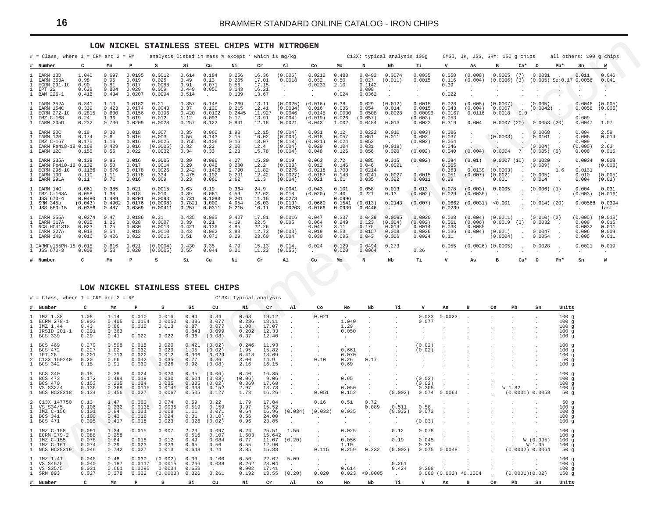#### **LOW NICKEL STAINLESS STEEL CHIPS WITH NITROGEN**

<span id="page-15-0"></span>

|                                                                            |                                               |                                               |                                               | LOW NICKEL STAINLESS STEEL CHIPS WITH NITROGEN         |                                          |                                                 |                                                |                                                 |                                                     |                                                         |                                             |                                                   |                                              |                                                  |                                            |                                                   |                                                 |                            |                                               |                                                 |                                                          |                                             |
|----------------------------------------------------------------------------|-----------------------------------------------|-----------------------------------------------|-----------------------------------------------|--------------------------------------------------------|------------------------------------------|-------------------------------------------------|------------------------------------------------|-------------------------------------------------|-----------------------------------------------------|---------------------------------------------------------|---------------------------------------------|---------------------------------------------------|----------------------------------------------|--------------------------------------------------|--------------------------------------------|---------------------------------------------------|-------------------------------------------------|----------------------------|-----------------------------------------------|-------------------------------------------------|----------------------------------------------------------|---------------------------------------------|
| $#$ = Class, where 1 = CRM and 2 = RM                                      | $\epsilon$                                    |                                               | P                                             | analysis listed in mass % except * which is mg/kg<br>s | Si                                       |                                                 |                                                |                                                 |                                                     |                                                         |                                             |                                                   | C13X: typical analysis 100g                  | тi                                               | $\mathbf{v}$                               | CMSI, JK, JSS, SRM: 150 g chips                   | R                                               | $Ca*$                      | $\Omega$                                      | $Pb*$                                           | all others: 100 g chips                                  |                                             |
| Number<br>IARM 13D<br>IARM 353A<br>ECRM 291-1C<br>IPT 22<br>BAM 226-1      | 1.040<br>0.98<br>0.90<br>0.628<br>0.416       | Mn<br>0.697<br>0.95<br>0.81<br>0.804<br>0.434 | 0.0195<br>0.019<br>0.017<br>0.029<br>0.0207   | 0.0012<br>0.025<br>0.0088<br>0.009<br>0.0094           | 0.614<br>0.49<br>0.91<br>0.449<br>0.514  | Cu<br>0.184<br>0.13<br>0.071<br>0.050<br>$\sim$ | Ni<br>0.256<br>0.265<br>0.56<br>0.143<br>0.139 | Cr<br>16.36<br>17.01<br>17.15<br>16.21<br>13.67 | Al<br>(0.006)<br>0.0018<br>$\cdot$<br>$\sim$        | Co<br>0.0212<br>0.032<br>0.0233<br>$\ddot{\phantom{1}}$ | Mo<br>0.488<br>0.50<br>2.10<br>0.024        | N<br>0.0492<br>0.027<br>0.1142<br>0.008<br>0.0362 | Nb<br>0.0074<br>(0.011)<br>$\cdot$<br>$\sim$ | 0.0035<br>0.0015<br>$\cdot$<br>$\sim$            | 0.058<br>0.116<br>0.39<br>0.022            | As<br>(0.008)<br>(0.004)<br>$\cdot$<br>$\sim$     | 0.0005                                          | (7)                        | 0.0031                                        |                                                 | Sn<br>0.011<br>$(0.0006)$ $(3)$ $(0.005)$ Se:0.17 0.0056 | W<br>0.046<br>0.041<br>$\epsilon$ .         |
| IARM 352A<br>IARM 154C<br>ECRM 272-1C<br>TMZ C-168<br>IARM 205D            | 0.341<br>0.339<br>0.2815<br>0.24<br>0.232     | 1.13<br>0.423<br>0.600<br>1.36<br>0.736       | 0.0182<br>0.0174<br>0.0156<br>0.019<br>0.0209 | 0.21<br>0.0043<br>0.0196<br>0.012<br>0.0028            | 0.357<br>0.37<br>0.420<br>1.12<br>0.257  | 0.148<br>0.120<br>0.0192<br>0.093<br>0.122      | 0.269<br>0.215<br>0.2445<br>0.17<br>0.841      | 13.11<br>12.41<br>11.927<br>13.91<br>12.18      | (0.0025)<br>(0.0034)<br>0.0046<br>(0.004)<br>0.0021 | (0.016)<br>0.016<br>0.0145<br>(0.019)<br>0.043          | 0.38<br>0.036<br>0.0030<br>0.026<br>1.002   | 0.029<br>0.054<br>0.0508<br>(0.057)<br>0.0484     | (0.012)<br>0.014<br>0.0028<br>0.013          | 0.0015<br>0.0015<br>0.00096<br>(0.003)<br>0.0022 | 0.028<br>0.043<br>0.0167<br>0.053<br>0.319 | (0.005)<br>(0.004)<br>0.0116<br>0.004             | (0.0007)<br>0.0007<br>0.0018<br>0.0007(20)      | 9.0                        | (0.005)<br>(0.0042)<br>0.0053(20)             |                                                 | 0.0046<br>0.0058<br>0.009<br>0.0047                      | (0.005)<br>(0.005)<br>1.07                  |
| IARM 20C<br>IARM 12B<br>IMZ C-167<br>IARM Fe418-18 0.168<br>IARM 12C       | 0.18<br>0.174<br>0.175<br>0.155               | 0.30<br>0.6<br>1.16<br>0.429<br>0.55          | 0.018<br>0.016<br>0.016<br>0.016<br>0.022     | 0.007<br>0.003<br>0.0025<br>(0.0005)<br>0.0032         | 0.35<br>0.56<br>0.755<br>0.32<br>0.34    | 0.060<br>0.143<br>0.106<br>0.22<br>0.33         | 1.93<br>2.15<br>0.16<br>2.00<br>2.23           | 12.15<br>16.02<br>13.07<br>12.4<br>15.78        | (0.004)<br>(0.003)<br>(0.018)<br>(0.004)<br>(0.004) | 0.031<br>0.018<br>(0.021)<br>0.029<br>0.048             | 0.12<br>0.057<br>0.024<br>0.104<br>0.125    | 0.0222<br>0.061<br>0.053<br>0.031<br>0.056        | 0.010<br>0.011<br>(0.019)<br>0.020           | (0.003)<br>0.003<br>(0.002)<br>(0.002)           | 0.086<br>0.037<br>0.054<br>0.046<br>0.040  | $\cdot$<br>$\cdot$<br>(0.004)                     | (0.0003)<br>$\sim$<br>0.0004                    | $\cdot$<br>$7\phantom{.0}$ | 0.0068<br>0.0101<br>(0.004)<br>$(0.005)$ (5)  |                                                 | 0.004<br>0.006<br>0.009<br>(0.005)<br>0.008              | 2.59<br>0.014<br>2.63<br>0.015              |
| IARM 335A<br>IARM Fe410-18 0.132<br>ECRM 296-1C<br>TARM 10D<br>IARM 291A   | 0.138<br>0.1166<br>0.110<br>0.11              | 0.85<br>0.50<br>0.676<br>1.11<br>0.71         | 0.016<br>0.017<br>0.0178<br>0.0178<br>0.016   | 0.0005<br>0.0014<br>0.0026<br>0.334<br>0.009           | 0.39<br>0.29<br>0.242<br>0.475<br>0.23   | 0.086<br>0.046<br>0.1498<br>0.192<br>0.060      | 4.27<br>0.280<br>2.790<br>0.291<br>2.62        | 15.30<br>12.2<br>11.82<br>12.42<br>11.3         | 0.019<br>(0.003)<br>0.0275<br>(0.0027)<br>(0.004)   | 0.063<br>0.012<br>0.0218<br>0.0187<br>0.021             | 2.72<br>0.146<br>1,700<br>0.148<br>1.61     | 0.085<br>0.046<br>0.0214<br>0.0241<br>0.035       | 0.015<br>0.0021<br>0.0027<br>0.022           | (0.002)<br>$\cdot$<br>0.0015<br>0.0011           | 0.094<br>0.065<br>0.363<br>0.051<br>0.29   | (0.01)<br>0.0139<br>(0.007)                       | 0.0007(10)<br>(0.0003)<br>(0.002)<br>0.001      |                            | 0.0020<br>(0.009)<br>(0.005)<br>0.014         | 1.6                                             | 0.0034<br>0.0131<br>0.010<br>0.004                       | 0.008<br>(0.008)<br>(0.005)<br>(0.01)       |
| TARM 14C<br>IMZ C-163A<br>JSS 670-4<br>SRM 345b<br>JSS 650-15<br>-1.       | 0.061<br>0.058<br>0.0480<br>(0.043)<br>0.0356 | 0.385<br>1.38<br>1.489<br>0.4902<br>0.487     | 0.021<br>0.018<br>0.0201<br>0.0176<br>0.0369  | 0.0015<br>0.010<br>0.0093<br>(0.0008)<br>0.00411       | 0.63<br>0.39<br>0.731<br>0.7821<br>0.257 | 0.19<br>0.061<br>0.1093<br>3.000<br>0.0311      | 0.364<br>4.59<br>0.201<br>4.054<br>0.215       | 24.9<br>22.62<br>11.15<br>16.03<br>16.11        | 0.0041<br>0.018<br>0.0278<br>(0.013)<br>0.00203     | 0.043<br>(0.020)<br>0.0660<br>0.0166                    | 0.101<br>2.40<br>0.0996<br>0.1541<br>0.0939 | 0.058<br>0.221<br>(0.013)<br>0.0446               | 0.013<br>0.13<br>0.2143                      | 0.013<br>(0.002)<br>(0.007)                      | 0.078<br>0.029<br>0.0662<br>0.0239         | (0.003)<br>(0.0035)<br>(0.0031)                   | 0.0005<br>$\cdot$<br>< 0.001                    |                            | $(0.006)$ $(1)$<br>$(0.014)$ (20)             |                                                 | 0.004<br>(0.003)<br>0.00568                              | 0.031<br>(0.016)<br>0.0394<br>last          |
| IARM 355A<br>IARM 317A<br>NCS HC41318<br>IARM 327A<br>IARM 14B             | 0.0274<br>0.025<br>0.023<br>0.018<br>0.016    | 0.47<br>1.26<br>1.25<br>0.54<br>0.426         | 0.0186<br>0.028<br>0.030<br>0.018<br>0.022    | 0.31<br>0.0007<br>0.0013<br>0.0010<br>0.0015           | 0.435<br>0.39<br>0.421<br>0.43<br>0.51   | 0.083<br>0.21<br>0.136<br>0.082<br>0.071        | 0.427<br>4.19<br>4.85<br>3.83<br>0.29          | 17.81<br>22.5<br>22.26<br>12.73<br>23.60        | 0.0016<br>0.005<br>(0.003)<br>0.004                 | 0.047<br>0.064<br>0.047<br>0.019<br>0.030               | 0.337<br>0.249<br>3.11<br>0.53<br>0.095     | 0.0439<br>0.123<br>0.175<br>0.0157<br>0.043       | 0.0095<br>(0.004)<br>0.014<br>0.008<br>0.006 | 0.0020<br>(0.002)<br>0.0014<br>0.0026<br>0.0024  | 0.038<br>0.061<br>0.038<br>0.036<br>0.11   | (0.004)<br>(0.006)<br>0.0085<br>(0.004)<br>$\sim$ | (0.0011)<br>$0.0019$ (3)<br>(0.001)<br>(0.0004) |                            | $(0.010)$ $(2)$<br>0.0032<br>0.0047<br>0.0054 |                                                 | (0.005)<br>0.008<br>0.0032<br>0.006<br>0.005             | (0.018)<br>0.015<br>0.011<br>0.009<br>0.011 |
| 1 IARMFe155PH-18 0.015<br>JSS 670-3                                        | 0.008                                         | 0.616<br>0.53                                 | 0.021<br>0.020                                | (0.0004)<br>(0.0005)                                   | 0.430<br>0.55                            | 3.35<br>0.044                                   | 4.79<br>0.21                                   | 15.13<br>11.23                                  | 0.014<br>(0.055)                                    | 0.024<br>$\cdot$                                        | 0.129<br>0.020                              | 0.0494<br>0.0064                                  | 0.273<br>$\cdot$                             | 0.26                                             | 0.055<br>$\cdot$                           | $(0.0026)$ $(0.0005)$                             |                                                 |                            | 0.0028                                        |                                                 | 0.0021<br>$\bullet$                                      | 0.019<br>$\cdot$                            |
| # Number                                                                   | C                                             | Mn                                            | P                                             | s                                                      | Si                                       | Cu                                              | Νi                                             | Cr                                              | Al                                                  | Co                                                      | Mo                                          | N                                                 | $_{\rm Nb}$                                  | Тi                                               | v                                          | As                                                | в                                               | $Ca*$                      | $\circ$                                       | $Pb*$                                           | Sn                                                       | W                                           |
| $#$ = Class, where $1$ = CRM and $2$ = RM                                  |                                               |                                               |                                               | LOW NICKEL STAINLESS STEEL CHIPS                       |                                          |                                                 | C13X: typical analysis                         |                                                 |                                                     |                                                         |                                             |                                                   |                                              |                                                  |                                            |                                                   |                                                 |                            |                                               |                                                 |                                                          |                                             |
| Number                                                                     | C                                             | Mn                                            |                                               | s                                                      | Si                                       | Cu                                              | Νi                                             | Cr                                              | Al                                                  | Co                                                      | Mo                                          | Nb                                                | Тi                                           | v                                                | As                                         | B                                                 | Ce                                              | Pb                         | Sn                                            | Units                                           |                                                          |                                             |
| TMZ 1.38<br>ECRM 278-1<br>IMZ 1.44<br>IRSID 201-1<br>BCS 339               | 1.08<br>0.903<br>0.43<br>0.291<br>0.29        | 1.14<br>0.405<br>0.86<br>0.363<br>0.41        | 0.010<br>0.0154<br>0.015<br>0.022             | 0.016<br>0.0052<br>0.013<br>0.022                      | 0.94<br>0.336<br>0.87<br>0.843<br>0.36   | 0.34<br>0.077<br>0.077<br>0.099<br>(0.08)       | 0.63<br>0.236<br>1.08<br>0.202<br>0.37         | 19.12<br>18.11<br>17.07<br>12.33<br>12.40       |                                                     | 0.021                                                   | 1.040<br>1.29<br>0.050                      |                                                   |                                              | 0.033<br>0.077                                   | 0.0023                                     |                                                   |                                                 |                            |                                               | 100q<br>100g<br>100g<br>100q<br>100g            |                                                          |                                             |
| <b>BCS 469</b><br><b>BCS 472</b><br>-1<br>IPT 26<br>C13X 150240<br>BCS 342 | 0.279<br>0.227<br>0.201<br>0.20<br>0.18       | 0.598<br>1.02<br>0.713<br>0.66<br>0.91        | 0.015<br>0.032<br>0.022<br>0.042<br>0.030     | 0.020<br>0.029<br>0.012<br>0.035<br>0.026              | 0.421<br>1.05<br>0.306<br>0.77<br>0.92   | (0.02)<br>(0.02)<br>0.029<br>0.36<br>(0.08)     | 0.246<br>1.95<br>0.413<br>3.00<br>2.16         | 11.93<br>15.82<br>13.69<br>14.9<br>16.15        |                                                     | 0.10                                                    | 0.661<br>0.070<br>0.26<br>0.69              | 0.17                                              |                                              | (0.02)<br>(0.02)                                 |                                            |                                                   |                                                 |                            |                                               | 100g<br>100q<br>100g<br>50g<br>100g             |                                                          |                                             |
| <b>BCS 340</b><br>BCS 473<br><b>BCS 470</b><br>VS S32/4<br>NCS HC28318     | 0.18<br>0.172<br>0.153<br>0.136<br>0.134      | 0.38<br>0.494<br>0.235<br>0.368<br>0.456      | 0.024<br>0.019<br>0.024<br>0.0115<br>0.027    | 0.020<br>0.030<br>0.035<br>0.0141<br>0.0067            | 0.35<br>0.604<br>0.335<br>0.338<br>0.505 | (0.06)<br>(0.03)<br>(0.02)<br>0.152<br>0.127    | 0.40<br>(0.06)<br>0.369<br>2.97<br>1.78        | 16.35<br>9.06<br>17.68<br>13.73<br>16.26        |                                                     | 0.051                                                   | 0.95<br>0.050<br>0.152                      |                                                   | (0.002)                                      | (0.02)<br>(0.02)<br>0.205<br>0.074               | 0.0064                                     |                                                   |                                                 | W:1.82                     | (0.0001) 0.0058                               | 100g<br>100g<br>100g<br>100 <sub>q</sub><br>50g |                                                          |                                             |
| C13X 147750<br>VS S34/5<br>IMZ C-156<br>BCS 341<br><b>BCS 471</b>          | 0.13<br>0.106<br>0.101<br>0.100<br>0.095      | 1.47<br>0.232<br>0.84<br>0.43<br>0.417        | 0.060<br>0.0135<br>0.031<br>0.016<br>0.018    | 0.074<br>0.0035<br>0.008<br>0.024<br>0.023             | 0.59<br>0.519<br>1.11<br>0.31<br>0.326   | 0.22<br>0.159<br>0.071<br>(0.10)<br>(0.02)      | 1.79<br>3.97<br>0.64<br>0.56<br>0.96           | 17.84<br>15.52<br>16.96<br>24.00<br>23.85       | (0.034)                                             | 0.16<br>(0.033)                                         | 0.51<br>0.035                               | 0.72<br>0.089                                     | 0.511<br>(0.032)                             | 0.58<br>0.073<br>(0.03)                          |                                            |                                                   |                                                 |                            |                                               | 50q<br>$100 \text{ g}$<br>100g<br>100g<br>100g  |                                                          |                                             |
| IMZ C-158<br>ECRM 279-2<br>IMZ C-155<br>IMZ C-161<br><b>NCS HC28319</b>    | 0.091<br>0.088<br>0.078<br>0.074<br>0.046     | 1.34<br>0.258<br>0.84<br>0.29<br>0.742        | 0.015<br>0.018<br>0.023<br>0.027              | 0.007<br>0.012<br>0.023<br>0.013                       | 2.23<br>0.516<br>0.49<br>0.65<br>0.643   | 0.097<br>0.107<br>0.084<br>0.56<br>3.24         | 0.24<br>1.603<br>0.77<br>0.55<br>3.85          | 25.51<br>15.642<br>11.07<br>12.90<br>15.88      | 1.56<br>(0.20)                                      | $\cdot$<br>$\blacksquare$<br>0.115                      | 0.025<br>0.056<br>1.10<br>0.259             | 0.232                                             | 0.12<br>0.19<br>(0.002)                      | 0.078<br>0.045<br>0.33<br>0.075                  | 0.0048                                     |                                                   |                                                 |                            | W: (0.095)<br>W:1.05<br>(0.0002) 0.0064       | 100g<br>100g<br>100g<br>100g<br>50g             |                                                          |                                             |
| IMZ 1.41<br>VS S45/5<br>VS S35/5<br>SRM 893                                | 0.046<br>0.040<br>0.031<br>0 0 2 7            | 0.48<br>0.187<br>0.661<br>0 378               | 0.030<br>0.0117<br>0.0095<br>0 0 2 2          | (0.002)<br>0.0015<br>0.0034<br>(0.0003)                | 0.39<br>0.266<br>0.653<br>0 326          | 0.100<br>0.088<br>0.261                         | 0.50<br>0.262<br>0.902<br>0 192                | 22.62<br>28.04<br>17.41<br>13 55                | 5.09<br>(0, 20)                                     | 0 0 2 0                                                 | 0.614<br>0 0 2 3                            | 0.0005                                            | 0.261<br>0.424                               | 0.208                                            | $0.080(0.003)$ < 0.0004                    |                                                   |                                                 | (0.0001)(0.02)             |                                               | 100q<br>100g<br>100g<br>150 <sub>q</sub>        |                                                          |                                             |

#### **LOW NICKEL STAINLESS STEEL CHIPS**

|              | $\#$ = Class, where 1 = CRM and 2 = RM                                     |                                           |                                          |                                              |                                              |                                          |                                              | C13X: typical analysis                  |                                            |                    |                              |                                                                        |                                                                                |                                                             |                                              |                  |                     |                                 |                      |                                         |                                                 |
|--------------|----------------------------------------------------------------------------|-------------------------------------------|------------------------------------------|----------------------------------------------|----------------------------------------------|------------------------------------------|----------------------------------------------|-----------------------------------------|--------------------------------------------|--------------------|------------------------------|------------------------------------------------------------------------|--------------------------------------------------------------------------------|-------------------------------------------------------------|----------------------------------------------|------------------|---------------------|---------------------------------|----------------------|-----------------------------------------|-------------------------------------------------|
|              | # Number                                                                   | C                                         | Mn                                       | P                                            | s                                            | Si                                       | Cu                                           | Ni                                      | Cr                                         | Al                 | Co                           | Mo                                                                     | Nb                                                                             | Тi                                                          | $\mathbf v$                                  | As               | в                   | Ce                              | Pb                   | Sn                                      | Units                                           |
| $\mathbf{1}$ | 1 IMZ 1.38<br>ECRM 278-1<br>1 IMZ 1.44<br>1 IRSID 201-1<br>1 BCS 339       | 1.08<br>0.903<br>0.43<br>0.291<br>0.29    | 1.14<br>0.405<br>0.86<br>0.363<br>0.41   | 0.010<br>0.0154<br>0.015<br>$\cdot$<br>0.022 | 0.016<br>0.0052<br>0.013<br>$\cdot$<br>0.022 | 0.94<br>0.336<br>0.87<br>0.843<br>0.36   | 0.34<br>0.077<br>0.077<br>0.099<br>(0.08)    | 0.63<br>0.236<br>1.08<br>0.202<br>0.37  | 19.12<br>18.11<br>17.07<br>12.33<br>12.40  |                    | 0.021<br>$\cdot$             | 1,040<br>1.29<br>0.050<br>$\ddot{\phantom{0}}$                         | $\cdot$<br>$\ddot{\phantom{1}}$<br>$\ddot{\phantom{1}}$<br>$\cdot$             | $\cdot$<br>$\overline{\phantom{a}}$<br>$\ddot{\phantom{0}}$ | 0.077                                        | $0.033$ $0.0023$ |                     |                                 |                      |                                         | 100q<br>100q<br>100q<br>100q<br>100g            |
|              | 1 BCS 469<br>1 BCS 472<br>1 IPT 26<br>2 C13X 150240<br>1 BCS 342           | 0.279<br>0.227<br>0.201<br>0.20<br>0.18   | 0.598<br>1.02<br>0.713<br>0.66<br>0.91   | 0.015<br>0.032<br>0.022<br>0.042<br>0.030    | 0.020<br>0.029<br>0.012<br>0.035<br>0.026    | 0.421<br>1.05<br>0.306<br>0.77<br>0.92   | (0.02)<br>(0.02)<br>0.029<br>0.36<br>(0.08)  | 0.246<br>1.95<br>0.413<br>3.00<br>2.16  | 11.93<br>15.82<br>13.69<br>14.9<br>16.15   |                    | 0.10<br>$\ddot{\phantom{0}}$ | $\sim$<br>0.661<br>0.070<br>0.26<br>0.69                               | $\sim$<br>$\ddot{\phantom{1}}$<br>0.17<br>$\ddot{\phantom{a}}$                 | $\cdot$                                                     | (0.02)<br>(0.02)                             |                  |                     |                                 |                      |                                         | 100q<br>100q<br>100q<br>50g<br>100g             |
| $\mathbf{1}$ | <b>BCS 340</b><br>BCS 473<br><b>BCS 470</b><br>1 VS S32/4<br>1 NCS HC28318 | 0.18<br>0.172<br>0.153<br>0.136<br>0.134  | 0.38<br>0.494<br>0.235<br>0.368<br>0.456 | 0.024<br>0.019<br>0.024<br>0.0115<br>0.027   | 0.020<br>0.030<br>0.035<br>0.0141<br>0.0067  | 0.35<br>0.604<br>0.335<br>0.338<br>0.505 | (0.06)<br>(0.03)<br>(0.02)<br>0.152<br>0.127 | 0.40<br>(0.06)<br>0.369<br>2.97<br>1.78 | 16.35<br>9.06<br>17.68<br>13.73<br>16.26   |                    | 0.051                        | $\ddot{\phantom{1}}$<br>0.95<br>$\ddot{\phantom{0}}$<br>0.050<br>0.152 | $\sim$<br>$\ddot{\phantom{0}}$<br>$\ddot{\phantom{1}}$<br>$\ddot{\phantom{a}}$ | $\cdot$<br>(0.002)                                          | $\sim$<br>(0.02)<br>(0.02)<br>0.205<br>0.074 | 0.0064           | $\sim$              | $\cdot$<br>÷                    | W:1.82               | $(0.0001)$ 0.0058                       | 100q<br>100g<br>100q<br>100q<br>50q             |
|              | 2 C13X 147750<br>1 VS S34/5<br>1 IMZ C-156<br>1 BCS 341<br>1 BCS 471       | 0.13<br>0.106<br>0.101<br>0.100<br>0.095  | 1.47<br>0.232<br>0.84<br>0.43<br>0.417   | 0.060<br>0.0135<br>0.031<br>0.016<br>0.018   | 0.074<br>0.0035<br>0.008<br>0.024<br>0.023   | 0.59<br>0.519<br>1.11<br>0.31<br>0.326   | 0.22<br>0.159<br>0.071<br>(0.10)<br>(0.02)   | 1.79<br>3.97<br>0.64<br>0.56<br>0.96    | 17.84<br>15.52<br>16.96<br>24.00<br>23.85  | (0.034)<br>$\cdot$ | 0.16<br>$\sim$<br>(0.033)    | 0.51<br>$\sim$<br>0.035                                                | 0.72<br>0.089<br>$\cdot$<br>$\sim$                                             | 0.511<br>(0.032)<br>$\cdot$                                 | 0.58<br>0.073<br>(0.03)                      |                  |                     |                                 |                      |                                         | 50q<br>100q<br>100q<br>100q<br>100g             |
|              | 1 IMZ C-158<br>1 ECRM 279-2<br>1 IMZ C-155<br>1 IMZ C-161<br>1 NCS HC28319 | 0.091<br>0.088<br>0.078<br>0.074<br>0.046 | 1.34<br>0.258<br>0.84<br>0.29<br>0.742   | 0.015<br>0.018<br>0.023<br>0.027             | 0.007<br>$\sim$<br>0.012<br>0.023<br>0.013   | 2.23<br>0.516<br>0.49<br>0.65<br>0.643   | 0.097<br>0.107<br>0.084<br>0.56<br>3.24      | 0.24<br>1.603<br>0.77<br>0.55<br>3.85   | 25.51<br>15.642<br>11.07<br>12.90<br>15.88 | 1.56<br>(0.20)     | 0.115                        | 0.025<br>0.056<br>1.10<br>0.259                                        | $\cdot$<br>0.232                                                               | 0.12<br>0.19<br>(0.002)                                     | 0.078<br>0.045<br>0.33<br>0.075              | $\sim$<br>0.0048 |                     | $\mathbf{r}$                    |                      | W: (0.095)<br>W:1.05<br>(0.0002) 0.0064 | 100q<br>100q<br>100 <sub>q</sub><br>100q<br>50q |
|              | 1 IMZ 1.41<br>1 VS S45/5<br>1 VS S35/5<br>1 SRM 893                        | 0.046<br>0.040<br>0.031<br>0.027          | 0.48<br>0.187<br>0.661<br>0.378          | 0.030<br>0.0117<br>0.0095<br>0.022           | (0.002)<br>0.0015<br>0.0034<br>(0.0003)      | 0.39<br>0.266<br>0.653<br>0.326          | 0.100<br>0.088<br>0.261                      | 0.50<br>0.262<br>0.902<br>0.192         | 22.62<br>28.04<br>17.41<br>13.55           | 5.09<br>(0.20)     | 0.020                        | $\ddot{\phantom{0}}$<br>$\sim$<br>0.614<br>0.023                       | $\ddot{\phantom{0}}$<br>< 0.0005                                               | $\sim$<br>0.261<br>0.424<br>$\sim$                          | $\ddot{\phantom{0}}$<br>0.208                | 0.080(0.003)     | $\cdot$<br>< 0.0004 | $\ddot{\phantom{a}}$<br>$\cdot$ | $\ddot{\phantom{1}}$ | (0.0001)(0.02)                          | 100q<br>100g<br>100q<br>150g                    |
|              | # Number                                                                   | $\mathbf{C}$                              | Mn                                       | P                                            | s                                            | Si                                       | Cu                                           | Ni                                      | Cr                                         | Al                 | Co                           | Mo                                                                     | Nb                                                                             | Тi                                                          | v                                            | As               | в                   | Ce                              | Pb                   | Sn                                      | Units                                           |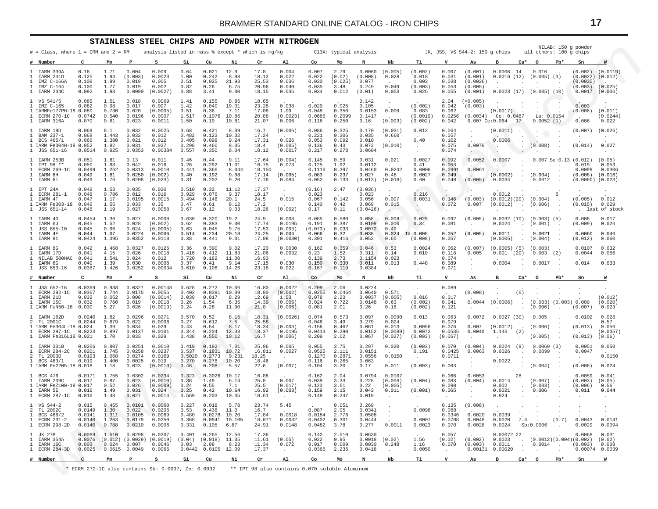<span id="page-16-0"></span>

|                                                                                       |                                               | <b>STAINLESS</b>                         |                                               | STEEL CHIPS AND POWDER WITH NITROGEN                |                                           |                                                         |                                         |                                            |                                                 |                                             |                                            |                                                |                                                        |                                               |                                              |                                                       |                                                   |                |                                                 |        | NILAB: 150 g powder                                                    |                                                 |
|---------------------------------------------------------------------------------------|-----------------------------------------------|------------------------------------------|-----------------------------------------------|-----------------------------------------------------|-------------------------------------------|---------------------------------------------------------|-----------------------------------------|--------------------------------------------|-------------------------------------------------|---------------------------------------------|--------------------------------------------|------------------------------------------------|--------------------------------------------------------|-----------------------------------------------|----------------------------------------------|-------------------------------------------------------|---------------------------------------------------|----------------|-------------------------------------------------|--------|------------------------------------------------------------------------|-------------------------------------------------|
| $#$ = Class, where $1$ = CRM and $2$ = RM                                             |                                               |                                          |                                               | analysis listed in mass % except * which is mg/kg   |                                           |                                                         |                                         |                                            |                                                 |                                             | C13X: typical analysis                     |                                                |                                                        |                                               |                                              | JK, JSS, VS S44-2: 150 q chips                        |                                                   |                | all others: 100 g chips                         |        |                                                                        |                                                 |
| Number                                                                                | C                                             | Mn                                       | Р                                             | s                                                   | Si                                        | Cu                                                      | Ni                                      | Cr                                         | Al                                              | Co                                          | Mo                                         | N                                              | Nb                                                     | Тi                                            | v                                            | As                                                    | в                                                 | $Ca*$          | $\circ$                                         | $Pb*$  | Sn                                                                     | W                                               |
| IARM 339A<br>IARM 241D<br>IMZ C-166A<br>IMZ C-164<br>IARM 234C                        | 0.16<br>0.125<br>0.108<br>0.100<br>0.092      | 1.71<br>1.94<br>1.99<br>1.77<br>1.93     | 0.004<br>(0.003)<br>0.019<br>0.019<br>0.0090  | 0.009<br>0.0023<br>0.005<br>0.002<br>(0.0027)       | 0.64<br>1.00<br>2.51<br>0.82<br>0.88      | 0.021<br>0.242<br>0.025<br>0.26<br>3.41                 | 12.9<br>8.98<br>21.93<br>6.75<br>9.00   | 17.0<br>18.12<br>25.53<br>20.96<br>18.15   | 0.004<br>0.022<br>0.036<br>0.040<br>0.035       | 0.007<br>0.022<br>0.030<br>0.035<br>0.034   | 2.79<br>(0.02)<br>(0.025)<br>3.48<br>0.012 | 0.0060<br>(0.008)<br>0.077<br>0.249<br>(0.01)  | (0.005)<br>0.028<br>0.049<br>0.053                     | (0.002)<br>0.018<br>0.003<br>(0.003)<br>0.026 | 0.007<br>0.031<br>0.038<br>0.053<br>0.055    | (0.001)<br>(0.001)<br>(0.0026)<br>(0.005)<br>(0.001)  | 0.0006<br>0.0016(12)                              | 14             | 0.016<br>$(0.005)$ (3)<br>0.0023(17)(0.005)(10) |        | (0.002)<br>$(0.0022)$ $(0.012)$<br>(0.0035)<br>(0.003)<br>0.0017       | (0.0119)<br>(0.025)<br>(0.006)                  |
| 1 VS S41/5<br>IMZ C-165<br>1 IARMFe177PH-18 0.080<br>ECRM 270-1C<br>IARM 316A         | 0.085<br>0.082<br>0.0742<br>0.070             | 1.51<br>0.98<br>0.730<br>0.540<br>0.61   | 0.018<br>0.017<br>0.020<br>0.0196<br>0.023    | 0.0069<br>0.007<br>(0.0005)<br>0.0007<br>0.0011     | 1.41<br>1.42<br>0.51<br>1.517<br>1.50     | 0.155<br>0.040<br>0.36<br>0.1076<br>0.19                | 8.85<br>19.01<br>7.11<br>10.86<br>10.81 | 18.65<br>23.28<br>17.08<br>20.88<br>21.07  | 0.038<br>1.09<br>(0.0023)<br>0.006              | 0.029<br>0.048<br>0.0685<br>0.118           | 0.025<br>0.350<br>0.2099<br>0.250          | 0.142<br>0.105<br>0.0153<br>0.1417<br>0.16     | 0.009<br>(0.003)                                       | (0.002)<br>0.083<br>(0.0019)<br>(0.002)       | 2.04<br>0.042<br>0.062<br>0.0256<br>0.042    | (< 0.005)<br>(0.003)<br>(0.0034)                      | (0.0017)<br>Ce: 0.0487<br>$0.007$ Ce: $0.064$     | 17             | La: 0.0154<br>0.0052(1)                         |        | 0.003<br>(0.006)<br>0.006                                              | (0.011)<br>(0.0244)<br>0.022                    |
| IARM 18D<br>BAM 237-1<br>BCS 465/1<br>1 IARM Fe304H-18 0.052<br>1 JSS 651-16          | 0.069<br>0.068<br>0.066<br>0.0514             | 8.1<br>1.443<br>1.380<br>1.82<br>0.925   | 0.032<br>0.032<br>0.021<br>0.031<br>0.0353    | 0.0025<br>0.012<br>0.012<br>0.027<br>0.00384        | 3.68<br>0.482<br>0.405<br>0.298<br>0.557  | 0.421<br>0.123<br>0.098<br>0.460<br>0.350               | 8.39<br>10.32<br>9.24<br>8.35<br>8.04   | 16.7<br>17.24<br>17.31<br>18.4<br>18.12    | (0.006)<br>0.026<br>(0.005)<br>0.0017           | 0.086<br>0.221<br>0.053<br>0.136<br>0.217   | 0.325<br>0.306<br>0.092<br>0.43<br>0.278   | 0.170<br>0.035<br>0.010<br>0.072<br>0.0604     | (0.031)<br>0.660<br>(0.010)<br>$\ddot{\phantom{0}}$    | 0.012<br>0.40<br>$\cdot$<br>$\cdot$           | 0.064<br>0.057<br>0.102<br>0.075<br>0.074    | $\cdot$<br>$\cdot$<br>0.0076<br>$\sim$                | (0.0011)<br>0.0006<br>$\cdot$                     |                | $\cdot$<br>(0.008)                              |        | (0.007)<br>(0.014)                                                     | (0.026)<br>0.027                                |
| IARM 253B<br>IPT 98 **<br><b>ECRM 269-1C</b><br>IARM 8H<br>IARM 6i                    | 0.051<br>0.050<br>0.0499<br>0.049<br>0.049    | 1.61<br>1.88<br>1.262<br>1.81<br>1.76    | 0.13<br>0.042<br>0.0313<br>0.0250<br>0.0208   | 0.011<br>0.016<br>0.0010<br>(0.002)<br>(0.023)      | 0.46<br>0.26<br>0.441<br>0.40<br>0.31     | 0.44<br>0.292<br>0.366<br>0.192<br>0.202                | 9.11<br>11.01<br>8.044<br>9.08<br>9.20  | 17.64<br>16.75<br>18.150<br>17.14<br>17.76 | (0.004)<br>0.073<br>(0.005)<br>0.084            | 0.145<br>0.125<br>0.1116<br>0.083<br>0.052  | 0.59<br>1.92<br>0.397<br>0.237<br>0.133    | 0.031<br>0.0112<br>0.0460<br>0.027<br>(0.013)  | 0.021<br>0.0242<br>0.48<br>(0.018)                     | 0.0027<br>0.41<br>0.0006<br>0.0027<br>0.60    | 0.092<br>0.053<br>0.0991<br>0.049<br>0.048   | 0.0052<br>0.0061<br>$\sim$<br>(0.005)                 | 0.0007<br>$\cdot$<br>(0.0002)<br>0.0034           | $\mathbf{r}$   | (0.004)<br>0.0012                               |        | $0.007$ Se: $0.13$ $(0.012)$<br>0.019<br>0.0099<br>(0.008)<br>(0.0060) | (0.05)<br>0.053<br>0.0306<br>(0.016)<br>(0.023) |
| IPT 24A<br>ECRM 281-1<br>IARM 4F<br>IARM Fe303-18<br>1 JSS 651-14                     | 0.048<br>0.048<br>0.047<br>0.046<br>0.046     | 1.53<br>0.786<br>1.17<br>1.55<br>1.19    | 0.035<br>0.012<br>0.0195<br>0.033<br>0.027    | 0.020<br>0.016<br>0.0015<br>0.35<br>0.0058          | 0.510<br>0.929<br>0.494<br>0.47<br>0.67   | 0.32<br>0.076<br>0.146<br>0.61<br>0.12                  | 11.12<br>9.37<br>20.1<br>8.12<br>9.03   | 17.37<br>18.17<br>24.5<br>17.2<br>18.26    | $\cdot$<br>0.015<br>(0.002)                     | (0.16)<br>0.023<br>0.067<br>0.140<br>0.17   | 2.47<br>0.142<br>0.42<br>0.11              | (0.036)<br>0.023<br>0.056<br>0.069<br>(0.0426) | $\ddot{\phantom{1}}$<br>0.007<br>0.015                 | 0.216<br>0.0031<br>$\cdot$<br>$\sim$          | 0.146<br>0.072<br>$\sim$                     | (0.003)<br>0.007<br>$\cdot$                           | 0.0012<br>(0.0012)(20)<br>(0.0012)<br>$\cdot$     |                | (0.004)<br>(0.006)                              | 5      | $\cdot$<br>(0.005)<br>(0.015)<br>$\ddot{\phantom{0}}$                  | 0.012<br>0.029<br>last of stock                 |
| IARM 4G<br>IARM 6J<br>JSS 655-10<br>IARM 4E<br>IARM 8i                                | 0.0454<br>0.045<br>0.045<br>0.044<br>0.0424   | 1.36<br>1.52<br>0.96<br>1.07<br>1.395    | 0.027<br>0.028<br>0.024<br>0.0224<br>0.0352   | 0.0008<br>(0.002)<br>(0.0005)<br>0.0006<br>0.0118   | 0.630<br>0.62<br>0.63<br>0.514<br>0.38    | 0.320<br>0.383<br>0.045<br>0.234<br>0.441               | 19.2<br>9.00<br>9.75<br>20.18<br>9.01   | 24.9<br>17.74<br>17.53<br>24.25<br>17.08   | 0.008<br>0.0195<br>(0.003)<br>0.004<br>(0.0030) | 0.085<br>0.191<br>(0.073)<br>0.066<br>0.301 | 0.580<br>0.387<br>0.033<br>0.32<br>0.416   | 0.058<br>0.0109<br>0.0072<br>0.038<br>0.052    | 0.008<br>0.010<br>0.49<br>0.024<br>0.60                | 0.029<br>0.34<br>Ta:0.005<br>(0.008)          | 0.092<br>0.081<br>0.052<br>0.057             | (0.005)<br>$\ddot{\phantom{a}}$<br>(0.005)<br>$\cdot$ | 0.0032(10)<br>0.0024<br>0.0011<br>(0.0005)        | $\sim$         | $(0.003)$ (5)<br>(0.001)<br>0.0021<br>(0.004)   |        | 0.008<br>(0.009)<br>0.0060<br>(0.012)                                  | 0.017<br>0.026<br>0.046<br>0.060                |
| IARM 8G<br>IARM 17D<br>NILAB 500HAC<br>IARM 6G<br>1 JSS 653-16                        | 0.042<br>0.041<br>0.041<br>0.040<br>0.0387    | 1.468<br>4.15<br>1.541<br>1.39<br>1.426  | 0.0327<br>0.026<br>0.024<br>0.030<br>0.0252   | 0.0126<br>0.0018<br>0.012<br>0.0006<br>0.00034      | 0.36<br>0.416<br>0.720<br>0.37<br>0.610   | 0.390<br>0.412<br>0.182<br>0.41<br>0.106                | 9.02<br>11.83<br>11.00<br>9.14<br>14.26 | 17.20<br>21.06<br>16.93<br>17.15<br>23.18  | 0.0030<br>0.0032<br>0.030<br>0.022              | 0.162<br>0.23<br>0.139<br>0.150<br>0.167    | 0.359<br>1.52<br>2.73<br>0.330<br>0.119    | 0.046<br>0.311<br>0.1154<br>0.011<br>0.0384    | 0.53<br>0.14<br>0.023<br>0.013<br>$\ddot{\phantom{0}}$ | 0.0024<br>0.010<br>0.440<br>$\cdot$           | 0.062<br>0.118<br>0.074<br>0.089<br>0.071    | (0.007)<br>0.005<br>$\sim$<br>$\cdot$                 | $(0.0005)$ (5)<br>0.001<br>0.0004<br>$\cdot$      | (20)<br>$\sim$ | (0.003)<br>$0.003$ (2)<br>0.0017                |        | 0.0107<br>0.0044<br>0.014<br>$\cdot$                                   | 0.032<br>0.056<br>0.033<br>$\cdot$              |
| Number                                                                                | C                                             | Mn                                       | P                                             | s                                                   | Si                                        | Cu                                                      | Νi                                      | Cr                                         | Al.                                             | Co                                          | Mo                                         | N                                              | Nb                                                     | Тi                                            | v                                            | As                                                    | в                                                 | $Ca*$          | $\circ$                                         | $Pb*$  | Sn                                                                     | W                                               |
| JSS 652-16<br>ECRM 292-1C<br>IARM 21D<br>IARM 15C<br>1 IARM FeN50-18                  | 0.0369<br>0.0367<br>0.032<br>0.032<br>0.030   | 0.938<br>1.744<br>0.052<br>0.760<br>5.27 | 0.0327<br>0.0175<br>0.008<br>0.019<br>0.026   | 0.00148<br>0.0055<br>(0.0014)<br>0.0018<br>(0.0013) | 0.628<br>0.402<br>0.039<br>0.26<br>0.24   | 0.272<br>0.0391<br>0.017<br>1.54<br>0.28                | 10.06<br>10.09<br>8.29<br>6.35<br>11.90 | 16.80<br>18.00<br>12.69<br>14.39<br>21.0   | 0.0022<br>(0.002)<br>1.03<br>(0.005)<br>(0.006) | 0.209<br>0.0255<br>0.078<br>0.024<br>0.081  | 2.06<br>0.0464<br>2.23<br>0.722<br>2.01    | 0.0224<br>0.0640<br>0.0037<br>0.0148<br>0.26   | 0.571<br>(0.005)<br>0.63<br>0.18                       | $\bullet$<br>0.016<br>(0.002)<br>(0.002)      | 0.089<br>0.017<br>0.041<br>0.121             | (0.008)<br>0.0044                                     | (0.0006)                                          | (6)            | (0.006)                                         |        | $(0.003)$ $(0.003)$ 0.009<br>(0.007)                                   | (0.012)<br>(0.020)<br>0.023                     |
| IARM 162D<br>TL 2001C<br>1 IARM Fe304L-18 0.024<br>ECRM 297-1C<br>IARM Fe316L18 0.021 | 0.0240<br>0.0244<br>0.0223                    | 1.82<br>0.679<br>1.39<br>0.897<br>1.70   | 0.0296<br>0.022<br>0.034<br>0.0137<br>0.033   | 0.0271<br>0.0006<br>0.029<br>0.0101<br>0.029        | 0.570<br>0.27<br>0.43<br>0.344<br>0.438   | 0.52<br>0.612<br>0.54<br>0.204<br>0.550                 | 8.15<br>7.5<br>8.17<br>12.33<br>10.12   | 18.31<br>25.58<br>18.34<br>18.37<br>16.7   | (0.0026)<br>(0.003)<br>0.0195<br>(0.006)        | 0.074<br>0.046<br>0.156<br>0.0413<br>0.209  | 0.573<br>3.49<br>0.462<br>0.290<br>2.02    | 0.097<br>0.279<br>0.081<br>0.0152<br>0.067     | 0.0090<br>0.024<br>0.013<br>(0.0089)<br>(0.027)        | 0.013<br>0.0056<br>0.0072<br>(0.003)          | 0.063<br>0.079<br>0.076<br>0.0535<br>(0.067) | 0.0072<br>0.007<br>0.0040<br>$\cdot$                  | 0.0027(30)<br>(0.0012)<br>1.146<br>$\cdot$        | (2)<br>$\cdot$ | 0.005<br>(0.006)<br>(0.005)                     |        | 0.0102<br>(0.013)<br>(0.013)                                           | 0.028<br>0.57<br>0.056<br>(0.0057)<br>(0.06)    |
| IARM 301B<br>ECRM 284-2C<br>TL 2003D<br>BCS 463/1<br>1 IARM Fe2205-18 0.018           | 0.0206<br>0.0201<br>0.0193<br>0.019           | 0.807<br>1.745<br>1.068<br>1.400<br>1.18 | 0.0251<br>0.0258<br>0.0274<br>0.0025<br>0.023 | 0.0010<br>0.0237<br>0.0169<br>0.019<br>(0.0013)     | 0.419<br>0.537<br>0.5020<br>0.270<br>0.46 | 0.192<br>0.1831<br>0.2773<br>0.276<br>0.208             | 7.01<br>10.72<br>9.231<br>10.20<br>5.57 | 25.06<br>16.811<br>18.25<br>18.46<br>22.6  | 0.005<br>0.0027<br>$\cdot$<br>(0.007)           | 0.055<br>0.0525<br>0.1270<br>0.116<br>0.104 | 3.75<br>2.111<br>0.2871<br>0.265<br>3.20   | 0.297<br>0.0151<br>0.0556<br>0.063<br>0.17     | 0.020<br>0.0150<br>0.011                               | (0.003)<br>0.191<br>$\cdot$<br>(0.003)        | 0.070<br>0.0425<br>0.0711<br>0.063           | (0.004)<br>0.0063<br>$\cdot$<br>$\cdot$<br>$\cdot$    | 0.0024<br>0.0026<br>0.0022<br>$\cdot$             | (9)            | 0.0069(3)<br>0.0099<br>(0.004)                  |        | 0.0051<br>0.0047<br>$\cdot$<br>(0.006)                                 | 0.050<br>0.0150<br>0.024                        |
| BCS 476<br>IARM 239C<br>1 IARM FeZ100-18 0.017<br>IARM 5E<br>ECRM 287-1C              | 0.0171<br>0.017<br>0.016<br>0.016             | 1.755<br>0.87<br>0.52<br>1.49<br>1.48    | 0.0302<br>0.023<br>0.026<br>0.031<br>0.027    | 0.0234<br>(0.0010)<br>(0.0009)<br>0.024<br>0.0014   | 0.323<br>0.38<br>0.24<br>0.25<br>0.569    | 0.3026<br>1.49<br>0.55<br>0.42<br>0.203                 | 10.17<br>6.14<br>7.1<br>10.64<br>10.35  | 16.88<br>25.8<br>25.5<br>16.92<br>18.61    | 0.007<br>(0.017)<br>(0.003)                     | 0.162<br>0.039<br>0.123<br>0.159<br>0.148   | 2.04<br>3.33<br>3.61<br>2.15<br>0.247      | 0.0794<br>0.228<br>0.22<br>0.043<br>0.019      | 0.0107<br>(0.006)<br>(0.005)<br>0.011                  | (0.004)<br>(0.001)                            | 0.066<br>0.083<br>0.090<br>0.065             | 0.0053<br>(0.004)<br>$\cdot$<br>$\cdot$               | 0.0014<br>0.002<br>0.0021<br>0.924                | 28             | (0.007)<br>(0.003)<br>0.006                     |        | 0.0059<br>(0.003)<br>(0.006)<br>0.011                                  | 0.041<br>(0.05)<br>0.56<br>0.044                |
| 1 VS S44-2<br>TT. 20020<br>BCS 466/2<br>ECRM 231-2<br>ECRM 298-2D<br>$\mathbf{1}$     | 0.015<br>0.0149<br>0.0141<br>0.0140<br>0.0140 | 0.455<br>1.30<br>1.311<br>1.263<br>0.788 | 0.0101<br>0.022<br>0.0105<br>0.0179<br>0.0210 | 0.0060<br>0.0206<br>0.0069<br>0.0250<br>0.0006      | 0.227<br>0.53<br>0.480<br>0.368<br>0.331  | 0.018<br>0.438<br>0.0278<br>0.0941<br>0.105             | 5.78<br>11.0<br>10.20<br>10.105<br>6.87 | 23.74<br>16.7<br>17.84<br>18.071<br>24.91  | 5.45<br>0.0018<br>0.0032<br>0.0148              | 0.087<br>0.0184<br>0.0402<br>0.0482         | 0.051<br>2.05<br>2.776<br>0.301<br>3.78    | 0.269<br>0.0341<br>0.0508<br>0.0444<br>0.277   | $\sim$<br>0.0011                                       | 0.0098<br>0.0007<br>0.0023                    | 0.135<br>0.068<br>0.0346<br>0.0708<br>0.070  | (0.008)<br>0.0020<br>0.0048<br>0.0028                 | 0.0039<br>0.0020<br>0.0024                        | 7.4            | Sb:0.0006                                       | (0.7)  | 0.0043<br>0.0029                                                       | 0.0141<br>0.0094                                |
| 1 JK 27B<br>IARM 354A<br>IARM 16C<br>1 ECRM 284-3D                                    | 0.0089<br>0.0076<br>0.003<br>0.0025           | 1.510<br>0.024<br>$0.0615$ 0.0049        | 0.0298<br>$(0.012)$ $(0.0029)$<br>0.007       | 0.0207<br>(0.0019)<br>0.0046<br>0.0066              | 0.401<br>(0.04)<br>0.03                   | 0.265<br>$(0.018)$ 11.05<br>2.08<br>0.0442 0.0105 12.09 | 12.56<br>8.23                           | 17.36<br>11.61<br>11.34<br>17.37           | (0.05)<br>0.072<br>$\cdot$                      | 0.142<br>0.022<br>0.017<br>0.0366           | 2.510<br>0.95<br>0.009<br>2.236            | 0.0630<br>0.0018<br>0.0030<br>0.0418           | (0.02)<br>0.248<br>$\cdot$                             | 1.56<br>1.16<br>0.0050                        | 0.057<br>(0.02)<br>0.070<br>$\cdot$          | (0.002)<br>(0.003)                                    | 0.00072 22<br>0.0023<br>0.0011<br>0.00131 0.00020 |                | 0.0014                                          | $\sim$ | 0.0068<br>(0.0012)(0.004)(0.002)<br>(0.003)<br>0.00074 0.0039          | 0.031<br>(0.02)<br>0.008                        |
| # Number                                                                              | C                                             | Mn                                       | Р                                             | s                                                   | Si                                        | Cu                                                      | Ni                                      | $\operatorname{\sf Cr}$                    | Al                                              | Co                                          | Mo                                         | N                                              | Nb                                                     | Тi                                            | v                                            | As                                                    | в                                                 | Ca*            | $\circ$                                         | $Pb*$  | Sn                                                                     | W                                               |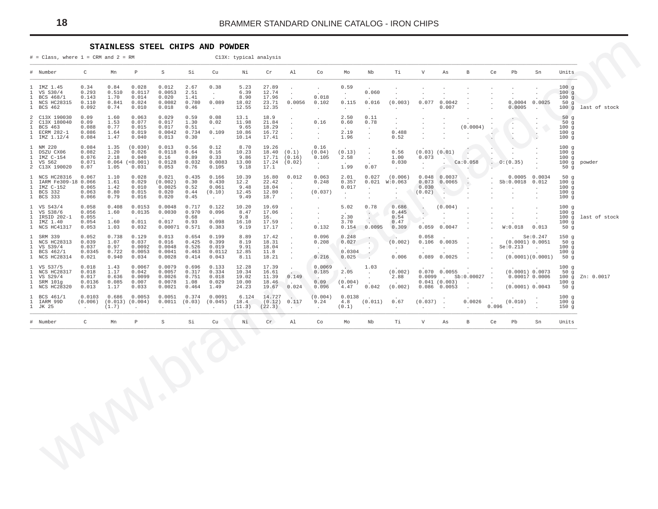#### STAINLESS STEEL CHIPS AND POWDER

<span id="page-17-0"></span>

| # Number<br>C<br>$\mathbb S$<br>Si<br>Cu<br>Mn<br>Р<br>Νi<br>Cr<br>Al<br>Co<br>Mо<br>Nb<br>Тi<br>V<br>As<br>В<br>Ce<br>Pb<br>Sn<br>Units<br>1 IMZ 1.45<br>0.34<br>0.012<br>5.23<br>27.89<br>0.84<br>0.028<br>2.67<br>0.38<br>0.59<br>100g<br>$\cdot$<br>$\cdot$<br>$\cdot$<br>$\cdot$<br>0.060<br>$\mathbf{1}$<br>VS S30/4<br>0.293<br>0.510<br>0.0117<br>0.0053<br>2.51<br>6.39<br>12.74<br>100g<br>$\ddot{\phantom{0}}$<br>$\sim$<br>$\ddot{\phantom{a}}$<br>$\cdot$<br>$\ddot{\phantom{0}}$<br>$\overline{a}$<br>0.018<br>$\mathbf{1}$<br>0.143<br>1.70<br>0.014<br>0.020<br>1.41<br>8.90<br>17.96<br>100g<br>BCS 468/1<br>0.089<br>0.077<br>0.0025<br>1 NCS HC28315<br>0.110<br>0.841<br>0.024<br>0.0082<br>0.780<br>18.02<br>23.71<br>0.0056<br>0.016<br>(0.003)<br>0.0004<br>50g<br>0.102<br>0.115<br>0.0042<br>0.007<br>0.0005<br>1 BCS 462<br>0.092<br>0.74<br>0.010<br>0.018<br>0.46<br>12.55<br>100g<br>12.35<br>$\sim$<br>$\sim$<br>$\cdot$<br>$\sim$<br>$\sim$<br>$\ddot{\phantom{a}}$<br>$\cdot$<br>$\sim$<br>0.09<br>2 C13X 190030<br>1.60<br>0.063<br>0.029<br>0.59<br>0.08<br>13.1<br>18.9<br>50g<br>2.50<br>0.11<br>$\cdot$<br>$\cdot$<br>$\cdot$<br>$\cdot$<br>$\cdot$<br>11.98<br>2 C13X 180040<br>0.09<br>1.53<br>0.077<br>0.017<br>1.30<br>0.02<br>21.84<br>0.16<br>0.78<br>50g<br>0.60<br>$\ddot{\phantom{a}}$<br>$\ddot{\phantom{a}}$<br>$\cdot$<br>$\cdot$<br>(0.0004)<br>$\mathbf{1}$<br>BCS 463<br>0.088<br>0.77<br>0.015<br>0.017<br>9.65<br>18.29<br>100g<br>0.51<br>$\sim$<br>$\ddot{\phantom{a}}$<br>$\ddot{\phantom{a}}$<br>$\cdot$<br>$\cdot$<br>$\cdot$<br>$\cdot$<br>$\cdot$<br>$\cdot$<br>0.109<br>10.86<br>0.488<br>1 ECRM 282-1<br>0.086<br>0.019<br>0.734<br>16.72<br>2.19<br>100g<br>1.64<br>0.0042<br>$\Delta$<br>$\ddot{\phantom{a}}$<br>$\ddot{\phantom{a}}$<br>$\ddot{\phantom{1}}$<br>$\cdot$<br>$\cdot$<br>$\cdot$<br>٠.<br>1 IMZ 1.12/4<br>0.084<br>1.47<br>0.040<br>0.013<br>0.30<br>10.14<br>17.41<br>1.96<br>0.52<br>100g<br>$\sim$<br>$\sim$<br>$\cdot$<br>$\ddot{\phantom{a}}$<br>$\ddot{\phantom{a}}$<br>$\cdot$<br>1 NM 220<br>0.084<br>1.35<br>(0.030)<br>0.013<br>0.56<br>0.12<br>8.70<br>19.26<br>0.16<br>100g<br>$\cdot$<br>1.20<br>$\mathbf{1}$<br>DSZU CX06<br>0.082<br>0.026<br>0.0118<br>0.64<br>0.16<br>10.23<br>18.40<br>(0.1)<br>(0.04)<br>(0.13)<br>0.56<br>$(0.03)$ $(0.01)$<br>100g<br>$\ddot{\phantom{1}}$<br>2.18<br>17.71<br>IMZ C-154<br>0.076<br>0.040<br>0.16<br>9.86<br>(0.16)<br>2.58<br>1.00<br>0.073<br>100g<br>$\mathbf{1}$<br>0.89<br>0.33<br>0.105<br>$\sim$<br>$\cdot$<br>0.071<br>0.064<br>(<0.001)<br>0.0128<br>0.032<br>0.0083<br>13.00<br>17.24<br>(0.02)<br>0.030<br>Ca:0.058<br>0:(0.35)<br>1 VS S62<br>100g<br>powder<br>$\cdot$<br>$\cdot$<br>$\Delta$<br>0.07<br>2 C13X 190020<br>0.07<br>1.05<br>0.031<br>0.053<br>0.76<br>0.105<br>9.18<br>17.1<br>1.99<br>50g<br>$\sim$<br>$\ddot{\phantom{0}}$<br>$\cdot$<br>$\cdot$<br>$\cdot$<br>10.39<br>0.012<br>0.063<br>1 NCS HC28316<br>0.067<br>1.10<br>0.028<br>0.021<br>0.435<br>0.166<br>16.80<br>2.01<br>0.027<br>(0.006)<br>0.048<br>0.0037<br>0.0005<br>0.0034<br>50g<br>12.2<br>100g<br>IARM Fe309-18 0.066<br>1.61<br>0.029<br>(0.002)<br>0.30<br>0.430<br>22.42<br>0.248<br>0.357<br>0.021<br>W:0.063<br>0.073<br>0.0065<br>Sb:0.0018<br>0.012<br>$\mathbf{1}$<br>$\cdot$<br>IMZ C-152<br>0.065<br>1.42<br>0.010<br>0.0025<br>0.52<br>9.48<br>0.017<br>0.030<br>100g<br>$\mathbf{1}$<br>0.061<br>18.04<br>$\sim$<br>$\ddot{\phantom{a}}$<br>$\ddot{\phantom{a}}$<br>$\cdot$<br>$\cdot$<br>$\cdot$<br>(0.037)<br>BCS 332<br>0.063<br>0.80<br>0.015<br>0.020<br>(0.10)<br>12.45<br>12.80<br>(0.02)<br>100g<br>$\mathbf{1}$<br>0.44<br>$\sim$<br>$\blacksquare$<br>$\ddot{\phantom{a}}$<br>$\cdot$<br>$\sim$<br>$\cdot$<br>1 BCS 333<br>0.066<br>0.79<br>0.016<br>0.020<br>0.45<br>9.49<br>18.7<br>100g<br>$\sim$<br>$\cdot$<br>$\ddot{\phantom{a}}$<br>$\sim$<br>$\ddot{\phantom{a}}$<br>$\cdot$<br>$\ddot{\phantom{a}}$<br>$\ddot{\phantom{a}}$<br>$\cdot$<br>$\sim$<br>0.058<br>1 VS S43/4<br>0.408<br>0.0153<br>0.0048<br>0.717<br>0.122<br>10.20<br>19.69<br>5.02<br>0.78<br>0.686<br>(0.004)<br>100g<br>$\cdot$<br>$\cdot$<br>$\cdot$<br>0.056<br>$\mathbf{1}$<br>VS S38/6<br>1.60<br>0.0135<br>0.0030<br>0.970<br>0.096<br>8.47<br>17.06<br>0.445<br>$\ddot{\cdot}$<br>100g<br>$\cdot$<br>$\ddot{\phantom{a}}$<br>$\ddot{\phantom{a}}$<br>$\cdot$<br>$\cdot$<br>IRSID 202-1<br>0.055<br>0.68<br>9.8<br>2.30<br>V.<br>0.54<br>1<br>16.<br>100g<br>$\sim$<br>$\sim$<br>$\ddot{\phantom{a}}$<br>$\cdot$<br>$\cdot$<br>$\cdot$<br>0.011<br>0.098<br>1 IMZ 1.40<br>0.054<br>1.60<br>0.017<br>0.93<br>16.10<br>17.59<br>3.70<br>0.47<br>$\sim$<br>100g<br>$\cdot$<br>$\overline{a}$<br>0.0095<br>1 NCS HC41317<br>0.053<br>1.03<br>0.032<br>$0.00071$ $0.571$<br>0.383<br>17.17<br>0.132<br>0.309<br>0.059<br>0.0047<br>W:0.018<br>0.013<br>50g<br>9.19<br>0.154<br>$\cdot$<br>1 SRM 339<br>0.052<br>0.738<br>0.129<br>0.013<br>0.654<br>0.199<br>8.89<br>17.42<br>0.096<br>0.248<br>Se: 0.247<br>150g<br>0.058<br>- 12<br>$\ddot{\phantom{a}}$<br>$\cdot$<br>1 NCS HC28313<br>0.039<br>1.07<br>0.037<br>0.016<br>0.425<br>0.399<br>8.19<br>18.31<br>0.208<br>0.027<br>(0.002)<br>0.106<br>0.0035<br>(0.0001) 0.0051<br>50g<br>$\sim$<br>$\sim$ 10 $\times$<br>1 VS S39/4<br>0.037<br>0.97<br>0.0092<br>0.0048<br>0.526<br>0.019<br>9.91<br>Se: 0.213<br>100g<br>18.04<br>$\cdot$<br>$\sim$<br>$\cdot$<br>$\sim$<br>$\cdot$<br>$\cdot$<br>$\ddot{\phantom{0}}$<br>0.0345<br>0.722<br>0.0053<br>0.0112<br>12.85<br>0.0304<br>1 BCS 462/1<br>0.0041<br>0.463<br>11.8<br>100g<br>$\cdot$<br>$\ddot{\phantom{a}}$<br>0.216<br>0.089<br>0.0025<br>(0.0001)(0.0001)<br>1 NCS HC28314<br>0.021<br>0.940<br>0.034<br>0.0028<br>0.414<br>0.043<br>0.025<br>0.006<br>50g<br>8.11<br>18.21<br>$\cdot$<br>$\sim$<br>1 VS S37/5<br>0.018<br>1.43<br>0.0067<br>0.0079<br>0.696<br>12.28<br>17.39<br>0.0069<br>V.<br>100g<br>0.133<br>1.03<br>$\cdot$<br>10.34<br>(0.002)<br>$0.070$ 0.0055<br>(0.0001) 0.0073<br>1 NCS HC28317<br>0.018<br>1.17<br>0.042<br>0.0057<br>0.317<br>0.334<br>16.61<br>2.05<br>50g<br>0.185<br>$\sim$<br>$\ddot{\phantom{a}}$<br>$\cdot$<br>0.149<br>Sb:0.00027<br>1 VS S29/4<br>0.636<br>0.0099<br>0.0026<br>0.751<br>0.018<br>19.02<br>11.39<br>2.88<br>$0.0099$ .<br>0.00017 0.0006<br>0.017<br>100g<br>$\sim$<br>$\sim$<br>$\sim$<br>(0.004)<br>1 SRM 101g<br>0.085<br>0.007<br>1.08<br>10.00<br>0.09<br>0.041(0.003)<br>100g<br>0.0136<br>0.0078<br>0.029<br>18.46<br><b>Contract</b><br>$\ddot{\phantom{a}}$<br>$\sim$<br>(0.002)<br>$0.086$ 0.0053<br>(0.0001) 0.0043<br>1 NCS HC28320<br>0.013<br>0.033<br>0.0021<br>0.464<br>1.49<br>0.024<br>4.47<br>0.042<br>50g<br>1.17<br>24.23<br>19.67<br>0.096<br>$\sim$<br>1 BCS 461/1<br>0.0103<br>0.0053<br>0.0051<br>0.0091<br>6.124<br>14.727<br>(0.004)<br>0.0138<br>0.686<br>0.374<br>100g<br>(0.011)<br>(0.037)<br>0.0026<br>(0.010)<br>1 IARM 99D<br>(0.006)<br>$(0.013)$ $(0.004)$<br>0.0011<br>(0.03)<br>(0.045)<br>18.4<br>9.24<br>0.67<br>100g<br>(0.12)<br>0.117<br>4.8<br>$\ddot{\phantom{a}}$<br>$\sim$<br>$\cdot$<br>(11.3)<br>0.096<br>1 JK 25<br>(1.7)<br>(22.3)<br>(0.1)<br>150 <sub>g</sub><br>$\ddot{\phantom{0}}$<br>$\overline{\phantom{a}}$<br>$\sim$ $\sim$<br>$\sim$<br>$\ddot{\phantom{a}}$<br>$\ddot{\phantom{0}}$<br>$\ddot{\phantom{0}}$<br>$\ddot{\phantom{a}}$<br>$\ddot{\phantom{a}}$<br>$\ddot{\phantom{a}}$<br>$\ddot{\phantom{a}}$<br>$\ddot{\phantom{0}}$<br># Number<br>C<br>P<br>$\mathbb S$<br>Si<br>Cu<br>Νi<br>Cr<br>Тi<br>V<br>Units<br>Mn<br>Al<br>Co<br>Mo<br>Nb<br>As<br>В<br>Ce<br>Pb<br>Sn<br>O<br>$\mathscr{A}$ | $\#$ = Class, where 1 = CRM and 2 = RM |  |  |  | C13X: typical analysis |  |  |  |  |  |  |               |
|----------------------------------------------------------------------------------------------------------------------------------------------------------------------------------------------------------------------------------------------------------------------------------------------------------------------------------------------------------------------------------------------------------------------------------------------------------------------------------------------------------------------------------------------------------------------------------------------------------------------------------------------------------------------------------------------------------------------------------------------------------------------------------------------------------------------------------------------------------------------------------------------------------------------------------------------------------------------------------------------------------------------------------------------------------------------------------------------------------------------------------------------------------------------------------------------------------------------------------------------------------------------------------------------------------------------------------------------------------------------------------------------------------------------------------------------------------------------------------------------------------------------------------------------------------------------------------------------------------------------------------------------------------------------------------------------------------------------------------------------------------------------------------------------------------------------------------------------------------------------------------------------------------------------------------------------------------------------------------------------------------------------------------------------------------------------------------------------------------------------------------------------------------------------------------------------------------------------------------------------------------------------------------------------------------------------------------------------------------------------------------------------------------------------------------------------------------------------------------------------------------------------------------------------------------------------------------------------------------------------------------------------------------------------------------------------------------------------------------------------------------------------------------------------------------------------------------------------------------------------------------------------------------------------------------------------------------------------------------------------------------------------------------------------------------------------------------------------------------------------------------------------------------------------------------------------------------------------------------------------------------------------------------------------------------------------------------------------------------------------------------------------------------------------------------------------------------------------------------------------------------------------------------------------------------------------------------------------------------------------------------------------------------------------------------------------------------------------------------------------------------------------------------------------------------------------------------------------------------------------------------------------------------------------------------------------------------------------------------------------------------------------------------------------------------------------------------------------------------------------------------------------------------------------------------------------------------------------------------------------------------------------------------------------------------------------------------------------------------------------------------------------------------------------------------------------------------------------------------------------------------------------------------------------------------------------------------------------------------------------------------------------------------------------------------------------------------------------------------------------------------------------------------------------------------------------------------------------------------------------------------------------------------------------------------------------------------------------------------------------------------------------------------------------------------------------------------------------------------------------------------------------------------------------------------------------------------------------------------------------------------------------------------------------------------------------------------------------------------------------------------------------------------------------------------------------------------------------------------------------------------------------------------------------------------------------------------------------------------------------------------------------------------------------------------------------------------------------------------------------------------------------------------------------------------------------------------------------------------------------------------------------------------------------------------------------------------------------------------------------------------------------------------------------------------------------------------------------------------------------------------------------------------------------------------------------------------------------------------------------------------------------------------------------------------------------------------------------------------------------------------------------------------------------------------------------------------------------------------------------------------------------------------------------------------------------------------------------------------------------------------------------------------------------------------------------------------------------------------------------------------------------------------------------------------------------------------------------------------------------------------------------------------------------------------------------------------------------------------------------------------------------------------------------------------------------------------------------------------------------------------------------------------------------------------------------------------------------------------------------------------------------------------------------------------------------------------------------------------------------------------------------------------------------------------------------------------------------------------------------------------------------------------------------------------------------------------------------------------------------------------------------------------------------------|----------------------------------------|--|--|--|------------------------|--|--|--|--|--|--|---------------|
|                                                                                                                                                                                                                                                                                                                                                                                                                                                                                                                                                                                                                                                                                                                                                                                                                                                                                                                                                                                                                                                                                                                                                                                                                                                                                                                                                                                                                                                                                                                                                                                                                                                                                                                                                                                                                                                                                                                                                                                                                                                                                                                                                                                                                                                                                                                                                                                                                                                                                                                                                                                                                                                                                                                                                                                                                                                                                                                                                                                                                                                                                                                                                                                                                                                                                                                                                                                                                                                                                                                                                                                                                                                                                                                                                                                                                                                                                                                                                                                                                                                                                                                                                                                                                                                                                                                                                                                                                                                                                                                                                                                                                                                                                                                                                                                                                                                                                                                                                                                                                                                                                                                                                                                                                                                                                                                                                                                                                                                                                                                                                                                                                                                                                                                                                                                                                                                                                                                                                                                                                                                                                                                                                                                                                                                                                                                                                                                                                                                                                                                                                                                                                                                                                                                                                                                                                                                                                                                                                                                                                                                                                                                                                                                                                                                                                                                                                                                                                                                                                                                                                                                                                                                                            |                                        |  |  |  |                        |  |  |  |  |  |  |               |
|                                                                                                                                                                                                                                                                                                                                                                                                                                                                                                                                                                                                                                                                                                                                                                                                                                                                                                                                                                                                                                                                                                                                                                                                                                                                                                                                                                                                                                                                                                                                                                                                                                                                                                                                                                                                                                                                                                                                                                                                                                                                                                                                                                                                                                                                                                                                                                                                                                                                                                                                                                                                                                                                                                                                                                                                                                                                                                                                                                                                                                                                                                                                                                                                                                                                                                                                                                                                                                                                                                                                                                                                                                                                                                                                                                                                                                                                                                                                                                                                                                                                                                                                                                                                                                                                                                                                                                                                                                                                                                                                                                                                                                                                                                                                                                                                                                                                                                                                                                                                                                                                                                                                                                                                                                                                                                                                                                                                                                                                                                                                                                                                                                                                                                                                                                                                                                                                                                                                                                                                                                                                                                                                                                                                                                                                                                                                                                                                                                                                                                                                                                                                                                                                                                                                                                                                                                                                                                                                                                                                                                                                                                                                                                                                                                                                                                                                                                                                                                                                                                                                                                                                                                                                            |                                        |  |  |  |                        |  |  |  |  |  |  | last of stock |
|                                                                                                                                                                                                                                                                                                                                                                                                                                                                                                                                                                                                                                                                                                                                                                                                                                                                                                                                                                                                                                                                                                                                                                                                                                                                                                                                                                                                                                                                                                                                                                                                                                                                                                                                                                                                                                                                                                                                                                                                                                                                                                                                                                                                                                                                                                                                                                                                                                                                                                                                                                                                                                                                                                                                                                                                                                                                                                                                                                                                                                                                                                                                                                                                                                                                                                                                                                                                                                                                                                                                                                                                                                                                                                                                                                                                                                                                                                                                                                                                                                                                                                                                                                                                                                                                                                                                                                                                                                                                                                                                                                                                                                                                                                                                                                                                                                                                                                                                                                                                                                                                                                                                                                                                                                                                                                                                                                                                                                                                                                                                                                                                                                                                                                                                                                                                                                                                                                                                                                                                                                                                                                                                                                                                                                                                                                                                                                                                                                                                                                                                                                                                                                                                                                                                                                                                                                                                                                                                                                                                                                                                                                                                                                                                                                                                                                                                                                                                                                                                                                                                                                                                                                                                            |                                        |  |  |  |                        |  |  |  |  |  |  |               |
|                                                                                                                                                                                                                                                                                                                                                                                                                                                                                                                                                                                                                                                                                                                                                                                                                                                                                                                                                                                                                                                                                                                                                                                                                                                                                                                                                                                                                                                                                                                                                                                                                                                                                                                                                                                                                                                                                                                                                                                                                                                                                                                                                                                                                                                                                                                                                                                                                                                                                                                                                                                                                                                                                                                                                                                                                                                                                                                                                                                                                                                                                                                                                                                                                                                                                                                                                                                                                                                                                                                                                                                                                                                                                                                                                                                                                                                                                                                                                                                                                                                                                                                                                                                                                                                                                                                                                                                                                                                                                                                                                                                                                                                                                                                                                                                                                                                                                                                                                                                                                                                                                                                                                                                                                                                                                                                                                                                                                                                                                                                                                                                                                                                                                                                                                                                                                                                                                                                                                                                                                                                                                                                                                                                                                                                                                                                                                                                                                                                                                                                                                                                                                                                                                                                                                                                                                                                                                                                                                                                                                                                                                                                                                                                                                                                                                                                                                                                                                                                                                                                                                                                                                                                                            |                                        |  |  |  |                        |  |  |  |  |  |  |               |
|                                                                                                                                                                                                                                                                                                                                                                                                                                                                                                                                                                                                                                                                                                                                                                                                                                                                                                                                                                                                                                                                                                                                                                                                                                                                                                                                                                                                                                                                                                                                                                                                                                                                                                                                                                                                                                                                                                                                                                                                                                                                                                                                                                                                                                                                                                                                                                                                                                                                                                                                                                                                                                                                                                                                                                                                                                                                                                                                                                                                                                                                                                                                                                                                                                                                                                                                                                                                                                                                                                                                                                                                                                                                                                                                                                                                                                                                                                                                                                                                                                                                                                                                                                                                                                                                                                                                                                                                                                                                                                                                                                                                                                                                                                                                                                                                                                                                                                                                                                                                                                                                                                                                                                                                                                                                                                                                                                                                                                                                                                                                                                                                                                                                                                                                                                                                                                                                                                                                                                                                                                                                                                                                                                                                                                                                                                                                                                                                                                                                                                                                                                                                                                                                                                                                                                                                                                                                                                                                                                                                                                                                                                                                                                                                                                                                                                                                                                                                                                                                                                                                                                                                                                                                            |                                        |  |  |  |                        |  |  |  |  |  |  |               |
|                                                                                                                                                                                                                                                                                                                                                                                                                                                                                                                                                                                                                                                                                                                                                                                                                                                                                                                                                                                                                                                                                                                                                                                                                                                                                                                                                                                                                                                                                                                                                                                                                                                                                                                                                                                                                                                                                                                                                                                                                                                                                                                                                                                                                                                                                                                                                                                                                                                                                                                                                                                                                                                                                                                                                                                                                                                                                                                                                                                                                                                                                                                                                                                                                                                                                                                                                                                                                                                                                                                                                                                                                                                                                                                                                                                                                                                                                                                                                                                                                                                                                                                                                                                                                                                                                                                                                                                                                                                                                                                                                                                                                                                                                                                                                                                                                                                                                                                                                                                                                                                                                                                                                                                                                                                                                                                                                                                                                                                                                                                                                                                                                                                                                                                                                                                                                                                                                                                                                                                                                                                                                                                                                                                                                                                                                                                                                                                                                                                                                                                                                                                                                                                                                                                                                                                                                                                                                                                                                                                                                                                                                                                                                                                                                                                                                                                                                                                                                                                                                                                                                                                                                                                                            |                                        |  |  |  |                        |  |  |  |  |  |  | last of stock |
|                                                                                                                                                                                                                                                                                                                                                                                                                                                                                                                                                                                                                                                                                                                                                                                                                                                                                                                                                                                                                                                                                                                                                                                                                                                                                                                                                                                                                                                                                                                                                                                                                                                                                                                                                                                                                                                                                                                                                                                                                                                                                                                                                                                                                                                                                                                                                                                                                                                                                                                                                                                                                                                                                                                                                                                                                                                                                                                                                                                                                                                                                                                                                                                                                                                                                                                                                                                                                                                                                                                                                                                                                                                                                                                                                                                                                                                                                                                                                                                                                                                                                                                                                                                                                                                                                                                                                                                                                                                                                                                                                                                                                                                                                                                                                                                                                                                                                                                                                                                                                                                                                                                                                                                                                                                                                                                                                                                                                                                                                                                                                                                                                                                                                                                                                                                                                                                                                                                                                                                                                                                                                                                                                                                                                                                                                                                                                                                                                                                                                                                                                                                                                                                                                                                                                                                                                                                                                                                                                                                                                                                                                                                                                                                                                                                                                                                                                                                                                                                                                                                                                                                                                                                                            |                                        |  |  |  |                        |  |  |  |  |  |  |               |
|                                                                                                                                                                                                                                                                                                                                                                                                                                                                                                                                                                                                                                                                                                                                                                                                                                                                                                                                                                                                                                                                                                                                                                                                                                                                                                                                                                                                                                                                                                                                                                                                                                                                                                                                                                                                                                                                                                                                                                                                                                                                                                                                                                                                                                                                                                                                                                                                                                                                                                                                                                                                                                                                                                                                                                                                                                                                                                                                                                                                                                                                                                                                                                                                                                                                                                                                                                                                                                                                                                                                                                                                                                                                                                                                                                                                                                                                                                                                                                                                                                                                                                                                                                                                                                                                                                                                                                                                                                                                                                                                                                                                                                                                                                                                                                                                                                                                                                                                                                                                                                                                                                                                                                                                                                                                                                                                                                                                                                                                                                                                                                                                                                                                                                                                                                                                                                                                                                                                                                                                                                                                                                                                                                                                                                                                                                                                                                                                                                                                                                                                                                                                                                                                                                                                                                                                                                                                                                                                                                                                                                                                                                                                                                                                                                                                                                                                                                                                                                                                                                                                                                                                                                                                            |                                        |  |  |  |                        |  |  |  |  |  |  | Zn: 0.0017    |
|                                                                                                                                                                                                                                                                                                                                                                                                                                                                                                                                                                                                                                                                                                                                                                                                                                                                                                                                                                                                                                                                                                                                                                                                                                                                                                                                                                                                                                                                                                                                                                                                                                                                                                                                                                                                                                                                                                                                                                                                                                                                                                                                                                                                                                                                                                                                                                                                                                                                                                                                                                                                                                                                                                                                                                                                                                                                                                                                                                                                                                                                                                                                                                                                                                                                                                                                                                                                                                                                                                                                                                                                                                                                                                                                                                                                                                                                                                                                                                                                                                                                                                                                                                                                                                                                                                                                                                                                                                                                                                                                                                                                                                                                                                                                                                                                                                                                                                                                                                                                                                                                                                                                                                                                                                                                                                                                                                                                                                                                                                                                                                                                                                                                                                                                                                                                                                                                                                                                                                                                                                                                                                                                                                                                                                                                                                                                                                                                                                                                                                                                                                                                                                                                                                                                                                                                                                                                                                                                                                                                                                                                                                                                                                                                                                                                                                                                                                                                                                                                                                                                                                                                                                                                            |                                        |  |  |  |                        |  |  |  |  |  |  |               |
|                                                                                                                                                                                                                                                                                                                                                                                                                                                                                                                                                                                                                                                                                                                                                                                                                                                                                                                                                                                                                                                                                                                                                                                                                                                                                                                                                                                                                                                                                                                                                                                                                                                                                                                                                                                                                                                                                                                                                                                                                                                                                                                                                                                                                                                                                                                                                                                                                                                                                                                                                                                                                                                                                                                                                                                                                                                                                                                                                                                                                                                                                                                                                                                                                                                                                                                                                                                                                                                                                                                                                                                                                                                                                                                                                                                                                                                                                                                                                                                                                                                                                                                                                                                                                                                                                                                                                                                                                                                                                                                                                                                                                                                                                                                                                                                                                                                                                                                                                                                                                                                                                                                                                                                                                                                                                                                                                                                                                                                                                                                                                                                                                                                                                                                                                                                                                                                                                                                                                                                                                                                                                                                                                                                                                                                                                                                                                                                                                                                                                                                                                                                                                                                                                                                                                                                                                                                                                                                                                                                                                                                                                                                                                                                                                                                                                                                                                                                                                                                                                                                                                                                                                                                                            |                                        |  |  |  |                        |  |  |  |  |  |  |               |
|                                                                                                                                                                                                                                                                                                                                                                                                                                                                                                                                                                                                                                                                                                                                                                                                                                                                                                                                                                                                                                                                                                                                                                                                                                                                                                                                                                                                                                                                                                                                                                                                                                                                                                                                                                                                                                                                                                                                                                                                                                                                                                                                                                                                                                                                                                                                                                                                                                                                                                                                                                                                                                                                                                                                                                                                                                                                                                                                                                                                                                                                                                                                                                                                                                                                                                                                                                                                                                                                                                                                                                                                                                                                                                                                                                                                                                                                                                                                                                                                                                                                                                                                                                                                                                                                                                                                                                                                                                                                                                                                                                                                                                                                                                                                                                                                                                                                                                                                                                                                                                                                                                                                                                                                                                                                                                                                                                                                                                                                                                                                                                                                                                                                                                                                                                                                                                                                                                                                                                                                                                                                                                                                                                                                                                                                                                                                                                                                                                                                                                                                                                                                                                                                                                                                                                                                                                                                                                                                                                                                                                                                                                                                                                                                                                                                                                                                                                                                                                                                                                                                                                                                                                                                            |                                        |  |  |  |                        |  |  |  |  |  |  |               |
|                                                                                                                                                                                                                                                                                                                                                                                                                                                                                                                                                                                                                                                                                                                                                                                                                                                                                                                                                                                                                                                                                                                                                                                                                                                                                                                                                                                                                                                                                                                                                                                                                                                                                                                                                                                                                                                                                                                                                                                                                                                                                                                                                                                                                                                                                                                                                                                                                                                                                                                                                                                                                                                                                                                                                                                                                                                                                                                                                                                                                                                                                                                                                                                                                                                                                                                                                                                                                                                                                                                                                                                                                                                                                                                                                                                                                                                                                                                                                                                                                                                                                                                                                                                                                                                                                                                                                                                                                                                                                                                                                                                                                                                                                                                                                                                                                                                                                                                                                                                                                                                                                                                                                                                                                                                                                                                                                                                                                                                                                                                                                                                                                                                                                                                                                                                                                                                                                                                                                                                                                                                                                                                                                                                                                                                                                                                                                                                                                                                                                                                                                                                                                                                                                                                                                                                                                                                                                                                                                                                                                                                                                                                                                                                                                                                                                                                                                                                                                                                                                                                                                                                                                                                                            |                                        |  |  |  |                        |  |  |  |  |  |  |               |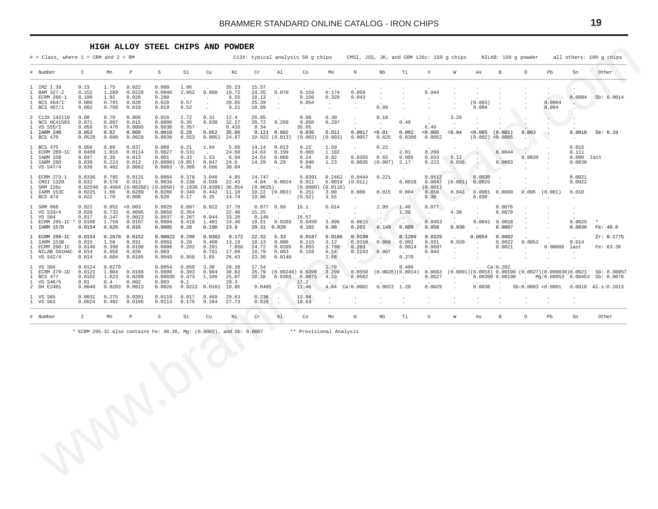#### **HIGH ALLOY STEEL CHIPS AND POWDER**

<span id="page-18-0"></span>

|                                                 |                                           | $\mathbb P$                                     | $\,$ S                                          | Si                                       | Cu                                        | Νi                                        | cr                                        | Al                                                                  | Co                                                                                                                                     | Mo                                       | $\mathbb N$                                        | Mb                                               | Τi                                       | $\rm{V}$                                        | ${\mathbb W}$                | As                                  | $\, {\bf B}$                          | $\circ$                                            | Pb                   | Sn                                                | Other                                                                                                       |
|-------------------------------------------------|-------------------------------------------|-------------------------------------------------|-------------------------------------------------|------------------------------------------|-------------------------------------------|-------------------------------------------|-------------------------------------------|---------------------------------------------------------------------|----------------------------------------------------------------------------------------------------------------------------------------|------------------------------------------|----------------------------------------------------|--------------------------------------------------|------------------------------------------|-------------------------------------------------|------------------------------|-------------------------------------|---------------------------------------|----------------------------------------------------|----------------------|---------------------------------------------------|-------------------------------------------------------------------------------------------------------------|
| 0.23<br>0.152<br>0.100<br>0.086<br>0.082        | 1.75<br>1.289<br>1.92<br>0.791<br>0.788   | 0.022<br>0.0228<br>0.026<br>0.020<br>0.018      | 0.009<br>0.0046<br>0.280<br>0.028<br>0.019      | 1.96<br>2.052<br>0.57<br>0.52            | 0.060<br>$\cdot$<br>$\Delta$<br>$\sim$    | 35.23<br>19.72<br>8.55<br>20.05<br>9.21   | 15.57<br>24.35<br>18.13<br>25.39<br>18.09 | 0.070<br>$\blacksquare$<br>$\ddot{\phantom{a}}$<br>$\sim$           | 0.159<br>0.150<br>0.054<br>$\ddot{\phantom{a}}$                                                                                        | 0.174<br>0.329<br>$\sim$<br>$\mathbf{r}$ | 0.059<br>0.043<br>$\bullet$<br>$\cdot$             | $\cdot$<br>0.99                                  |                                          | 0.044<br>$\cdot$                                | $\cdot$                      | (0.003)<br>0.004                    |                                       |                                                    | 0.0004<br>0.004      | $\ddot{\phantom{0}}$                              | Sb: 0.0014                                                                                                  |
| 0.08<br>0.071<br>0.059<br>0.053<br>0.0529       | 0.70<br>0.807<br>0.476<br>0.82<br>0.680   | 0.006<br>0.015<br>0.0095<br>0.009<br>0.0029     | 0.016<br>0.0006<br>0.0030<br>0.0010<br>0.0030   | 1.72<br>0.36<br>0.357<br>0.28<br>0.553   | 0.31<br>0.038<br>0.052<br>0.0052          | 12.4<br>32.27<br>0.416<br>35.86<br>24.87  | 26.05<br>20.72<br>8.34                    | 0.299                                                               | 0.08<br>0.050<br>35.05<br>0.036<br>(0.002)                                                                                             | 0.30<br>0.297<br>0.011<br>(0.003)        | $\cdot$<br>$\sim$<br>0.0017<br>0.0057              | 0.18<br>$\sim$<br>< 0.01<br>0.625                | 0.49<br>0.002<br>0.0306                  | $\ddot{\phantom{0}}$<br>6.46<br>0.005<br>0.0052 | 3.29<br>0.04<br>$\sim$       | 0.005<br>(0.002)                    |                                       | 0.003                                              |                      | 0.0018<br>$\sim$                                  | Se: 0.19                                                                                                    |
| 0.050<br>0.0489<br>0.047<br>0.038<br>0.036      | 0.89<br>1.016<br>0.39<br>0.224<br>0.402   | 0.037<br>0.0114<br>0.013<br>0.013<br>0.0062     | 0.008<br>0.0027<br>0.001<br>(0.0008)            | 0.21<br>0.531<br>0.33<br>(0.05)<br>0.366 | 1.94<br>1.53<br>0.047<br>0.686            | 5.66<br>24.68<br>6.94<br>24.6<br>30.84    | 14.14<br>14.63<br>14.53<br>14.29          | 0.013<br>0.199<br>0.006<br>0.29                                     | 0.22<br>0.065<br>0.24<br>0.040<br>4.06                                                                                                 | 1.59<br>1.102<br>0.82<br>1.23<br>$\cdot$ | $\bullet$<br>0.0355<br>0.0035<br>$\cdot$           | 0.22<br>0.65                                     | 2.01<br>0.005<br>2.17                    | 0.260<br>0.033<br>0.223                         | 0.12<br>0.036                | $\cdot$<br>$\cdot$                  | 0.0044<br>0.0063                      | 0.0039<br>$\sim$                                   |                      | 0.015<br>0.111<br>0.0039<br>$\cdot$               |                                                                                                             |
| 0.0336<br>0.032<br>0.02540<br>0.0225<br>0.022   | 0.785<br>0.578<br>1.60<br>1.70            | 0.0131<br>0.013<br>(0.00350)<br>0.0289<br>0.008 | 0.0004<br>0.0036<br>(0.0050)<br>0.0288<br>0.020 | 0.378<br>0.238<br>0.349<br>0.17          | 3.046<br>0.030<br>0.442<br>0.35           | 4.85<br>22.43<br>11.10<br>14.74           | 14.747<br>4.04<br>19.06                   | $\ddot{\phantom{a}}$                                                | 0.0391<br>0.011<br>(0.0080)<br>0.251<br>(0.02)                                                                                         | 0.2462<br>0.0019<br>3.00<br>3.55         | 0.0444<br>(0.011)<br>0.086<br>$\cdot$              | 0.221<br>$\sim$<br>0.015<br>$\ddot{\phantom{a}}$ | 0.0018<br>0.004<br>$\sim$                | 0.0512<br>0.0047<br>(0.001)<br>0.058<br>0.30    | (0.001)<br>0.043             | 0.0030<br>0.0026<br>0.0061<br>0.030 | 0.0009<br>$\ddot{\phantom{a}}$        | 0.006                                              |                      | 0.0021<br>0.0022<br>0.010<br>$\ddot{\phantom{a}}$ |                                                                                                             |
| 0.022<br>0.020<br>0.017<br>$* 0.0166$<br>0.0154 | 0.052<br>0.733<br>0.147<br>1.758<br>0.626 | < 0.003<br>0.0095<br>0.0023<br>0.0167<br>0.016  | 0.0025<br>0.0058<br>0.0037<br>0.0004<br>0.0005  | 0.097<br>0.354<br>0.267<br>0.418<br>0.28 | 0.022<br>0.044<br>1.481<br>0.196          | 37.78<br>22.48<br>33.20<br>24.40<br>23.9  | 15.25<br>0.146                            | $\blacksquare$ .                                                    | 16.1<br>16.57<br>0.0450<br>0.102                                                                                                       | 0.014<br>$\cdot$<br>3.996<br>6.08        | $\ddot{\phantom{0}}$<br>$\cdot$<br>0.0615<br>0.203 | 2.99<br>0.149                                    | 1.48<br>1.38<br>$\rightarrow$ .<br>0.009 | 0.077<br>$\sim$<br>0.0453<br>0.050              | 4.38<br>$\sim$<br>0.036      | $\epsilon$<br>0.0041                | 0.0078<br>0.0079<br>0.0018<br>0.0007  |                                                    |                      | $\Delta$<br>0.0025<br>0.0036                      | Fe: 48.0                                                                                                    |
| 0.0154<br>0.015<br>0.0146<br>0.014<br>0.014     | 1.58<br>0.398<br>0.858<br>0.604           | 0.0152<br>0.031<br>0.0198<br>0.020<br>0.0105    | 0.00022<br>0.0082<br>0.0006<br>0.003<br>0.0049  | 0.299<br>0.28<br>0.262<br>0.958          | 0.0382<br>0.408<br>0.201<br>0.761<br>2.85 | 0.172<br>13.19<br>7.056<br>17.69<br>26.43 | 22.32<br>18.13<br>24.72<br>19.79<br>23.30 | 5.33<br>0.006<br>0.0285<br>0.003<br>0.0140                          | 0.0187<br>0.115<br>0.055<br>0.159<br>$\sim$                                                                                            | 0.0186<br>3.12<br>3.799<br>6.14<br>2.68  | 0.0198<br>0.0158<br>0.263<br>0.2243                | 0.008<br>0.007                                   | 0.1289<br>0.002<br>0.0014<br>0.270       | 0.0329<br>0.031<br>0.0607<br>0.044              | 0.020<br>$\sim$<br>$\bullet$ | 0.0054                              | 0.0002<br>0.0022<br>0.0021<br>$\cdot$ | 0.0052<br>$\sim$                                   | 0.00008<br>$\bullet$ | 0.014                                             | Zr: 0.1775<br>Fe: 63.38                                                                                     |
| 0.0124<br>0.0121<br>0.0102<br>0.01<br>0.0048    | 0.0270<br>1.804<br>1.623<br>0.4           | 0.0166<br>0.0209<br>0.002                       | 0.0054<br>0.0006<br>0.00039<br>0.003            | 0.050<br>0.393<br>0.473<br>0.1           | 3.30<br>0.984<br>1.340                    | 28.28<br>30.83<br>25.07<br>29.3           | 17.54<br>26.79<br>20.38                   | 0.0303                                                              | 0.0875<br>17.2                                                                                                                         | 1.78<br>3.290<br>4.23                    | 0.0550<br>0.0562                                   |                                                  | 0.486<br>$\sim$                          | 0.0663<br>0.0527                                |                              |                                     |                                       | $\sim$ $\sim$                                      |                      |                                                   | Sb: 0.00057<br>Sb: 0.0078<br>$0.0016$ Al.s: $0.1013$                                                        |
| 0.0031<br>0.0024                                | 0.275<br>0.402                            | 0.0201<br>0.0166                                | 0.0119<br>0.0113                                | 0.017<br>0.175                           | 0.469<br>0.284                            | 29.63<br>27.73                            | 0.236<br>0.016                            | $\overline{\phantom{a}}$<br>$\sim$                                  | 13.94<br>18.63                                                                                                                         |                                          | $\epsilon$                                         | $\cdot$                                          | $\cdot$                                  | $\ddot{\phantom{a}}$                            | $\ddot{\phantom{a}}$         | $\ddot{\phantom{a}}$                | $\ddot{\phantom{a}}$                  | $\cdot$                                            | $\sim$               | $\cdot$                                           |                                                                                                             |
| $\mathsf C$                                     | Mn                                        | $\, {\mathbb P}$                                | $\mbox{S}$                                      | Si                                       | Cu                                        | Νi                                        | $\operatorname{Cr}$                       | A1                                                                  | Co                                                                                                                                     | Mo                                       | N                                                  | Nb                                               | Ti                                       | $\boldsymbol{\nabla}$                           | ${\mathbb W}$                | As                                  | $\, {\bf B}$                          | $\circ$                                            | Pb                   | Sn                                                | Other                                                                                                       |
|                                                 |                                           |                                                 |                                                 |                                          |                                           |                                           |                                           |                                                                     |                                                                                                                                        |                                          |                                                    |                                                  |                                          |                                                 |                              |                                     |                                       |                                                    |                      |                                                   |                                                                                                             |
|                                                 |                                           | 0.0203                                          | 0.4684<br>0.2678<br>0.0013                      | 0.0083<br>0.0026                         |                                           | 0.0161<br>0.0222                          | 0.1936 (0.0396) 36.054<br>18.85           | * ECRM 295-1C also contains Fe: 48.36, Mg: (0.0003), and Sb: 0.0007 | $0.121$ $0.002$<br>19.922 (0.013)<br>0.0024<br>$(0.0625)$ .<br>18.22 (0.003)<br>$0.077$ 0.99<br>19.51  0.0203<br>20.31 0.020<br>0.0405 | $(0.00246)$ 0.0390<br>11.46              | (0.0110)<br>4.64                                   | Ca: 0.0002<br>** Provisional Analysis            |                                          | (0.007)<br>$0.0023$ 1.28                        | (0.0028)(0.0014)<br>0.0029   | $\sim$ $\sim$                       | 0.0038                                | (0.001)<br>< 0.0005<br>Ca:0.202<br>0.00399 0.00198 |                      | (0.001)<br>Sb:0.0003 < 0.0001                     | 0.0084<br>$0.009$ last<br>last<br>$(0.0091)(0.0018) 0.00190 (0.0027)(0.000038)0.0021$<br>Mg:0.00053 0.00453 |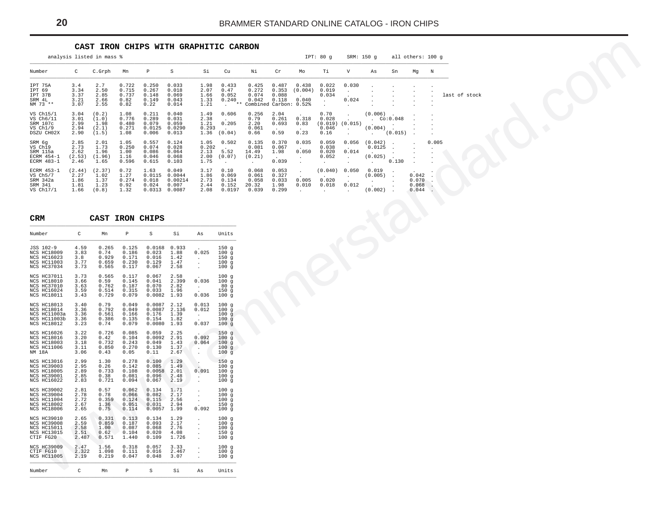<span id="page-19-0"></span>

|                                                                                       |                                        | CAST IRON CHIPS WITH GRAPHITIC CARBON    |                                           |                                            |                                               |                                                             |                                                             |                                           |                                                            |                                                   |                                                   |                                                      |                                        |                                              |                                  |                   |               |  |
|---------------------------------------------------------------------------------------|----------------------------------------|------------------------------------------|-------------------------------------------|--------------------------------------------|-----------------------------------------------|-------------------------------------------------------------|-------------------------------------------------------------|-------------------------------------------|------------------------------------------------------------|---------------------------------------------------|---------------------------------------------------|------------------------------------------------------|----------------------------------------|----------------------------------------------|----------------------------------|-------------------|---------------|--|
|                                                                                       |                                        | analysis listed in mass %                |                                           |                                            |                                               |                                                             |                                                             |                                           |                                                            |                                                   | IPT: 80 g                                         |                                                      | SRM: 150 g                             |                                              |                                  | all others: 100 g |               |  |
| Number                                                                                | C                                      | C.Grph                                   | Mn                                        | $\, {\bf p}$                               | S                                             | Si                                                          | Cu                                                          | Νi                                        | ${\rm Cr}$                                                 | Mo                                                | Тi                                                | $\boldsymbol{\mathrm{V}}$                            | As                                     | Sn                                           | Mg                               | N                 |               |  |
| IPT 75A<br>TPT 69<br>IPT 37B<br>SRM 4L<br>NM 73 **                                    | 3.4<br>3.34<br>3.37<br>3.21<br>3.07    | 2.7<br>2.50<br>2.85<br>2.66<br>2.55      | 0.722<br>0.715<br>0.737<br>0.82<br>0.82   | 0.250<br>0.267<br>0.148<br>0.149<br>0.22   | 0.033<br>0.018<br>0.069<br>0.043<br>0.014     | 1.98<br>2.07<br>1.66<br>1.33<br>1.21                        | 0.433<br>0.47<br>0.052<br>0.240<br>$***$<br>$\sim 10^{-11}$ | 0.425<br>0.272<br>0.074<br>0.042          | 0.487<br>0.353<br>0.088<br>0.118<br>Combined Carbon: 0.52% | 0.438<br>(0.004)<br>0.040                         | 0.022<br>0.019<br>0.034<br>$\ddot{\phantom{a}}$   | 0.030<br>$\cdot$<br>0.024<br>$\ddot{\phantom{0}}$    |                                        |                                              |                                  |                   | last of stock |  |
| VS Ch15/1<br>VS Ch6/11<br>SRM 107c<br>VS Ch1/9<br>DSZU CH02X                          | 3.04<br>3.01<br>2.99<br>2.94<br>2.90   | (0.2)<br>(1.0)<br>1.98<br>(2.1)<br>(1.5) | 1.08<br>0.776<br>0.480<br>0.271<br>1.08   | 0.211<br>0.289<br>0.079<br>0.0125<br>0.006 | 0.040<br>0.031<br>0.059<br>0.0290<br>0.013    | 1.49<br>2.38<br>1.21<br>0.293<br>1.36                       | 0.606<br>0.205<br>(0.04)                                    | 0.256<br>0.79<br>2.20<br>0.061<br>0.66    | 2.04<br>0.261<br>0.693<br>0.59                             | 0.318<br>0.83<br>0.23                             | 0.70<br>0.028<br>0.046<br>0.16                    | $\cdot$<br>$(0.019)$ $(0.015)$<br>$\cdot$<br>$\cdot$ | (0.006)<br>(0.004)<br>$\sim$           | CO:0.048<br>$\sim$<br>(0.015)                |                                  |                   |               |  |
| SRM 6q<br>$VS$ $Ch19$<br>SRM 115a<br>ECRM 454-1<br>ECRM 483-1                         | 2.85<br>2.73<br>2.62<br>(2.53)<br>2.46 | 2.01<br>1.73<br>1.96<br>(1.96)<br>1.65   | 1.05<br>0.250<br>1.00<br>1.16<br>0.596    | 0.557<br>0.074<br>0.086<br>0.046<br>0.615  | 0.124<br>0.028<br>0.064<br>0.068<br>0.103     | 1.05<br>0.202<br>2.13<br>2.00<br>1.75                       | 0.502<br>5.52<br>(0.07)                                     | 0.135<br>0.081<br>14.49<br>(0.21)         | 0.370<br>0.067<br>1.98<br>0.039                            | 0.035<br>0.050<br>$\sim$<br>$\ddot{\phantom{a}}$  | 0.059<br>0.038<br>0.020<br>0.052<br>$\sim$        | 0.056<br>0.014<br>$\cdot$                            | (0.042)<br>0.0125<br>(0.025)<br>$\sim$ | $\overline{\phantom{a}}$<br>$\cdot$<br>0.130 |                                  | 0.005<br>$\cdot$  |               |  |
| ECRM 453-1<br>VS Ch5/7<br>SRM 342a<br>SRM 341<br>VS Ch17/1                            | (2.44)<br>2.27<br>1.86<br>1.81<br>1.66 | (2.37)<br>1.02<br>1.37<br>1.23<br>(0.8)  | 0.72<br>1.27<br>0.274<br>0.92<br>1.32     | 1.63<br>0.0115<br>0.018<br>0.024<br>0.0313 | 0.049<br>0.0044<br>0.00214<br>0.007<br>0.0087 | 3.17<br>1.86<br>2.73<br>2.44<br>2.08                        | 0.10<br>0.069<br>0.134<br>0.152<br>0.0197                   | 0.068<br>0.061<br>0.058<br>20.32<br>0.039 | 0.053<br>0.327<br>0.033<br>1.98<br>0.299                   | $\cdot$<br>0.005<br>0.010<br>$\ddot{\phantom{a}}$ | (0.040)<br>0.020<br>0.018<br>$\ddot{\phantom{a}}$ | 0.050<br>$\cdot$<br>0.012<br>$\cdot$                 | 0.019<br>(0.005)<br>$\sim$<br>(0.002)  | $\ddot{\phantom{a}}$<br>$\cdot$              | 0.042<br>0.070<br>0.068<br>0.044 |                   |               |  |
| <b>CRM</b>                                                                            |                                        | CAST IRON CHIPS                          |                                           |                                            |                                               |                                                             |                                                             |                                           |                                                            |                                                   |                                                   |                                                      |                                        |                                              |                                  |                   |               |  |
| Number                                                                                | $\mathtt{C}$                           | Mn                                       | P                                         | $\mathtt S$                                | Si                                            | As                                                          | Units                                                       |                                           |                                                            |                                                   |                                                   |                                                      |                                        |                                              |                                  |                   |               |  |
| JSS 102-9<br>NCS HC18009<br>NCS HC16023<br>NCS HC11003<br>NCS HC37034                 | 4.59<br>3.83<br>3.8<br>3.77<br>3.73    | 0.265<br>0.74<br>0.929<br>0.659<br>0.565 | 0.125<br>0.186<br>0.171<br>0.230<br>0.117 | 0.0168<br>0.023<br>0.016<br>0.129<br>0.067 | 0.933<br>1.88<br>1.42<br>1.47<br>2.58         | 0.025<br>$\cdot$<br>$\cdot$                                 | 150 <sub>g</sub><br>100g<br>150g<br>100g<br>100g            |                                           |                                                            |                                                   |                                                   |                                                      |                                        |                                              |                                  |                   |               |  |
| NCS HC37011<br>NCS HC18010<br>NCS HC37010<br>NCS HC16024<br>NCS HC18011               | 3.73<br>3.66<br>3.63<br>3.59<br>3.43   | 0.565<br>0.59<br>0.762<br>0.514<br>0.729 | 0.117<br>0.145<br>0.187<br>0.315<br>0.079 | 0.067<br>0.041<br>0.070<br>0.033<br>0.0082 | 2.58<br>2.399<br>2.82<br>1.96<br>1.93         | 0.036<br>$\sim$<br>0.036                                    | 100 g<br>100g<br>80g<br>150g<br>100g                        |                                           |                                                            |                                                   |                                                   |                                                      |                                        |                                              |                                  |                   |               |  |
| NCS HC18013<br>NCS HC18014<br>NCS HC11003a<br>NCS HC11003b<br><b>NCS HC18012</b>      | 3.40<br>3.36<br>3.36<br>3.36<br>3.23   | 0.79<br>0.792<br>0.561<br>0.386<br>0.74  | 0.049<br>0.049<br>0.166<br>0.135<br>0.079 | 0.0087<br>0.0087<br>0.176<br>0.154         | 2.12<br>2.136<br>1.39<br>1.82<br>0.0080 1.93  | 0.013<br>0.012<br>$\sim$<br>0.037                           | 100q<br>100q<br>100g<br>100g<br>100g                        |                                           |                                                            |                                                   |                                                   |                                                      |                                        |                                              |                                  |                   |               |  |
| NCS HC16026<br>NCS HC18016<br><b>NCS HC18003</b><br>NCS HC11006<br>NM 18A             | 3.22<br>3.20<br>3.18<br>3.11<br>3.06   | 0.726<br>0.42<br>0.732<br>0.850<br>0.43  | 0.085<br>0.104<br>0.243<br>0.270<br>0.05  | 0.059<br>0.0092<br>0.049<br>0.130<br>0.11  | 2.25<br>2.91<br>1.43<br>1.37<br>2.67          | 0.092<br>0.064<br>$\cdot$<br>$\cdot$                        | 150g<br>100g<br>100q<br>100g<br>100g                        |                                           |                                                            |                                                   |                                                   |                                                      |                                        |                                              |                                  |                   |               |  |
| NCS HC13016<br><b>NCS HC39003</b><br><b>NCS HC18005</b><br>NCS HC39001<br>NCS HC16022 | 2.99<br>2.95<br>2.89<br>2.85<br>2.83   | 1.30<br>0.26<br>0.733<br>0.38<br>0.721   | 0.278<br>0.142<br>0.108<br>0.081<br>0.094 | 0.100<br>0.085<br>0.096<br>0.067           | 1.29<br>1.49<br>$0.0058$ 2.01<br>2.48<br>2.19 | ٠.<br>0.091<br>$\ddot{\phantom{a}}$<br>$\ddot{\phantom{a}}$ | 150g<br>100 g<br>100g<br>100g<br>100g                       |                                           |                                                            |                                                   |                                                   |                                                      |                                        |                                              |                                  |                   |               |  |
| NCS HC39002<br>NCS HC39004<br>NCS HC11004<br><b>NCS HC18002</b><br>NCS HC18006        | 2.81<br>2.78<br>2.72<br>2.67<br>2.65   | 0.57<br>0.78<br>0.359<br>1.36<br>0.75    | 0.062<br>0.066<br>0.124<br>0.051<br>0.114 | 0.134<br>0.082<br>0.115<br>0.031<br>0.0057 | 1.71<br>2.17<br>2.56<br>2.94<br>1.99          | $\cdot$<br>$\cdot$<br>0.092                                 | 100g<br>100g<br>100q<br>150g<br>100g                        |                                           |                                                            |                                                   |                                                   |                                                      |                                        |                                              |                                  |                   |               |  |
| NCS HC39010<br><b>NCS HC39008</b><br>NCS HC15011<br><b>NCS HC13015</b><br>CTIF FG20   | 2.65<br>2.59<br>2.58<br>2.51<br>2.487  | 0.331<br>0.859<br>1.00<br>0.62<br>0.571  | 0.113<br>0.187<br>0.087<br>0.104<br>1.440 | 0.134<br>0.093<br>0.068<br>0.020<br>0.109  | 1.29<br>2.17<br>2.76<br>4.08<br>1.726         |                                                             | 100g<br>100g<br>100g<br>150q<br>100g                        |                                           |                                                            |                                                   |                                                   |                                                      |                                        |                                              |                                  |                   |               |  |
| <b>NCS HC39009</b><br>CTIF FG10<br>NCS HC11005                                        | 2.47<br>2.322<br>2.19                  | 1.56<br>1.098<br>0.219                   | 0.318<br>0.111<br>0.047                   | 0.057<br>0.016<br>0.048                    | 3.33<br>2.467<br>3.07                         |                                                             | 100g<br>100g<br>100 g                                       |                                           |                                                            |                                                   |                                                   |                                                      |                                        |                                              |                                  |                   |               |  |
| Number                                                                                | $\mathtt{C}$                           | Mn                                       | P                                         | S                                          | Si                                            | As                                                          | Units                                                       |                                           |                                                            |                                                   |                                                   |                                                      |                                        |                                              |                                  |                   |               |  |

| CRM                                                                                                        |                                       | CAST                                     |                                           | IRON CHIPS                                   |                                       |                                                       |                                                                   |
|------------------------------------------------------------------------------------------------------------|---------------------------------------|------------------------------------------|-------------------------------------------|----------------------------------------------|---------------------------------------|-------------------------------------------------------|-------------------------------------------------------------------|
| Number                                                                                                     | C                                     | Mn                                       | $\mathbb P$                               | S                                            | Si                                    | As                                                    | Units                                                             |
| JSS 102-9<br><b>NCS HC18009</b><br><b>NCS HC16023</b><br><b>NCS HC11003</b><br><b>NCS HC37034</b>          | 4.59<br>3.83<br>3.8<br>3.77<br>3.73   | 0.265<br>0.74<br>0.929<br>0.659<br>0.565 | 0.125<br>0.186<br>0.171<br>0.230<br>0.117 | 0.0168<br>0.023<br>0.016<br>0.129<br>0.067   | 0.933<br>1.88<br>1.42<br>1.47<br>2.58 | 0.025<br>$\ddot{\phantom{a}}$                         | 150g<br>100g<br>150q<br>100<br>$\mathbf q$<br>100<br>$\mathbf{q}$ |
| <b>NCS HC37011</b><br><b>NCS HC18010</b><br>NCS HC37010<br>NCS HC16024<br>NCS HC18011                      | 3.73<br>3.66<br>3.63<br>3.59<br>3.43  | 0.565<br>0.59<br>0.762<br>0.514<br>0.729 | 0.117<br>0.145<br>0.187<br>0.315<br>0.079 | 0.067<br>0.041<br>0.070<br>0.033<br>0.0082   | 2.58<br>2.399<br>2.82<br>1.96<br>1.93 | 0.036<br>$\ddot{\phantom{0}}$<br>0.036                | 100<br>g<br>100<br>g<br>80<br>q<br>150<br>q<br>100<br>$\sigma$    |
| <b>NCS HC18013</b><br>NCS HC18014<br>NCS HC11003a<br>NCS HC11003b<br>NCS HC18012                           | 3.40<br>3.36<br>3.36<br>3.36<br>3.23  | 0.79<br>0.792<br>0.561<br>0.386<br>0.74  | 0.049<br>0.049<br>0.166<br>0.135<br>0.079 | 0.0087<br>0.0087<br>0.176<br>0.154<br>0.0080 | 2.12<br>2.136<br>1.39<br>1.82<br>1.93 | 0.013<br>0.012<br>$\ddot{\phantom{0}}$<br>0.037       | 100g<br>100g<br>100<br>q<br>100q<br>100q                          |
| <b>NCS HC16026</b><br>NCS HC18016<br><b>NCS HC18003</b><br><b>NCS HC11006</b><br>NM 18A                    | 3.22<br>3.20<br>3.18<br>3.11<br>3.06  | 0.726<br>0.42<br>0.732<br>0.850<br>0.43  | 0.085<br>0.104<br>0.243<br>0.270<br>0.05  | 0.059<br>0.0092<br>0.049<br>0.130<br>0.11    | 2.25<br>2.91<br>1.43<br>1.37<br>2.67  | 0.092<br>0.064<br>$\ddot{\phantom{a}}$                | 150g<br>100g<br>100g<br>100<br>q<br>100q                          |
| <b>NCS HC13016</b><br><b>NCS HC39003</b><br><b>NCS HC18005</b><br><b>NCS HC39001</b><br><b>NCS HC16022</b> | 2.99<br>2.95<br>2.89<br>2.85<br>2.83  | 1.30<br>0.26<br>0.733<br>0.38<br>0.721   | 0.278<br>0.142<br>0.108<br>0.081<br>0.094 | 0.100<br>0.085<br>0.0058<br>0.096<br>0.067   | 1.29<br>1.49<br>2.01<br>2.48<br>2.19  | 0.091<br>$\ddot{\phantom{a}}$<br>$\ddot{\phantom{0}}$ | 150g<br>100g<br>100<br>q<br>100<br>q<br>100a                      |
| <b>NCS HC39002</b><br><b>NCS HC39004</b><br>NCS HC11004<br><b>NCS HC18002</b><br><b>NCS HC18006</b>        | 2.81<br>2.78<br>2.72<br>2.67<br>2.65  | 0.57<br>0.78<br>0.359<br>1.36<br>0.75    | 0.062<br>0.066<br>0.124<br>0.051<br>0.114 | 0.134<br>0.082<br>0.115<br>0.031<br>0.0057   | 1.71<br>2.17<br>2.56<br>2.94<br>1.99  | $\ddot{\phantom{0}}$<br>0.092                         | 100g<br>100g<br>100<br>g<br>150<br>q<br>100q                      |
| <b>NCS HC39010</b><br><b>NCS HC39008</b><br>NCS HC15011<br><b>NCS HC13015</b><br>CTIF FG20                 | 2.65<br>2.59<br>2.58<br>2.51<br>2.487 | 0.331<br>0.859<br>1.00<br>0.62<br>0.571  | 0.113<br>0.187<br>0.087<br>0.104<br>1.440 | 0.134<br>0.093<br>0.068<br>0.020<br>0.109    | 1.29<br>2.17<br>2.76<br>4.08<br>1.726 | $\overline{a}$                                        | 100g<br>100g<br>100g<br>150<br>$\sigma$<br>100q                   |
| <b>NCS HC39009</b><br>CTIF FG10<br>NCS HC11005                                                             | 2.47<br>2.322<br>2.19                 | 1.56<br>1.098<br>0.219                   | 0.318<br>0.111<br>0.047                   | 0.057<br>0.016<br>0.048                      | 3.33<br>2.467<br>3.07                 | $\ddot{\phantom{0}}$                                  | 100g<br>100<br>q<br>100g                                          |
| Number                                                                                                     | C                                     | Mn                                       | P                                         | S                                            | Si                                    | As                                                    | Units                                                             |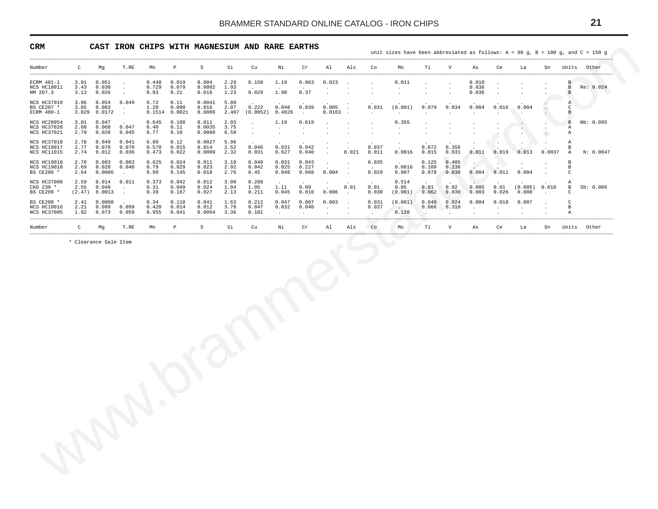<span id="page-20-0"></span>

| Number<br>$\mathtt{C}$<br>Mg<br>T.RE<br>Mn<br>$\, {\bf p}$<br>S<br>Si<br>Cu<br>Νi<br>$\operatorname{\sf Cr}$<br>Al<br>Als<br>Co<br>Mo<br>Тi<br>V<br>As<br>Ce<br>La<br>Sn<br>Units Other<br>ECRM 481-1<br>3.91<br>0.051<br>0.448<br>0.019<br>0.004<br>2.29<br>0.150<br>1.19<br>0.063<br>0.023<br>0.011<br>0.010<br>B<br>$\ddot{\phantom{a}}$<br>$\overline{\phantom{a}}$<br>$\mathbf{r}$<br>$\cdot$<br>$\mathbf{r}$<br>0.729<br>NCS HC18011<br>3.43<br>0.030<br>0.079<br>0.0082<br>1.93<br>0.036<br>$\, {\bf B}$<br>Re: 0.024<br>$\ddot{\phantom{a}}$<br>$\cdot$<br>$\ddot{\phantom{a}}$<br>1.90<br>0.37<br>NM 207.3<br>3.13<br>0.026<br>0.83<br>0.21<br>0.016<br>1.23<br>0.029<br>0.036<br>$_{\rm B}$<br>$\cdot$<br>$\epsilon$<br>$\cdot$<br>$\cdot$<br>$\cdot$<br>$\cdot$<br><b>NCS HC37019</b><br>3.06<br>0.054<br>0.049<br>6.72<br>0.11<br>0.0041<br>5.80<br>Α<br>BS CE207 *<br>0.048<br>0.039<br>3.05<br>0.003<br>1.20<br>0.090<br>0.016<br>2.07<br>0.222<br>0.005<br>0.031<br>(0.001)<br>0.079<br>0.034<br>0.004<br>0.016<br>0.004<br>$\mathsf{C}$<br>$\sim$<br>$\sim$<br>ECRM 480-1<br>3.029 0.0172<br>0.1514 0.0021<br>0.0086<br>2.407<br>(0.0052)<br>0.4826<br>0.0163<br>$\mathbf{B}$<br>$\ddot{\phantom{a}}$<br>$\ddot{\phantom{a}}$<br>$\sim$<br>$\sim$<br>$\ddot{\phantom{a}}$<br>$\mathbf{r}$<br>$\sim$<br>$\ddot{\phantom{0}}$<br>NCS HC28054<br>3.01<br>0.047<br>0.645<br>0.188<br>0.011<br>2.03<br>1.19<br>0.619<br>0.355<br>$\mathbf{B}$<br>Nb: 0.095<br>$\cdot$<br>$\cdot$<br>$\ddot{\phantom{a}}$<br>NCS HC37020<br>2.88<br>0.068<br>0.047<br>6.40<br>0.11<br>0.0035<br>3.75<br>Α<br>$\cdot$<br>$\ddot{\phantom{a}}$<br>$\ddot{\phantom{a}}$<br>$\cdot$<br>$\cdot$<br>$\sim$<br>$\cdot$<br>NCS HC37021<br>2.79<br>0.028<br>0.045<br>8.77<br>0.10<br>0.0060<br>6.58<br>Α<br>$\cdot$<br>$\ddot{\phantom{a}}$<br>$\ddot{\phantom{a}}$<br>$\cdot$<br>$\cdot$<br>$\cdot$<br>$\cdot$<br>$\cdot$<br>NCS HC37018<br>2.78<br>0.049<br>0.041<br>6.80<br>0.12<br>0.0027<br>5.96<br>Α<br>$\blacksquare$<br>NCS HC19017<br>2.77<br>0.070<br>0.070<br>0.570<br>0.015<br>0.014<br>2.52<br>0.046<br>0.031<br>0.042<br>0.037<br>0.072<br>0.356<br>$\mathbf{B}$<br>$\sim$<br>$\cdot$<br>$\sim$<br>0.0037<br>NCS HC11015<br>2.74<br>0.012<br>0.036<br>0.473<br>0.022<br>0.0009<br>2.32<br>0.031<br>0.627<br>0.040<br>0.021<br>0.011<br>0.0016<br>0.015<br>0.031<br>0.011<br>0.019<br>0.013<br>$\mathbf{A}$<br>$\sim$<br>NCS HC19018<br>2.70<br>0.083<br>0.083<br>0.625<br>0.024<br>0.011<br>3.10<br>0.049<br>0.031<br>0.043<br>0.035<br>0.125<br>0.405<br>$\mathbf{B}$<br>$\cdot$<br>$\cdot$<br>$\bullet$<br>0.79<br>0.025<br>NCS HC19010<br>2.69<br>0.028<br>0.040<br>0.029<br>0.023<br>2.92<br>0.042<br>0.227<br>0.0016<br>0.109<br>0.236<br>$\mathbf{B}$<br>$\sim$<br>$\cdot$<br>$\sim$<br>BS CE206 *<br>2.64<br>0.0006<br>0.99<br>0.145<br>0.018<br>2.76<br>0.45<br>0.048<br>0.068<br>0.004<br>0.029<br>0.007<br>0.078<br>0.038<br>0.004<br>0.011<br>0.004<br>C<br>$\sim 10^{-11}$<br>$\ddot{\phantom{0}}$<br><b>NCS HC37008</b><br>2.59<br>0.014<br>0.011<br>0.373<br>0.042<br>0.012<br>3.08<br>0.288<br>0.514<br>A<br>0.09<br>0.01<br>0.01<br>0.010<br>CKD 230 *<br>2.55<br>0.040<br>0.31<br>0.049<br>0.024<br>1.04<br>1.05<br>1.11<br>0.01<br>0.05<br>0.01<br>0.02<br>0.005<br>(0.005)<br>$\mathbf{B}$<br>Sb: 0.006<br>$\sim$<br>$\sim$<br>BS CE209 *<br>(2.47)<br>0.0013<br>0.39<br>0.167<br>0.027<br>2.13<br>0.211<br>0.045<br>0.010<br>0.006<br>0.030<br>(0.001)<br>0.062<br>0.030<br>0.003<br>0.026<br>0.008<br>$\mathsf{C}$<br>$\sim$<br>$\sim$ 100 $\mu$<br>$\sim$<br>BS CE208 *<br>2.41<br>0.0008<br>0.34<br>0.118<br>0.041<br>1.63<br>0.212<br>0.047<br>0.007<br>0.003<br>0.031<br>(0.001)<br>0.048<br>0.024<br>0.004<br>0.018<br>0.007<br>$\mathsf{C}$<br>$\sim$<br>$\mathbf{r}$<br>NCS HC19016<br>2.21<br>0.099<br>0.099<br>0.420<br>0.014<br>0.012<br>3.78<br>0.047<br>0.032<br>0.040<br>0.037<br>0.066<br>0.310<br>$\mathbf{B}$<br><b>Contract Contract</b><br>$\ddot{\phantom{a}}$<br>$\cdot$<br>$\sim$<br>$\cdot$<br>$\cdot$<br>$\cdot$<br><b>NCS HC37005</b><br>1.92<br>0.073<br>0.059<br>0.955<br>0.041<br>0.0064<br>3.36<br>0.181<br>0.128<br>Α<br>$\sim$<br>$\cdot$<br>$\sim$<br>NH.<br>$\cdot$<br>$\cdot$<br>Number<br>$\mathtt{C}$<br>Mg<br>T.RE<br>$\, {\bf p}$<br>S<br>Si<br>Cu<br>Νi<br>$\operatorname{Cr}$<br>Al<br>Co<br>Mo<br>Тi<br>V<br>Units Other<br>Mn<br>Als<br>As<br>Ce<br>La<br>Sn<br>c.<br>* Clearance Sale Item | <b>CRM</b> |  |  |  | CAST IRON CHIPS WITH MAGNESIUM AND RARE EARTHS |  |  | unit sizes have been abbreviated as follows: A = 80 g, B = 100 g, and C = 150 g |  |  |  |  |
|----------------------------------------------------------------------------------------------------------------------------------------------------------------------------------------------------------------------------------------------------------------------------------------------------------------------------------------------------------------------------------------------------------------------------------------------------------------------------------------------------------------------------------------------------------------------------------------------------------------------------------------------------------------------------------------------------------------------------------------------------------------------------------------------------------------------------------------------------------------------------------------------------------------------------------------------------------------------------------------------------------------------------------------------------------------------------------------------------------------------------------------------------------------------------------------------------------------------------------------------------------------------------------------------------------------------------------------------------------------------------------------------------------------------------------------------------------------------------------------------------------------------------------------------------------------------------------------------------------------------------------------------------------------------------------------------------------------------------------------------------------------------------------------------------------------------------------------------------------------------------------------------------------------------------------------------------------------------------------------------------------------------------------------------------------------------------------------------------------------------------------------------------------------------------------------------------------------------------------------------------------------------------------------------------------------------------------------------------------------------------------------------------------------------------------------------------------------------------------------------------------------------------------------------------------------------------------------------------------------------------------------------------------------------------------------------------------------------------------------------------------------------------------------------------------------------------------------------------------------------------------------------------------------------------------------------------------------------------------------------------------------------------------------------------------------------------------------------------------------------------------------------------------------------------------------------------------------------------------------------------------------------------------------------------------------------------------------------------------------------------------------------------------------------------------------------------------------------------------------------------------------------------------------------------------------------------------------------------------------------------------------------------------------------------------------------------------------------------------------------------------------------------------------------------------------------------------------------------------------------------------------------------------------------------------------------------------------------------------------------------------------------------------------------------------------------------------------------------------------------------------------------------------------------------------------------------------------------------------------------------------------------------------------------------------------------------------------------------------------------------------------------------------------------------------------------------------|------------|--|--|--|------------------------------------------------|--|--|---------------------------------------------------------------------------------|--|--|--|--|
|                                                                                                                                                                                                                                                                                                                                                                                                                                                                                                                                                                                                                                                                                                                                                                                                                                                                                                                                                                                                                                                                                                                                                                                                                                                                                                                                                                                                                                                                                                                                                                                                                                                                                                                                                                                                                                                                                                                                                                                                                                                                                                                                                                                                                                                                                                                                                                                                                                                                                                                                                                                                                                                                                                                                                                                                                                                                                                                                                                                                                                                                                                                                                                                                                                                                                                                                                                                                                                                                                                                                                                                                                                                                                                                                                                                                                                                                                                                                                                                                                                                                                                                                                                                                                                                                                                                                                                                                                                                          |            |  |  |  |                                                |  |  |                                                                                 |  |  |  |  |
|                                                                                                                                                                                                                                                                                                                                                                                                                                                                                                                                                                                                                                                                                                                                                                                                                                                                                                                                                                                                                                                                                                                                                                                                                                                                                                                                                                                                                                                                                                                                                                                                                                                                                                                                                                                                                                                                                                                                                                                                                                                                                                                                                                                                                                                                                                                                                                                                                                                                                                                                                                                                                                                                                                                                                                                                                                                                                                                                                                                                                                                                                                                                                                                                                                                                                                                                                                                                                                                                                                                                                                                                                                                                                                                                                                                                                                                                                                                                                                                                                                                                                                                                                                                                                                                                                                                                                                                                                                                          |            |  |  |  |                                                |  |  |                                                                                 |  |  |  |  |
| N: 0.0047                                                                                                                                                                                                                                                                                                                                                                                                                                                                                                                                                                                                                                                                                                                                                                                                                                                                                                                                                                                                                                                                                                                                                                                                                                                                                                                                                                                                                                                                                                                                                                                                                                                                                                                                                                                                                                                                                                                                                                                                                                                                                                                                                                                                                                                                                                                                                                                                                                                                                                                                                                                                                                                                                                                                                                                                                                                                                                                                                                                                                                                                                                                                                                                                                                                                                                                                                                                                                                                                                                                                                                                                                                                                                                                                                                                                                                                                                                                                                                                                                                                                                                                                                                                                                                                                                                                                                                                                                                                |            |  |  |  |                                                |  |  |                                                                                 |  |  |  |  |
|                                                                                                                                                                                                                                                                                                                                                                                                                                                                                                                                                                                                                                                                                                                                                                                                                                                                                                                                                                                                                                                                                                                                                                                                                                                                                                                                                                                                                                                                                                                                                                                                                                                                                                                                                                                                                                                                                                                                                                                                                                                                                                                                                                                                                                                                                                                                                                                                                                                                                                                                                                                                                                                                                                                                                                                                                                                                                                                                                                                                                                                                                                                                                                                                                                                                                                                                                                                                                                                                                                                                                                                                                                                                                                                                                                                                                                                                                                                                                                                                                                                                                                                                                                                                                                                                                                                                                                                                                                                          |            |  |  |  |                                                |  |  |                                                                                 |  |  |  |  |
|                                                                                                                                                                                                                                                                                                                                                                                                                                                                                                                                                                                                                                                                                                                                                                                                                                                                                                                                                                                                                                                                                                                                                                                                                                                                                                                                                                                                                                                                                                                                                                                                                                                                                                                                                                                                                                                                                                                                                                                                                                                                                                                                                                                                                                                                                                                                                                                                                                                                                                                                                                                                                                                                                                                                                                                                                                                                                                                                                                                                                                                                                                                                                                                                                                                                                                                                                                                                                                                                                                                                                                                                                                                                                                                                                                                                                                                                                                                                                                                                                                                                                                                                                                                                                                                                                                                                                                                                                                                          |            |  |  |  |                                                |  |  |                                                                                 |  |  |  |  |
|                                                                                                                                                                                                                                                                                                                                                                                                                                                                                                                                                                                                                                                                                                                                                                                                                                                                                                                                                                                                                                                                                                                                                                                                                                                                                                                                                                                                                                                                                                                                                                                                                                                                                                                                                                                                                                                                                                                                                                                                                                                                                                                                                                                                                                                                                                                                                                                                                                                                                                                                                                                                                                                                                                                                                                                                                                                                                                                                                                                                                                                                                                                                                                                                                                                                                                                                                                                                                                                                                                                                                                                                                                                                                                                                                                                                                                                                                                                                                                                                                                                                                                                                                                                                                                                                                                                                                                                                                                                          |            |  |  |  |                                                |  |  |                                                                                 |  |  |  |  |
|                                                                                                                                                                                                                                                                                                                                                                                                                                                                                                                                                                                                                                                                                                                                                                                                                                                                                                                                                                                                                                                                                                                                                                                                                                                                                                                                                                                                                                                                                                                                                                                                                                                                                                                                                                                                                                                                                                                                                                                                                                                                                                                                                                                                                                                                                                                                                                                                                                                                                                                                                                                                                                                                                                                                                                                                                                                                                                                                                                                                                                                                                                                                                                                                                                                                                                                                                                                                                                                                                                                                                                                                                                                                                                                                                                                                                                                                                                                                                                                                                                                                                                                                                                                                                                                                                                                                                                                                                                                          |            |  |  |  |                                                |  |  |                                                                                 |  |  |  |  |
|                                                                                                                                                                                                                                                                                                                                                                                                                                                                                                                                                                                                                                                                                                                                                                                                                                                                                                                                                                                                                                                                                                                                                                                                                                                                                                                                                                                                                                                                                                                                                                                                                                                                                                                                                                                                                                                                                                                                                                                                                                                                                                                                                                                                                                                                                                                                                                                                                                                                                                                                                                                                                                                                                                                                                                                                                                                                                                                                                                                                                                                                                                                                                                                                                                                                                                                                                                                                                                                                                                                                                                                                                                                                                                                                                                                                                                                                                                                                                                                                                                                                                                                                                                                                                                                                                                                                                                                                                                                          |            |  |  |  |                                                |  |  |                                                                                 |  |  |  |  |
|                                                                                                                                                                                                                                                                                                                                                                                                                                                                                                                                                                                                                                                                                                                                                                                                                                                                                                                                                                                                                                                                                                                                                                                                                                                                                                                                                                                                                                                                                                                                                                                                                                                                                                                                                                                                                                                                                                                                                                                                                                                                                                                                                                                                                                                                                                                                                                                                                                                                                                                                                                                                                                                                                                                                                                                                                                                                                                                                                                                                                                                                                                                                                                                                                                                                                                                                                                                                                                                                                                                                                                                                                                                                                                                                                                                                                                                                                                                                                                                                                                                                                                                                                                                                                                                                                                                                                                                                                                                          |            |  |  |  |                                                |  |  |                                                                                 |  |  |  |  |
|                                                                                                                                                                                                                                                                                                                                                                                                                                                                                                                                                                                                                                                                                                                                                                                                                                                                                                                                                                                                                                                                                                                                                                                                                                                                                                                                                                                                                                                                                                                                                                                                                                                                                                                                                                                                                                                                                                                                                                                                                                                                                                                                                                                                                                                                                                                                                                                                                                                                                                                                                                                                                                                                                                                                                                                                                                                                                                                                                                                                                                                                                                                                                                                                                                                                                                                                                                                                                                                                                                                                                                                                                                                                                                                                                                                                                                                                                                                                                                                                                                                                                                                                                                                                                                                                                                                                                                                                                                                          |            |  |  |  |                                                |  |  |                                                                                 |  |  |  |  |
|                                                                                                                                                                                                                                                                                                                                                                                                                                                                                                                                                                                                                                                                                                                                                                                                                                                                                                                                                                                                                                                                                                                                                                                                                                                                                                                                                                                                                                                                                                                                                                                                                                                                                                                                                                                                                                                                                                                                                                                                                                                                                                                                                                                                                                                                                                                                                                                                                                                                                                                                                                                                                                                                                                                                                                                                                                                                                                                                                                                                                                                                                                                                                                                                                                                                                                                                                                                                                                                                                                                                                                                                                                                                                                                                                                                                                                                                                                                                                                                                                                                                                                                                                                                                                                                                                                                                                                                                                                                          | <b>MAR</b> |  |  |  |                                                |  |  |                                                                                 |  |  |  |  |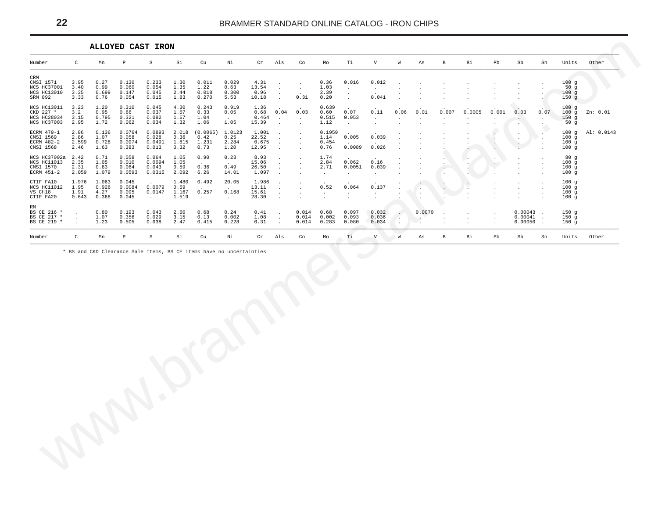<span id="page-21-0"></span>

|                                                                  |                                |                                 |                                    | ALLOYED CAST IRON                  |                                 |                                   |                                                                |                                  |                   |                                                                 |                                 |                                            |                                        |                 |                                  |       |        |                    |                                        |                           |                              |            |
|------------------------------------------------------------------|--------------------------------|---------------------------------|------------------------------------|------------------------------------|---------------------------------|-----------------------------------|----------------------------------------------------------------|----------------------------------|-------------------|-----------------------------------------------------------------|---------------------------------|--------------------------------------------|----------------------------------------|-----------------|----------------------------------|-------|--------|--------------------|----------------------------------------|---------------------------|------------------------------|------------|
| Number                                                           | C                              | Mn                              | P                                  | S                                  | Si                              | Cu                                | Νi                                                             | Cr                               | Als               | Co                                                              | Mo                              | Тi                                         | V                                      | W               | As                               | B     | Bi     | Pb                 | Sb                                     | Sn                        | Units                        | Other      |
| CRM<br>CMSI 1571<br>NCS HC37001<br><b>NCS HC13010</b><br>SRM 892 | 3.95<br>3.40<br>3.35<br>3.33   | 0.27<br>0.99<br>0.699<br>0.76   | 0.130<br>0.060<br>0.147<br>0.054   | 0.233<br>0.054<br>0.045<br>0.015   | 1.30<br>1.35<br>2.44<br>1.83    | 0.011<br>1.22<br>0.018<br>0.270   | 0.029<br>0.63<br>0.300<br>5.53                                 | 4.31<br>13.54<br>0.96<br>10.18   |                   | $\cdot$<br>$\cdot$<br>0.31                                      | 0.36<br>1.03<br>2.39<br>0.20    | 0.016<br>$\cdot$<br>$\cdot$<br>$\cdot$     | 0.012<br>$\cdot$<br>0.041              |                 |                                  |       |        |                    |                                        |                           | 100g<br>50g<br>100q<br>150g  |            |
| NCS HC13011<br>CKD 227 *<br><b>NCS HC28034</b><br>NCS HC37003    | 3.23<br>3.2<br>3.15<br>2.95    | 1.20<br>0.95<br>0.795<br>1.72   | 0.310<br>0.66<br>0.321<br>0.062    | 0.045<br>0.037<br>0.082<br>0.034   | 4.30<br>1.67<br>1.67<br>1.32    | 0.243<br>0.33<br>1.04<br>1.06     | 0.919<br>0.05<br>$\sim$<br>1.05                                | 1.36<br>0.68<br>0.464<br>15.39   | 0.04              | $\ddot{\phantom{a}}$<br>0.03<br>$\cdot$<br>$\ddot{\phantom{a}}$ | 0.639<br>0.60<br>0.515<br>1.12  | $\cdot$<br>0.07<br>0.053                   | $\sim$<br>0.11<br>$\ddot{\phantom{a}}$ | 0.06<br>$\cdot$ | 0.01<br>$\overline{\phantom{a}}$ | 0.007 | 0.0005 | 0.001              | 0.03<br>$\sim$<br>$\ddot{\phantom{0}}$ | $\sim$<br>0.07<br>$\cdot$ | 100g<br>100q<br>150g<br>50g  | Zn: 0.01   |
| ECRM 479-1<br>CMSI 1569<br>ECRM 482-2<br>CMSI 1568               | 2.86<br>2.86<br>2.599<br>2.46  | 0.136<br>1.07<br>0.728<br>1.63  | 0.0764<br>0.058<br>0.0974<br>0.383 | 0.0893<br>0.028<br>0.0491<br>0.013 | 2.018<br>0.36<br>1.815<br>0.32  | (0.0065)<br>0.42<br>1.231<br>0.73 | 1.0123<br>0.25<br>2.284<br>1.20                                | 1.001<br>22.52<br>0.675<br>12.95 | $\sim$<br>$\cdot$ | $\ddot{\phantom{0}}$<br>$\cdot$                                 | 0.1959<br>1.14<br>0.454<br>0.76 | $\cdot$<br>0.005<br>$\cdot$<br>0.0089      | $\cdot$<br>0.039<br>$\sim$<br>0.026    |                 |                                  |       |        | $\,$ .             | $\cdot$<br>$\sim$                      |                           | 100q<br>100q<br>100g<br>100g | Al: 0.0143 |
| NCS HC37002a<br>NCS HC11013<br>CMSI 1570<br>ECRM 451-2           | 2.42<br>2.35<br>2.31<br>2.059  | 0.71<br>1.05<br>0.83<br>1.079   | 0.058<br>0.010<br>0.064<br>0.0593  | 0.064<br>0.0094<br>0.043<br>0.0315 | 1.05<br>1.05<br>0.59<br>2.092   | 0.90<br>$\cdot$<br>0.36<br>6.26   | 0.23<br>$\sim$<br>0.49<br>14.01                                | 8.93<br>15.06<br>26.50<br>1.097  |                   |                                                                 | 1.74<br>2.84<br>2.71            | $\cdot$<br>0.062<br>0.0051                 | 0.16<br>0.039                          |                 |                                  |       |        | $\cdot$<br>$\cdot$ |                                        |                           | 80q<br>100g<br>100g<br>100g  |            |
| CTIF FA10<br>NCS HC11012<br>VS Ch18<br>CTIF FA20                 | 1.976<br>1.95<br>1.91<br>0.643 | 1.063<br>0.926<br>4.27<br>0.368 | 0.045<br>0.0084<br>0.095<br>0.045  | 0.0079<br>0.0147                   | 1.480<br>0.59<br>1.167<br>1.519 | 0.492<br>0.257                    | 20.05<br>$\ddot{\phantom{a}}$<br>0.168<br>$\ddot{\phantom{a}}$ | 1.986<br>13.11<br>15.61<br>28.30 |                   |                                                                 | $\cdot$<br>0.52<br>$\cdot$      | $\bullet$<br>0.064<br>$\ddot{\phantom{a}}$ | $\bullet$<br>0.137<br>$\cdot$          |                 | $\sim$                           |       |        |                    |                                        |                           | 100g<br>100g<br>100q<br>100q |            |
| RM<br>BS CE 216 *<br>BS CE 217 *<br>BS CE 219 *                  |                                | 0.80<br>1.07<br>1.23            | 0.193<br>0.356<br>0.505            | 0.043<br>0.029<br>0.038            | 2.60<br>3.15<br>2.47            | 0.68<br>0.13<br>0.415             | 0.24<br>0.002<br>0.228                                         | 0.41<br>1.08<br>0.31             |                   | 0.014<br>0.014<br>0.014                                         | 0.68<br>0.002<br>0.283          | 0.097<br>0.093<br>0.080                    | 0.032<br>0.036<br>0.034                |                 | 0.0070<br>$\cdot$<br>۰.          |       |        |                    | 0.00043<br>0.00041<br>0.00050          |                           | 150q<br>150q<br>150q         |            |
| Number                                                           | $\mathcal{C}$                  | Mn                              | P                                  | S                                  | Si                              | Cu                                | Νi                                                             | Cr                               | Als               | Co                                                              | Mo                              | Τi                                         | $\mathbf{V}$                           | W               | As                               | B     | Bi     | Pb                 | Sb                                     | Sn                        | Units                        | Other      |

\* BS and CKD Clearance Sale Items, BS CE items have no uncertainties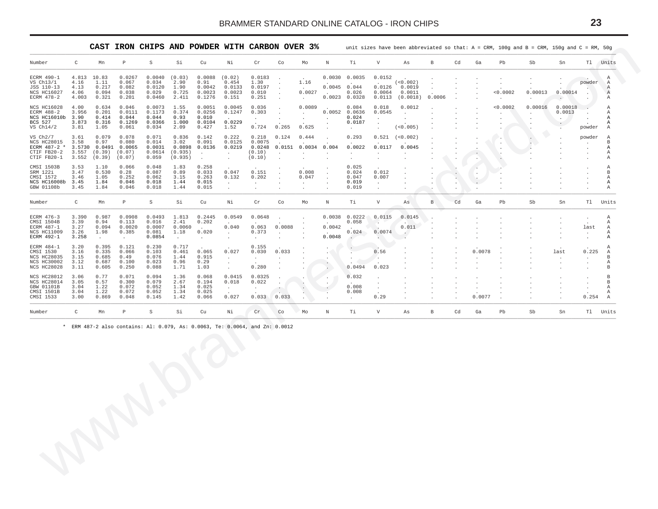<span id="page-22-0"></span>

| $\mathtt{C}$<br>Number<br>Mn<br>$\mathbb P$<br>S<br>Si<br>Cu<br>Νi<br>$\, {\rm N}$<br>Ti<br>V<br>$\mathbb B$<br>Cd<br>Ga<br>Pb<br>Sb<br>Sn<br>Tl Units<br>Cr<br>Co<br>Mo<br>As<br>0.0030 0.0035<br>4.813 10.83<br>0.0267<br>$0.0040$ (0.03)<br>0.0088<br>(0.02)<br>0.0183<br>0.0152<br>ECRM 490-1<br>$\cdot$<br>$\sim$<br>0.034<br>2.90<br>0.91<br>(<0.002)<br>VS Ch13/1<br>4.16<br>1.11<br>0.067<br>0.454<br>1.30<br>1.16<br>powder<br>$\cdot$<br>$\cdot$<br>0.0120<br>0.0042<br>$0.0045$ 0.044<br>0.0126<br>0.0019<br>4.13<br>0.217<br>0.082<br>1.90<br>0.0133<br>0.0197<br>JSS 110-13<br>$\cdot$<br>0.0023<br>0.0027<br>0.026<br>< 0.0002<br>0.00013<br>0.00014<br>NCS HC16027<br>4.06<br>0.094<br>0.038<br>0.029<br>0.725<br>0.0023<br>0.010<br>0.0064<br>0.0011<br>$\sim$<br>$\overline{\phantom{a}}$<br>0.1276<br>$0.0023$ 0.0328<br>$0.0113$ $(0.0018)$<br>0.0006<br>ECRM 478-2<br>4.003<br>0.321<br>0.201<br>0.0460<br>2.411<br>0.151<br>0.251<br>$\cdot$<br>$\sim$<br>$\cdot$<br>$\cdot$<br>$\cdot$<br>0.0051<br>0.0089<br>< 0.0002<br>0.00016<br>0.00018<br>NCS HC16028<br>4.00<br>0.634<br>0.046<br>0.0073<br>1.55<br>0.0045<br>0.036<br>0.084<br>0.018<br>0.0012<br>0.0111<br>0.1173<br>0.374<br>0.303<br>$0.0052$ 0.0636<br>0.0545<br>0.0013<br>ECRM 488-2<br>3.956<br>0.201<br>0.0256<br>0.1247<br>$\sim$ $-$<br>$\cdot$<br>$\cdot$<br>$\cdot$<br>$\cdot$<br>NCS HC16010b<br>3.90<br>0.414<br>0.044<br>0.044<br>0.93<br>0.010<br>0.024<br>$\blacksquare$<br>$\cdot$<br>$\sim$<br>$\cdot$<br>$\blacksquare$<br>$\sim$<br>$\bullet$<br>$\cdot$<br>0.0104<br>0.0229<br>BCS 527<br>3.873<br>0.316<br>0.1269<br>0.0366<br>1.000<br>0.0187<br>$\cdot$<br>$\cdot$<br>0.427<br>0.724<br>0.265<br>0.625<br>(<0.005)<br>$VS$ $Ch14/2$<br>3.81<br>1.05<br>0.061<br>0.034<br>2.09<br>1.52<br>powder<br>$\sim$<br>$\cdot$<br>$\ddot{\phantom{0}}$<br>0.079<br>0.071<br>0.836<br>0.222<br>3.61<br>0.078<br>0.142<br>0.218<br>0.124<br>0.293<br>0.521<br>(<0.002)<br>powder<br>VS Ch2/7<br>0.444<br>0.97<br>0.014<br>3.02<br>0.091<br>0.0075<br><b>NCS HC28015</b><br>3.58<br>0.080<br>0.0125<br>$\cdot$<br>$\cdot$<br>0.0219<br>0.0248 0.0151 0.0034 0.004<br>0.0022<br>0.0117<br>0.0045<br>ECRM 487-2 *<br>3.5730 0.0491 0.0065<br>0.0031<br>0.0898 0.0136<br>$\cdot$<br>CTIF FB20-2<br>$3.557$ $(0.39)$<br>(0.07)<br>$0.0614$ $(0.935)$<br>(0.10)<br>$\sim$<br>$\sim$<br>$\cdot$<br>$\cdot$<br>$\cdot$<br>$\blacksquare$<br>$\sim$<br>(0.39)<br>(0.935)<br>CTIF FB20-1<br>3.552<br>(0.07)<br>0.059<br>(0.10)<br>$\ddot{\phantom{a}}$<br>$\cdot$<br>$\ddot{\phantom{a}}$<br>$\cdot$<br>$\cdot$<br>$\cdot$<br>0.258<br>3.53<br>1.10<br>0.066<br>0.048<br>1.83<br>0.025<br>CMSI 1503B<br>3.47<br>0.28<br>0.087<br>0.89<br>0.033<br>0.151<br>0.008<br>0.024<br>0.012<br>SRM 122i<br>0.530<br>0.047<br>0.252<br>0.263<br>0.132<br>0.202<br>0.047<br>0.007<br>3.46<br>1.05<br>0.062<br>3.15<br>0.047<br>CMSI 1572<br>$\cdot$<br>$\cdot$<br>٠.<br>NCS HC16008b 3.45<br>1.84<br>0.046<br>0.018<br>1.44<br>0.015<br>0.019<br>$\sim$<br>$\cdot$<br>$\cdot$<br>$\blacksquare$<br>$\cdot$<br>$\cdot$<br>$\bullet$<br>GBW 01108b<br>3.45<br>1.84<br>0.046<br>0.018<br>0.015<br>0.019<br>1.44<br>$\sim$<br>$\cdot$<br>$\cdot$<br>$\cdot$<br>$\cdot$<br>$\mathbb{C}$<br>Mn<br>$\mathbb P$<br>S<br>Si<br>Тi<br>V<br>$\mathbf{B}$<br>Cd<br>Pb<br>Sb<br>Number<br>Cu<br>Νi<br>Cr<br>Co<br>Mo<br>N<br>Ga<br>Sn<br>Tl Units<br>As,<br>1.813<br>$0.0038$ $0.0222$<br>3.390<br>0.987<br>0.0908<br>0.0493<br>0.2445<br>0.0549<br>0.0648<br>0.0115<br>0.0145<br>ECRM 476-3<br>$\cdot$<br>$\cdot$<br>0.058<br>CMSI 1504B<br>3.39<br>0.94<br>0.113<br>0.016<br>2.41<br>0.202<br>$\rightarrow$<br>3.27<br>0.063<br>0.0088<br>0.0042<br>ECRM 487-1<br>0.094<br>0.0020<br>0.0007<br>0.0060<br>0.040<br>0.011<br>last<br>0.0074<br>0.020<br>0.373<br>0.024<br>NCS HC11009<br>3.26<br>1.98<br>0.385<br>0.081<br>1.18<br>$\sim$<br>$\cdot$<br>$\mathcal{A}$ .<br>$\cdot$<br>$\cdot$<br>0.0048<br>ECRM 492-1<br>3.258<br>0.0854<br>$\mathcal{L}_{\mathcal{A}}$<br>$\sim$<br>$\sim$<br>$\cdot$<br>$\cdot$<br>$\cdot$<br>$\cdot$<br>0.395<br>0.155<br>3.20<br>0.121<br>0.230<br>0.717<br>ECRM 484-1<br>CMSI 1530<br>0.335<br>0.066<br>0.461<br>0.030<br>0.033<br>0.56<br>0.0078<br>0.225<br>3.16<br>0.103<br>0.065<br>0.027<br>last<br>0.915<br><b>NCS HC28035</b><br>3.15<br>0.685<br>0.49<br>0.076<br>1.44<br>$\sim$<br>$\sim$<br>$\cdot$<br>$\cdot$<br>$\sim$<br>$\cdot$<br>$\cdot$<br>0.29<br>NCS HC30002<br>3.12<br>0.687<br>0.100<br>0.023<br>0.96<br>$\sim$<br>$\cdot$<br>$\cdot$<br>$\cdot$<br>$\cdot$<br>0.250<br>0.280<br>0.0494<br>0.023<br>NCS HC28028<br>3.11<br>0.605<br>0.088<br>1.71<br>1.03<br>$\cdot$<br>0.094<br>0.068<br>0.0415<br>0.0325<br>NCS HC28012<br>3.06<br>0.77<br>0.071<br>1.36<br>0.032<br>$\cdot$<br>3.05<br>0.57<br>0.300<br>0.079<br>2.67<br>0.194<br>0.018<br>0.022<br>NCS HC28014<br>- 1<br>$\cdot$<br>$\cdot$<br>$\blacksquare$<br>$\cdot$<br>0.008<br>GBW 01101B<br>3.04<br>1.22<br>0.072<br>0.052<br>1.34<br>0.025<br>$\sim$ $-$<br>$\cdot$<br>$\blacksquare$<br>$\sim$<br>$\cdot$<br>$\cdot$<br>$\cdot$<br>CMSI 1501B<br>3.04<br>1.22<br>0.072<br>0.052<br>1.34<br>0.025<br>0.008<br>3.00<br>0.027<br>0.033 0.033<br>0.29<br>0.0077<br>0.254<br>CMSI 1533<br>0.869<br>0.048<br>0.145<br>1.42<br>0.066<br>$\sim$<br>$\mathtt{C}$<br>$\mathbb P$<br>$\mathbb S$<br>Mn<br>Si<br>Cu<br>Νi<br>Cr<br>Co<br>Mo<br>Тi<br>V<br>$\, {\bf B}$<br>Cd<br>Ga<br>Pb<br>Sb<br>Tl Units<br>Number<br>N<br>Sn<br>As<br>* ERM 487-2 also contains: Al: 0.079, As: 0.0063, Te: 0.0064, and Zn: 0.0012 |  | CAST |  | IRON CHIPS AND POWDER WITH CARBON OVER 3% |  |  |  |  |  |  | unit sizes have been abbreviated so that: $A = CRM$ , 100g and $B = CRM$ , 150g and $C = RM$ , 50g |  |                                  |
|------------------------------------------------------------------------------------------------------------------------------------------------------------------------------------------------------------------------------------------------------------------------------------------------------------------------------------------------------------------------------------------------------------------------------------------------------------------------------------------------------------------------------------------------------------------------------------------------------------------------------------------------------------------------------------------------------------------------------------------------------------------------------------------------------------------------------------------------------------------------------------------------------------------------------------------------------------------------------------------------------------------------------------------------------------------------------------------------------------------------------------------------------------------------------------------------------------------------------------------------------------------------------------------------------------------------------------------------------------------------------------------------------------------------------------------------------------------------------------------------------------------------------------------------------------------------------------------------------------------------------------------------------------------------------------------------------------------------------------------------------------------------------------------------------------------------------------------------------------------------------------------------------------------------------------------------------------------------------------------------------------------------------------------------------------------------------------------------------------------------------------------------------------------------------------------------------------------------------------------------------------------------------------------------------------------------------------------------------------------------------------------------------------------------------------------------------------------------------------------------------------------------------------------------------------------------------------------------------------------------------------------------------------------------------------------------------------------------------------------------------------------------------------------------------------------------------------------------------------------------------------------------------------------------------------------------------------------------------------------------------------------------------------------------------------------------------------------------------------------------------------------------------------------------------------------------------------------------------------------------------------------------------------------------------------------------------------------------------------------------------------------------------------------------------------------------------------------------------------------------------------------------------------------------------------------------------------------------------------------------------------------------------------------------------------------------------------------------------------------------------------------------------------------------------------------------------------------------------------------------------------------------------------------------------------------------------------------------------------------------------------------------------------------------------------------------------------------------------------------------------------------------------------------------------------------------------------------------------------------------------------------------------------------------------------------------------------------------------------------------------------------------------------------------------------------------------------------------------------------------------------------------------------------------------------------------------------------------------------------------------------------------------------------------------------------------------------------------------------------------------------------------------------------------------------------------------------------------------------------------------------------------------------------------------------------------------------------------------------------------------------------------------------------------------------------------------------------------------------------------------------------------------------------------------------------------------------------------------------------------------------------------------------------------------------------------------------------------------------------------------------------------------------------------------------------------------------------------------------------------------------------------------------------------------------------------------------------|--|------|--|-------------------------------------------|--|--|--|--|--|--|----------------------------------------------------------------------------------------------------|--|----------------------------------|
|                                                                                                                                                                                                                                                                                                                                                                                                                                                                                                                                                                                                                                                                                                                                                                                                                                                                                                                                                                                                                                                                                                                                                                                                                                                                                                                                                                                                                                                                                                                                                                                                                                                                                                                                                                                                                                                                                                                                                                                                                                                                                                                                                                                                                                                                                                                                                                                                                                                                                                                                                                                                                                                                                                                                                                                                                                                                                                                                                                                                                                                                                                                                                                                                                                                                                                                                                                                                                                                                                                                                                                                                                                                                                                                                                                                                                                                                                                                                                                                                                                                                                                                                                                                                                                                                                                                                                                                                                                                                                                                                                                                                                                                                                                                                                                                                                                                                                                                                                                                                                                                                                                                                                                                                                                                                                                                                                                                                                                                                                                                                                                                          |  |      |  |                                           |  |  |  |  |  |  |                                                                                                    |  |                                  |
|                                                                                                                                                                                                                                                                                                                                                                                                                                                                                                                                                                                                                                                                                                                                                                                                                                                                                                                                                                                                                                                                                                                                                                                                                                                                                                                                                                                                                                                                                                                                                                                                                                                                                                                                                                                                                                                                                                                                                                                                                                                                                                                                                                                                                                                                                                                                                                                                                                                                                                                                                                                                                                                                                                                                                                                                                                                                                                                                                                                                                                                                                                                                                                                                                                                                                                                                                                                                                                                                                                                                                                                                                                                                                                                                                                                                                                                                                                                                                                                                                                                                                                                                                                                                                                                                                                                                                                                                                                                                                                                                                                                                                                                                                                                                                                                                                                                                                                                                                                                                                                                                                                                                                                                                                                                                                                                                                                                                                                                                                                                                                                                          |  |      |  |                                           |  |  |  |  |  |  |                                                                                                    |  | Α<br>$\mathbb{A}$<br>Α<br>Α<br>Α |
|                                                                                                                                                                                                                                                                                                                                                                                                                                                                                                                                                                                                                                                                                                                                                                                                                                                                                                                                                                                                                                                                                                                                                                                                                                                                                                                                                                                                                                                                                                                                                                                                                                                                                                                                                                                                                                                                                                                                                                                                                                                                                                                                                                                                                                                                                                                                                                                                                                                                                                                                                                                                                                                                                                                                                                                                                                                                                                                                                                                                                                                                                                                                                                                                                                                                                                                                                                                                                                                                                                                                                                                                                                                                                                                                                                                                                                                                                                                                                                                                                                                                                                                                                                                                                                                                                                                                                                                                                                                                                                                                                                                                                                                                                                                                                                                                                                                                                                                                                                                                                                                                                                                                                                                                                                                                                                                                                                                                                                                                                                                                                                                          |  |      |  |                                           |  |  |  |  |  |  |                                                                                                    |  | Α<br>Α<br>Α<br>А<br>А            |
|                                                                                                                                                                                                                                                                                                                                                                                                                                                                                                                                                                                                                                                                                                                                                                                                                                                                                                                                                                                                                                                                                                                                                                                                                                                                                                                                                                                                                                                                                                                                                                                                                                                                                                                                                                                                                                                                                                                                                                                                                                                                                                                                                                                                                                                                                                                                                                                                                                                                                                                                                                                                                                                                                                                                                                                                                                                                                                                                                                                                                                                                                                                                                                                                                                                                                                                                                                                                                                                                                                                                                                                                                                                                                                                                                                                                                                                                                                                                                                                                                                                                                                                                                                                                                                                                                                                                                                                                                                                                                                                                                                                                                                                                                                                                                                                                                                                                                                                                                                                                                                                                                                                                                                                                                                                                                                                                                                                                                                                                                                                                                                                          |  |      |  |                                           |  |  |  |  |  |  |                                                                                                    |  | Α<br>B<br>Α<br>Α<br>Α            |
|                                                                                                                                                                                                                                                                                                                                                                                                                                                                                                                                                                                                                                                                                                                                                                                                                                                                                                                                                                                                                                                                                                                                                                                                                                                                                                                                                                                                                                                                                                                                                                                                                                                                                                                                                                                                                                                                                                                                                                                                                                                                                                                                                                                                                                                                                                                                                                                                                                                                                                                                                                                                                                                                                                                                                                                                                                                                                                                                                                                                                                                                                                                                                                                                                                                                                                                                                                                                                                                                                                                                                                                                                                                                                                                                                                                                                                                                                                                                                                                                                                                                                                                                                                                                                                                                                                                                                                                                                                                                                                                                                                                                                                                                                                                                                                                                                                                                                                                                                                                                                                                                                                                                                                                                                                                                                                                                                                                                                                                                                                                                                                                          |  |      |  |                                           |  |  |  |  |  |  |                                                                                                    |  | Α<br>B<br>Α<br>Α<br>Α            |
|                                                                                                                                                                                                                                                                                                                                                                                                                                                                                                                                                                                                                                                                                                                                                                                                                                                                                                                                                                                                                                                                                                                                                                                                                                                                                                                                                                                                                                                                                                                                                                                                                                                                                                                                                                                                                                                                                                                                                                                                                                                                                                                                                                                                                                                                                                                                                                                                                                                                                                                                                                                                                                                                                                                                                                                                                                                                                                                                                                                                                                                                                                                                                                                                                                                                                                                                                                                                                                                                                                                                                                                                                                                                                                                                                                                                                                                                                                                                                                                                                                                                                                                                                                                                                                                                                                                                                                                                                                                                                                                                                                                                                                                                                                                                                                                                                                                                                                                                                                                                                                                                                                                                                                                                                                                                                                                                                                                                                                                                                                                                                                                          |  |      |  |                                           |  |  |  |  |  |  |                                                                                                    |  |                                  |
|                                                                                                                                                                                                                                                                                                                                                                                                                                                                                                                                                                                                                                                                                                                                                                                                                                                                                                                                                                                                                                                                                                                                                                                                                                                                                                                                                                                                                                                                                                                                                                                                                                                                                                                                                                                                                                                                                                                                                                                                                                                                                                                                                                                                                                                                                                                                                                                                                                                                                                                                                                                                                                                                                                                                                                                                                                                                                                                                                                                                                                                                                                                                                                                                                                                                                                                                                                                                                                                                                                                                                                                                                                                                                                                                                                                                                                                                                                                                                                                                                                                                                                                                                                                                                                                                                                                                                                                                                                                                                                                                                                                                                                                                                                                                                                                                                                                                                                                                                                                                                                                                                                                                                                                                                                                                                                                                                                                                                                                                                                                                                                                          |  |      |  |                                           |  |  |  |  |  |  |                                                                                                    |  | А<br>А<br>Α<br>Α<br>Α            |
|                                                                                                                                                                                                                                                                                                                                                                                                                                                                                                                                                                                                                                                                                                                                                                                                                                                                                                                                                                                                                                                                                                                                                                                                                                                                                                                                                                                                                                                                                                                                                                                                                                                                                                                                                                                                                                                                                                                                                                                                                                                                                                                                                                                                                                                                                                                                                                                                                                                                                                                                                                                                                                                                                                                                                                                                                                                                                                                                                                                                                                                                                                                                                                                                                                                                                                                                                                                                                                                                                                                                                                                                                                                                                                                                                                                                                                                                                                                                                                                                                                                                                                                                                                                                                                                                                                                                                                                                                                                                                                                                                                                                                                                                                                                                                                                                                                                                                                                                                                                                                                                                                                                                                                                                                                                                                                                                                                                                                                                                                                                                                                                          |  |      |  |                                           |  |  |  |  |  |  |                                                                                                    |  | Α<br>А<br>B<br>А<br>B            |
|                                                                                                                                                                                                                                                                                                                                                                                                                                                                                                                                                                                                                                                                                                                                                                                                                                                                                                                                                                                                                                                                                                                                                                                                                                                                                                                                                                                                                                                                                                                                                                                                                                                                                                                                                                                                                                                                                                                                                                                                                                                                                                                                                                                                                                                                                                                                                                                                                                                                                                                                                                                                                                                                                                                                                                                                                                                                                                                                                                                                                                                                                                                                                                                                                                                                                                                                                                                                                                                                                                                                                                                                                                                                                                                                                                                                                                                                                                                                                                                                                                                                                                                                                                                                                                                                                                                                                                                                                                                                                                                                                                                                                                                                                                                                                                                                                                                                                                                                                                                                                                                                                                                                                                                                                                                                                                                                                                                                                                                                                                                                                                                          |  |      |  |                                           |  |  |  |  |  |  |                                                                                                    |  | B<br>B<br>Α<br>А<br>Α            |
|                                                                                                                                                                                                                                                                                                                                                                                                                                                                                                                                                                                                                                                                                                                                                                                                                                                                                                                                                                                                                                                                                                                                                                                                                                                                                                                                                                                                                                                                                                                                                                                                                                                                                                                                                                                                                                                                                                                                                                                                                                                                                                                                                                                                                                                                                                                                                                                                                                                                                                                                                                                                                                                                                                                                                                                                                                                                                                                                                                                                                                                                                                                                                                                                                                                                                                                                                                                                                                                                                                                                                                                                                                                                                                                                                                                                                                                                                                                                                                                                                                                                                                                                                                                                                                                                                                                                                                                                                                                                                                                                                                                                                                                                                                                                                                                                                                                                                                                                                                                                                                                                                                                                                                                                                                                                                                                                                                                                                                                                                                                                                                                          |  |      |  |                                           |  |  |  |  |  |  |                                                                                                    |  |                                  |
| $\mathcal{A}$ .                                                                                                                                                                                                                                                                                                                                                                                                                                                                                                                                                                                                                                                                                                                                                                                                                                                                                                                                                                                                                                                                                                                                                                                                                                                                                                                                                                                                                                                                                                                                                                                                                                                                                                                                                                                                                                                                                                                                                                                                                                                                                                                                                                                                                                                                                                                                                                                                                                                                                                                                                                                                                                                                                                                                                                                                                                                                                                                                                                                                                                                                                                                                                                                                                                                                                                                                                                                                                                                                                                                                                                                                                                                                                                                                                                                                                                                                                                                                                                                                                                                                                                                                                                                                                                                                                                                                                                                                                                                                                                                                                                                                                                                                                                                                                                                                                                                                                                                                                                                                                                                                                                                                                                                                                                                                                                                                                                                                                                                                                                                                                                          |  |      |  |                                           |  |  |  |  |  |  |                                                                                                    |  |                                  |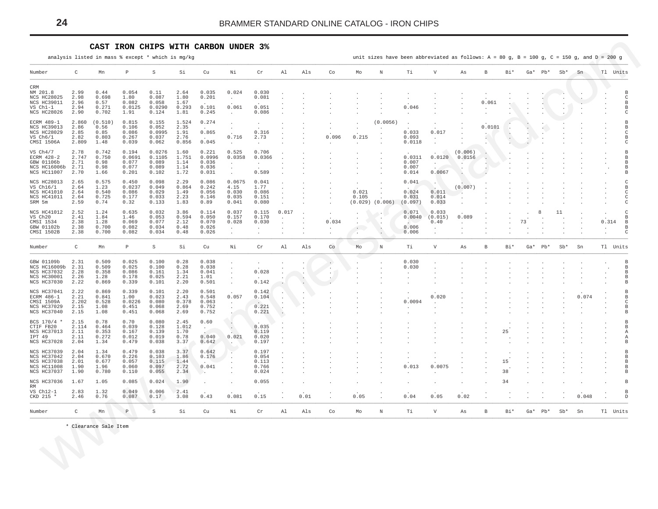#### CAST IRON CHIPS WITH CARBON UNDER 3%

analysis listed in mass % except \* which is mg/kg

unit sizes have been abbreviated as follows:  $A = 80 g$ ,  $B = 100 g$ ,  $C = 150 g$ , and  $D = 200 g$ 

<span id="page-23-0"></span>

| Number                     | C             | Mn             | $\mathbb{P}$   | S              | Si            | Cu                   | Νi                          | Cr             | Al    | Als  | Co    | Mo    | N                   | Ti             | V            | As      | в      | Bi* |    | $Ga*$ Pb* $Sb*$ |       | Sn    | Tl Units      |
|----------------------------|---------------|----------------|----------------|----------------|---------------|----------------------|-----------------------------|----------------|-------|------|-------|-------|---------------------|----------------|--------------|---------|--------|-----|----|-----------------|-------|-------|---------------|
| CRM                        |               |                |                |                |               |                      |                             |                |       |      |       |       |                     |                |              |         |        |     |    |                 |       |       |               |
| NM 201.8                   | 2.99          | 0.44           | 0.054          | 0.11           | 2.64          | 0.035                | 0.024                       | 0.030          |       |      |       |       |                     |                |              |         |        |     |    |                 |       |       |               |
| NCS HC28025<br>NCS HC39011 | 2.98          | 0.698          | 1.80<br>0.082  | 0.087<br>0.058 | 1.80          | 0.201                | $\cdot$                     | 0.081          |       |      |       |       |                     |                |              |         |        |     |    |                 |       |       |               |
| VS Ch1-1                   | 2.96<br>2.94  | 0.57<br>0.271  | 0.0125         | 0.0290         | 1.67<br>0.293 | 0.101                | 0.061                       | 0.051          |       |      |       |       |                     | 0.046          |              |         | 0.061  |     |    |                 |       |       |               |
| <b>NCS HC28026</b>         | 2.90          | 0.702          | 1.91           | 0.124          | 1.81          | 0.245                | $\sim$                      | 0.086          |       |      |       |       |                     | $\sim$         |              |         |        |     |    |                 |       |       |               |
|                            |               |                |                |                |               |                      |                             |                |       |      |       |       |                     |                |              |         |        |     |    |                 |       |       |               |
| ECRM 489-1                 | 2.860         | (0.510)        | 0.815          | 0.155          | 1.524         | 0.274                |                             |                |       |      |       |       | (0.0056)            |                |              |         |        |     |    |                 |       |       |               |
| <b>NCS HC39013</b>         | 2.86          | 0.56           | 0.106          | 0.052          | 2.35          |                      |                             |                |       |      |       |       |                     |                |              |         | 0.0101 |     |    |                 |       |       |               |
| <b>NCS HC28029</b>         | 2.85          | 0.85           | 0.086          | 0.0995         | 1.91          | 0.865                |                             | 0.316          |       |      |       |       |                     | 0.033          | 0.017        |         |        |     |    |                 |       |       |               |
| $VS$ $Ch6/1$               | 2.82          | 0.803          | 0.267          | 0.037          | 2.76          | $\sim$               | 0.716                       | 2.73           |       |      | 0.096 | 0.215 |                     | 0.093          |              |         |        |     |    |                 |       |       |               |
| CMSI 1506A                 | 2.809         | 1.48           | 0.039          | 0.062          | 0.856         | 0.045                | $\cdot$                     |                |       |      |       |       |                     | 0.0118         |              |         |        |     |    |                 |       |       |               |
| VS Ch4/7                   | 2.78          | 0.742          | 0.194          | 0.0276         | 1.60          | 0.221                | 0.525                       | 0.706          |       |      |       |       |                     |                |              | (0.006) |        |     |    |                 |       |       |               |
| ECRM 428-2                 | 2.747         | 0.750          | 0.0691         | 0.1105         | 1.751         | 0.0996               | 0.0358                      | 0.0366         |       |      |       |       |                     | 0.0311         | 0.0120       | 0.0156  |        |     |    |                 |       |       |               |
| GBW 01106b                 | 2.71          | 0.98           | 0.077          | 0.089          | 1.14          | 0.036                | $\cdot$                     |                |       |      |       |       |                     | 0.007          |              |         |        |     |    |                 |       |       |               |
| NCS HC16006b               | 2.71          | 0.98           | 0.077          | 0.089          | 1.14          | 0.036                | $\cdot$                     |                |       |      |       |       |                     | 0.007          |              |         |        |     |    |                 |       |       |               |
| NCS HC11007                | 2.70          | 1.66           | 0.201          | 0.102          | 1.72          | 0.031                |                             | 0.589          |       |      |       |       |                     | 0.014          | 0.0067       |         |        |     |    |                 |       |       |               |
|                            |               |                |                |                |               |                      |                             |                |       |      |       |       |                     |                |              |         |        |     |    |                 |       |       |               |
| <b>NCS HC28013</b>         | 2.65          | 0.575          | 0.450          | 0.098          | 2.29          | 0.086                | 0.0675                      | 0.041          |       |      |       |       |                     | 0.041          |              |         |        |     |    |                 |       |       |               |
| VS Ch16/1                  | 2.64          | 1.23           | 0.0237         | 0.049          | 0.864         | 0.242                | 4.15                        | 1.77           |       |      |       |       |                     |                |              | (0.007) |        |     |    |                 |       |       |               |
| NCS HC41010                | 2.64          | 0.540          | 0.086          | 0.029          | 1.49          | 0.056                | 0.030                       | 0.086          |       |      |       | 0.021 |                     | 0.024          | 0.011        |         |        |     |    |                 |       |       |               |
| NCS HC41011                | 2.64          | 0.725          | 0.177          | 0.033          | 2.23          | 0.146                | 0.035                       | 0.151          |       |      |       | 0.105 |                     | 0.031          | 0.014        |         |        |     |    |                 |       |       |               |
| SRM 5m                     | 2.59          | 0.74           | 0.32           | 0.133          | 1.83          | 0.89                 | 0.041                       | 0.080          |       |      |       |       | $(0.029)$ $(0.006)$ | (0.097)        | 0.033        |         |        |     |    |                 |       |       |               |
| NCS HC41012                | 2.52          | 1.24           | 0.635          | 0.032          | 3.86          | 0.114                | 0.037                       | 0.115          | 0.017 |      |       |       |                     | 0.071          | 0.033        |         |        |     |    |                 | 11    |       |               |
| VS Ch20                    | 2.41          | 1.84           | 1.46           | 0.053          | 0.594         | 0.050                | 0.157                       | 0.170          |       |      |       |       |                     | 0.0040         | (0.015)      | 0.089   |        |     |    |                 |       |       |               |
| CMSI 1534                  | 2.38          | 1.28           | 0.069          | 0.077          | 2.12          | 0.070                | 0.028                       | 0.030          |       |      | 0.034 |       |                     |                | 0.40         |         |        |     | 73 |                 |       |       | 0.314         |
| GBW 01102b                 | 2.38          | 0.700          | 0.082          | 0.034          | 0.48          | 0.026                | $\cdot$                     |                |       |      |       |       |                     | 0.006          |              |         |        |     |    |                 |       |       |               |
| CMSI 1502B                 | 2.38          | 0.700          | 0.082          | 0.034          | 0.48          | 0.026                | $\blacksquare$              |                |       |      |       |       |                     | 0.006          |              |         |        |     |    |                 |       |       | $\mathcal{C}$ |
| Number                     | C             | Mn             | Ρ              | S              | Si            | Cu                   | Νi                          | Cr             | Al    | Als  | Co    | Mo    | N                   | Τi             | V            | As      | B      | Bi* |    | $Ga*$ Pb*       | $Sb*$ | Sn    | Tl Units      |
|                            | 2.31          |                | 0.025          | 0.100          |               |                      |                             |                |       |      |       |       |                     |                |              |         |        |     |    |                 |       |       |               |
| GBW 01109b<br>NCS HC16009b | 2.31          | 0.509<br>0.509 | 0.025          | 0.100          | 0.28<br>0.28  | 0.038<br>0.038       |                             |                |       |      |       |       |                     | 0.030<br>0.030 |              |         |        |     |    |                 |       |       |               |
| NCS HC37032                | 2.28          | 0.358          | 0.086          | 0.161          | 1.34          | 0.041                |                             | 0.028          |       |      |       |       |                     |                |              |         |        |     |    |                 |       |       |               |
| NCS HC30001                | 2.26          | 1.28           | 0.178          | 0.025          | 2.21          | 1.01                 |                             |                |       |      |       |       |                     |                |              |         |        |     |    |                 |       |       |               |
| NCS HC37030                | 2.22          | 0.869          | 0.339          | 0.101          | 2.20          | 0.501                |                             | 0.142          |       |      |       |       |                     |                |              |         |        |     |    |                 |       |       |               |
|                            |               |                |                |                |               |                      |                             |                |       |      |       |       |                     |                |              |         |        |     |    |                 |       |       |               |
| NCS HC37041                | 2.22          | 0.869          | 0.339          | 0.101          | 2.20          | 0.501                |                             | 0.142          |       |      |       |       |                     |                |              |         |        |     |    |                 |       |       |               |
| ECRM 486-1                 | 2.21          | 0.841          | 1.00           | 0.023          | 2.43          | 0.548                | 0.057                       | 0.104          |       |      |       |       |                     |                | 0.020        |         |        |     |    |                 |       | 0.074 |               |
| CMSI 1509A                 | 2.202         | 0.528          | 0.0226         | 0.080          | 0.378         | 0.063                | $\cdot$                     |                |       |      |       |       |                     | 0.0094         |              |         |        |     |    |                 |       |       |               |
| <b>NCS HC37029</b>         | 2.15          | 1.08           | 0.451          | 0.068          | 2.69          | 0.752                | $\cdot$                     | 0.221          |       |      |       |       |                     |                |              |         |        |     |    |                 |       |       |               |
| NCS HC37040                | 2.15          | 1.08           | 0.451          | 0.068          | 2.69          | 0.752                |                             | 0.221          |       |      |       |       |                     |                |              |         |        |     |    |                 |       |       |               |
| BCS 170/4 *                | 2.15          | 0.78           | 0.70           | 0.080          | 2.45          | 0.60                 |                             |                |       |      |       |       |                     |                |              |         |        |     |    |                 |       |       |               |
| CTIF FB20                  | 2.114         | 0.464          | 0.039          | 0.128          | 1.012         | $\ddot{\phantom{a}}$ | $\cdot$                     | 0.035          |       |      |       |       |                     |                |              |         |        |     |    |                 |       |       |               |
| NCS HC37013                | 2.11          | 0.353          | 0.167          | 0.139          | 1.70          |                      | $\mathcal{L}_{\mathcal{A}}$ | 0.119          |       |      |       |       |                     |                |              |         |        | 25  |    |                 |       |       |               |
| IPT 49                     | 2.11          | 0.272          | 0.012          | 0.019          | 0.78          | 0.040                | 0.021                       | 0.020          |       |      |       |       |                     |                |              |         |        |     |    |                 |       |       |               |
| NCS HC37028                | 2.04          | 1.34           | 0.479          | 0.038          | 3.37          | 0.642                |                             | 0.197          |       |      |       |       |                     |                |              |         |        |     |    |                 |       |       |               |
|                            |               |                |                |                |               |                      |                             |                |       |      |       |       |                     |                |              |         |        |     |    |                 |       |       |               |
| <b>NCS HC37039</b>         | 2.04          | 1.34           | 0.479          | 0.038          | 3.37          | 0.642                |                             | 0.197          |       |      |       |       |                     |                |              |         |        |     |    |                 |       |       |               |
| NCS HC37042                | 2.04          | 0.670          | 0.226          | 0.103          | 1.86          | 0.176                |                             | 0.054          |       |      |       |       |                     |                |              |         |        |     |    |                 |       |       |               |
| NCS HC37038<br>NCS HC11008 | 2.01<br>1.90  | 0.677<br>1.96  | 0.057<br>0.060 | 0.115<br>0.097 | 1.44<br>2.72  |                      |                             | 0.113<br>0.766 |       |      |       |       |                     | 0.013          | 0.0075       |         |        | 15  |    |                 |       |       |               |
| NCS HC37037                | 1.90          | 0.780          | 0.110          | 0.055          | 2.34          | 0.041<br>$\sim$      |                             | 0.024          |       |      |       |       |                     |                |              |         |        | 38  |    |                 |       |       |               |
| NCS HC37036                | 1.67          | 1.05           | 0.085          | 0.024          | 1.90          |                      |                             | 0.055          |       |      |       |       |                     |                |              |         |        | 34  |    |                 |       |       |               |
| RM                         |               |                |                |                |               |                      |                             |                |       |      |       |       |                     |                |              |         |        |     |    |                 |       |       |               |
| VS Ch12-1<br>CKD 215 *     | 2.83<br>2.46  | 1.32<br>0.76   | 0.049<br>0.087 | 0.006<br>0.17  | 2.41<br>3.08  | 0.43                 | 0.081                       | 0.15           |       | 0.01 |       | 0.05  |                     | 0.04           | 0.05         | 0.02    |        |     |    |                 |       | 0.048 |               |
|                            |               |                |                |                |               |                      |                             |                |       |      |       |       |                     |                |              |         |        |     |    |                 |       |       |               |
| Number                     | $\mathcal{C}$ | Mn             | P              | S              | Si            | Cu                   | Νi                          | Cr             | Al    | Als  | Co    | Mo    | N                   | Τi             | $\mathbf{V}$ | As      | R.     | Bi* |    | $Ga*$ Pb*       | $Sb*$ | Sn    | Tl Units      |

\* Clearance Sale Item